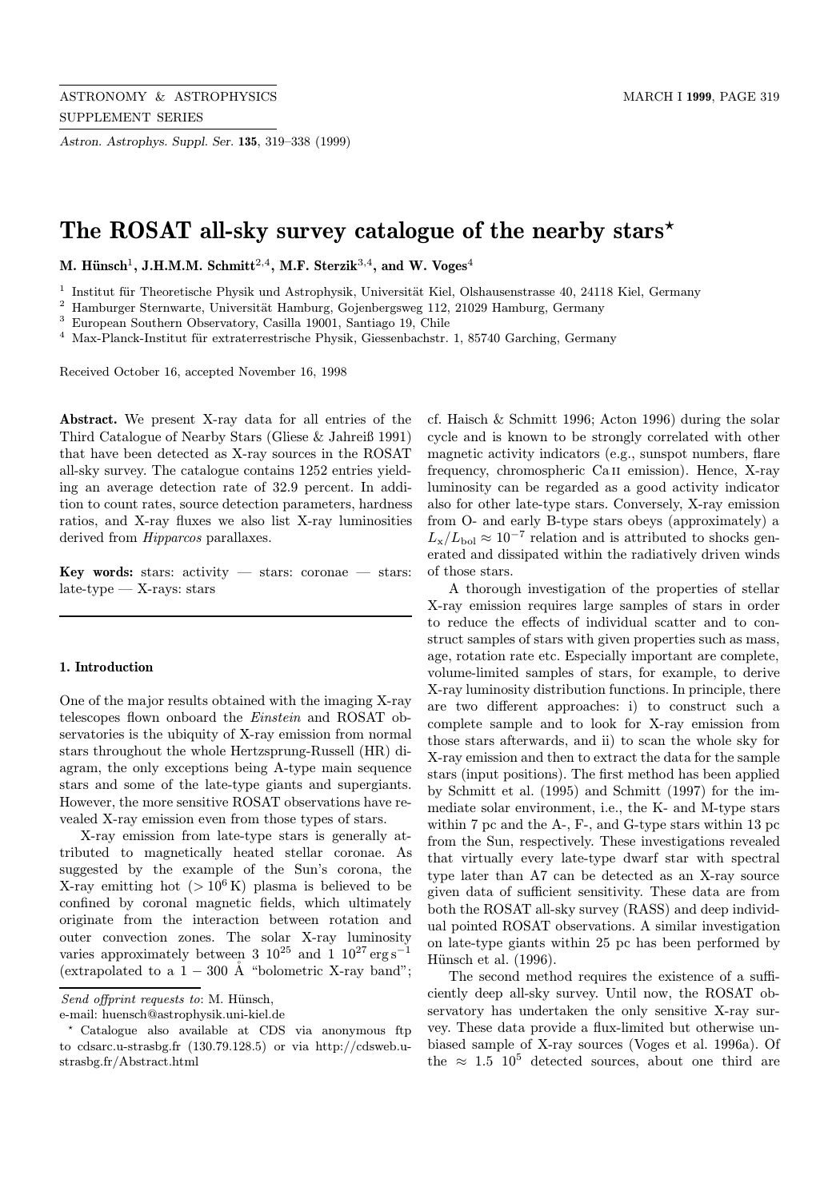Astron. Astrophys. Suppl. Ser. 135, 319–338 (1999)

# The ROSAT all-sky survey catalogue of the nearby stars\*

M. Hünsch<sup>1</sup>, J.H.M.M. Schmitt<sup>2,4</sup>, M.F. Sterzik<sup>3,4</sup>, and W. Voges<sup>4</sup>

 $1$  Institut für Theoretische Physik und Astrophysik, Universität Kiel, Olshausenstrasse 40, 24118 Kiel, Germany

 $2$  Hamburger Sternwarte, Universität Hamburg, Gojenbergsweg 112, 21029 Hamburg, Germany

<sup>3</sup> European Southern Observatory, Casilla 19001, Santiago 19, Chile

 $4$  Max-Planck-Institut für extraterrestrische Physik, Giessenbachstr. 1, 85740 Garching, Germany

Received October 16, accepted November 16, 1998

Abstract. We present X-ray data for all entries of the Third Catalogue of Nearby Stars (Gliese & Jahreiß 1991) that have been detected as X-ray sources in the ROSAT all-sky survey. The catalogue contains 1252 entries yielding an average detection rate of 32.9 percent. In addition to count rates, source detection parameters, hardness ratios, and X-ray fluxes we also list X-ray luminosities derived from *Hipparcos* parallaxes.

Key words: stars: activity — stars: coronae — stars:  $late-type - X-rays: stars$ 

#### 1. Introduction

One of the major results obtained with the imaging X-ray telescopes flown onboard the Einstein and ROSAT observatories is the ubiquity of X-ray emission from normal stars throughout the whole Hertzsprung-Russell (HR) diagram, the only exceptions being A-type main sequence stars and some of the late-type giants and supergiants. However, the more sensitive ROSAT observations have revealed X-ray emission even from those types of stars.

X-ray emission from late-type stars is generally attributed to magnetically heated stellar coronae. As suggested by the example of the Sun's corona, the X-ray emitting hot  $(>10^6 \text{ K})$  plasma is believed to be confined by coronal magnetic fields, which ultimately originate from the interaction between rotation and outer convection zones. The solar X-ray luminosity varies approximately between 3  $10^{25}$  and 1  $10^{27}$  erg s<sup>-1</sup> (extrapolated to a  $1 - 300$  Å "bolometric X-ray band";

cf. Haisch & Schmitt 1996; Acton 1996) during the solar cycle and is known to be strongly correlated with other magnetic activity indicators (e.g., sunspot numbers, flare frequency, chromospheric Ca ii emission). Hence, X-ray luminosity can be regarded as a good activity indicator also for other late-type stars. Conversely, X-ray emission from O- and early B-type stars obeys (approximately) a  $L_{\rm x}/L_{\rm bol} \approx 10^{-7}$  relation and is attributed to shocks generated and dissipated within the radiatively driven winds of those stars.

A thorough investigation of the properties of stellar X-ray emission requires large samples of stars in order to reduce the effects of individual scatter and to construct samples of stars with given properties such as mass, age, rotation rate etc. Especially important are complete, volume-limited samples of stars, for example, to derive X-ray luminosity distribution functions. In principle, there are two different approaches: i) to construct such a complete sample and to look for X-ray emission from those stars afterwards, and ii) to scan the whole sky for X-ray emission and then to extract the data for the sample stars (input positions). The first method has been applied by Schmitt et al. (1995) and Schmitt (1997) for the immediate solar environment, i.e., the K- and M-type stars within 7 pc and the A-, F-, and G-type stars within 13 pc from the Sun, respectively. These investigations revealed that virtually every late-type dwarf star with spectral type later than A7 can be detected as an X-ray source given data of sufficient sensitivity. These data are from both the ROSAT all-sky survey (RASS) and deep individual pointed ROSAT observations. A similar investigation on late-type giants within 25 pc has been performed by Hünsch et al.  $(1996)$ .

The second method requires the existence of a sufficiently deep all-sky survey. Until now, the ROSAT observatory has undertaken the only sensitive X-ray survey. These data provide a flux-limited but otherwise unbiased sample of X-ray sources (Voges et al. 1996a). Of the  $\approx 1.5$  10<sup>5</sup> detected sources, about one third are

Send offprint requests to: M. Hünsch,

e-mail: huensch@astrophysik.uni-kiel.de

<sup>?</sup> Catalogue also available at CDS via anonymous ftp to cdsarc.u-strasbg.fr (130.79.128.5) or via http://cdsweb.ustrasbg.fr/Abstract.html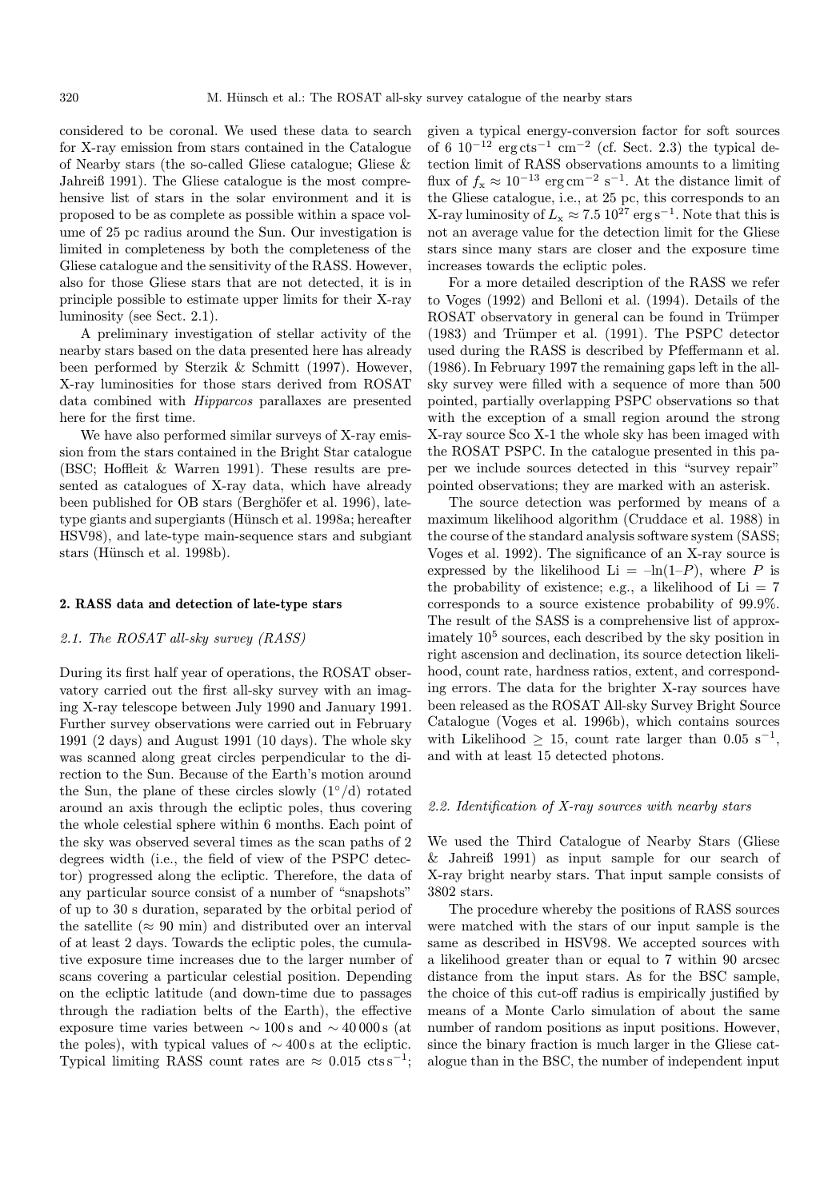considered to be coronal. We used these data to search for X-ray emission from stars contained in the Catalogue of Nearby stars (the so-called Gliese catalogue; Gliese & Jahreiß 1991). The Gliese catalogue is the most comprehensive list of stars in the solar environment and it is proposed to be as complete as possible within a space volume of 25 pc radius around the Sun. Our investigation is limited in completeness by both the completeness of the Gliese catalogue and the sensitivity of the RASS. However, also for those Gliese stars that are not detected, it is in principle possible to estimate upper limits for their X-ray luminosity (see Sect. 2.1).

A preliminary investigation of stellar activity of the nearby stars based on the data presented here has already been performed by Sterzik & Schmitt (1997). However, X-ray luminosities for those stars derived from ROSAT data combined with Hipparcos parallaxes are presented here for the first time.

We have also performed similar surveys of X-ray emission from the stars contained in the Bright Star catalogue (BSC; Hoffleit & Warren 1991). These results are presented as catalogues of X-ray data, which have already been published for OB stars (Berghöfer et al. 1996), latetype giants and supergiants (Hünsch et al. 1998a; hereafter HSV98), and late-type main-sequence stars and subgiant stars (Hünsch et al. 1998b).

#### 2. RASS data and detection of late-type stars

#### 2.1. The ROSAT all-sky survey (RASS)

During its first half year of operations, the ROSAT observatory carried out the first all-sky survey with an imaging X-ray telescope between July 1990 and January 1991. Further survey observations were carried out in February 1991 (2 days) and August 1991 (10 days). The whole sky was scanned along great circles perpendicular to the direction to the Sun. Because of the Earth's motion around the Sun, the plane of these circles slowly  $(1°/d)$  rotated around an axis through the ecliptic poles, thus covering the whole celestial sphere within 6 months. Each point of the sky was observed several times as the scan paths of 2 degrees width (i.e., the field of view of the PSPC detector) progressed along the ecliptic. Therefore, the data of any particular source consist of a number of "snapshots" of up to 30 s duration, separated by the orbital period of the satellite ( $\approx 90$  min) and distributed over an interval of at least 2 days. Towards the ecliptic poles, the cumulative exposure time increases due to the larger number of scans covering a particular celestial position. Depending on the ecliptic latitude (and down-time due to passages through the radiation belts of the Earth), the effective exposure time varies between  $\sim 100 \text{ s}$  and  $\sim 40000 \text{ s}$  (at the poles), with typical values of  $\sim$  400 s at the ecliptic. Typical limiting RASS count rates are  $\approx 0.015 \text{ cts s}^{-1}$ ;

given a typical energy-conversion factor for soft sources of 6  $10^{-12}$  erg cts<sup>-1</sup> cm<sup>-2</sup> (cf. Sect. 2.3) the typical detection limit of RASS observations amounts to a limiting flux of  $f_x \approx 10^{-13} \text{ erg cm}^{-2} \text{ s}^{-1}$ . At the distance limit of the Gliese catalogue, i.e., at 25 pc, this corresponds to an X-ray luminosity of  $L_x \approx 7.5 \, 10^{27} \, \text{erg s}^{-1}$ . Note that this is not an average value for the detection limit for the Gliese stars since many stars are closer and the exposure time increases towards the ecliptic poles.

For a more detailed description of the RASS we refer to Voges (1992) and Belloni et al. (1994). Details of the ROSAT observatory in general can be found in Trümper  $(1983)$  and Trümper et al.  $(1991)$ . The PSPC detector used during the RASS is described by Pfeffermann et al. (1986). In February 1997 the remaining gaps left in the allsky survey were filled with a sequence of more than 500 pointed, partially overlapping PSPC observations so that with the exception of a small region around the strong X-ray source Sco X-1 the whole sky has been imaged with the ROSAT PSPC. In the catalogue presented in this paper we include sources detected in this "survey repair" pointed observations; they are marked with an asterisk.

The source detection was performed by means of a maximum likelihood algorithm (Cruddace et al. 1988) in the course of the standard analysis software system (SASS; Voges et al. 1992). The significance of an X-ray source is expressed by the likelihood Li =  $-\ln(1-P)$ , where P is the probability of existence; e.g., a likelihood of  $Li = 7$ corresponds to a source existence probability of 99.9%. The result of the SASS is a comprehensive list of approximately  $10<sup>5</sup>$  sources, each described by the sky position in right ascension and declination, its source detection likelihood, count rate, hardness ratios, extent, and corresponding errors. The data for the brighter X-ray sources have been released as the ROSAT All-sky Survey Bright Source Catalogue (Voges et al. 1996b), which contains sources with Likelihood > 15, count rate larger than 0.05 s<sup>-1</sup>, and with at least 15 detected photons.

## 2.2. Identification of X-ray sources with nearby stars

We used the Third Catalogue of Nearby Stars (Gliese & Jahreiß 1991) as input sample for our search of X-ray bright nearby stars. That input sample consists of 3802 stars.

The procedure whereby the positions of RASS sources were matched with the stars of our input sample is the same as described in HSV98. We accepted sources with a likelihood greater than or equal to 7 within 90 arcsec distance from the input stars. As for the BSC sample, the choice of this cut-off radius is empirically justified by means of a Monte Carlo simulation of about the same number of random positions as input positions. However, since the binary fraction is much larger in the Gliese catalogue than in the BSC, the number of independent input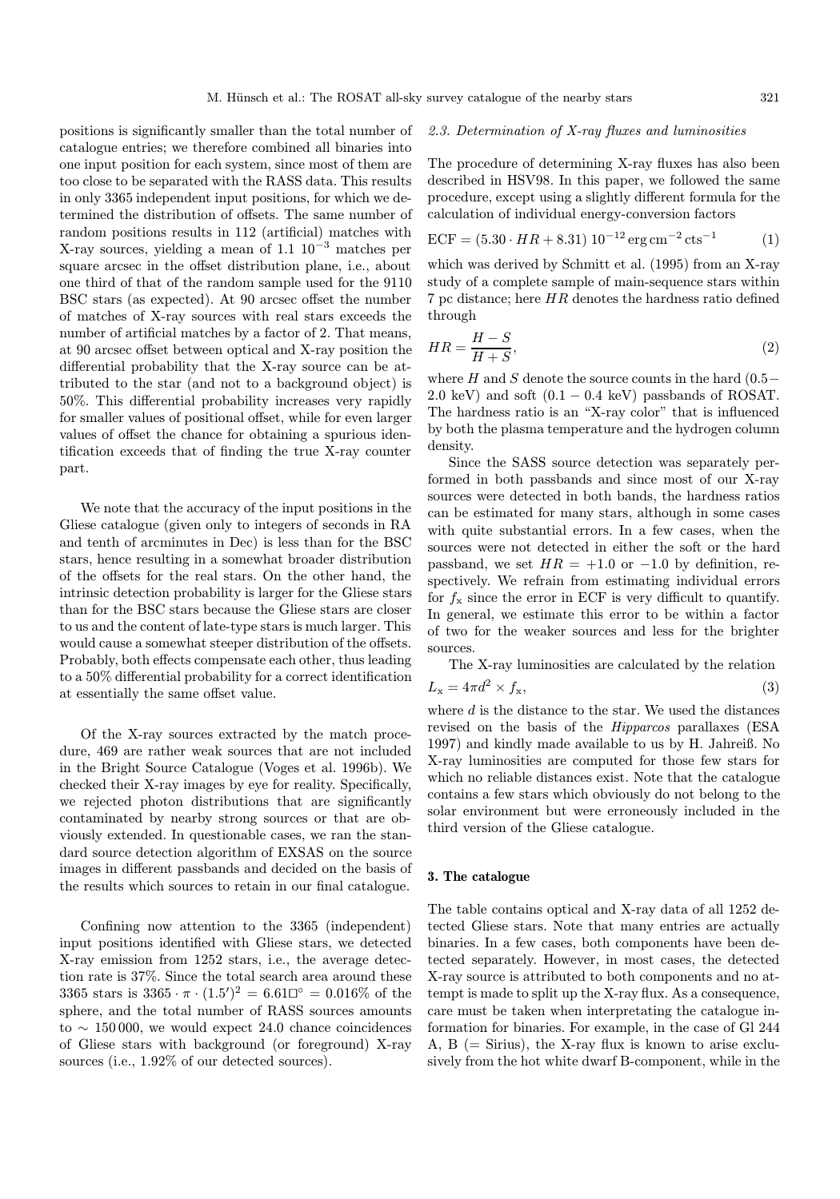positions is significantly smaller than the total number of catalogue entries; we therefore combined all binaries into one input position for each system, since most of them are too close to be separated with the RASS data. This results in only 3365 independent input positions, for which we determined the distribution of offsets. The same number of random positions results in 112 (artificial) matches with X-ray sources, yielding a mean of 1.1 10<sup>−</sup><sup>3</sup> matches per square arcsec in the offset distribution plane, i.e., about one third of that of the random sample used for the 9110 BSC stars (as expected). At 90 arcsec offset the number of matches of X-ray sources with real stars exceeds the number of artificial matches by a factor of 2. That means, at 90 arcsec offset between optical and X-ray position the differential probability that the X-ray source can be attributed to the star (and not to a background object) is 50%. This differential probability increases very rapidly for smaller values of positional offset, while for even larger values of offset the chance for obtaining a spurious identification exceeds that of finding the true X-ray counter part.

We note that the accuracy of the input positions in the Gliese catalogue (given only to integers of seconds in RA and tenth of arcminutes in Dec) is less than for the BSC stars, hence resulting in a somewhat broader distribution of the offsets for the real stars. On the other hand, the intrinsic detection probability is larger for the Gliese stars than for the BSC stars because the Gliese stars are closer to us and the content of late-type stars is much larger. This would cause a somewhat steeper distribution of the offsets. Probably, both effects compensate each other, thus leading to a 50% differential probability for a correct identification at essentially the same offset value.

Of the X-ray sources extracted by the match procedure, 469 are rather weak sources that are not included in the Bright Source Catalogue (Voges et al. 1996b). We checked their X-ray images by eye for reality. Specifically, we rejected photon distributions that are significantly contaminated by nearby strong sources or that are obviously extended. In questionable cases, we ran the standard source detection algorithm of EXSAS on the source images in different passbands and decided on the basis of the results which sources to retain in our final catalogue.

Confining now attention to the 3365 (independent) input positions identified with Gliese stars, we detected X-ray emission from 1252 stars, i.e., the average detection rate is 37%. Since the total search area around these 3365 stars is  $3365 \cdot \pi \cdot (1.5)^2 = 6.61\degree 0 = 0.016\%$  of the sphere, and the total number of RASS sources amounts to ∼ 150 000, we would expect 24.0 chance coincidences of Gliese stars with background (or foreground) X-ray sources (i.e., 1.92% of our detected sources).

## 2.3. Determination of X-ray fluxes and luminosities

The procedure of determining X-ray fluxes has also been described in HSV98. In this paper, we followed the same procedure, except using a slightly different formula for the calculation of individual energy-conversion factors

$$
ECF = (5.30 \cdot HR + 8.31) 10^{-12} \,\text{erg\,cm}^{-2} \,\text{cts}^{-1} \tag{1}
$$

which was derived by Schmitt et al. (1995) from an X-ray study of a complete sample of main-sequence stars within 7 pc distance; here HR denotes the hardness ratio defined through

$$
HR = \frac{H - S}{H + S},\tag{2}
$$

where H and S denote the source counts in the hard  $(0.5−$ 2.0 keV) and soft  $(0.1 - 0.4 \text{ keV})$  passbands of ROSAT. The hardness ratio is an "X-ray color" that is influenced by both the plasma temperature and the hydrogen column density.

Since the SASS source detection was separately performed in both passbands and since most of our X-ray sources were detected in both bands, the hardness ratios can be estimated for many stars, although in some cases with quite substantial errors. In a few cases, when the sources were not detected in either the soft or the hard passband, we set  $HR = +1.0$  or  $-1.0$  by definition, respectively. We refrain from estimating individual errors for  $f_x$  since the error in ECF is very difficult to quantify. In general, we estimate this error to be within a factor of two for the weaker sources and less for the brighter sources.

The X-ray luminosities are calculated by the relation

$$
L_{\mathbf{x}} = 4\pi d^2 \times f_{\mathbf{x}},\tag{3}
$$

where  $d$  is the distance to the star. We used the distances revised on the basis of the Hipparcos parallaxes (ESA 1997) and kindly made available to us by H. Jahreiß. No X-ray luminosities are computed for those few stars for which no reliable distances exist. Note that the catalogue contains a few stars which obviously do not belong to the solar environment but were erroneously included in the third version of the Gliese catalogue.

## 3. The catalogue

The table contains optical and X-ray data of all 1252 detected Gliese stars. Note that many entries are actually binaries. In a few cases, both components have been detected separately. However, in most cases, the detected X-ray source is attributed to both components and no attempt is made to split up the X-ray flux. As a consequence, care must be taken when interpretating the catalogue information for binaries. For example, in the case of Gl 244 A, B (= Sirius), the X-ray flux is known to arise exclusively from the hot white dwarf B-component, while in the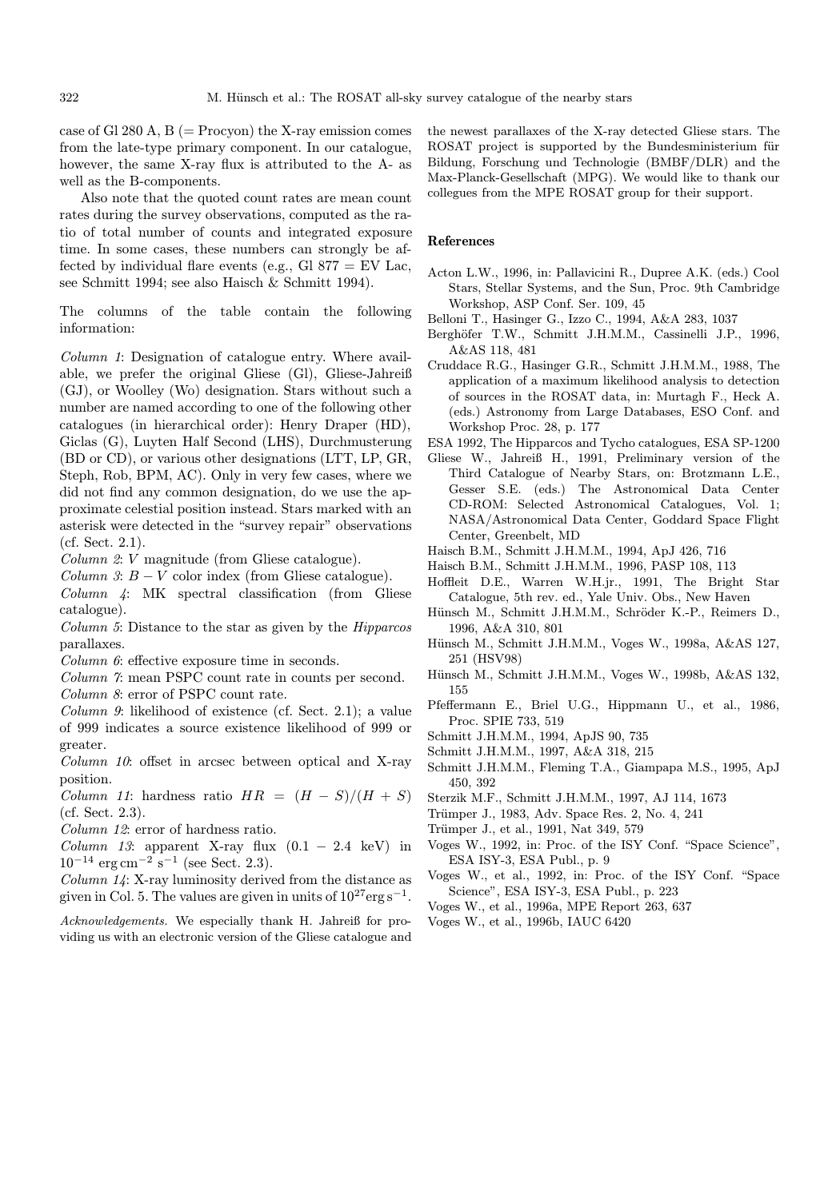case of Gl 280 A,  $B$  (= Procyon) the X-ray emission comes from the late-type primary component. In our catalogue, however, the same X-ray flux is attributed to the A- as well as the B-components.

Also note that the quoted count rates are mean count rates during the survey observations, computed as the ratio of total number of counts and integrated exposure time. In some cases, these numbers can strongly be affected by individual flare events (e.g., Gl 877 = EV Lac, see Schmitt 1994; see also Haisch & Schmitt 1994).

The columns of the table contain the following information:

Column 1: Designation of catalogue entry. Where available, we prefer the original Gliese (Gl), Gliese-Jahreiß (GJ), or Woolley (Wo) designation. Stars without such a number are named according to one of the following other catalogues (in hierarchical order): Henry Draper (HD), Giclas (G), Luyten Half Second (LHS), Durchmusterung (BD or CD), or various other designations (LTT, LP, GR, Steph, Rob, BPM, AC). Only in very few cases, where we did not find any common designation, do we use the approximate celestial position instead. Stars marked with an asterisk were detected in the "survey repair" observations (cf. Sect. 2.1).

Column 2: V magnitude (from Gliese catalogue).

Column 3:  $B - V$  color index (from Gliese catalogue).

Column 4: MK spectral classification (from Gliese catalogue).

- Column 5: Distance to the star as given by the Hipparcos parallaxes.
- Column 6: effective exposure time in seconds.

Column 7: mean PSPC count rate in counts per second. Column 8: error of PSPC count rate.

Column 9: likelihood of existence (cf. Sect. 2.1); a value of 999 indicates a source existence likelihood of 999 or greater.

Column 10: offset in arcsec between optical and X-ray position.

Column 11: hardness ratio  $HR = (H - S)/(H + S)$ (cf. Sect. 2.3).

Column 12: error of hardness ratio.

Column 13: apparent X-ray flux  $(0.1 - 2.4 \text{ keV})$  in  $10^{-14} \text{ erg cm}^{-2} \text{ s}^{-1}$  (see Sect. 2.3).

Column 14: X-ray luminosity derived from the distance as given in Col. 5. The values are given in units of  $10^{27} \text{erg s}^{-1}$ .

Acknowledgements. We especially thank H. Jahreiß for providing us with an electronic version of the Gliese catalogue and the newest parallaxes of the X-ray detected Gliese stars. The ROSAT project is supported by the Bundesministerium für Bildung, Forschung und Technologie (BMBF/DLR) and the Max-Planck-Gesellschaft (MPG). We would like to thank our collegues from the MPE ROSAT group for their support.

## References

- Acton L.W., 1996, in: Pallavicini R., Dupree A.K. (eds.) Cool Stars, Stellar Systems, and the Sun, Proc. 9th Cambridge Workshop, ASP Conf. Ser. 109, 45
- Belloni T., Hasinger G., Izzo C., 1994, A&A 283, 1037
- Berghöfer T.W., Schmitt J.H.M.M., Cassinelli J.P., 1996, A&AS 118, 481
- Cruddace R.G., Hasinger G.R., Schmitt J.H.M.M., 1988, The application of a maximum likelihood analysis to detection of sources in the ROSAT data, in: Murtagh F., Heck A. (eds.) Astronomy from Large Databases, ESO Conf. and Workshop Proc. 28, p. 177
- ESA 1992, The Hipparcos and Tycho catalogues, ESA SP-1200
- Gliese W., Jahreiß H., 1991, Preliminary version of the Third Catalogue of Nearby Stars, on: Brotzmann L.E., Gesser S.E. (eds.) The Astronomical Data Center CD-ROM: Selected Astronomical Catalogues, Vol. 1; NASA/Astronomical Data Center, Goddard Space Flight Center, Greenbelt, MD
- Haisch B.M., Schmitt J.H.M.M., 1994, ApJ 426, 716
- Haisch B.M., Schmitt J.H.M.M., 1996, PASP 108, 113
- Hoffleit D.E., Warren W.H.jr., 1991, The Bright Star Catalogue, 5th rev. ed., Yale Univ. Obs., New Haven
- Hünsch M., Schmitt J.H.M.M., Schröder K.-P., Reimers D., 1996, A&A 310, 801
- Hünsch M., Schmitt J.H.M.M., Voges W., 1998a, A&AS 127, 251 (HSV98)
- Hünsch M., Schmitt J.H.M.M., Voges W., 1998b, A&AS 132, 155
- Pfeffermann E., Briel U.G., Hippmann U., et al., 1986, Proc. SPIE 733, 519
- Schmitt J.H.M.M., 1994, ApJS 90, 735
- Schmitt J.H.M.M., 1997, A&A 318, 215
- Schmitt J.H.M.M., Fleming T.A., Giampapa M.S., 1995, ApJ 450, 392
- Sterzik M.F., Schmitt J.H.M.M., 1997, AJ 114, 1673
- Trümper J., 1983, Adv. Space Res. 2, No. 4, 241
- Trümper J., et al., 1991, Nat 349, 579
- Voges W., 1992, in: Proc. of the ISY Conf. "Space Science", ESA ISY-3, ESA Publ., p. 9
- Voges W., et al., 1992, in: Proc. of the ISY Conf. "Space Science", ESA ISY-3, ESA Publ., p. 223
- Voges W., et al., 1996a, MPE Report 263, 637
- Voges W., et al., 1996b, IAUC 6420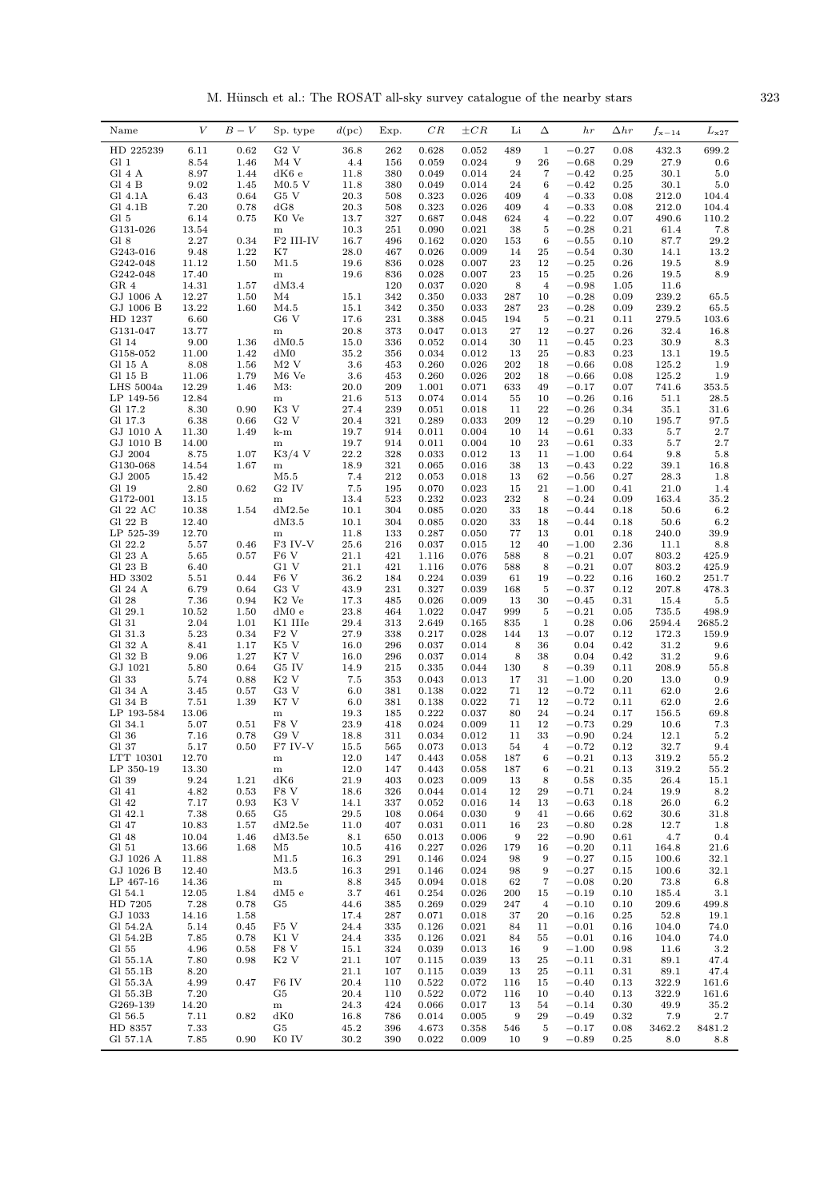M. Hünsch et al.: The ROSAT all-sky survey catalogue of the nearby stars  $323$ 

| Name                 | V              | $B-V$        | Sp. type                    | $d(\mathrm{pc})$ | Exp.       | $_{CR}$        | $\pm CR$       | Li         | Δ                       | hr                 | $_{\Delta hr}$ | $f_{\rm x-14}$  | $L_{\rm x27}$   |
|----------------------|----------------|--------------|-----------------------------|------------------|------------|----------------|----------------|------------|-------------------------|--------------------|----------------|-----------------|-----------------|
| HD 225239            | 6.11           | 0.62         | G2V                         | 36.8             | 262        | 0.628          | 0.052          | 489        | $\mathbf{1}$            | $-0.27$            | 0.08           | 432.3           | 699.2           |
| Gl 1                 | 8.54           | 1.46         | M4 V                        | 4.4              | 156        | 0.059          | 0.024          | 9          | 26                      | $-0.68$            | 0.29           | 27.9            | 0.6             |
| Gl 4 A               | 8.97           | 1.44         | dK6e                        | 11.8             | 380        | 0.049          | 0.014          | 24         | 7                       | $-0.42$            | 0.25           | 30.1            | 5.0             |
| Gl 4 B               | 9.02           | 1.45         | $M0.5$ V                    | 11.8             | 380        | 0.049          | 0.014          | 24         | 6                       | $-0.42$            | 0.25           | 30.1            | 5.0             |
| Gl 4.1A              | 6.43           | 0.64         | G5 V                        | 20.3             | 508        | 0.323          | 0.026          | 409        | $\overline{\mathbf{4}}$ | $-0.33$            | 0.08           | 212.0           | 104.4           |
| Gl 4.1B              | 7.20           | 0.78         | dG8                         | 20.3             | 508        | 0.323          | 0.026          | 409        | $\overline{4}$          | $-0.33$            | 0.08           | 212.0           | 104.4           |
| Gl 5                 | 6.14           | 0.75         | K0 Ve                       | 13.7             | 327        | 0.687          | 0.048          | 624        | $\overline{4}$          | $-0.22$            | 0.07           | 490.6           | 110.2           |
| G131-026             | 13.54          |              | ${\bf m}$                   | 10.3             | 251        | 0.090          | 0.021          | 38         | 5                       | $-0.28$            | 0.21           | 61.4            | 7.8             |
| Gl 8<br>G243-016     | 2.27<br>9.48   | 0.34<br>1.22 | F <sub>2</sub> III-IV<br>K7 | 16.7<br>28.0     | 496<br>467 | 0.162<br>0.026 | 0.020<br>0.009 | 153<br>14  | $\,6$<br>25             | $-0.55$<br>$-0.54$ | 0.10<br>0.30   | 87.7<br>14.1    | 29.2<br>13.2    |
| G242-048             | 11.12          | 1.50         | M1.5                        | 19.6             | 836        | 0.028          | 0.007          | 23         | 12                      | $-0.25$            | 0.26           | 19.5            | 8.9             |
| G242-048             | 17.40          |              | ${\bf m}$                   | 19.6             | 836        | 0.028          | 0.007          | 23         | 15                      | $-0.25$            | 0.26           | 19.5            | 8.9             |
| GR 4                 | 14.31          | 1.57         | dM3.4                       |                  | 120        | 0.037          | 0.020          | 8          | $\overline{4}$          | $-0.98$            | 1.05           | 11.6            |                 |
| GJ 1006 A            | 12.27          | 1.50         | M4                          | 15.1             | 342        | 0.350          | 0.033          | 287        | 10                      | $-0.28$            | 0.09           | 239.2           | 65.5            |
| GJ 1006 B            | 13.22          | 1.60         | M4.5                        | 15.1             | 342        | 0.350          | 0.033          | 287        | 23                      | $-0.28$            | 0.09           | 239.2           | 65.5            |
| HD 1237              | 6.60           |              | G6 V                        | 17.6             | 231        | 0.388          | 0.045          | 194        | 5                       | $-0.21$            | 0.11           | 279.5           | 103.6           |
| G131-047             | 13.77          |              | ${\bf m}$                   | 20.8             | 373        | 0.047          | 0.013          | 27         | 12                      | $-0.27$            | 0.26           | 32.4            | 16.8            |
| Gl 14                | 9.00           | 1.36         | dM0.5                       | 15.0             | 336        | 0.052          | 0.014          | 30         | 11                      | $-0.45$            | 0.23           | 30.9            | 8.3             |
| G158-052<br>Gl 15 A  | 11.00<br>8.08  | 1.42<br>1.56 | dM0<br>$M2$ V               | 35.2<br>3.6      | 356        | 0.034<br>0.260 | 0.012<br>0.026 | 13<br>202  | 25<br>18                | $-0.83$<br>$-0.66$ | 0.23           | 13.1<br>125.2   | 19.5            |
| Gl 15 B              | 11.06          | 1.79         | M <sub>6</sub> Ve           | 3.6              | 453<br>453 | 0.260          | 0.026          | 202        | 18                      | $-0.66$            | 0.08<br>0.08   | 125.2           | 1.9<br>1.9      |
| LHS 5004a            | 12.29          | 1.46         | M3:                         | 20.0             | 209        | 1.001          | 0.071          | 633        | 49                      | $-0.17$            | 0.07           | 741.6           | 353.5           |
| LP 149-56            | 12.84          |              | ${\bf m}$                   | 21.6             | 513        | 0.074          | 0.014          | 55         | 10                      | $-0.26$            | 0.16           | 51.1            | 28.5            |
| Gl 17.2              | 8.30           | 0.90         | K3 V                        | 27.4             | 239        | 0.051          | 0.018          | 11         | 22                      | $-0.26$            | 0.34           | 35.1            | $31.6\,$        |
| Gl 17.3              | 6.38           | 0.66         | G2V                         | 20.4             | 321        | 0.289          | 0.033          | 209        | 12                      | $-0.29$            | 0.10           | 195.7           | 97.5            |
| GJ 1010 A            | 11.30          | 1.49         | k-m                         | 19.7             | 914        | 0.011          | 0.004          | 10         | 14                      | $-0.61$            | 0.33           | 5.7             | $2.7\,$         |
| GJ 1010 B            | 14.00          |              | ${\bf m}$                   | 19.7             | 914        | 0.011          | 0.004          | 10         | 23                      | $-0.61$            | 0.33           | 5.7             | 2.7             |
| GJ 2004              | 8.75           | 1.07         | $K3/4$ V                    | 22.2             | 328        | 0.033          | 0.012          | 13         | 11                      | $-1.00$            | 0.64           | 9.8             | 5.8             |
| G130-068             | 14.54          | 1.67         | ${\bf m}$                   | 18.9             | 321        | 0.065          | 0.016          | 38         | 13                      | $-0.43$            | 0.22           | 39.1            | 16.8            |
| GJ 2005              | 15.42          |              | M5.5<br>G <sub>2</sub> IV   | 7.4              | 212        | 0.053          | 0.018          | 13         | 62                      | $\!-0.56\!$        | 0.27           | 28.3            | 1.8             |
| Gl 19<br>G172-001    | 2.80<br>13.15  | 0.62         |                             | 7.5<br>13.4      | 195<br>523 | 0.070<br>0.232 | 0.023<br>0.023 | 15<br>232  | 21<br>8                 | $-1.00$<br>$-0.24$ | 0.41<br>0.09   | 21.0<br>163.4   | 1.4<br>35.2     |
| Gl 22 AC             | 10.38          | 1.54         | ${\bf m}$<br>dM2.5e         | 10.1             | 304        | 0.085          | 0.020          | 33         | 18                      | $-0.44$            | 0.18           | 50.6            | $6.2\,$         |
| Gl 22 B              | 12.40          |              | dM3.5                       | 10.1             | 304        | 0.085          | 0.020          | 33         | 18                      | $-0.44$            | 0.18           | 50.6            | 6.2             |
| LP 525-39            | 12.70          |              | ${\bf m}$                   | 11.8             | 133        | 0.287          | 0.050          | 77         | 13                      | 0.01               | 0.18           | 240.0           | 39.9            |
| Gl 22.2              | 5.57           | 0.46         | F3 IV-V                     | 25.6             | 216        | 0.037          | 0.015          | 12         | 40                      | $-1.00$            | 2.36           | 11.1            | 8.8             |
| Gl 23 A              | 5.65           | 0.57         | F <sub>6</sub> V            | 21.1             | 421        | 1.116          | 0.076          | 588        | 8                       | $-0.21$            | 0.07           | 803.2           | 425.9           |
| Gl 23 B              | 6.40           |              | G1 V                        | 21.1             | 421        | 1.116          | 0.076          | 588        | 8                       | $-0.21$            | 0.07           | 803.2           | 425.9           |
| HD 3302              | 5.51           | 0.44         | F <sub>6</sub> V            | 36.2             | 184        | 0.224          | 0.039          | 61         | 19                      | $-0.22$            | 0.16           | 160.2           | 251.7           |
| Gl 24 A              | 6.79           | 0.64         | G3 V                        | 43.9             | 231        | 0.327          | 0.039          | 168        | 5                       | $-0.37$            | 0.12           | 207.8           | 478.3           |
| Gl 28                | 7.36           | 0.94         | K <sub>2</sub> Ve           | 17.3             | 485        | 0.026          | 0.009          | 13         | 30                      | $-0.45$            | 0.31           | 15.4            | $5.5\,$         |
| Gl 29.1<br>Gl 31     | 10.52          | 1.50         | dM0e<br>K1 IIIe             | 23.8<br>29.4     | 464        | 1.022          | 0.047<br>0.165 | 999        | 5<br>$\mathbf{1}$       | $-0.21$            | 0.05           | 735.5<br>2594.4 | 498.9<br>2685.2 |
| Gl 31.3              | 2.04<br>5.23   | 1.01<br>0.34 | F2 V                        | 27.9             | 313<br>338 | 2.649<br>0.217 | 0.028          | 835<br>144 | 13                      | 0.28<br>$-0.07$    | 0.06<br>0.12   | 172.3           | 159.9           |
| Gl 32 A              | 8.41           | 1.17         | K5 V                        | 16.0             | 296        | 0.037          | 0.014          | 8          | 36                      | 0.04               | 0.42           | 31.2            | 9.6             |
| Gl 32 B              | 9.06           | 1.27         | K7 V                        | 16.0             | 296        | 0.037          | 0.014          | 8          | 38                      | 0.04               | 0.42           | 31.2            | 9.6             |
| GJ 1021              | 5.80           | 0.64         | G5 IV                       | 14.9             | 215        | 0.335          | 0.044          | 130        | 8                       | $-0.39$            | 0.11           | 208.9           | 55.8            |
| Gl 33                | 5.74           | 0.88         | K <sub>2</sub> V            | 7.5              | 353        | 0.043          | 0.013          | 17         | 31                      | $-1.00$            | 0.20           | 13.0            | 0.9             |
| Gl 34 A              | 3.45           | 0.57         | G3 V                        | 6.0              | 381        | 0.138          | 0.022          | 71         | 12                      | $-0.72$            | 0.11           | 62.0            | 2.6             |
| Gl 34 B              | 7.51           | 1.39         | K7 V                        | 6.0              | 381        | 0.138          | 0.022          | 71         | 12                      | $-0.72$            | 0.11           | 62.0            | 2.6             |
| LP 193-584           | 13.06          |              | ${\bf m}$                   | 19.3             | 185        | 0.222          | 0.037          | 80         | 24                      | $-0.24$            | 0.17           | 156.5           | 69.8            |
| Gl 34.1              | 5.07           | 0.51         | F8 V<br>G9 V                | 23.9             | 418        | 0.024          | 0.009          | 11         | 12                      | $-0.73$            | 0.29           | 10.6            | 7.3             |
| Gl 36<br>Gl 37       | 7.16<br>5.17   | 0.78<br>0.50 | F7 IV-V                     | 18.8<br>15.5     | 311<br>565 | 0.034<br>0.073 | 0.012<br>0.013 | 11<br>54   | 33<br>$\overline{4}$    | $-0.90$<br>$-0.72$ | 0.24<br>0.12   | 12.1<br>32.7    | 5.2<br>9.4      |
| LTT 10301            | 12.70          |              | ${\bf m}$                   | 12.0             | 147        | 0.443          | 0.058          | 187        | 6                       | $-0.21$            | 0.13           | 319.2           | 55.2            |
| LP 350-19            | 13.30          |              | ${\bf m}$                   | 12.0             | 147        | 0.443          | 0.058          | 187        | 6                       | $-0.21$            | 0.13           | 319.2           | 55.2            |
| Gl 39                | 9.24           | 1.21         | dK6                         | 21.9             | 403        | 0.023          | 0.009          | 13         | 8                       | 0.58               | 0.35           | 26.4            | 15.1            |
| Gl 41                | 4.82           | 0.53         | F8 V                        | 18.6             | 326        | 0.044          | 0.014          | 12         | 29                      | $-0.71$            | 0.24           | 19.9            | 8.2             |
| Gl 42                | 7.17           | 0.93         | K3 V                        | 14.1             | 337        | 0.052          | 0.016          | 14         | 13                      | $-0.63$            | 0.18           | 26.0            | $6.2\,$         |
| Gl 42.1              | 7.38           | 0.65         | G5                          | 29.5             | 108        | 0.064          | 0.030          | 9          | 41                      | $-0.66$            | 0.62           | 30.6            | 31.8            |
| Gl 47                | 10.83          | 1.57         | dM2.5e                      | 11.0             | 407        | 0.031          | 0.011          | 16         | 23                      | $-0.80$            | 0.28           | 12.7            | 1.8             |
| Gl 48                | 10.04          | 1.46         | dM3.5e                      | 8.1              | 650        | 0.013          | 0.006          | 9          | 22                      | $-0.90$            | 0.61           | 4.7             | 0.4             |
| Gl 51<br>GJ 1026 A   | 13.66          | 1.68         | M5                          | 10.5             | 416        | 0.227          | 0.026<br>0.024 | 179        | 16                      | $-0.20$            | 0.11           | 164.8           | 21.6<br>32.1    |
| GJ 1026 B            | 11.88<br>12.40 |              | M1.5<br>M3.5                | 16.3<br>16.3     | 291<br>291 | 0.146<br>0.146 | 0.024          | 98<br>98   | 9<br>$\boldsymbol{9}$   | $-0.27$<br>$-0.27$ | 0.15<br>0.15   | 100.6<br>100.6  | 32.1            |
| LP 467-16            | 14.36          |              | ${\bf m}$                   | 8.8              | 345        | 0.094          | 0.018          | 62         | 7                       | $-0.08$            | 0.20           | 73.8            | 6.8             |
| Gl 54.1              | 12.05          | 1.84         | dM5 e                       | 3.7              | 461        | 0.254          | 0.026          | 200        | 15                      | $-0.19$            | 0.10           | 185.4           | 3.1             |
| HD 7205              | 7.28           | 0.78         | G5                          | 44.6             | 385        | 0.269          | 0.029          | 247        | $\overline{4}$          | $-0.10$            | 0.10           | 209.6           | 499.8           |
| GJ 1033              | 14.16          | 1.58         |                             | 17.4             | 287        | 0.071          | 0.018          | 37         | 20                      | $-0.16$            | 0.25           | 52.8            | 19.1            |
| Gl 54.2A             | 5.14           | 0.45         | F5 V                        | 24.4             | 335        | 0.126          | 0.021          | 84         | 11                      | $-0.01$            | 0.16           | 104.0           | 74.0            |
| Gl 54.2B             | 7.85           | 0.78         | K1 V                        | 24.4             | 335        | 0.126          | 0.021          | 84         | 55                      | $-0.01$            | 0.16           | 104.0           | 74.0            |
| Gl 55                | 4.96           | 0.58         | F8 V                        | 15.1             | 324        | 0.039          | 0.013          | 16         | $\boldsymbol{9}$        | $-1.00$            | 0.98           | 11.6            | 3.2             |
| Gl 55.1A             | 7.80           | 0.98         | K2 V                        | 21.1             | 107        | 0.115          | 0.039          | 13         | 25                      | $-0.11$            | 0.31           | 89.1            | 47.4            |
| Gl 55.1B             | 8.20           |              |                             | 21.1             | 107        | 0.115          | 0.039          | 13         | 25                      | $-0.11$            | 0.31           | 89.1            | 47.4            |
| Gl 55.3A<br>Gl 55.3B | 4.99<br>7.20   | 0.47         | F <sub>6</sub> IV<br>G5     | 20.4<br>20.4     | 110<br>110 | 0.522<br>0.522 | 0.072<br>0.072 | 116<br>116 | 15<br>10                | $-0.40$<br>$-0.40$ | 0.13<br>0.13   | 322.9<br>322.9  | 161.6<br>161.6  |
| G269-139             | 14.20          |              | ${\bf m}$                   | 24.3             | 424        | 0.066          | 0.017          | 13         | 54                      | $-0.14$            | 0.30           | 49.9            | 35.2            |
| Gl 56.5              | 7.11           | 0.82         | dK0                         | 16.8             | 786        | 0.014          | 0.005          | 9          | 29                      | $-0.49$            | 0.32           | 7.9             | 2.7             |
| HD 8357              | 7.33           |              | G5                          | 45.2             | 396        | 4.673          | 0.358          | 546        | 5                       | $-0.17$            | 0.08           | 3462.2          | 8481.2          |
| Gl 57.1A             | 7.85           | 0.90         | K0 IV                       | 30.2             | 390        | 0.022          | 0.009          | 10         | 9                       | $-0.89$            | 0.25           | 8.0             | 8.8             |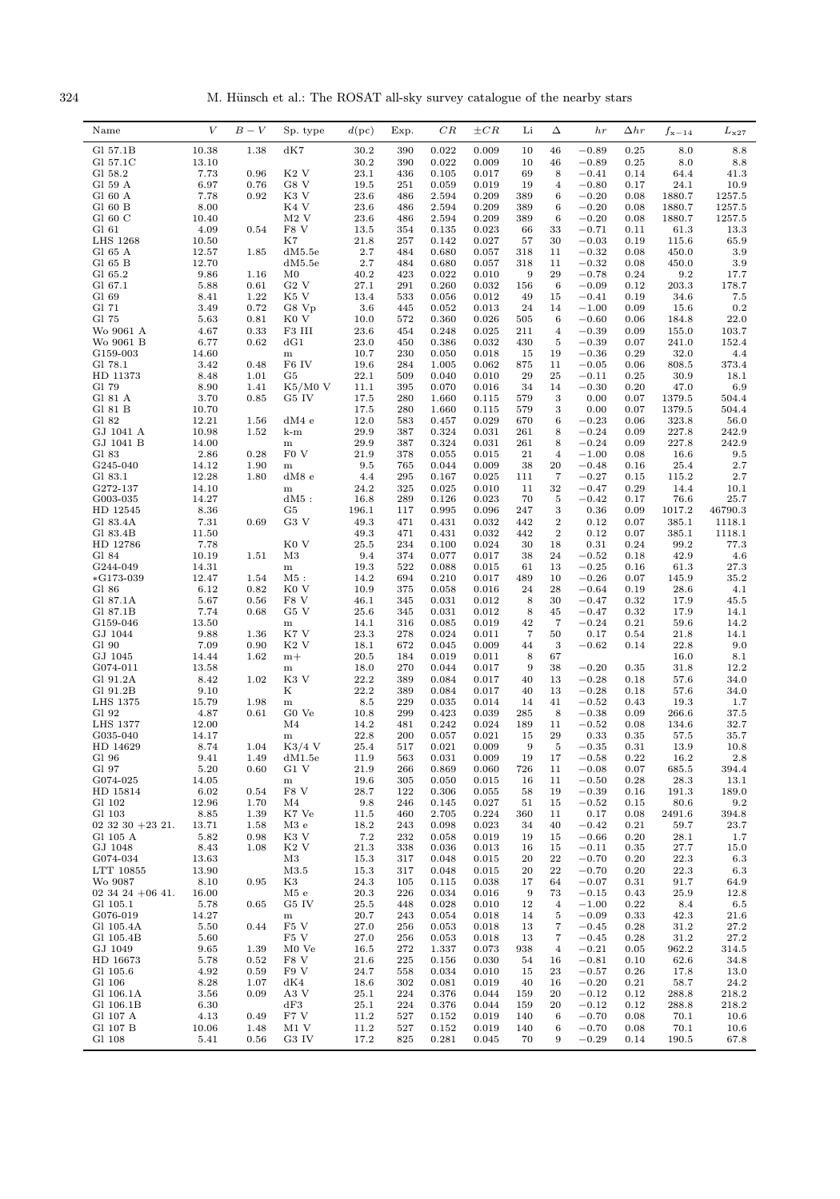324 M. Hünsch et al.: The ROSAT all-sky survey catalogue of the nearby stars

| 10.38<br>1.38<br>dK7<br>30.2<br>0.022<br>46<br>$-0.89$<br>0.25<br>8.0<br>8.8<br>Gl 57.1B<br>390<br>0.009<br>10<br>30.2<br>0.009<br>$-0.89$<br>8.0<br>Gl 57.1C<br>13.10<br>390<br>0.022<br>10<br>46<br>0.25<br>8.8<br>K <sub>2</sub> V<br>7.73<br>0.96<br>23.1<br>69<br>8<br>Gl 58.2<br>436<br>0.105<br>0.017<br>$-0.41$<br>0.14<br>64.4<br>41.3<br>G8 V<br>Gl 59 A<br>6.97<br>0.76<br>19.5<br>251<br>0.059<br>0.019<br>19<br>$\overline{4}$<br>$-0.80$<br>0.17<br>24.1<br>10.9<br>Gl 60 A<br>7.78<br>0.92<br>K3 V<br>23.6<br>389<br>6<br>486<br>2.594<br>0.209<br>$-0.20$<br>0.08<br>1880.7<br>1257.5<br>$GI$ 60 $B$<br>8.00<br>K4 V<br>23.6<br>389<br>$-0.20$<br>1257.5<br>486<br>2.594<br>0.209<br>6<br>0.08<br>1880.7<br>Gl 60 $C$<br>$M2$ V<br>389<br>6<br>10.40<br>23.6<br>486<br>2.594<br>0.209<br>$-0.20$<br>0.08<br>1880.7<br>1257.5<br>Gl 61<br>4.09<br>0.54<br>F8 V<br>13.5<br>354<br>0.135<br>0.023<br>66<br>33<br>$-0.71$<br>0.11<br>61.3<br>13.3<br><b>LHS 1268</b><br>10.50<br>K7<br>21.8<br>0.027<br>30<br>$-0.03$<br>65.9<br>257<br>0.142<br>57<br>0.19<br>115.6<br>2.7<br>Gl 65 A<br>12.57<br>1.85<br>dM5.5e<br>484<br>0.680<br>0.057<br>318<br>11<br>$-0.32$<br>0.08<br>450.0<br>3.9<br>Gl 65 B<br>12.70<br>dM5.5e<br>2.7<br>484<br>0.680<br>0.057<br>318<br>11<br>$-0.32$<br>0.08<br>450.0<br>3.9<br>9.86<br>40.2<br>423<br>9<br>29<br>$-0.78$<br>Gl 65.2<br>1.16<br>M0<br>0.022<br>0.010<br>0.24<br>9.2<br>17.7<br>27.1<br>291<br>6<br>203.3<br>178.7<br>Gl 67.1<br>5.88<br>0.61<br>$G2$ V<br>0.260<br>0.032<br>156<br>$-0.09$<br>0.12<br>Gl 69<br>8.41<br>1.22<br>K5 V<br>13.4<br>533<br>0.056<br>0.012<br>49<br>15<br>$-0.41$<br>0.19<br>34.6<br>7.5<br>3.6<br>24<br>0.2<br>Gl 71<br>3.49<br>0.72<br>G8 Vp<br>445<br>0.052<br>0.013<br>14<br>$-1.00$<br>0.09<br>15.6<br>$-0.60$<br>22.0<br>Gl 75<br>5.63<br>0.81<br>K <sub>0</sub> V<br>10.0<br>572<br>0.360<br>0.026<br>505<br>6<br>0.06<br>184.8<br>23.6<br>Wo 9061 A<br>4.67<br>0.33<br>F3 III<br>454<br>0.248<br>0.025<br>211<br>$\overline{4}$<br>$-0.39$<br>0.09<br>155.0<br>103.7<br>6.77<br>Wo 9061 B<br>0.62<br>dG1<br>23.0<br>450<br>0.386<br>0.032<br>430<br>5<br>$-0.39$<br>0.07<br>241.0<br>152.4<br>32.0<br>G159-003<br>14.60<br>10.7<br>230<br>0.050<br>0.018<br>15<br>19<br>$-0.36$<br>0.29<br>4.4<br>${\bf m}$<br>11<br>Gl 78.1<br>3.42<br>0.48<br>F <sub>6</sub> IV<br>19.6<br>284<br>1.005<br>0.062<br>875<br>$-0.05$<br>0.06<br>808.5<br>373.4<br>22.1<br>29<br>25<br>HD 11373<br>8.48<br>1.01<br>G5<br>509<br>0.040<br>0.010<br>$-0.11$<br>0.25<br>30.9<br>18.1<br>8.90<br>$-0.30$<br>Gl 79<br>1.41<br>$K5/M0$ V<br>11.1<br>395<br>0.070<br>0.016<br>34<br>14<br>0.20<br>47.0<br>6.9<br>3<br>Gl 81 A<br>3.70<br>0.85<br>G5 IV<br>17.5<br>280<br>1.660<br>579<br>0.00<br>0.07<br>1379.5<br>504.4<br>0.115<br>Gl 81 B<br>10.70<br>17.5<br>0.00<br>1379.5<br>280<br>1.660<br>0.115<br>579<br>3<br>0.07<br>504.4<br>Gl 82<br>12.21<br>12.0<br>0.029<br>$-0.23$<br>323.8<br>1.56<br>dM4e<br>583<br>0.457<br>670<br>6<br>0.06<br>56.0<br>29.9<br>8<br>$-0.24$<br>GJ 1041 A<br>10.98<br>1.52<br>387<br>0.324<br>0.031<br>261<br>0.09<br>227.8<br>242.9<br>k-m<br>GJ 1041 B<br>14.00<br>29.9<br>387<br>0.324<br>0.031<br>261<br>8<br>$-0.24$<br>0.09<br>227.8<br>242.9<br>${\bf m}$<br>2.86<br>0.28<br>F <sub>0</sub> V<br>Gl 83<br>21.9<br>378<br>0.055<br>0.015<br>21<br>$\overline{4}$<br>$-1.00$<br>0.08<br>16.6<br>9.5<br>9.5<br>20<br>$-0.48$<br>2.7<br>G245-040<br>14.12<br>1.90<br>765<br>0.044<br>0.009<br>38<br>0.16<br>25.4<br>${\bf m}$<br>12.28<br>7<br>Gl 83.1<br>1.80<br>dM8 e<br>4.4<br>295<br>0.167<br>0.025<br>111<br>$-0.27$<br>0.15<br>115.2<br>2.7<br>G272-137<br>14.10<br>24.2<br>325<br>0.025<br>0.010<br>11<br>32<br>$-0.47$<br>0.29<br>14.4<br>10.1<br>${\bf m}$<br>70<br>5<br>$-0.42$<br>25.7<br>G003-035<br>14.27<br>$dM5$ :<br>16.8<br>289<br>0.126<br>0.023<br>0.17<br>76.6<br>8.36<br>3<br>HD 12545<br>G5<br>196.1<br>0.995<br>0.096<br>247<br>0.36<br>0.09<br>1017.2<br>46790.3<br>117<br>0.69<br>G3 V<br>$\boldsymbol{2}$<br>Gl 83.4A<br>7.31<br>49.3<br>471<br>0.431<br>0.032<br>442<br>0.12<br>0.07<br>385.1<br>1118.1<br>11.50<br>49.3<br>$\boldsymbol{2}$<br>0.12<br>Gl 83.4B<br>471<br>0.431<br>0.032<br>442<br>0.07<br>385.1<br>1118.1<br>7.78<br>K <sub>0</sub> V<br>25.5<br>0.31<br>HD 12786<br>234<br>0.100<br>0.024<br>30<br>18<br>0.24<br>99.2<br>77.3<br>42.9<br>Gl 84<br>10.19<br>1.51<br>M3<br>9.4<br>374<br>0.077<br>0.017<br>38<br>24<br>$-0.52$<br>0.18<br>4.6<br>19.3<br>$-0.25$<br>G244-049<br>14.31<br>522<br>0.088<br>0.015<br>61<br>13<br>0.16<br>61.3<br>27.3<br>m<br>14.2<br>$-0.26$<br>$*G173-039$<br>12.47<br>1.54<br>$M5$ :<br>694<br>0.210<br>0.017<br>489<br>10<br>0.07<br>145.9<br>35.2<br>10.9<br>28<br>Gl 86<br>6.12<br>0.82<br>K <sub>0</sub> V<br>375<br>0.058<br>0.016<br>24<br>$-0.64$<br>0.19<br>28.6<br>4.1<br>5.67<br>46.1<br>30<br>Gl 87.1A<br>0.56<br>F8 V<br>345<br>0.031<br>0.012<br>8<br>$-0.47$<br>0.32<br>17.9<br>45.5<br>7.74<br>G5 V<br>25.6<br>8<br>Gl 87.1B<br>0.68<br>345<br>0.031<br>0.012<br>45<br>$-0.47$<br>0.32<br>17.9<br>14.1<br>42<br>$-0.24$<br>G159-046<br>13.50<br>14.1<br>316<br>0.085<br>0.019<br>7<br>0.21<br>59.6<br>14.2<br>${\bf m}$<br>GJ 1044<br>9.88<br>1.36<br>23.3<br>$\overline{7}$<br>50<br>K7 V<br>278<br>0.024<br>0.011<br>0.17<br>0.54<br>21.8<br>14.1<br>7.09<br>K <sub>2</sub> V<br>672<br>3<br>9.0<br>Gl 90<br>0.90<br>18.1<br>0.045<br>0.009<br>$-0.62$<br>0.14<br>22.8<br>44<br>GJ 1045<br>14.44<br>1.62<br>$m+$<br>20.5<br>0.019<br>0.011<br>8<br>67<br>16.0<br>8.1<br>184<br>$-0.20$<br>G074-011<br>13.58<br>18.0<br>270<br>0.044<br>0.017<br>9<br>38<br>0.35<br>31.8<br>12.2<br>${\bf m}$<br>22.2<br>1.02<br>K <sub>3</sub> V<br>389<br>0.084<br>0.017<br>$-0.28$<br>0.18<br>Gl 91.2A<br>8.42<br>40<br>13<br>57.6<br>34.0<br>Κ<br>22.2<br>Gl 91.2B<br>9.10<br>389<br>0.084<br>0.017<br>40<br>13<br>$-0.28$<br>0.18<br>57.6<br>34.0<br>1.98<br>LHS 1375<br>15.79<br>8.5<br>229<br>0.035<br>0.014<br>14<br>41<br>$-0.52$<br>0.43<br>19.3<br>1.7<br>${\bf m}$<br>Gl 92<br>4.87<br>G0 Ve<br>$-0.38$<br>0.61<br>10.8<br>299<br>0.423<br>0.039<br>285<br>8<br>0.09<br>266.6<br>37.5<br>M <sub>4</sub><br>$-0.52$<br><b>LHS 1377</b><br>12.00<br>14.2<br>481<br>0.242<br>0.024<br>189<br>11<br>0.08<br>134.6<br>32.7<br>22.8<br>0.021<br>29<br>G035-040<br>14.17<br>200<br>0.057<br>15<br>0.33<br>0.35<br>57.5<br>35.7<br>${\bf m}$<br>$K3/4$ V<br>$\!-0.35\!$<br>HD 14629<br>8.74<br>1.04<br>$25.4\,$<br>517<br>0.021<br>0.009<br>$_{9}$<br>0.31<br>$13.9\,$<br>10.8<br>5<br>Gl 96<br>9.41<br>1.49<br>dM1.5e<br>11.9<br>563<br>0.031<br>0.009<br>19<br>17<br>$-0.58$<br>0.22<br>16.2<br>2.8<br>Gl 97<br>5.20<br>G1 V<br>726<br>$-0.08$<br>0.60<br>21.9<br>266<br>0.869<br>0.060<br>11<br>0.07<br>685.5<br>394.4<br>G074-025<br>14.05<br>19.6<br>11<br>$-0.50$<br>0.28<br>28.3<br>13.1<br>305<br>0.050<br>0.015<br>16<br>m<br>F8 V<br>28.7<br>HD 15814<br>6.02<br>0.54<br>122<br>0.306<br>19<br>$-0.39$<br>0.16<br>191.3<br>189.0<br>0.055<br>58<br>12.96<br>Gl 102<br>1.70<br>M4<br>9.8<br>246<br>0.145<br>0.027<br>51<br>15<br>$-0.52$<br>0.15<br>80.6<br>9.2<br>Gl 103<br>8.85<br>1.39<br>K7 Ve<br>11.5<br>2.705<br>0.224<br>11<br>0.17<br>0.08<br>2491.6<br>394.8<br>460<br>360<br>$02$ 32 30 + 23 21.<br>13.71<br>1.58<br>M3e<br>18.2<br>243<br>0.098<br>0.023<br>34<br>40<br>$-0.42$<br>0.21<br>59.7<br>23.7<br>7.2<br>Gl 105 A<br>5.82<br>0.98<br>K3 V<br>232<br>0.058<br>0.019<br>19<br>15<br>$-0.66$<br>0.20<br>28.1<br>1.7<br>GJ 1048<br>8.43<br>1.08<br>$K2$ V<br>21.3<br>338<br>0.036<br>15<br>$-0.11$<br>0.35<br>27.7<br>0.013<br>16<br>15.0<br>G074-034<br>13.63<br>M3<br>15.3<br>317<br>0.048<br>0.015<br>20<br>22<br>$-0.70$<br>0.20<br>22.3<br>6.3<br>LTT 10855<br>M3.5<br>22<br>13.90<br>15.3<br>317<br>0.048<br>0.015<br>20<br>$-0.70$<br>0.20<br>22.3<br>6.3<br>8.10<br>0.95<br>24.3<br>Wo 9087<br>K3<br>105<br>0.115<br>0.038<br>17<br>64<br>$-0.07$<br>0.31<br>91.7<br>64.9<br>16.00<br>20.3<br>73<br>$02\,34\,24\,+06\,41.$<br>M5 e<br>226<br>0.034<br>0.016<br>9<br>$-0.15$<br>0.43<br>25.9<br>12.8<br>0.65<br>0.22<br>Gl 105.1<br>5.78<br>G5 IV<br>25.5<br>448<br>0.028<br>0.010<br>12<br>$\overline{4}$<br>$-1.00$<br>8.4<br>6.5<br>G076-019<br>14.27<br>$-0.09$<br>20.7<br>243<br>0.054<br>0.018<br>14<br>5<br>0.33<br>42.3<br>21.6<br>m<br>5.50<br>0.44<br>F5 V<br>27.0<br>7<br>27.2<br>Gl 105.4A<br>256<br>0.053<br>0.018<br>13<br>$-0.45$<br>0.28<br>31.2<br>F5 V<br>27.0<br>7<br>27.2<br>Gl 105.4B<br>5.60<br>256<br>0.053<br>0.018<br>13<br>$-0.45$<br>0.28<br>31.2<br>GJ 1049<br>9.65<br>1.39<br>M0 Ve<br>$-0.21$<br>962.2<br>16.5<br>272<br>1.337<br>0.073<br>938<br>$\overline{4}$<br>0.05<br>314.5<br>HD 16673<br>F8 V<br>$-0.81$<br>5.78<br>0.52<br>21.6<br>225<br>0.156<br>0.030<br>54<br>16<br>0.10<br>62.6<br>34.8<br>4.92<br>F9 V<br>24.7<br>Gl 105.6<br>0.59<br>0.034<br>0.010<br>15<br>23<br>$-0.57$<br>0.26<br>17.8<br>13.0<br>558<br>Gl 106<br>8.28<br>0.081<br>$-0.20$<br>24.2<br>1.07<br>dK4<br>18.6<br>302<br>0.019<br>40<br>16<br>0.21<br>58.7<br>A3 V<br>25.1<br>Gl 106.1A<br>3.56<br>0.09<br>224<br>0.376<br>0.044<br>159<br>20<br>$-0.12$<br>0.12<br>288.8<br>218.2<br>Gl 106.1B<br>6.30<br>25.1<br>218.2<br>dF3<br>224<br>0.376<br>0.044<br>159<br>20<br>$-0.12$<br>0.12<br>288.8<br>F7 V<br>Gl 107 A<br>4.13<br>0.49<br>11.2<br>527<br>0.152<br>0.019<br>140<br>6<br>$-0.70$<br>0.08<br>70.1<br>10.6<br>Gl 107 B<br>10.06<br>M1 V<br>11.2<br>$-0.70$<br>70.1<br>10.6<br>1.48<br>527<br>0.152<br>0.019<br>140<br>6<br>0.08<br>Gl 108<br>5.41<br>G3 IV<br>17.2<br>0.281<br>$-0.29$<br>0.56<br>825<br>0.045<br>70<br>9<br>0.14<br>190.5<br>67.8 | Name | $\boldsymbol{V}$ | $B-V$ | Sp. type | $d(\mathrm{pc})$ | Exp. | CR | $\pm CR$ | Li | Δ | hr | $_{\Delta hr}$ | $f_{\rm x-14}$ | $L_{\rm x27}$ |
|------------------------------------------------------------------------------------------------------------------------------------------------------------------------------------------------------------------------------------------------------------------------------------------------------------------------------------------------------------------------------------------------------------------------------------------------------------------------------------------------------------------------------------------------------------------------------------------------------------------------------------------------------------------------------------------------------------------------------------------------------------------------------------------------------------------------------------------------------------------------------------------------------------------------------------------------------------------------------------------------------------------------------------------------------------------------------------------------------------------------------------------------------------------------------------------------------------------------------------------------------------------------------------------------------------------------------------------------------------------------------------------------------------------------------------------------------------------------------------------------------------------------------------------------------------------------------------------------------------------------------------------------------------------------------------------------------------------------------------------------------------------------------------------------------------------------------------------------------------------------------------------------------------------------------------------------------------------------------------------------------------------------------------------------------------------------------------------------------------------------------------------------------------------------------------------------------------------------------------------------------------------------------------------------------------------------------------------------------------------------------------------------------------------------------------------------------------------------------------------------------------------------------------------------------------------------------------------------------------------------------------------------------------------------------------------------------------------------------------------------------------------------------------------------------------------------------------------------------------------------------------------------------------------------------------------------------------------------------------------------------------------------------------------------------------------------------------------------------------------------------------------------------------------------------------------------------------------------------------------------------------------------------------------------------------------------------------------------------------------------------------------------------------------------------------------------------------------------------------------------------------------------------------------------------------------------------------------------------------------------------------------------------------------------------------------------------------------------------------------------------------------------------------------------------------------------------------------------------------------------------------------------------------------------------------------------------------------------------------------------------------------------------------------------------------------------------------------------------------------------------------------------------------------------------------------------------------------------------------------------------------------------------------------------------------------------------------------------------------------------------------------------------------------------------------------------------------------------------------------------------------------------------------------------------------------------------------------------------------------------------------------------------------------------------------------------------------------------------------------------------------------------------------------------------------------------------------------------------------------------------------------------------------------------------------------------------------------------------------------------------------------------------------------------------------------------------------------------------------------------------------------------------------------------------------------------------------------------------------------------------------------------------------------------------------------------------------------------------------------------------------------------------------------------------------------------------------------------------------------------------------------------------------------------------------------------------------------------------------------------------------------------------------------------------------------------------------------------------------------------------------------------------------------------------------------------------------------------------------------------------------------------------------------------------------------------------------------------------------------------------------------------------------------------------------------------------------------------------------------------------------------------------------------------------------------------------------------------------------------------------------------------------------------------------------------------------------------------------------------------------------------------------------------------------------------------------------------------------------------------------------------------------------------------------------------------------------------------------------------------------------------------------------------------------------------------------------------------------------------------------------------------------------------------------------------------------------------------------------------------------------------------------------------------------------------------------------------------------------------------------------------------------------------------------------------------------------------------------------------------------------------------------------------------------------------------------------------------------------------------------------------------------------------------------------------------------------------------------------------------------------------------------------------------------------------------------------------------------------------------------------------------------------------------------------------------------------------------------------------------------------------------------------------------------------------------------------------------------------------------------------------------------------------------------------------------------------------------------------------------------------------------------------------------------------------------------------------------------------------------------------------------------------------------------------------------------------------------------------------------------------------------------------------------------------------------------------------------------------------------------------------------------------------------------------------------------------------------------------------------------------------------------------------------------------------------------------------------------------------------------------------------------------------------------------------------------------------------------------------------------------------------------------------------------------------------------------------------------------------------------------------------------------------------------------------------------------------------------------------------------------------------------------------------------------------------------------------------------------------------------------------------------------------------------------------------------------------------------------------------------------------------------------------------------------------------------------------------------------------------------------------------------------------------------------------------------------------------------------------------------------------------------------------------------------------------------------------------------------------------------------------------------------------------------------------------------------------------------------------------------------------------------------------------------------------------------|------|------------------|-------|----------|------------------|------|----|----------|----|---|----|----------------|----------------|---------------|
|                                                                                                                                                                                                                                                                                                                                                                                                                                                                                                                                                                                                                                                                                                                                                                                                                                                                                                                                                                                                                                                                                                                                                                                                                                                                                                                                                                                                                                                                                                                                                                                                                                                                                                                                                                                                                                                                                                                                                                                                                                                                                                                                                                                                                                                                                                                                                                                                                                                                                                                                                                                                                                                                                                                                                                                                                                                                                                                                                                                                                                                                                                                                                                                                                                                                                                                                                                                                                                                                                                                                                                                                                                                                                                                                                                                                                                                                                                                                                                                                                                                                                                                                                                                                                                                                                                                                                                                                                                                                                                                                                                                                                                                                                                                                                                                                                                                                                                                                                                                                                                                                                                                                                                                                                                                                                                                                                                                                                                                                                                                                                                                                                                                                                                                                                                                                                                                                                                                                                                                                                                                                                                                                                                                                                                                                                                                                                                                                                                                                                                                                                                                                                                                                                                                                                                                                                                                                                                                                                                                                                                                                                                                                                                                                                                                                                                                                                                                                                                                                                                                                                                                                                                                                                                                                                                                                                                                                                                                                                                                                                                                                                                                                                                                                                                                                                                                                                                                                                                                                                                                                                                                                                                                                                                                                                                                                                                                                                                                                                                                                                                                                                                                                                                                                                                                                                                                                                                                                                                                                                                                                                                                                                                                                                                      |      |                  |       |          |                  |      |    |          |    |   |    |                |                |               |
|                                                                                                                                                                                                                                                                                                                                                                                                                                                                                                                                                                                                                                                                                                                                                                                                                                                                                                                                                                                                                                                                                                                                                                                                                                                                                                                                                                                                                                                                                                                                                                                                                                                                                                                                                                                                                                                                                                                                                                                                                                                                                                                                                                                                                                                                                                                                                                                                                                                                                                                                                                                                                                                                                                                                                                                                                                                                                                                                                                                                                                                                                                                                                                                                                                                                                                                                                                                                                                                                                                                                                                                                                                                                                                                                                                                                                                                                                                                                                                                                                                                                                                                                                                                                                                                                                                                                                                                                                                                                                                                                                                                                                                                                                                                                                                                                                                                                                                                                                                                                                                                                                                                                                                                                                                                                                                                                                                                                                                                                                                                                                                                                                                                                                                                                                                                                                                                                                                                                                                                                                                                                                                                                                                                                                                                                                                                                                                                                                                                                                                                                                                                                                                                                                                                                                                                                                                                                                                                                                                                                                                                                                                                                                                                                                                                                                                                                                                                                                                                                                                                                                                                                                                                                                                                                                                                                                                                                                                                                                                                                                                                                                                                                                                                                                                                                                                                                                                                                                                                                                                                                                                                                                                                                                                                                                                                                                                                                                                                                                                                                                                                                                                                                                                                                                                                                                                                                                                                                                                                                                                                                                                                                                                                                                                      |      |                  |       |          |                  |      |    |          |    |   |    |                |                |               |
|                                                                                                                                                                                                                                                                                                                                                                                                                                                                                                                                                                                                                                                                                                                                                                                                                                                                                                                                                                                                                                                                                                                                                                                                                                                                                                                                                                                                                                                                                                                                                                                                                                                                                                                                                                                                                                                                                                                                                                                                                                                                                                                                                                                                                                                                                                                                                                                                                                                                                                                                                                                                                                                                                                                                                                                                                                                                                                                                                                                                                                                                                                                                                                                                                                                                                                                                                                                                                                                                                                                                                                                                                                                                                                                                                                                                                                                                                                                                                                                                                                                                                                                                                                                                                                                                                                                                                                                                                                                                                                                                                                                                                                                                                                                                                                                                                                                                                                                                                                                                                                                                                                                                                                                                                                                                                                                                                                                                                                                                                                                                                                                                                                                                                                                                                                                                                                                                                                                                                                                                                                                                                                                                                                                                                                                                                                                                                                                                                                                                                                                                                                                                                                                                                                                                                                                                                                                                                                                                                                                                                                                                                                                                                                                                                                                                                                                                                                                                                                                                                                                                                                                                                                                                                                                                                                                                                                                                                                                                                                                                                                                                                                                                                                                                                                                                                                                                                                                                                                                                                                                                                                                                                                                                                                                                                                                                                                                                                                                                                                                                                                                                                                                                                                                                                                                                                                                                                                                                                                                                                                                                                                                                                                                                                                      |      |                  |       |          |                  |      |    |          |    |   |    |                |                |               |
|                                                                                                                                                                                                                                                                                                                                                                                                                                                                                                                                                                                                                                                                                                                                                                                                                                                                                                                                                                                                                                                                                                                                                                                                                                                                                                                                                                                                                                                                                                                                                                                                                                                                                                                                                                                                                                                                                                                                                                                                                                                                                                                                                                                                                                                                                                                                                                                                                                                                                                                                                                                                                                                                                                                                                                                                                                                                                                                                                                                                                                                                                                                                                                                                                                                                                                                                                                                                                                                                                                                                                                                                                                                                                                                                                                                                                                                                                                                                                                                                                                                                                                                                                                                                                                                                                                                                                                                                                                                                                                                                                                                                                                                                                                                                                                                                                                                                                                                                                                                                                                                                                                                                                                                                                                                                                                                                                                                                                                                                                                                                                                                                                                                                                                                                                                                                                                                                                                                                                                                                                                                                                                                                                                                                                                                                                                                                                                                                                                                                                                                                                                                                                                                                                                                                                                                                                                                                                                                                                                                                                                                                                                                                                                                                                                                                                                                                                                                                                                                                                                                                                                                                                                                                                                                                                                                                                                                                                                                                                                                                                                                                                                                                                                                                                                                                                                                                                                                                                                                                                                                                                                                                                                                                                                                                                                                                                                                                                                                                                                                                                                                                                                                                                                                                                                                                                                                                                                                                                                                                                                                                                                                                                                                                                                      |      |                  |       |          |                  |      |    |          |    |   |    |                |                |               |
|                                                                                                                                                                                                                                                                                                                                                                                                                                                                                                                                                                                                                                                                                                                                                                                                                                                                                                                                                                                                                                                                                                                                                                                                                                                                                                                                                                                                                                                                                                                                                                                                                                                                                                                                                                                                                                                                                                                                                                                                                                                                                                                                                                                                                                                                                                                                                                                                                                                                                                                                                                                                                                                                                                                                                                                                                                                                                                                                                                                                                                                                                                                                                                                                                                                                                                                                                                                                                                                                                                                                                                                                                                                                                                                                                                                                                                                                                                                                                                                                                                                                                                                                                                                                                                                                                                                                                                                                                                                                                                                                                                                                                                                                                                                                                                                                                                                                                                                                                                                                                                                                                                                                                                                                                                                                                                                                                                                                                                                                                                                                                                                                                                                                                                                                                                                                                                                                                                                                                                                                                                                                                                                                                                                                                                                                                                                                                                                                                                                                                                                                                                                                                                                                                                                                                                                                                                                                                                                                                                                                                                                                                                                                                                                                                                                                                                                                                                                                                                                                                                                                                                                                                                                                                                                                                                                                                                                                                                                                                                                                                                                                                                                                                                                                                                                                                                                                                                                                                                                                                                                                                                                                                                                                                                                                                                                                                                                                                                                                                                                                                                                                                                                                                                                                                                                                                                                                                                                                                                                                                                                                                                                                                                                                                                      |      |                  |       |          |                  |      |    |          |    |   |    |                |                |               |
|                                                                                                                                                                                                                                                                                                                                                                                                                                                                                                                                                                                                                                                                                                                                                                                                                                                                                                                                                                                                                                                                                                                                                                                                                                                                                                                                                                                                                                                                                                                                                                                                                                                                                                                                                                                                                                                                                                                                                                                                                                                                                                                                                                                                                                                                                                                                                                                                                                                                                                                                                                                                                                                                                                                                                                                                                                                                                                                                                                                                                                                                                                                                                                                                                                                                                                                                                                                                                                                                                                                                                                                                                                                                                                                                                                                                                                                                                                                                                                                                                                                                                                                                                                                                                                                                                                                                                                                                                                                                                                                                                                                                                                                                                                                                                                                                                                                                                                                                                                                                                                                                                                                                                                                                                                                                                                                                                                                                                                                                                                                                                                                                                                                                                                                                                                                                                                                                                                                                                                                                                                                                                                                                                                                                                                                                                                                                                                                                                                                                                                                                                                                                                                                                                                                                                                                                                                                                                                                                                                                                                                                                                                                                                                                                                                                                                                                                                                                                                                                                                                                                                                                                                                                                                                                                                                                                                                                                                                                                                                                                                                                                                                                                                                                                                                                                                                                                                                                                                                                                                                                                                                                                                                                                                                                                                                                                                                                                                                                                                                                                                                                                                                                                                                                                                                                                                                                                                                                                                                                                                                                                                                                                                                                                                                      |      |                  |       |          |                  |      |    |          |    |   |    |                |                |               |
|                                                                                                                                                                                                                                                                                                                                                                                                                                                                                                                                                                                                                                                                                                                                                                                                                                                                                                                                                                                                                                                                                                                                                                                                                                                                                                                                                                                                                                                                                                                                                                                                                                                                                                                                                                                                                                                                                                                                                                                                                                                                                                                                                                                                                                                                                                                                                                                                                                                                                                                                                                                                                                                                                                                                                                                                                                                                                                                                                                                                                                                                                                                                                                                                                                                                                                                                                                                                                                                                                                                                                                                                                                                                                                                                                                                                                                                                                                                                                                                                                                                                                                                                                                                                                                                                                                                                                                                                                                                                                                                                                                                                                                                                                                                                                                                                                                                                                                                                                                                                                                                                                                                                                                                                                                                                                                                                                                                                                                                                                                                                                                                                                                                                                                                                                                                                                                                                                                                                                                                                                                                                                                                                                                                                                                                                                                                                                                                                                                                                                                                                                                                                                                                                                                                                                                                                                                                                                                                                                                                                                                                                                                                                                                                                                                                                                                                                                                                                                                                                                                                                                                                                                                                                                                                                                                                                                                                                                                                                                                                                                                                                                                                                                                                                                                                                                                                                                                                                                                                                                                                                                                                                                                                                                                                                                                                                                                                                                                                                                                                                                                                                                                                                                                                                                                                                                                                                                                                                                                                                                                                                                                                                                                                                                                      |      |                  |       |          |                  |      |    |          |    |   |    |                |                |               |
|                                                                                                                                                                                                                                                                                                                                                                                                                                                                                                                                                                                                                                                                                                                                                                                                                                                                                                                                                                                                                                                                                                                                                                                                                                                                                                                                                                                                                                                                                                                                                                                                                                                                                                                                                                                                                                                                                                                                                                                                                                                                                                                                                                                                                                                                                                                                                                                                                                                                                                                                                                                                                                                                                                                                                                                                                                                                                                                                                                                                                                                                                                                                                                                                                                                                                                                                                                                                                                                                                                                                                                                                                                                                                                                                                                                                                                                                                                                                                                                                                                                                                                                                                                                                                                                                                                                                                                                                                                                                                                                                                                                                                                                                                                                                                                                                                                                                                                                                                                                                                                                                                                                                                                                                                                                                                                                                                                                                                                                                                                                                                                                                                                                                                                                                                                                                                                                                                                                                                                                                                                                                                                                                                                                                                                                                                                                                                                                                                                                                                                                                                                                                                                                                                                                                                                                                                                                                                                                                                                                                                                                                                                                                                                                                                                                                                                                                                                                                                                                                                                                                                                                                                                                                                                                                                                                                                                                                                                                                                                                                                                                                                                                                                                                                                                                                                                                                                                                                                                                                                                                                                                                                                                                                                                                                                                                                                                                                                                                                                                                                                                                                                                                                                                                                                                                                                                                                                                                                                                                                                                                                                                                                                                                                                                      |      |                  |       |          |                  |      |    |          |    |   |    |                |                |               |
|                                                                                                                                                                                                                                                                                                                                                                                                                                                                                                                                                                                                                                                                                                                                                                                                                                                                                                                                                                                                                                                                                                                                                                                                                                                                                                                                                                                                                                                                                                                                                                                                                                                                                                                                                                                                                                                                                                                                                                                                                                                                                                                                                                                                                                                                                                                                                                                                                                                                                                                                                                                                                                                                                                                                                                                                                                                                                                                                                                                                                                                                                                                                                                                                                                                                                                                                                                                                                                                                                                                                                                                                                                                                                                                                                                                                                                                                                                                                                                                                                                                                                                                                                                                                                                                                                                                                                                                                                                                                                                                                                                                                                                                                                                                                                                                                                                                                                                                                                                                                                                                                                                                                                                                                                                                                                                                                                                                                                                                                                                                                                                                                                                                                                                                                                                                                                                                                                                                                                                                                                                                                                                                                                                                                                                                                                                                                                                                                                                                                                                                                                                                                                                                                                                                                                                                                                                                                                                                                                                                                                                                                                                                                                                                                                                                                                                                                                                                                                                                                                                                                                                                                                                                                                                                                                                                                                                                                                                                                                                                                                                                                                                                                                                                                                                                                                                                                                                                                                                                                                                                                                                                                                                                                                                                                                                                                                                                                                                                                                                                                                                                                                                                                                                                                                                                                                                                                                                                                                                                                                                                                                                                                                                                                                                      |      |                  |       |          |                  |      |    |          |    |   |    |                |                |               |
|                                                                                                                                                                                                                                                                                                                                                                                                                                                                                                                                                                                                                                                                                                                                                                                                                                                                                                                                                                                                                                                                                                                                                                                                                                                                                                                                                                                                                                                                                                                                                                                                                                                                                                                                                                                                                                                                                                                                                                                                                                                                                                                                                                                                                                                                                                                                                                                                                                                                                                                                                                                                                                                                                                                                                                                                                                                                                                                                                                                                                                                                                                                                                                                                                                                                                                                                                                                                                                                                                                                                                                                                                                                                                                                                                                                                                                                                                                                                                                                                                                                                                                                                                                                                                                                                                                                                                                                                                                                                                                                                                                                                                                                                                                                                                                                                                                                                                                                                                                                                                                                                                                                                                                                                                                                                                                                                                                                                                                                                                                                                                                                                                                                                                                                                                                                                                                                                                                                                                                                                                                                                                                                                                                                                                                                                                                                                                                                                                                                                                                                                                                                                                                                                                                                                                                                                                                                                                                                                                                                                                                                                                                                                                                                                                                                                                                                                                                                                                                                                                                                                                                                                                                                                                                                                                                                                                                                                                                                                                                                                                                                                                                                                                                                                                                                                                                                                                                                                                                                                                                                                                                                                                                                                                                                                                                                                                                                                                                                                                                                                                                                                                                                                                                                                                                                                                                                                                                                                                                                                                                                                                                                                                                                                                                      |      |                  |       |          |                  |      |    |          |    |   |    |                |                |               |
|                                                                                                                                                                                                                                                                                                                                                                                                                                                                                                                                                                                                                                                                                                                                                                                                                                                                                                                                                                                                                                                                                                                                                                                                                                                                                                                                                                                                                                                                                                                                                                                                                                                                                                                                                                                                                                                                                                                                                                                                                                                                                                                                                                                                                                                                                                                                                                                                                                                                                                                                                                                                                                                                                                                                                                                                                                                                                                                                                                                                                                                                                                                                                                                                                                                                                                                                                                                                                                                                                                                                                                                                                                                                                                                                                                                                                                                                                                                                                                                                                                                                                                                                                                                                                                                                                                                                                                                                                                                                                                                                                                                                                                                                                                                                                                                                                                                                                                                                                                                                                                                                                                                                                                                                                                                                                                                                                                                                                                                                                                                                                                                                                                                                                                                                                                                                                                                                                                                                                                                                                                                                                                                                                                                                                                                                                                                                                                                                                                                                                                                                                                                                                                                                                                                                                                                                                                                                                                                                                                                                                                                                                                                                                                                                                                                                                                                                                                                                                                                                                                                                                                                                                                                                                                                                                                                                                                                                                                                                                                                                                                                                                                                                                                                                                                                                                                                                                                                                                                                                                                                                                                                                                                                                                                                                                                                                                                                                                                                                                                                                                                                                                                                                                                                                                                                                                                                                                                                                                                                                                                                                                                                                                                                                                                      |      |                  |       |          |                  |      |    |          |    |   |    |                |                |               |
|                                                                                                                                                                                                                                                                                                                                                                                                                                                                                                                                                                                                                                                                                                                                                                                                                                                                                                                                                                                                                                                                                                                                                                                                                                                                                                                                                                                                                                                                                                                                                                                                                                                                                                                                                                                                                                                                                                                                                                                                                                                                                                                                                                                                                                                                                                                                                                                                                                                                                                                                                                                                                                                                                                                                                                                                                                                                                                                                                                                                                                                                                                                                                                                                                                                                                                                                                                                                                                                                                                                                                                                                                                                                                                                                                                                                                                                                                                                                                                                                                                                                                                                                                                                                                                                                                                                                                                                                                                                                                                                                                                                                                                                                                                                                                                                                                                                                                                                                                                                                                                                                                                                                                                                                                                                                                                                                                                                                                                                                                                                                                                                                                                                                                                                                                                                                                                                                                                                                                                                                                                                                                                                                                                                                                                                                                                                                                                                                                                                                                                                                                                                                                                                                                                                                                                                                                                                                                                                                                                                                                                                                                                                                                                                                                                                                                                                                                                                                                                                                                                                                                                                                                                                                                                                                                                                                                                                                                                                                                                                                                                                                                                                                                                                                                                                                                                                                                                                                                                                                                                                                                                                                                                                                                                                                                                                                                                                                                                                                                                                                                                                                                                                                                                                                                                                                                                                                                                                                                                                                                                                                                                                                                                                                                                      |      |                  |       |          |                  |      |    |          |    |   |    |                |                |               |
|                                                                                                                                                                                                                                                                                                                                                                                                                                                                                                                                                                                                                                                                                                                                                                                                                                                                                                                                                                                                                                                                                                                                                                                                                                                                                                                                                                                                                                                                                                                                                                                                                                                                                                                                                                                                                                                                                                                                                                                                                                                                                                                                                                                                                                                                                                                                                                                                                                                                                                                                                                                                                                                                                                                                                                                                                                                                                                                                                                                                                                                                                                                                                                                                                                                                                                                                                                                                                                                                                                                                                                                                                                                                                                                                                                                                                                                                                                                                                                                                                                                                                                                                                                                                                                                                                                                                                                                                                                                                                                                                                                                                                                                                                                                                                                                                                                                                                                                                                                                                                                                                                                                                                                                                                                                                                                                                                                                                                                                                                                                                                                                                                                                                                                                                                                                                                                                                                                                                                                                                                                                                                                                                                                                                                                                                                                                                                                                                                                                                                                                                                                                                                                                                                                                                                                                                                                                                                                                                                                                                                                                                                                                                                                                                                                                                                                                                                                                                                                                                                                                                                                                                                                                                                                                                                                                                                                                                                                                                                                                                                                                                                                                                                                                                                                                                                                                                                                                                                                                                                                                                                                                                                                                                                                                                                                                                                                                                                                                                                                                                                                                                                                                                                                                                                                                                                                                                                                                                                                                                                                                                                                                                                                                                                                      |      |                  |       |          |                  |      |    |          |    |   |    |                |                |               |
|                                                                                                                                                                                                                                                                                                                                                                                                                                                                                                                                                                                                                                                                                                                                                                                                                                                                                                                                                                                                                                                                                                                                                                                                                                                                                                                                                                                                                                                                                                                                                                                                                                                                                                                                                                                                                                                                                                                                                                                                                                                                                                                                                                                                                                                                                                                                                                                                                                                                                                                                                                                                                                                                                                                                                                                                                                                                                                                                                                                                                                                                                                                                                                                                                                                                                                                                                                                                                                                                                                                                                                                                                                                                                                                                                                                                                                                                                                                                                                                                                                                                                                                                                                                                                                                                                                                                                                                                                                                                                                                                                                                                                                                                                                                                                                                                                                                                                                                                                                                                                                                                                                                                                                                                                                                                                                                                                                                                                                                                                                                                                                                                                                                                                                                                                                                                                                                                                                                                                                                                                                                                                                                                                                                                                                                                                                                                                                                                                                                                                                                                                                                                                                                                                                                                                                                                                                                                                                                                                                                                                                                                                                                                                                                                                                                                                                                                                                                                                                                                                                                                                                                                                                                                                                                                                                                                                                                                                                                                                                                                                                                                                                                                                                                                                                                                                                                                                                                                                                                                                                                                                                                                                                                                                                                                                                                                                                                                                                                                                                                                                                                                                                                                                                                                                                                                                                                                                                                                                                                                                                                                                                                                                                                                                                      |      |                  |       |          |                  |      |    |          |    |   |    |                |                |               |
|                                                                                                                                                                                                                                                                                                                                                                                                                                                                                                                                                                                                                                                                                                                                                                                                                                                                                                                                                                                                                                                                                                                                                                                                                                                                                                                                                                                                                                                                                                                                                                                                                                                                                                                                                                                                                                                                                                                                                                                                                                                                                                                                                                                                                                                                                                                                                                                                                                                                                                                                                                                                                                                                                                                                                                                                                                                                                                                                                                                                                                                                                                                                                                                                                                                                                                                                                                                                                                                                                                                                                                                                                                                                                                                                                                                                                                                                                                                                                                                                                                                                                                                                                                                                                                                                                                                                                                                                                                                                                                                                                                                                                                                                                                                                                                                                                                                                                                                                                                                                                                                                                                                                                                                                                                                                                                                                                                                                                                                                                                                                                                                                                                                                                                                                                                                                                                                                                                                                                                                                                                                                                                                                                                                                                                                                                                                                                                                                                                                                                                                                                                                                                                                                                                                                                                                                                                                                                                                                                                                                                                                                                                                                                                                                                                                                                                                                                                                                                                                                                                                                                                                                                                                                                                                                                                                                                                                                                                                                                                                                                                                                                                                                                                                                                                                                                                                                                                                                                                                                                                                                                                                                                                                                                                                                                                                                                                                                                                                                                                                                                                                                                                                                                                                                                                                                                                                                                                                                                                                                                                                                                                                                                                                                                                      |      |                  |       |          |                  |      |    |          |    |   |    |                |                |               |
|                                                                                                                                                                                                                                                                                                                                                                                                                                                                                                                                                                                                                                                                                                                                                                                                                                                                                                                                                                                                                                                                                                                                                                                                                                                                                                                                                                                                                                                                                                                                                                                                                                                                                                                                                                                                                                                                                                                                                                                                                                                                                                                                                                                                                                                                                                                                                                                                                                                                                                                                                                                                                                                                                                                                                                                                                                                                                                                                                                                                                                                                                                                                                                                                                                                                                                                                                                                                                                                                                                                                                                                                                                                                                                                                                                                                                                                                                                                                                                                                                                                                                                                                                                                                                                                                                                                                                                                                                                                                                                                                                                                                                                                                                                                                                                                                                                                                                                                                                                                                                                                                                                                                                                                                                                                                                                                                                                                                                                                                                                                                                                                                                                                                                                                                                                                                                                                                                                                                                                                                                                                                                                                                                                                                                                                                                                                                                                                                                                                                                                                                                                                                                                                                                                                                                                                                                                                                                                                                                                                                                                                                                                                                                                                                                                                                                                                                                                                                                                                                                                                                                                                                                                                                                                                                                                                                                                                                                                                                                                                                                                                                                                                                                                                                                                                                                                                                                                                                                                                                                                                                                                                                                                                                                                                                                                                                                                                                                                                                                                                                                                                                                                                                                                                                                                                                                                                                                                                                                                                                                                                                                                                                                                                                                                      |      |                  |       |          |                  |      |    |          |    |   |    |                |                |               |
|                                                                                                                                                                                                                                                                                                                                                                                                                                                                                                                                                                                                                                                                                                                                                                                                                                                                                                                                                                                                                                                                                                                                                                                                                                                                                                                                                                                                                                                                                                                                                                                                                                                                                                                                                                                                                                                                                                                                                                                                                                                                                                                                                                                                                                                                                                                                                                                                                                                                                                                                                                                                                                                                                                                                                                                                                                                                                                                                                                                                                                                                                                                                                                                                                                                                                                                                                                                                                                                                                                                                                                                                                                                                                                                                                                                                                                                                                                                                                                                                                                                                                                                                                                                                                                                                                                                                                                                                                                                                                                                                                                                                                                                                                                                                                                                                                                                                                                                                                                                                                                                                                                                                                                                                                                                                                                                                                                                                                                                                                                                                                                                                                                                                                                                                                                                                                                                                                                                                                                                                                                                                                                                                                                                                                                                                                                                                                                                                                                                                                                                                                                                                                                                                                                                                                                                                                                                                                                                                                                                                                                                                                                                                                                                                                                                                                                                                                                                                                                                                                                                                                                                                                                                                                                                                                                                                                                                                                                                                                                                                                                                                                                                                                                                                                                                                                                                                                                                                                                                                                                                                                                                                                                                                                                                                                                                                                                                                                                                                                                                                                                                                                                                                                                                                                                                                                                                                                                                                                                                                                                                                                                                                                                                                                                      |      |                  |       |          |                  |      |    |          |    |   |    |                |                |               |
|                                                                                                                                                                                                                                                                                                                                                                                                                                                                                                                                                                                                                                                                                                                                                                                                                                                                                                                                                                                                                                                                                                                                                                                                                                                                                                                                                                                                                                                                                                                                                                                                                                                                                                                                                                                                                                                                                                                                                                                                                                                                                                                                                                                                                                                                                                                                                                                                                                                                                                                                                                                                                                                                                                                                                                                                                                                                                                                                                                                                                                                                                                                                                                                                                                                                                                                                                                                                                                                                                                                                                                                                                                                                                                                                                                                                                                                                                                                                                                                                                                                                                                                                                                                                                                                                                                                                                                                                                                                                                                                                                                                                                                                                                                                                                                                                                                                                                                                                                                                                                                                                                                                                                                                                                                                                                                                                                                                                                                                                                                                                                                                                                                                                                                                                                                                                                                                                                                                                                                                                                                                                                                                                                                                                                                                                                                                                                                                                                                                                                                                                                                                                                                                                                                                                                                                                                                                                                                                                                                                                                                                                                                                                                                                                                                                                                                                                                                                                                                                                                                                                                                                                                                                                                                                                                                                                                                                                                                                                                                                                                                                                                                                                                                                                                                                                                                                                                                                                                                                                                                                                                                                                                                                                                                                                                                                                                                                                                                                                                                                                                                                                                                                                                                                                                                                                                                                                                                                                                                                                                                                                                                                                                                                                                                      |      |                  |       |          |                  |      |    |          |    |   |    |                |                |               |
|                                                                                                                                                                                                                                                                                                                                                                                                                                                                                                                                                                                                                                                                                                                                                                                                                                                                                                                                                                                                                                                                                                                                                                                                                                                                                                                                                                                                                                                                                                                                                                                                                                                                                                                                                                                                                                                                                                                                                                                                                                                                                                                                                                                                                                                                                                                                                                                                                                                                                                                                                                                                                                                                                                                                                                                                                                                                                                                                                                                                                                                                                                                                                                                                                                                                                                                                                                                                                                                                                                                                                                                                                                                                                                                                                                                                                                                                                                                                                                                                                                                                                                                                                                                                                                                                                                                                                                                                                                                                                                                                                                                                                                                                                                                                                                                                                                                                                                                                                                                                                                                                                                                                                                                                                                                                                                                                                                                                                                                                                                                                                                                                                                                                                                                                                                                                                                                                                                                                                                                                                                                                                                                                                                                                                                                                                                                                                                                                                                                                                                                                                                                                                                                                                                                                                                                                                                                                                                                                                                                                                                                                                                                                                                                                                                                                                                                                                                                                                                                                                                                                                                                                                                                                                                                                                                                                                                                                                                                                                                                                                                                                                                                                                                                                                                                                                                                                                                                                                                                                                                                                                                                                                                                                                                                                                                                                                                                                                                                                                                                                                                                                                                                                                                                                                                                                                                                                                                                                                                                                                                                                                                                                                                                                                                      |      |                  |       |          |                  |      |    |          |    |   |    |                |                |               |
|                                                                                                                                                                                                                                                                                                                                                                                                                                                                                                                                                                                                                                                                                                                                                                                                                                                                                                                                                                                                                                                                                                                                                                                                                                                                                                                                                                                                                                                                                                                                                                                                                                                                                                                                                                                                                                                                                                                                                                                                                                                                                                                                                                                                                                                                                                                                                                                                                                                                                                                                                                                                                                                                                                                                                                                                                                                                                                                                                                                                                                                                                                                                                                                                                                                                                                                                                                                                                                                                                                                                                                                                                                                                                                                                                                                                                                                                                                                                                                                                                                                                                                                                                                                                                                                                                                                                                                                                                                                                                                                                                                                                                                                                                                                                                                                                                                                                                                                                                                                                                                                                                                                                                                                                                                                                                                                                                                                                                                                                                                                                                                                                                                                                                                                                                                                                                                                                                                                                                                                                                                                                                                                                                                                                                                                                                                                                                                                                                                                                                                                                                                                                                                                                                                                                                                                                                                                                                                                                                                                                                                                                                                                                                                                                                                                                                                                                                                                                                                                                                                                                                                                                                                                                                                                                                                                                                                                                                                                                                                                                                                                                                                                                                                                                                                                                                                                                                                                                                                                                                                                                                                                                                                                                                                                                                                                                                                                                                                                                                                                                                                                                                                                                                                                                                                                                                                                                                                                                                                                                                                                                                                                                                                                                                                      |      |                  |       |          |                  |      |    |          |    |   |    |                |                |               |
|                                                                                                                                                                                                                                                                                                                                                                                                                                                                                                                                                                                                                                                                                                                                                                                                                                                                                                                                                                                                                                                                                                                                                                                                                                                                                                                                                                                                                                                                                                                                                                                                                                                                                                                                                                                                                                                                                                                                                                                                                                                                                                                                                                                                                                                                                                                                                                                                                                                                                                                                                                                                                                                                                                                                                                                                                                                                                                                                                                                                                                                                                                                                                                                                                                                                                                                                                                                                                                                                                                                                                                                                                                                                                                                                                                                                                                                                                                                                                                                                                                                                                                                                                                                                                                                                                                                                                                                                                                                                                                                                                                                                                                                                                                                                                                                                                                                                                                                                                                                                                                                                                                                                                                                                                                                                                                                                                                                                                                                                                                                                                                                                                                                                                                                                                                                                                                                                                                                                                                                                                                                                                                                                                                                                                                                                                                                                                                                                                                                                                                                                                                                                                                                                                                                                                                                                                                                                                                                                                                                                                                                                                                                                                                                                                                                                                                                                                                                                                                                                                                                                                                                                                                                                                                                                                                                                                                                                                                                                                                                                                                                                                                                                                                                                                                                                                                                                                                                                                                                                                                                                                                                                                                                                                                                                                                                                                                                                                                                                                                                                                                                                                                                                                                                                                                                                                                                                                                                                                                                                                                                                                                                                                                                                                                      |      |                  |       |          |                  |      |    |          |    |   |    |                |                |               |
|                                                                                                                                                                                                                                                                                                                                                                                                                                                                                                                                                                                                                                                                                                                                                                                                                                                                                                                                                                                                                                                                                                                                                                                                                                                                                                                                                                                                                                                                                                                                                                                                                                                                                                                                                                                                                                                                                                                                                                                                                                                                                                                                                                                                                                                                                                                                                                                                                                                                                                                                                                                                                                                                                                                                                                                                                                                                                                                                                                                                                                                                                                                                                                                                                                                                                                                                                                                                                                                                                                                                                                                                                                                                                                                                                                                                                                                                                                                                                                                                                                                                                                                                                                                                                                                                                                                                                                                                                                                                                                                                                                                                                                                                                                                                                                                                                                                                                                                                                                                                                                                                                                                                                                                                                                                                                                                                                                                                                                                                                                                                                                                                                                                                                                                                                                                                                                                                                                                                                                                                                                                                                                                                                                                                                                                                                                                                                                                                                                                                                                                                                                                                                                                                                                                                                                                                                                                                                                                                                                                                                                                                                                                                                                                                                                                                                                                                                                                                                                                                                                                                                                                                                                                                                                                                                                                                                                                                                                                                                                                                                                                                                                                                                                                                                                                                                                                                                                                                                                                                                                                                                                                                                                                                                                                                                                                                                                                                                                                                                                                                                                                                                                                                                                                                                                                                                                                                                                                                                                                                                                                                                                                                                                                                                                      |      |                  |       |          |                  |      |    |          |    |   |    |                |                |               |
|                                                                                                                                                                                                                                                                                                                                                                                                                                                                                                                                                                                                                                                                                                                                                                                                                                                                                                                                                                                                                                                                                                                                                                                                                                                                                                                                                                                                                                                                                                                                                                                                                                                                                                                                                                                                                                                                                                                                                                                                                                                                                                                                                                                                                                                                                                                                                                                                                                                                                                                                                                                                                                                                                                                                                                                                                                                                                                                                                                                                                                                                                                                                                                                                                                                                                                                                                                                                                                                                                                                                                                                                                                                                                                                                                                                                                                                                                                                                                                                                                                                                                                                                                                                                                                                                                                                                                                                                                                                                                                                                                                                                                                                                                                                                                                                                                                                                                                                                                                                                                                                                                                                                                                                                                                                                                                                                                                                                                                                                                                                                                                                                                                                                                                                                                                                                                                                                                                                                                                                                                                                                                                                                                                                                                                                                                                                                                                                                                                                                                                                                                                                                                                                                                                                                                                                                                                                                                                                                                                                                                                                                                                                                                                                                                                                                                                                                                                                                                                                                                                                                                                                                                                                                                                                                                                                                                                                                                                                                                                                                                                                                                                                                                                                                                                                                                                                                                                                                                                                                                                                                                                                                                                                                                                                                                                                                                                                                                                                                                                                                                                                                                                                                                                                                                                                                                                                                                                                                                                                                                                                                                                                                                                                                                                      |      |                  |       |          |                  |      |    |          |    |   |    |                |                |               |
|                                                                                                                                                                                                                                                                                                                                                                                                                                                                                                                                                                                                                                                                                                                                                                                                                                                                                                                                                                                                                                                                                                                                                                                                                                                                                                                                                                                                                                                                                                                                                                                                                                                                                                                                                                                                                                                                                                                                                                                                                                                                                                                                                                                                                                                                                                                                                                                                                                                                                                                                                                                                                                                                                                                                                                                                                                                                                                                                                                                                                                                                                                                                                                                                                                                                                                                                                                                                                                                                                                                                                                                                                                                                                                                                                                                                                                                                                                                                                                                                                                                                                                                                                                                                                                                                                                                                                                                                                                                                                                                                                                                                                                                                                                                                                                                                                                                                                                                                                                                                                                                                                                                                                                                                                                                                                                                                                                                                                                                                                                                                                                                                                                                                                                                                                                                                                                                                                                                                                                                                                                                                                                                                                                                                                                                                                                                                                                                                                                                                                                                                                                                                                                                                                                                                                                                                                                                                                                                                                                                                                                                                                                                                                                                                                                                                                                                                                                                                                                                                                                                                                                                                                                                                                                                                                                                                                                                                                                                                                                                                                                                                                                                                                                                                                                                                                                                                                                                                                                                                                                                                                                                                                                                                                                                                                                                                                                                                                                                                                                                                                                                                                                                                                                                                                                                                                                                                                                                                                                                                                                                                                                                                                                                                                                      |      |                  |       |          |                  |      |    |          |    |   |    |                |                |               |
|                                                                                                                                                                                                                                                                                                                                                                                                                                                                                                                                                                                                                                                                                                                                                                                                                                                                                                                                                                                                                                                                                                                                                                                                                                                                                                                                                                                                                                                                                                                                                                                                                                                                                                                                                                                                                                                                                                                                                                                                                                                                                                                                                                                                                                                                                                                                                                                                                                                                                                                                                                                                                                                                                                                                                                                                                                                                                                                                                                                                                                                                                                                                                                                                                                                                                                                                                                                                                                                                                                                                                                                                                                                                                                                                                                                                                                                                                                                                                                                                                                                                                                                                                                                                                                                                                                                                                                                                                                                                                                                                                                                                                                                                                                                                                                                                                                                                                                                                                                                                                                                                                                                                                                                                                                                                                                                                                                                                                                                                                                                                                                                                                                                                                                                                                                                                                                                                                                                                                                                                                                                                                                                                                                                                                                                                                                                                                                                                                                                                                                                                                                                                                                                                                                                                                                                                                                                                                                                                                                                                                                                                                                                                                                                                                                                                                                                                                                                                                                                                                                                                                                                                                                                                                                                                                                                                                                                                                                                                                                                                                                                                                                                                                                                                                                                                                                                                                                                                                                                                                                                                                                                                                                                                                                                                                                                                                                                                                                                                                                                                                                                                                                                                                                                                                                                                                                                                                                                                                                                                                                                                                                                                                                                                                                      |      |                  |       |          |                  |      |    |          |    |   |    |                |                |               |
|                                                                                                                                                                                                                                                                                                                                                                                                                                                                                                                                                                                                                                                                                                                                                                                                                                                                                                                                                                                                                                                                                                                                                                                                                                                                                                                                                                                                                                                                                                                                                                                                                                                                                                                                                                                                                                                                                                                                                                                                                                                                                                                                                                                                                                                                                                                                                                                                                                                                                                                                                                                                                                                                                                                                                                                                                                                                                                                                                                                                                                                                                                                                                                                                                                                                                                                                                                                                                                                                                                                                                                                                                                                                                                                                                                                                                                                                                                                                                                                                                                                                                                                                                                                                                                                                                                                                                                                                                                                                                                                                                                                                                                                                                                                                                                                                                                                                                                                                                                                                                                                                                                                                                                                                                                                                                                                                                                                                                                                                                                                                                                                                                                                                                                                                                                                                                                                                                                                                                                                                                                                                                                                                                                                                                                                                                                                                                                                                                                                                                                                                                                                                                                                                                                                                                                                                                                                                                                                                                                                                                                                                                                                                                                                                                                                                                                                                                                                                                                                                                                                                                                                                                                                                                                                                                                                                                                                                                                                                                                                                                                                                                                                                                                                                                                                                                                                                                                                                                                                                                                                                                                                                                                                                                                                                                                                                                                                                                                                                                                                                                                                                                                                                                                                                                                                                                                                                                                                                                                                                                                                                                                                                                                                                                                      |      |                  |       |          |                  |      |    |          |    |   |    |                |                |               |
|                                                                                                                                                                                                                                                                                                                                                                                                                                                                                                                                                                                                                                                                                                                                                                                                                                                                                                                                                                                                                                                                                                                                                                                                                                                                                                                                                                                                                                                                                                                                                                                                                                                                                                                                                                                                                                                                                                                                                                                                                                                                                                                                                                                                                                                                                                                                                                                                                                                                                                                                                                                                                                                                                                                                                                                                                                                                                                                                                                                                                                                                                                                                                                                                                                                                                                                                                                                                                                                                                                                                                                                                                                                                                                                                                                                                                                                                                                                                                                                                                                                                                                                                                                                                                                                                                                                                                                                                                                                                                                                                                                                                                                                                                                                                                                                                                                                                                                                                                                                                                                                                                                                                                                                                                                                                                                                                                                                                                                                                                                                                                                                                                                                                                                                                                                                                                                                                                                                                                                                                                                                                                                                                                                                                                                                                                                                                                                                                                                                                                                                                                                                                                                                                                                                                                                                                                                                                                                                                                                                                                                                                                                                                                                                                                                                                                                                                                                                                                                                                                                                                                                                                                                                                                                                                                                                                                                                                                                                                                                                                                                                                                                                                                                                                                                                                                                                                                                                                                                                                                                                                                                                                                                                                                                                                                                                                                                                                                                                                                                                                                                                                                                                                                                                                                                                                                                                                                                                                                                                                                                                                                                                                                                                                                                      |      |                  |       |          |                  |      |    |          |    |   |    |                |                |               |
|                                                                                                                                                                                                                                                                                                                                                                                                                                                                                                                                                                                                                                                                                                                                                                                                                                                                                                                                                                                                                                                                                                                                                                                                                                                                                                                                                                                                                                                                                                                                                                                                                                                                                                                                                                                                                                                                                                                                                                                                                                                                                                                                                                                                                                                                                                                                                                                                                                                                                                                                                                                                                                                                                                                                                                                                                                                                                                                                                                                                                                                                                                                                                                                                                                                                                                                                                                                                                                                                                                                                                                                                                                                                                                                                                                                                                                                                                                                                                                                                                                                                                                                                                                                                                                                                                                                                                                                                                                                                                                                                                                                                                                                                                                                                                                                                                                                                                                                                                                                                                                                                                                                                                                                                                                                                                                                                                                                                                                                                                                                                                                                                                                                                                                                                                                                                                                                                                                                                                                                                                                                                                                                                                                                                                                                                                                                                                                                                                                                                                                                                                                                                                                                                                                                                                                                                                                                                                                                                                                                                                                                                                                                                                                                                                                                                                                                                                                                                                                                                                                                                                                                                                                                                                                                                                                                                                                                                                                                                                                                                                                                                                                                                                                                                                                                                                                                                                                                                                                                                                                                                                                                                                                                                                                                                                                                                                                                                                                                                                                                                                                                                                                                                                                                                                                                                                                                                                                                                                                                                                                                                                                                                                                                                                                      |      |                  |       |          |                  |      |    |          |    |   |    |                |                |               |
|                                                                                                                                                                                                                                                                                                                                                                                                                                                                                                                                                                                                                                                                                                                                                                                                                                                                                                                                                                                                                                                                                                                                                                                                                                                                                                                                                                                                                                                                                                                                                                                                                                                                                                                                                                                                                                                                                                                                                                                                                                                                                                                                                                                                                                                                                                                                                                                                                                                                                                                                                                                                                                                                                                                                                                                                                                                                                                                                                                                                                                                                                                                                                                                                                                                                                                                                                                                                                                                                                                                                                                                                                                                                                                                                                                                                                                                                                                                                                                                                                                                                                                                                                                                                                                                                                                                                                                                                                                                                                                                                                                                                                                                                                                                                                                                                                                                                                                                                                                                                                                                                                                                                                                                                                                                                                                                                                                                                                                                                                                                                                                                                                                                                                                                                                                                                                                                                                                                                                                                                                                                                                                                                                                                                                                                                                                                                                                                                                                                                                                                                                                                                                                                                                                                                                                                                                                                                                                                                                                                                                                                                                                                                                                                                                                                                                                                                                                                                                                                                                                                                                                                                                                                                                                                                                                                                                                                                                                                                                                                                                                                                                                                                                                                                                                                                                                                                                                                                                                                                                                                                                                                                                                                                                                                                                                                                                                                                                                                                                                                                                                                                                                                                                                                                                                                                                                                                                                                                                                                                                                                                                                                                                                                                                                      |      |                  |       |          |                  |      |    |          |    |   |    |                |                |               |
|                                                                                                                                                                                                                                                                                                                                                                                                                                                                                                                                                                                                                                                                                                                                                                                                                                                                                                                                                                                                                                                                                                                                                                                                                                                                                                                                                                                                                                                                                                                                                                                                                                                                                                                                                                                                                                                                                                                                                                                                                                                                                                                                                                                                                                                                                                                                                                                                                                                                                                                                                                                                                                                                                                                                                                                                                                                                                                                                                                                                                                                                                                                                                                                                                                                                                                                                                                                                                                                                                                                                                                                                                                                                                                                                                                                                                                                                                                                                                                                                                                                                                                                                                                                                                                                                                                                                                                                                                                                                                                                                                                                                                                                                                                                                                                                                                                                                                                                                                                                                                                                                                                                                                                                                                                                                                                                                                                                                                                                                                                                                                                                                                                                                                                                                                                                                                                                                                                                                                                                                                                                                                                                                                                                                                                                                                                                                                                                                                                                                                                                                                                                                                                                                                                                                                                                                                                                                                                                                                                                                                                                                                                                                                                                                                                                                                                                                                                                                                                                                                                                                                                                                                                                                                                                                                                                                                                                                                                                                                                                                                                                                                                                                                                                                                                                                                                                                                                                                                                                                                                                                                                                                                                                                                                                                                                                                                                                                                                                                                                                                                                                                                                                                                                                                                                                                                                                                                                                                                                                                                                                                                                                                                                                                                                      |      |                  |       |          |                  |      |    |          |    |   |    |                |                |               |
|                                                                                                                                                                                                                                                                                                                                                                                                                                                                                                                                                                                                                                                                                                                                                                                                                                                                                                                                                                                                                                                                                                                                                                                                                                                                                                                                                                                                                                                                                                                                                                                                                                                                                                                                                                                                                                                                                                                                                                                                                                                                                                                                                                                                                                                                                                                                                                                                                                                                                                                                                                                                                                                                                                                                                                                                                                                                                                                                                                                                                                                                                                                                                                                                                                                                                                                                                                                                                                                                                                                                                                                                                                                                                                                                                                                                                                                                                                                                                                                                                                                                                                                                                                                                                                                                                                                                                                                                                                                                                                                                                                                                                                                                                                                                                                                                                                                                                                                                                                                                                                                                                                                                                                                                                                                                                                                                                                                                                                                                                                                                                                                                                                                                                                                                                                                                                                                                                                                                                                                                                                                                                                                                                                                                                                                                                                                                                                                                                                                                                                                                                                                                                                                                                                                                                                                                                                                                                                                                                                                                                                                                                                                                                                                                                                                                                                                                                                                                                                                                                                                                                                                                                                                                                                                                                                                                                                                                                                                                                                                                                                                                                                                                                                                                                                                                                                                                                                                                                                                                                                                                                                                                                                                                                                                                                                                                                                                                                                                                                                                                                                                                                                                                                                                                                                                                                                                                                                                                                                                                                                                                                                                                                                                                                                      |      |                  |       |          |                  |      |    |          |    |   |    |                |                |               |
|                                                                                                                                                                                                                                                                                                                                                                                                                                                                                                                                                                                                                                                                                                                                                                                                                                                                                                                                                                                                                                                                                                                                                                                                                                                                                                                                                                                                                                                                                                                                                                                                                                                                                                                                                                                                                                                                                                                                                                                                                                                                                                                                                                                                                                                                                                                                                                                                                                                                                                                                                                                                                                                                                                                                                                                                                                                                                                                                                                                                                                                                                                                                                                                                                                                                                                                                                                                                                                                                                                                                                                                                                                                                                                                                                                                                                                                                                                                                                                                                                                                                                                                                                                                                                                                                                                                                                                                                                                                                                                                                                                                                                                                                                                                                                                                                                                                                                                                                                                                                                                                                                                                                                                                                                                                                                                                                                                                                                                                                                                                                                                                                                                                                                                                                                                                                                                                                                                                                                                                                                                                                                                                                                                                                                                                                                                                                                                                                                                                                                                                                                                                                                                                                                                                                                                                                                                                                                                                                                                                                                                                                                                                                                                                                                                                                                                                                                                                                                                                                                                                                                                                                                                                                                                                                                                                                                                                                                                                                                                                                                                                                                                                                                                                                                                                                                                                                                                                                                                                                                                                                                                                                                                                                                                                                                                                                                                                                                                                                                                                                                                                                                                                                                                                                                                                                                                                                                                                                                                                                                                                                                                                                                                                                                                      |      |                  |       |          |                  |      |    |          |    |   |    |                |                |               |
|                                                                                                                                                                                                                                                                                                                                                                                                                                                                                                                                                                                                                                                                                                                                                                                                                                                                                                                                                                                                                                                                                                                                                                                                                                                                                                                                                                                                                                                                                                                                                                                                                                                                                                                                                                                                                                                                                                                                                                                                                                                                                                                                                                                                                                                                                                                                                                                                                                                                                                                                                                                                                                                                                                                                                                                                                                                                                                                                                                                                                                                                                                                                                                                                                                                                                                                                                                                                                                                                                                                                                                                                                                                                                                                                                                                                                                                                                                                                                                                                                                                                                                                                                                                                                                                                                                                                                                                                                                                                                                                                                                                                                                                                                                                                                                                                                                                                                                                                                                                                                                                                                                                                                                                                                                                                                                                                                                                                                                                                                                                                                                                                                                                                                                                                                                                                                                                                                                                                                                                                                                                                                                                                                                                                                                                                                                                                                                                                                                                                                                                                                                                                                                                                                                                                                                                                                                                                                                                                                                                                                                                                                                                                                                                                                                                                                                                                                                                                                                                                                                                                                                                                                                                                                                                                                                                                                                                                                                                                                                                                                                                                                                                                                                                                                                                                                                                                                                                                                                                                                                                                                                                                                                                                                                                                                                                                                                                                                                                                                                                                                                                                                                                                                                                                                                                                                                                                                                                                                                                                                                                                                                                                                                                                                                      |      |                  |       |          |                  |      |    |          |    |   |    |                |                |               |
|                                                                                                                                                                                                                                                                                                                                                                                                                                                                                                                                                                                                                                                                                                                                                                                                                                                                                                                                                                                                                                                                                                                                                                                                                                                                                                                                                                                                                                                                                                                                                                                                                                                                                                                                                                                                                                                                                                                                                                                                                                                                                                                                                                                                                                                                                                                                                                                                                                                                                                                                                                                                                                                                                                                                                                                                                                                                                                                                                                                                                                                                                                                                                                                                                                                                                                                                                                                                                                                                                                                                                                                                                                                                                                                                                                                                                                                                                                                                                                                                                                                                                                                                                                                                                                                                                                                                                                                                                                                                                                                                                                                                                                                                                                                                                                                                                                                                                                                                                                                                                                                                                                                                                                                                                                                                                                                                                                                                                                                                                                                                                                                                                                                                                                                                                                                                                                                                                                                                                                                                                                                                                                                                                                                                                                                                                                                                                                                                                                                                                                                                                                                                                                                                                                                                                                                                                                                                                                                                                                                                                                                                                                                                                                                                                                                                                                                                                                                                                                                                                                                                                                                                                                                                                                                                                                                                                                                                                                                                                                                                                                                                                                                                                                                                                                                                                                                                                                                                                                                                                                                                                                                                                                                                                                                                                                                                                                                                                                                                                                                                                                                                                                                                                                                                                                                                                                                                                                                                                                                                                                                                                                                                                                                                                                      |      |                  |       |          |                  |      |    |          |    |   |    |                |                |               |
|                                                                                                                                                                                                                                                                                                                                                                                                                                                                                                                                                                                                                                                                                                                                                                                                                                                                                                                                                                                                                                                                                                                                                                                                                                                                                                                                                                                                                                                                                                                                                                                                                                                                                                                                                                                                                                                                                                                                                                                                                                                                                                                                                                                                                                                                                                                                                                                                                                                                                                                                                                                                                                                                                                                                                                                                                                                                                                                                                                                                                                                                                                                                                                                                                                                                                                                                                                                                                                                                                                                                                                                                                                                                                                                                                                                                                                                                                                                                                                                                                                                                                                                                                                                                                                                                                                                                                                                                                                                                                                                                                                                                                                                                                                                                                                                                                                                                                                                                                                                                                                                                                                                                                                                                                                                                                                                                                                                                                                                                                                                                                                                                                                                                                                                                                                                                                                                                                                                                                                                                                                                                                                                                                                                                                                                                                                                                                                                                                                                                                                                                                                                                                                                                                                                                                                                                                                                                                                                                                                                                                                                                                                                                                                                                                                                                                                                                                                                                                                                                                                                                                                                                                                                                                                                                                                                                                                                                                                                                                                                                                                                                                                                                                                                                                                                                                                                                                                                                                                                                                                                                                                                                                                                                                                                                                                                                                                                                                                                                                                                                                                                                                                                                                                                                                                                                                                                                                                                                                                                                                                                                                                                                                                                                                                      |      |                  |       |          |                  |      |    |          |    |   |    |                |                |               |
|                                                                                                                                                                                                                                                                                                                                                                                                                                                                                                                                                                                                                                                                                                                                                                                                                                                                                                                                                                                                                                                                                                                                                                                                                                                                                                                                                                                                                                                                                                                                                                                                                                                                                                                                                                                                                                                                                                                                                                                                                                                                                                                                                                                                                                                                                                                                                                                                                                                                                                                                                                                                                                                                                                                                                                                                                                                                                                                                                                                                                                                                                                                                                                                                                                                                                                                                                                                                                                                                                                                                                                                                                                                                                                                                                                                                                                                                                                                                                                                                                                                                                                                                                                                                                                                                                                                                                                                                                                                                                                                                                                                                                                                                                                                                                                                                                                                                                                                                                                                                                                                                                                                                                                                                                                                                                                                                                                                                                                                                                                                                                                                                                                                                                                                                                                                                                                                                                                                                                                                                                                                                                                                                                                                                                                                                                                                                                                                                                                                                                                                                                                                                                                                                                                                                                                                                                                                                                                                                                                                                                                                                                                                                                                                                                                                                                                                                                                                                                                                                                                                                                                                                                                                                                                                                                                                                                                                                                                                                                                                                                                                                                                                                                                                                                                                                                                                                                                                                                                                                                                                                                                                                                                                                                                                                                                                                                                                                                                                                                                                                                                                                                                                                                                                                                                                                                                                                                                                                                                                                                                                                                                                                                                                                                                      |      |                  |       |          |                  |      |    |          |    |   |    |                |                |               |
|                                                                                                                                                                                                                                                                                                                                                                                                                                                                                                                                                                                                                                                                                                                                                                                                                                                                                                                                                                                                                                                                                                                                                                                                                                                                                                                                                                                                                                                                                                                                                                                                                                                                                                                                                                                                                                                                                                                                                                                                                                                                                                                                                                                                                                                                                                                                                                                                                                                                                                                                                                                                                                                                                                                                                                                                                                                                                                                                                                                                                                                                                                                                                                                                                                                                                                                                                                                                                                                                                                                                                                                                                                                                                                                                                                                                                                                                                                                                                                                                                                                                                                                                                                                                                                                                                                                                                                                                                                                                                                                                                                                                                                                                                                                                                                                                                                                                                                                                                                                                                                                                                                                                                                                                                                                                                                                                                                                                                                                                                                                                                                                                                                                                                                                                                                                                                                                                                                                                                                                                                                                                                                                                                                                                                                                                                                                                                                                                                                                                                                                                                                                                                                                                                                                                                                                                                                                                                                                                                                                                                                                                                                                                                                                                                                                                                                                                                                                                                                                                                                                                                                                                                                                                                                                                                                                                                                                                                                                                                                                                                                                                                                                                                                                                                                                                                                                                                                                                                                                                                                                                                                                                                                                                                                                                                                                                                                                                                                                                                                                                                                                                                                                                                                                                                                                                                                                                                                                                                                                                                                                                                                                                                                                                                                      |      |                  |       |          |                  |      |    |          |    |   |    |                |                |               |
|                                                                                                                                                                                                                                                                                                                                                                                                                                                                                                                                                                                                                                                                                                                                                                                                                                                                                                                                                                                                                                                                                                                                                                                                                                                                                                                                                                                                                                                                                                                                                                                                                                                                                                                                                                                                                                                                                                                                                                                                                                                                                                                                                                                                                                                                                                                                                                                                                                                                                                                                                                                                                                                                                                                                                                                                                                                                                                                                                                                                                                                                                                                                                                                                                                                                                                                                                                                                                                                                                                                                                                                                                                                                                                                                                                                                                                                                                                                                                                                                                                                                                                                                                                                                                                                                                                                                                                                                                                                                                                                                                                                                                                                                                                                                                                                                                                                                                                                                                                                                                                                                                                                                                                                                                                                                                                                                                                                                                                                                                                                                                                                                                                                                                                                                                                                                                                                                                                                                                                                                                                                                                                                                                                                                                                                                                                                                                                                                                                                                                                                                                                                                                                                                                                                                                                                                                                                                                                                                                                                                                                                                                                                                                                                                                                                                                                                                                                                                                                                                                                                                                                                                                                                                                                                                                                                                                                                                                                                                                                                                                                                                                                                                                                                                                                                                                                                                                                                                                                                                                                                                                                                                                                                                                                                                                                                                                                                                                                                                                                                                                                                                                                                                                                                                                                                                                                                                                                                                                                                                                                                                                                                                                                                                                                      |      |                  |       |          |                  |      |    |          |    |   |    |                |                |               |
|                                                                                                                                                                                                                                                                                                                                                                                                                                                                                                                                                                                                                                                                                                                                                                                                                                                                                                                                                                                                                                                                                                                                                                                                                                                                                                                                                                                                                                                                                                                                                                                                                                                                                                                                                                                                                                                                                                                                                                                                                                                                                                                                                                                                                                                                                                                                                                                                                                                                                                                                                                                                                                                                                                                                                                                                                                                                                                                                                                                                                                                                                                                                                                                                                                                                                                                                                                                                                                                                                                                                                                                                                                                                                                                                                                                                                                                                                                                                                                                                                                                                                                                                                                                                                                                                                                                                                                                                                                                                                                                                                                                                                                                                                                                                                                                                                                                                                                                                                                                                                                                                                                                                                                                                                                                                                                                                                                                                                                                                                                                                                                                                                                                                                                                                                                                                                                                                                                                                                                                                                                                                                                                                                                                                                                                                                                                                                                                                                                                                                                                                                                                                                                                                                                                                                                                                                                                                                                                                                                                                                                                                                                                                                                                                                                                                                                                                                                                                                                                                                                                                                                                                                                                                                                                                                                                                                                                                                                                                                                                                                                                                                                                                                                                                                                                                                                                                                                                                                                                                                                                                                                                                                                                                                                                                                                                                                                                                                                                                                                                                                                                                                                                                                                                                                                                                                                                                                                                                                                                                                                                                                                                                                                                                                                      |      |                  |       |          |                  |      |    |          |    |   |    |                |                |               |
|                                                                                                                                                                                                                                                                                                                                                                                                                                                                                                                                                                                                                                                                                                                                                                                                                                                                                                                                                                                                                                                                                                                                                                                                                                                                                                                                                                                                                                                                                                                                                                                                                                                                                                                                                                                                                                                                                                                                                                                                                                                                                                                                                                                                                                                                                                                                                                                                                                                                                                                                                                                                                                                                                                                                                                                                                                                                                                                                                                                                                                                                                                                                                                                                                                                                                                                                                                                                                                                                                                                                                                                                                                                                                                                                                                                                                                                                                                                                                                                                                                                                                                                                                                                                                                                                                                                                                                                                                                                                                                                                                                                                                                                                                                                                                                                                                                                                                                                                                                                                                                                                                                                                                                                                                                                                                                                                                                                                                                                                                                                                                                                                                                                                                                                                                                                                                                                                                                                                                                                                                                                                                                                                                                                                                                                                                                                                                                                                                                                                                                                                                                                                                                                                                                                                                                                                                                                                                                                                                                                                                                                                                                                                                                                                                                                                                                                                                                                                                                                                                                                                                                                                                                                                                                                                                                                                                                                                                                                                                                                                                                                                                                                                                                                                                                                                                                                                                                                                                                                                                                                                                                                                                                                                                                                                                                                                                                                                                                                                                                                                                                                                                                                                                                                                                                                                                                                                                                                                                                                                                                                                                                                                                                                                                                      |      |                  |       |          |                  |      |    |          |    |   |    |                |                |               |
|                                                                                                                                                                                                                                                                                                                                                                                                                                                                                                                                                                                                                                                                                                                                                                                                                                                                                                                                                                                                                                                                                                                                                                                                                                                                                                                                                                                                                                                                                                                                                                                                                                                                                                                                                                                                                                                                                                                                                                                                                                                                                                                                                                                                                                                                                                                                                                                                                                                                                                                                                                                                                                                                                                                                                                                                                                                                                                                                                                                                                                                                                                                                                                                                                                                                                                                                                                                                                                                                                                                                                                                                                                                                                                                                                                                                                                                                                                                                                                                                                                                                                                                                                                                                                                                                                                                                                                                                                                                                                                                                                                                                                                                                                                                                                                                                                                                                                                                                                                                                                                                                                                                                                                                                                                                                                                                                                                                                                                                                                                                                                                                                                                                                                                                                                                                                                                                                                                                                                                                                                                                                                                                                                                                                                                                                                                                                                                                                                                                                                                                                                                                                                                                                                                                                                                                                                                                                                                                                                                                                                                                                                                                                                                                                                                                                                                                                                                                                                                                                                                                                                                                                                                                                                                                                                                                                                                                                                                                                                                                                                                                                                                                                                                                                                                                                                                                                                                                                                                                                                                                                                                                                                                                                                                                                                                                                                                                                                                                                                                                                                                                                                                                                                                                                                                                                                                                                                                                                                                                                                                                                                                                                                                                                                                      |      |                  |       |          |                  |      |    |          |    |   |    |                |                |               |
|                                                                                                                                                                                                                                                                                                                                                                                                                                                                                                                                                                                                                                                                                                                                                                                                                                                                                                                                                                                                                                                                                                                                                                                                                                                                                                                                                                                                                                                                                                                                                                                                                                                                                                                                                                                                                                                                                                                                                                                                                                                                                                                                                                                                                                                                                                                                                                                                                                                                                                                                                                                                                                                                                                                                                                                                                                                                                                                                                                                                                                                                                                                                                                                                                                                                                                                                                                                                                                                                                                                                                                                                                                                                                                                                                                                                                                                                                                                                                                                                                                                                                                                                                                                                                                                                                                                                                                                                                                                                                                                                                                                                                                                                                                                                                                                                                                                                                                                                                                                                                                                                                                                                                                                                                                                                                                                                                                                                                                                                                                                                                                                                                                                                                                                                                                                                                                                                                                                                                                                                                                                                                                                                                                                                                                                                                                                                                                                                                                                                                                                                                                                                                                                                                                                                                                                                                                                                                                                                                                                                                                                                                                                                                                                                                                                                                                                                                                                                                                                                                                                                                                                                                                                                                                                                                                                                                                                                                                                                                                                                                                                                                                                                                                                                                                                                                                                                                                                                                                                                                                                                                                                                                                                                                                                                                                                                                                                                                                                                                                                                                                                                                                                                                                                                                                                                                                                                                                                                                                                                                                                                                                                                                                                                                                      |      |                  |       |          |                  |      |    |          |    |   |    |                |                |               |
|                                                                                                                                                                                                                                                                                                                                                                                                                                                                                                                                                                                                                                                                                                                                                                                                                                                                                                                                                                                                                                                                                                                                                                                                                                                                                                                                                                                                                                                                                                                                                                                                                                                                                                                                                                                                                                                                                                                                                                                                                                                                                                                                                                                                                                                                                                                                                                                                                                                                                                                                                                                                                                                                                                                                                                                                                                                                                                                                                                                                                                                                                                                                                                                                                                                                                                                                                                                                                                                                                                                                                                                                                                                                                                                                                                                                                                                                                                                                                                                                                                                                                                                                                                                                                                                                                                                                                                                                                                                                                                                                                                                                                                                                                                                                                                                                                                                                                                                                                                                                                                                                                                                                                                                                                                                                                                                                                                                                                                                                                                                                                                                                                                                                                                                                                                                                                                                                                                                                                                                                                                                                                                                                                                                                                                                                                                                                                                                                                                                                                                                                                                                                                                                                                                                                                                                                                                                                                                                                                                                                                                                                                                                                                                                                                                                                                                                                                                                                                                                                                                                                                                                                                                                                                                                                                                                                                                                                                                                                                                                                                                                                                                                                                                                                                                                                                                                                                                                                                                                                                                                                                                                                                                                                                                                                                                                                                                                                                                                                                                                                                                                                                                                                                                                                                                                                                                                                                                                                                                                                                                                                                                                                                                                                                                      |      |                  |       |          |                  |      |    |          |    |   |    |                |                |               |
|                                                                                                                                                                                                                                                                                                                                                                                                                                                                                                                                                                                                                                                                                                                                                                                                                                                                                                                                                                                                                                                                                                                                                                                                                                                                                                                                                                                                                                                                                                                                                                                                                                                                                                                                                                                                                                                                                                                                                                                                                                                                                                                                                                                                                                                                                                                                                                                                                                                                                                                                                                                                                                                                                                                                                                                                                                                                                                                                                                                                                                                                                                                                                                                                                                                                                                                                                                                                                                                                                                                                                                                                                                                                                                                                                                                                                                                                                                                                                                                                                                                                                                                                                                                                                                                                                                                                                                                                                                                                                                                                                                                                                                                                                                                                                                                                                                                                                                                                                                                                                                                                                                                                                                                                                                                                                                                                                                                                                                                                                                                                                                                                                                                                                                                                                                                                                                                                                                                                                                                                                                                                                                                                                                                                                                                                                                                                                                                                                                                                                                                                                                                                                                                                                                                                                                                                                                                                                                                                                                                                                                                                                                                                                                                                                                                                                                                                                                                                                                                                                                                                                                                                                                                                                                                                                                                                                                                                                                                                                                                                                                                                                                                                                                                                                                                                                                                                                                                                                                                                                                                                                                                                                                                                                                                                                                                                                                                                                                                                                                                                                                                                                                                                                                                                                                                                                                                                                                                                                                                                                                                                                                                                                                                                                                      |      |                  |       |          |                  |      |    |          |    |   |    |                |                |               |
|                                                                                                                                                                                                                                                                                                                                                                                                                                                                                                                                                                                                                                                                                                                                                                                                                                                                                                                                                                                                                                                                                                                                                                                                                                                                                                                                                                                                                                                                                                                                                                                                                                                                                                                                                                                                                                                                                                                                                                                                                                                                                                                                                                                                                                                                                                                                                                                                                                                                                                                                                                                                                                                                                                                                                                                                                                                                                                                                                                                                                                                                                                                                                                                                                                                                                                                                                                                                                                                                                                                                                                                                                                                                                                                                                                                                                                                                                                                                                                                                                                                                                                                                                                                                                                                                                                                                                                                                                                                                                                                                                                                                                                                                                                                                                                                                                                                                                                                                                                                                                                                                                                                                                                                                                                                                                                                                                                                                                                                                                                                                                                                                                                                                                                                                                                                                                                                                                                                                                                                                                                                                                                                                                                                                                                                                                                                                                                                                                                                                                                                                                                                                                                                                                                                                                                                                                                                                                                                                                                                                                                                                                                                                                                                                                                                                                                                                                                                                                                                                                                                                                                                                                                                                                                                                                                                                                                                                                                                                                                                                                                                                                                                                                                                                                                                                                                                                                                                                                                                                                                                                                                                                                                                                                                                                                                                                                                                                                                                                                                                                                                                                                                                                                                                                                                                                                                                                                                                                                                                                                                                                                                                                                                                                                                      |      |                  |       |          |                  |      |    |          |    |   |    |                |                |               |
|                                                                                                                                                                                                                                                                                                                                                                                                                                                                                                                                                                                                                                                                                                                                                                                                                                                                                                                                                                                                                                                                                                                                                                                                                                                                                                                                                                                                                                                                                                                                                                                                                                                                                                                                                                                                                                                                                                                                                                                                                                                                                                                                                                                                                                                                                                                                                                                                                                                                                                                                                                                                                                                                                                                                                                                                                                                                                                                                                                                                                                                                                                                                                                                                                                                                                                                                                                                                                                                                                                                                                                                                                                                                                                                                                                                                                                                                                                                                                                                                                                                                                                                                                                                                                                                                                                                                                                                                                                                                                                                                                                                                                                                                                                                                                                                                                                                                                                                                                                                                                                                                                                                                                                                                                                                                                                                                                                                                                                                                                                                                                                                                                                                                                                                                                                                                                                                                                                                                                                                                                                                                                                                                                                                                                                                                                                                                                                                                                                                                                                                                                                                                                                                                                                                                                                                                                                                                                                                                                                                                                                                                                                                                                                                                                                                                                                                                                                                                                                                                                                                                                                                                                                                                                                                                                                                                                                                                                                                                                                                                                                                                                                                                                                                                                                                                                                                                                                                                                                                                                                                                                                                                                                                                                                                                                                                                                                                                                                                                                                                                                                                                                                                                                                                                                                                                                                                                                                                                                                                                                                                                                                                                                                                                                                      |      |                  |       |          |                  |      |    |          |    |   |    |                |                |               |
|                                                                                                                                                                                                                                                                                                                                                                                                                                                                                                                                                                                                                                                                                                                                                                                                                                                                                                                                                                                                                                                                                                                                                                                                                                                                                                                                                                                                                                                                                                                                                                                                                                                                                                                                                                                                                                                                                                                                                                                                                                                                                                                                                                                                                                                                                                                                                                                                                                                                                                                                                                                                                                                                                                                                                                                                                                                                                                                                                                                                                                                                                                                                                                                                                                                                                                                                                                                                                                                                                                                                                                                                                                                                                                                                                                                                                                                                                                                                                                                                                                                                                                                                                                                                                                                                                                                                                                                                                                                                                                                                                                                                                                                                                                                                                                                                                                                                                                                                                                                                                                                                                                                                                                                                                                                                                                                                                                                                                                                                                                                                                                                                                                                                                                                                                                                                                                                                                                                                                                                                                                                                                                                                                                                                                                                                                                                                                                                                                                                                                                                                                                                                                                                                                                                                                                                                                                                                                                                                                                                                                                                                                                                                                                                                                                                                                                                                                                                                                                                                                                                                                                                                                                                                                                                                                                                                                                                                                                                                                                                                                                                                                                                                                                                                                                                                                                                                                                                                                                                                                                                                                                                                                                                                                                                                                                                                                                                                                                                                                                                                                                                                                                                                                                                                                                                                                                                                                                                                                                                                                                                                                                                                                                                                                                      |      |                  |       |          |                  |      |    |          |    |   |    |                |                |               |
|                                                                                                                                                                                                                                                                                                                                                                                                                                                                                                                                                                                                                                                                                                                                                                                                                                                                                                                                                                                                                                                                                                                                                                                                                                                                                                                                                                                                                                                                                                                                                                                                                                                                                                                                                                                                                                                                                                                                                                                                                                                                                                                                                                                                                                                                                                                                                                                                                                                                                                                                                                                                                                                                                                                                                                                                                                                                                                                                                                                                                                                                                                                                                                                                                                                                                                                                                                                                                                                                                                                                                                                                                                                                                                                                                                                                                                                                                                                                                                                                                                                                                                                                                                                                                                                                                                                                                                                                                                                                                                                                                                                                                                                                                                                                                                                                                                                                                                                                                                                                                                                                                                                                                                                                                                                                                                                                                                                                                                                                                                                                                                                                                                                                                                                                                                                                                                                                                                                                                                                                                                                                                                                                                                                                                                                                                                                                                                                                                                                                                                                                                                                                                                                                                                                                                                                                                                                                                                                                                                                                                                                                                                                                                                                                                                                                                                                                                                                                                                                                                                                                                                                                                                                                                                                                                                                                                                                                                                                                                                                                                                                                                                                                                                                                                                                                                                                                                                                                                                                                                                                                                                                                                                                                                                                                                                                                                                                                                                                                                                                                                                                                                                                                                                                                                                                                                                                                                                                                                                                                                                                                                                                                                                                                                                      |      |                  |       |          |                  |      |    |          |    |   |    |                |                |               |
|                                                                                                                                                                                                                                                                                                                                                                                                                                                                                                                                                                                                                                                                                                                                                                                                                                                                                                                                                                                                                                                                                                                                                                                                                                                                                                                                                                                                                                                                                                                                                                                                                                                                                                                                                                                                                                                                                                                                                                                                                                                                                                                                                                                                                                                                                                                                                                                                                                                                                                                                                                                                                                                                                                                                                                                                                                                                                                                                                                                                                                                                                                                                                                                                                                                                                                                                                                                                                                                                                                                                                                                                                                                                                                                                                                                                                                                                                                                                                                                                                                                                                                                                                                                                                                                                                                                                                                                                                                                                                                                                                                                                                                                                                                                                                                                                                                                                                                                                                                                                                                                                                                                                                                                                                                                                                                                                                                                                                                                                                                                                                                                                                                                                                                                                                                                                                                                                                                                                                                                                                                                                                                                                                                                                                                                                                                                                                                                                                                                                                                                                                                                                                                                                                                                                                                                                                                                                                                                                                                                                                                                                                                                                                                                                                                                                                                                                                                                                                                                                                                                                                                                                                                                                                                                                                                                                                                                                                                                                                                                                                                                                                                                                                                                                                                                                                                                                                                                                                                                                                                                                                                                                                                                                                                                                                                                                                                                                                                                                                                                                                                                                                                                                                                                                                                                                                                                                                                                                                                                                                                                                                                                                                                                                                                      |      |                  |       |          |                  |      |    |          |    |   |    |                |                |               |
|                                                                                                                                                                                                                                                                                                                                                                                                                                                                                                                                                                                                                                                                                                                                                                                                                                                                                                                                                                                                                                                                                                                                                                                                                                                                                                                                                                                                                                                                                                                                                                                                                                                                                                                                                                                                                                                                                                                                                                                                                                                                                                                                                                                                                                                                                                                                                                                                                                                                                                                                                                                                                                                                                                                                                                                                                                                                                                                                                                                                                                                                                                                                                                                                                                                                                                                                                                                                                                                                                                                                                                                                                                                                                                                                                                                                                                                                                                                                                                                                                                                                                                                                                                                                                                                                                                                                                                                                                                                                                                                                                                                                                                                                                                                                                                                                                                                                                                                                                                                                                                                                                                                                                                                                                                                                                                                                                                                                                                                                                                                                                                                                                                                                                                                                                                                                                                                                                                                                                                                                                                                                                                                                                                                                                                                                                                                                                                                                                                                                                                                                                                                                                                                                                                                                                                                                                                                                                                                                                                                                                                                                                                                                                                                                                                                                                                                                                                                                                                                                                                                                                                                                                                                                                                                                                                                                                                                                                                                                                                                                                                                                                                                                                                                                                                                                                                                                                                                                                                                                                                                                                                                                                                                                                                                                                                                                                                                                                                                                                                                                                                                                                                                                                                                                                                                                                                                                                                                                                                                                                                                                                                                                                                                                                                      |      |                  |       |          |                  |      |    |          |    |   |    |                |                |               |
|                                                                                                                                                                                                                                                                                                                                                                                                                                                                                                                                                                                                                                                                                                                                                                                                                                                                                                                                                                                                                                                                                                                                                                                                                                                                                                                                                                                                                                                                                                                                                                                                                                                                                                                                                                                                                                                                                                                                                                                                                                                                                                                                                                                                                                                                                                                                                                                                                                                                                                                                                                                                                                                                                                                                                                                                                                                                                                                                                                                                                                                                                                                                                                                                                                                                                                                                                                                                                                                                                                                                                                                                                                                                                                                                                                                                                                                                                                                                                                                                                                                                                                                                                                                                                                                                                                                                                                                                                                                                                                                                                                                                                                                                                                                                                                                                                                                                                                                                                                                                                                                                                                                                                                                                                                                                                                                                                                                                                                                                                                                                                                                                                                                                                                                                                                                                                                                                                                                                                                                                                                                                                                                                                                                                                                                                                                                                                                                                                                                                                                                                                                                                                                                                                                                                                                                                                                                                                                                                                                                                                                                                                                                                                                                                                                                                                                                                                                                                                                                                                                                                                                                                                                                                                                                                                                                                                                                                                                                                                                                                                                                                                                                                                                                                                                                                                                                                                                                                                                                                                                                                                                                                                                                                                                                                                                                                                                                                                                                                                                                                                                                                                                                                                                                                                                                                                                                                                                                                                                                                                                                                                                                                                                                                                                      |      |                  |       |          |                  |      |    |          |    |   |    |                |                |               |
|                                                                                                                                                                                                                                                                                                                                                                                                                                                                                                                                                                                                                                                                                                                                                                                                                                                                                                                                                                                                                                                                                                                                                                                                                                                                                                                                                                                                                                                                                                                                                                                                                                                                                                                                                                                                                                                                                                                                                                                                                                                                                                                                                                                                                                                                                                                                                                                                                                                                                                                                                                                                                                                                                                                                                                                                                                                                                                                                                                                                                                                                                                                                                                                                                                                                                                                                                                                                                                                                                                                                                                                                                                                                                                                                                                                                                                                                                                                                                                                                                                                                                                                                                                                                                                                                                                                                                                                                                                                                                                                                                                                                                                                                                                                                                                                                                                                                                                                                                                                                                                                                                                                                                                                                                                                                                                                                                                                                                                                                                                                                                                                                                                                                                                                                                                                                                                                                                                                                                                                                                                                                                                                                                                                                                                                                                                                                                                                                                                                                                                                                                                                                                                                                                                                                                                                                                                                                                                                                                                                                                                                                                                                                                                                                                                                                                                                                                                                                                                                                                                                                                                                                                                                                                                                                                                                                                                                                                                                                                                                                                                                                                                                                                                                                                                                                                                                                                                                                                                                                                                                                                                                                                                                                                                                                                                                                                                                                                                                                                                                                                                                                                                                                                                                                                                                                                                                                                                                                                                                                                                                                                                                                                                                                                                      |      |                  |       |          |                  |      |    |          |    |   |    |                |                |               |
|                                                                                                                                                                                                                                                                                                                                                                                                                                                                                                                                                                                                                                                                                                                                                                                                                                                                                                                                                                                                                                                                                                                                                                                                                                                                                                                                                                                                                                                                                                                                                                                                                                                                                                                                                                                                                                                                                                                                                                                                                                                                                                                                                                                                                                                                                                                                                                                                                                                                                                                                                                                                                                                                                                                                                                                                                                                                                                                                                                                                                                                                                                                                                                                                                                                                                                                                                                                                                                                                                                                                                                                                                                                                                                                                                                                                                                                                                                                                                                                                                                                                                                                                                                                                                                                                                                                                                                                                                                                                                                                                                                                                                                                                                                                                                                                                                                                                                                                                                                                                                                                                                                                                                                                                                                                                                                                                                                                                                                                                                                                                                                                                                                                                                                                                                                                                                                                                                                                                                                                                                                                                                                                                                                                                                                                                                                                                                                                                                                                                                                                                                                                                                                                                                                                                                                                                                                                                                                                                                                                                                                                                                                                                                                                                                                                                                                                                                                                                                                                                                                                                                                                                                                                                                                                                                                                                                                                                                                                                                                                                                                                                                                                                                                                                                                                                                                                                                                                                                                                                                                                                                                                                                                                                                                                                                                                                                                                                                                                                                                                                                                                                                                                                                                                                                                                                                                                                                                                                                                                                                                                                                                                                                                                                                                      |      |                  |       |          |                  |      |    |          |    |   |    |                |                |               |
|                                                                                                                                                                                                                                                                                                                                                                                                                                                                                                                                                                                                                                                                                                                                                                                                                                                                                                                                                                                                                                                                                                                                                                                                                                                                                                                                                                                                                                                                                                                                                                                                                                                                                                                                                                                                                                                                                                                                                                                                                                                                                                                                                                                                                                                                                                                                                                                                                                                                                                                                                                                                                                                                                                                                                                                                                                                                                                                                                                                                                                                                                                                                                                                                                                                                                                                                                                                                                                                                                                                                                                                                                                                                                                                                                                                                                                                                                                                                                                                                                                                                                                                                                                                                                                                                                                                                                                                                                                                                                                                                                                                                                                                                                                                                                                                                                                                                                                                                                                                                                                                                                                                                                                                                                                                                                                                                                                                                                                                                                                                                                                                                                                                                                                                                                                                                                                                                                                                                                                                                                                                                                                                                                                                                                                                                                                                                                                                                                                                                                                                                                                                                                                                                                                                                                                                                                                                                                                                                                                                                                                                                                                                                                                                                                                                                                                                                                                                                                                                                                                                                                                                                                                                                                                                                                                                                                                                                                                                                                                                                                                                                                                                                                                                                                                                                                                                                                                                                                                                                                                                                                                                                                                                                                                                                                                                                                                                                                                                                                                                                                                                                                                                                                                                                                                                                                                                                                                                                                                                                                                                                                                                                                                                                                                      |      |                  |       |          |                  |      |    |          |    |   |    |                |                |               |
|                                                                                                                                                                                                                                                                                                                                                                                                                                                                                                                                                                                                                                                                                                                                                                                                                                                                                                                                                                                                                                                                                                                                                                                                                                                                                                                                                                                                                                                                                                                                                                                                                                                                                                                                                                                                                                                                                                                                                                                                                                                                                                                                                                                                                                                                                                                                                                                                                                                                                                                                                                                                                                                                                                                                                                                                                                                                                                                                                                                                                                                                                                                                                                                                                                                                                                                                                                                                                                                                                                                                                                                                                                                                                                                                                                                                                                                                                                                                                                                                                                                                                                                                                                                                                                                                                                                                                                                                                                                                                                                                                                                                                                                                                                                                                                                                                                                                                                                                                                                                                                                                                                                                                                                                                                                                                                                                                                                                                                                                                                                                                                                                                                                                                                                                                                                                                                                                                                                                                                                                                                                                                                                                                                                                                                                                                                                                                                                                                                                                                                                                                                                                                                                                                                                                                                                                                                                                                                                                                                                                                                                                                                                                                                                                                                                                                                                                                                                                                                                                                                                                                                                                                                                                                                                                                                                                                                                                                                                                                                                                                                                                                                                                                                                                                                                                                                                                                                                                                                                                                                                                                                                                                                                                                                                                                                                                                                                                                                                                                                                                                                                                                                                                                                                                                                                                                                                                                                                                                                                                                                                                                                                                                                                                                                      |      |                  |       |          |                  |      |    |          |    |   |    |                |                |               |
|                                                                                                                                                                                                                                                                                                                                                                                                                                                                                                                                                                                                                                                                                                                                                                                                                                                                                                                                                                                                                                                                                                                                                                                                                                                                                                                                                                                                                                                                                                                                                                                                                                                                                                                                                                                                                                                                                                                                                                                                                                                                                                                                                                                                                                                                                                                                                                                                                                                                                                                                                                                                                                                                                                                                                                                                                                                                                                                                                                                                                                                                                                                                                                                                                                                                                                                                                                                                                                                                                                                                                                                                                                                                                                                                                                                                                                                                                                                                                                                                                                                                                                                                                                                                                                                                                                                                                                                                                                                                                                                                                                                                                                                                                                                                                                                                                                                                                                                                                                                                                                                                                                                                                                                                                                                                                                                                                                                                                                                                                                                                                                                                                                                                                                                                                                                                                                                                                                                                                                                                                                                                                                                                                                                                                                                                                                                                                                                                                                                                                                                                                                                                                                                                                                                                                                                                                                                                                                                                                                                                                                                                                                                                                                                                                                                                                                                                                                                                                                                                                                                                                                                                                                                                                                                                                                                                                                                                                                                                                                                                                                                                                                                                                                                                                                                                                                                                                                                                                                                                                                                                                                                                                                                                                                                                                                                                                                                                                                                                                                                                                                                                                                                                                                                                                                                                                                                                                                                                                                                                                                                                                                                                                                                                                                      |      |                  |       |          |                  |      |    |          |    |   |    |                |                |               |
|                                                                                                                                                                                                                                                                                                                                                                                                                                                                                                                                                                                                                                                                                                                                                                                                                                                                                                                                                                                                                                                                                                                                                                                                                                                                                                                                                                                                                                                                                                                                                                                                                                                                                                                                                                                                                                                                                                                                                                                                                                                                                                                                                                                                                                                                                                                                                                                                                                                                                                                                                                                                                                                                                                                                                                                                                                                                                                                                                                                                                                                                                                                                                                                                                                                                                                                                                                                                                                                                                                                                                                                                                                                                                                                                                                                                                                                                                                                                                                                                                                                                                                                                                                                                                                                                                                                                                                                                                                                                                                                                                                                                                                                                                                                                                                                                                                                                                                                                                                                                                                                                                                                                                                                                                                                                                                                                                                                                                                                                                                                                                                                                                                                                                                                                                                                                                                                                                                                                                                                                                                                                                                                                                                                                                                                                                                                                                                                                                                                                                                                                                                                                                                                                                                                                                                                                                                                                                                                                                                                                                                                                                                                                                                                                                                                                                                                                                                                                                                                                                                                                                                                                                                                                                                                                                                                                                                                                                                                                                                                                                                                                                                                                                                                                                                                                                                                                                                                                                                                                                                                                                                                                                                                                                                                                                                                                                                                                                                                                                                                                                                                                                                                                                                                                                                                                                                                                                                                                                                                                                                                                                                                                                                                                                                      |      |                  |       |          |                  |      |    |          |    |   |    |                |                |               |
|                                                                                                                                                                                                                                                                                                                                                                                                                                                                                                                                                                                                                                                                                                                                                                                                                                                                                                                                                                                                                                                                                                                                                                                                                                                                                                                                                                                                                                                                                                                                                                                                                                                                                                                                                                                                                                                                                                                                                                                                                                                                                                                                                                                                                                                                                                                                                                                                                                                                                                                                                                                                                                                                                                                                                                                                                                                                                                                                                                                                                                                                                                                                                                                                                                                                                                                                                                                                                                                                                                                                                                                                                                                                                                                                                                                                                                                                                                                                                                                                                                                                                                                                                                                                                                                                                                                                                                                                                                                                                                                                                                                                                                                                                                                                                                                                                                                                                                                                                                                                                                                                                                                                                                                                                                                                                                                                                                                                                                                                                                                                                                                                                                                                                                                                                                                                                                                                                                                                                                                                                                                                                                                                                                                                                                                                                                                                                                                                                                                                                                                                                                                                                                                                                                                                                                                                                                                                                                                                                                                                                                                                                                                                                                                                                                                                                                                                                                                                                                                                                                                                                                                                                                                                                                                                                                                                                                                                                                                                                                                                                                                                                                                                                                                                                                                                                                                                                                                                                                                                                                                                                                                                                                                                                                                                                                                                                                                                                                                                                                                                                                                                                                                                                                                                                                                                                                                                                                                                                                                                                                                                                                                                                                                                                                      |      |                  |       |          |                  |      |    |          |    |   |    |                |                |               |
|                                                                                                                                                                                                                                                                                                                                                                                                                                                                                                                                                                                                                                                                                                                                                                                                                                                                                                                                                                                                                                                                                                                                                                                                                                                                                                                                                                                                                                                                                                                                                                                                                                                                                                                                                                                                                                                                                                                                                                                                                                                                                                                                                                                                                                                                                                                                                                                                                                                                                                                                                                                                                                                                                                                                                                                                                                                                                                                                                                                                                                                                                                                                                                                                                                                                                                                                                                                                                                                                                                                                                                                                                                                                                                                                                                                                                                                                                                                                                                                                                                                                                                                                                                                                                                                                                                                                                                                                                                                                                                                                                                                                                                                                                                                                                                                                                                                                                                                                                                                                                                                                                                                                                                                                                                                                                                                                                                                                                                                                                                                                                                                                                                                                                                                                                                                                                                                                                                                                                                                                                                                                                                                                                                                                                                                                                                                                                                                                                                                                                                                                                                                                                                                                                                                                                                                                                                                                                                                                                                                                                                                                                                                                                                                                                                                                                                                                                                                                                                                                                                                                                                                                                                                                                                                                                                                                                                                                                                                                                                                                                                                                                                                                                                                                                                                                                                                                                                                                                                                                                                                                                                                                                                                                                                                                                                                                                                                                                                                                                                                                                                                                                                                                                                                                                                                                                                                                                                                                                                                                                                                                                                                                                                                                                                      |      |                  |       |          |                  |      |    |          |    |   |    |                |                |               |
|                                                                                                                                                                                                                                                                                                                                                                                                                                                                                                                                                                                                                                                                                                                                                                                                                                                                                                                                                                                                                                                                                                                                                                                                                                                                                                                                                                                                                                                                                                                                                                                                                                                                                                                                                                                                                                                                                                                                                                                                                                                                                                                                                                                                                                                                                                                                                                                                                                                                                                                                                                                                                                                                                                                                                                                                                                                                                                                                                                                                                                                                                                                                                                                                                                                                                                                                                                                                                                                                                                                                                                                                                                                                                                                                                                                                                                                                                                                                                                                                                                                                                                                                                                                                                                                                                                                                                                                                                                                                                                                                                                                                                                                                                                                                                                                                                                                                                                                                                                                                                                                                                                                                                                                                                                                                                                                                                                                                                                                                                                                                                                                                                                                                                                                                                                                                                                                                                                                                                                                                                                                                                                                                                                                                                                                                                                                                                                                                                                                                                                                                                                                                                                                                                                                                                                                                                                                                                                                                                                                                                                                                                                                                                                                                                                                                                                                                                                                                                                                                                                                                                                                                                                                                                                                                                                                                                                                                                                                                                                                                                                                                                                                                                                                                                                                                                                                                                                                                                                                                                                                                                                                                                                                                                                                                                                                                                                                                                                                                                                                                                                                                                                                                                                                                                                                                                                                                                                                                                                                                                                                                                                                                                                                                                                      |      |                  |       |          |                  |      |    |          |    |   |    |                |                |               |
|                                                                                                                                                                                                                                                                                                                                                                                                                                                                                                                                                                                                                                                                                                                                                                                                                                                                                                                                                                                                                                                                                                                                                                                                                                                                                                                                                                                                                                                                                                                                                                                                                                                                                                                                                                                                                                                                                                                                                                                                                                                                                                                                                                                                                                                                                                                                                                                                                                                                                                                                                                                                                                                                                                                                                                                                                                                                                                                                                                                                                                                                                                                                                                                                                                                                                                                                                                                                                                                                                                                                                                                                                                                                                                                                                                                                                                                                                                                                                                                                                                                                                                                                                                                                                                                                                                                                                                                                                                                                                                                                                                                                                                                                                                                                                                                                                                                                                                                                                                                                                                                                                                                                                                                                                                                                                                                                                                                                                                                                                                                                                                                                                                                                                                                                                                                                                                                                                                                                                                                                                                                                                                                                                                                                                                                                                                                                                                                                                                                                                                                                                                                                                                                                                                                                                                                                                                                                                                                                                                                                                                                                                                                                                                                                                                                                                                                                                                                                                                                                                                                                                                                                                                                                                                                                                                                                                                                                                                                                                                                                                                                                                                                                                                                                                                                                                                                                                                                                                                                                                                                                                                                                                                                                                                                                                                                                                                                                                                                                                                                                                                                                                                                                                                                                                                                                                                                                                                                                                                                                                                                                                                                                                                                                                                      |      |                  |       |          |                  |      |    |          |    |   |    |                |                |               |
|                                                                                                                                                                                                                                                                                                                                                                                                                                                                                                                                                                                                                                                                                                                                                                                                                                                                                                                                                                                                                                                                                                                                                                                                                                                                                                                                                                                                                                                                                                                                                                                                                                                                                                                                                                                                                                                                                                                                                                                                                                                                                                                                                                                                                                                                                                                                                                                                                                                                                                                                                                                                                                                                                                                                                                                                                                                                                                                                                                                                                                                                                                                                                                                                                                                                                                                                                                                                                                                                                                                                                                                                                                                                                                                                                                                                                                                                                                                                                                                                                                                                                                                                                                                                                                                                                                                                                                                                                                                                                                                                                                                                                                                                                                                                                                                                                                                                                                                                                                                                                                                                                                                                                                                                                                                                                                                                                                                                                                                                                                                                                                                                                                                                                                                                                                                                                                                                                                                                                                                                                                                                                                                                                                                                                                                                                                                                                                                                                                                                                                                                                                                                                                                                                                                                                                                                                                                                                                                                                                                                                                                                                                                                                                                                                                                                                                                                                                                                                                                                                                                                                                                                                                                                                                                                                                                                                                                                                                                                                                                                                                                                                                                                                                                                                                                                                                                                                                                                                                                                                                                                                                                                                                                                                                                                                                                                                                                                                                                                                                                                                                                                                                                                                                                                                                                                                                                                                                                                                                                                                                                                                                                                                                                                                                      |      |                  |       |          |                  |      |    |          |    |   |    |                |                |               |
|                                                                                                                                                                                                                                                                                                                                                                                                                                                                                                                                                                                                                                                                                                                                                                                                                                                                                                                                                                                                                                                                                                                                                                                                                                                                                                                                                                                                                                                                                                                                                                                                                                                                                                                                                                                                                                                                                                                                                                                                                                                                                                                                                                                                                                                                                                                                                                                                                                                                                                                                                                                                                                                                                                                                                                                                                                                                                                                                                                                                                                                                                                                                                                                                                                                                                                                                                                                                                                                                                                                                                                                                                                                                                                                                                                                                                                                                                                                                                                                                                                                                                                                                                                                                                                                                                                                                                                                                                                                                                                                                                                                                                                                                                                                                                                                                                                                                                                                                                                                                                                                                                                                                                                                                                                                                                                                                                                                                                                                                                                                                                                                                                                                                                                                                                                                                                                                                                                                                                                                                                                                                                                                                                                                                                                                                                                                                                                                                                                                                                                                                                                                                                                                                                                                                                                                                                                                                                                                                                                                                                                                                                                                                                                                                                                                                                                                                                                                                                                                                                                                                                                                                                                                                                                                                                                                                                                                                                                                                                                                                                                                                                                                                                                                                                                                                                                                                                                                                                                                                                                                                                                                                                                                                                                                                                                                                                                                                                                                                                                                                                                                                                                                                                                                                                                                                                                                                                                                                                                                                                                                                                                                                                                                                                                      |      |                  |       |          |                  |      |    |          |    |   |    |                |                |               |
|                                                                                                                                                                                                                                                                                                                                                                                                                                                                                                                                                                                                                                                                                                                                                                                                                                                                                                                                                                                                                                                                                                                                                                                                                                                                                                                                                                                                                                                                                                                                                                                                                                                                                                                                                                                                                                                                                                                                                                                                                                                                                                                                                                                                                                                                                                                                                                                                                                                                                                                                                                                                                                                                                                                                                                                                                                                                                                                                                                                                                                                                                                                                                                                                                                                                                                                                                                                                                                                                                                                                                                                                                                                                                                                                                                                                                                                                                                                                                                                                                                                                                                                                                                                                                                                                                                                                                                                                                                                                                                                                                                                                                                                                                                                                                                                                                                                                                                                                                                                                                                                                                                                                                                                                                                                                                                                                                                                                                                                                                                                                                                                                                                                                                                                                                                                                                                                                                                                                                                                                                                                                                                                                                                                                                                                                                                                                                                                                                                                                                                                                                                                                                                                                                                                                                                                                                                                                                                                                                                                                                                                                                                                                                                                                                                                                                                                                                                                                                                                                                                                                                                                                                                                                                                                                                                                                                                                                                                                                                                                                                                                                                                                                                                                                                                                                                                                                                                                                                                                                                                                                                                                                                                                                                                                                                                                                                                                                                                                                                                                                                                                                                                                                                                                                                                                                                                                                                                                                                                                                                                                                                                                                                                                                                                      |      |                  |       |          |                  |      |    |          |    |   |    |                |                |               |
|                                                                                                                                                                                                                                                                                                                                                                                                                                                                                                                                                                                                                                                                                                                                                                                                                                                                                                                                                                                                                                                                                                                                                                                                                                                                                                                                                                                                                                                                                                                                                                                                                                                                                                                                                                                                                                                                                                                                                                                                                                                                                                                                                                                                                                                                                                                                                                                                                                                                                                                                                                                                                                                                                                                                                                                                                                                                                                                                                                                                                                                                                                                                                                                                                                                                                                                                                                                                                                                                                                                                                                                                                                                                                                                                                                                                                                                                                                                                                                                                                                                                                                                                                                                                                                                                                                                                                                                                                                                                                                                                                                                                                                                                                                                                                                                                                                                                                                                                                                                                                                                                                                                                                                                                                                                                                                                                                                                                                                                                                                                                                                                                                                                                                                                                                                                                                                                                                                                                                                                                                                                                                                                                                                                                                                                                                                                                                                                                                                                                                                                                                                                                                                                                                                                                                                                                                                                                                                                                                                                                                                                                                                                                                                                                                                                                                                                                                                                                                                                                                                                                                                                                                                                                                                                                                                                                                                                                                                                                                                                                                                                                                                                                                                                                                                                                                                                                                                                                                                                                                                                                                                                                                                                                                                                                                                                                                                                                                                                                                                                                                                                                                                                                                                                                                                                                                                                                                                                                                                                                                                                                                                                                                                                                                                      |      |                  |       |          |                  |      |    |          |    |   |    |                |                |               |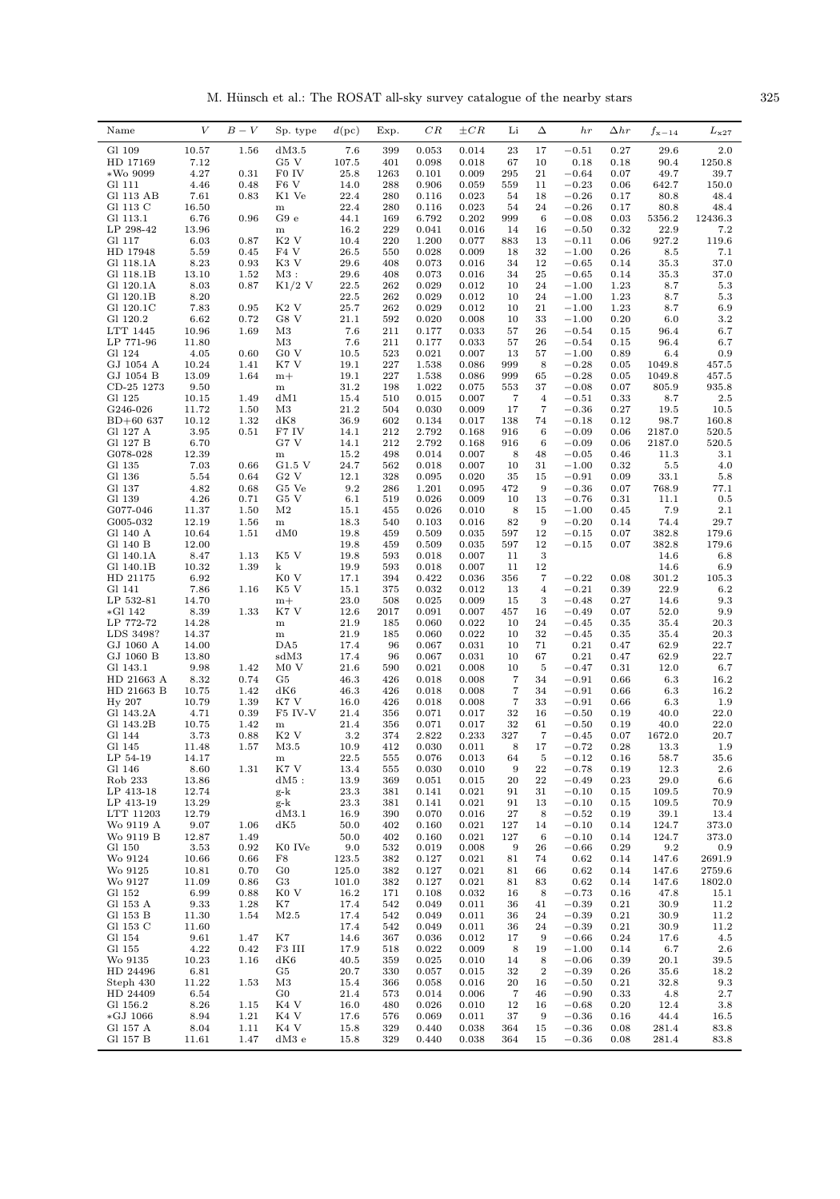M. Hünsch et al.: The ROSAT all-sky survey catalogue of the nearby stars  $325$ 

| Name                   | $\bar{V}$      | $B-V$        | Sp. type          | d(pc)        | Exp.       | $_{CR}$        | $\pm CR$       | Li                      | Δ              | hr                 | $\Delta hr$  | $f_{\rm x-14}$   | $L_{\rm x27}$     |
|------------------------|----------------|--------------|-------------------|--------------|------------|----------------|----------------|-------------------------|----------------|--------------------|--------------|------------------|-------------------|
| Gl 109                 | 10.57          | 1.56         | dM3.5             | 7.6          | 399        | 0.053          | 0.014          | 23                      | 17             | $-0.51$            | 0.27         | 29.6             | 2.0               |
| HD 17169               | 7.12           |              | G5 V              | 107.5        | 401        | 0.098          | 0.018          | 67                      | 10             | 0.18               | 0.18         | 90.4             | 1250.8            |
| $*$ Wo 9099            | 4.27           | 0.31         | F0 IV             | 25.8         | 1263       | 0.101          | 0.009          | 295                     | 21             | $-0.64$            | 0.07         | 49.7             | 39.7              |
| Gl 111                 | 4.46           | 0.48         | F <sub>6</sub> V  | 14.0         | 288        | 0.906          | 0.059          | 559                     | 11             | $-0.23$            | 0.06         | 642.7            | 150.0             |
| Gl 113 AB              | 7.61           | 0.83         | K1 Ve             | 22.4         | 280        | 0.116          | 0.023          | 54                      | 18             | $-0.26$            | 0.17         | 80.8             | 48.4              |
| Gl 113 C               | 16.50          |              | ${\bf m}$         | 22.4         | 280        | 0.116          | 0.023          | 54                      | 24             | $-0.26$            | 0.17         | 80.8             | 48.4              |
| Gl 113.1<br>LP 298-42  | 6.76<br>13.96  | 0.96         | G9e<br>${\bf m}$  | 44.1<br>16.2 | 169<br>229 | 6.792<br>0.041 | 0.202<br>0.016 | 999<br>14               | 6<br>16        | $-0.08$<br>$-0.50$ | 0.03<br>0.32 | 5356.2<br>22.9   | 12436.3<br>7.2    |
| Gl 117                 | 6.03           | 0.87         | K <sub>2</sub> V  | 10.4         | 220        | 1.200          | 0.077          | 883                     | 13             | $-0.11$            | 0.06         | 927.2            | 119.6             |
| HD 17948               | 5.59           | 0.45         | F <sub>4</sub> V  | 26.5         | 550        | 0.028          | 0.009          | 18                      | 32             | $-1.00$            | 0.26         | 8.5              | 7.1               |
| Gl 118.1A              | 8.23           | 0.93         | K3 V              | 29.6         | 408        | 0.073          | 0.016          | 34                      | 12             | $-0.65$            | 0.14         | 35.3             | 37.0              |
| Gl 118.1B              | 13.10          | 1.52         | $M3$ :            | 29.6         | 408        | 0.073          | 0.016          | 34                      | 25             | $-0.65$            | 0.14         | 35.3             | 37.0              |
| Gl 120.1A              | 8.03           | 0.87         | $K1/2$ V          | 22.5         | 262        | 0.029          | 0.012          | 10                      | 24             | $-1.00$            | 1.23         | 8.7              | 5.3               |
| Gl 120.1B              | 8.20           |              |                   | 22.5         | 262        | 0.029          | 0.012          | 10                      | 24             | $-1.00$            | 1.23         | 8.7              | 5.3               |
| Gl 120.1C              | 7.83           | 0.95         | K <sub>2</sub> V  | 25.7         | 262        | 0.029          | 0.012          | 10                      | 21             | $-1.00$            | 1.23         | 8.7              | 6.9               |
| Gl 120.2<br>LTT 1445   | 6.62<br>10.96  | 0.72<br>1.69 | G8 V<br>M3        | 21.1<br>7.6  | 592<br>211 | 0.020<br>0.177 | 0.008<br>0.033 | 10<br>57                | 33<br>26       | $-1.00$<br>$-0.54$ | 0.20<br>0.15 | 6.0<br>96.4      | $3.2\,$<br>6.7    |
| LP 771-96              | 11.80          |              | M3                | 7.6          | 211        | 0.177          | 0.033          | 57                      | 26             | $-0.54$            | 0.15         | 96.4             | 6.7               |
| Gl 124                 | 4.05           | 0.60         | G0 V              | 10.5         | 523        | 0.021          | 0.007          | 13                      | 57             | $-1.00$            | 0.89         | 6.4              | 0.9               |
| $\rm GJ$ 1054 A        | 10.24          | 1.41         | K7 V              | 19.1         | 227        | 1.538          | 0.086          | 999                     | 8              | $-0.28$            | 0.05         | 1049.8           | 457.5             |
| GJ 1054 B              | 13.09          | 1.64         | $m+$              | 19.1         | 227        | 1.538          | 0.086          | 999                     | 65             | $-0.28$            | 0.05         | 1049.8           | 457.5             |
| CD-25 1273             | 9.50           |              | ${\bf m}$         | 31.2         | 198        | 1.022          | 0.075          | 553                     | 37             | $-0.08$            | 0.07         | 805.9            | 935.8             |
| Gl 125                 | 10.15          | 1.49         | dM1               | 15.4         | 510        | 0.015          | 0.007          | 7                       | 4              | $-0.51$            | 0.33         | 8.7              | $_{2.5}$          |
| G246-026               | 11.72          | 1.50         | M <sub>3</sub>    | 21.2         | 504        | 0.030          | 0.009          | 17                      | $\overline{7}$ | $-0.36$            | 0.27         | 19.5             | 10.5              |
| BD+60 637              | 10.12          | 1.32         | dK8               | 36.9         | 602        | 0.134          | 0.017          | 138                     | 74             | $-0.18$            | 0.12         | 98.7             | 160.8             |
| Gl 127 A<br>Gl 127 B   | 3.95<br>6.70   | 0.51         | F7 IV<br>G7 V     | 14.1<br>14.1 | 212<br>212 | 2.792<br>2.792 | 0.168<br>0.168 | 916<br>916              | 6<br>6         | $-0.09$<br>$-0.09$ | 0.06<br>0.06 | 2187.0<br>2187.0 | 520.5<br>520.5    |
| G078-028               | 12.39          |              | m                 | 15.2         | 498        | 0.014          | 0.007          | 8                       | 48             | $-0.05$            | 0.46         | 11.3             | 3.1               |
| Gl 135                 | 7.03           | 0.66         | G1.5 V            | 24.7         | 562        | 0.018          | 0.007          | 10                      | 31             | $-1.00$            | 0.32         | 5.5              | 4.0               |
| Gl 136                 | 5.54           | 0.64         | G2V               | 12.1         | 328        | 0.095          | 0.020          | 35                      | 15             | $-0.91$            | 0.09         | 33.1             | 5.8               |
| Gl 137                 | 4.82           | 0.68         | G5 Ve             | 9.2          | 286        | 1.201          | 0.095          | 472                     | 9              | $-0.36$            | 0.07         | 768.9            | 77.1              |
| Gl 139                 | 4.26           | 0.71         | G5 V              | 6.1          | 519        | 0.026          | 0.009          | 10                      | 13             | $-0.76$            | 0.31         | 11.1             | 0.5               |
| G077-046               | 11.37          | 1.50         | M <sub>2</sub>    | 15.1         | 455        | 0.026          | 0.010          | 8                       | 15             | $-1.00$            | 0.45         | 7.9              | $2.1\,$           |
| G005-032               | 12.19          | 1.56         | m                 | 18.3         | 540        | 0.103          | 0.016          | 82                      | 9              | $-0.20$            | 0.14         | 74.4             | 29.7              |
| Gl 140 A               | 10.64          | 1.51         | dM0               | 19.8         | 459        | 0.509          | 0.035          | 597                     | 12             | $-0.15$            | 0.07         | 382.8            | 179.6             |
| Gl 140 B<br>Gl 140.1A  | 12.00<br>8.47  | 1.13         | K5 V              | 19.8<br>19.8 | 459<br>593 | 0.509<br>0.018 | 0.035<br>0.007 | 597<br>11               | 12<br>3        | $-0.15$            | 0.07         | 382.8<br>14.6    | 179.6<br>6.8      |
| Gl 140.1B              | 10.32          | 1.39         | k                 | 19.9         | 593        | 0.018          | 0.007          | 11                      | 12             |                    |              | 14.6             | 6.9               |
| HD 21175               | 6.92           |              | K0 V              | 17.1         | 394        | 0.422          | 0.036          | 356                     | 7              | $-0.22$            | 0.08         | 301.2            | 105.3             |
| Gl 141                 | 7.86           | 1.16         | K5 V              | 15.1         | 375        | 0.032          | 0.012          | 13                      | $\overline{4}$ | $-0.21$            | 0.39         | 22.9             | 6.2               |
| LP 532-81              | 14.70          |              | $m+$              | 23.0         | 508        | 0.025          | 0.009          | 15                      | 3              | $-0.48$            | 0.27         | 14.6             | 9.3               |
| *Gl 142                | 8.39           | 1.33         | K7 V              | 12.6         | 2017       | 0.091          | 0.007          | 457                     | 16             | $-0.49$            | 0.07         | 52.0             | 9.9               |
| LP 772-72              | 14.28          |              | ${\bf m}$         | 21.9         | 185        | 0.060          | 0.022          | 10                      | 24             | $-0.45$            | 0.35         | 35.4             | 20.3              |
| LDS 3498?              | 14.37          |              | ${\bf m}$         | 21.9         | 185        | 0.060          | 0.022          | 10                      | 32             | $-0.45$            | 0.35         | 35.4             | 20.3              |
| GJ 1060 A<br>GJ 1060 B | 14.00<br>13.80 |              | DA5<br>sdM3       | 17.4<br>17.4 | 96<br>96   | 0.067<br>0.067 | 0.031<br>0.031 | 10<br>10                | 71<br>67       | 0.21<br>0.21       | 0.47<br>0.47 | 62.9<br>62.9     | 22.7<br>22.7      |
| Gl 143.1               | 9.98           | 1.42         | M0V               | 21.6         | 590        | 0.021          | 0.008          | 10                      | 5              | $-0.47$            | 0.31         | 12.0             | 6.7               |
| HD 21663 A             | 8.32           | 0.74         | G5                | 46.3         | 426        | 0.018          | 0.008          | 7                       | 34             | $-0.91$            | 0.66         | 6.3              | 16.2              |
| HD 21663 B             | 10.75          | 1.42         | dK6               | 46.3         | 426        | 0.018          | 0.008          | $\overline{7}$          | 34             | $-0.91$            | 0.66         | 6.3              | 16.2              |
| Hy 207                 | 10.79          | 1.39         | K7 V              | 16.0         | 426        | 0.018          | 0.008          | $\overline{7}$          | 33             | $-0.91$            | 0.66         | 6.3              | 1.9               |
| Gl 143.2A              | 4.71           | 0.39         | F5 IV-V           | 21.4         | 356        | 0.071          | 0.017          | 32                      | 16             | $-0.50$            | 0.19         | 40.0             | 22.0              |
| Gl 143.2B              | 10.75          | 1.42         | ${\bf m}$         | 21.4         | 356        | 0.071          | 0.017          | 32                      | 61             | $-0.50$            | 0.19         | 40.0             | 22.0              |
| Gl 144                 | 3.73           | 0.88         | K <sub>2</sub> V  | 3.2          | 374        | 2.822          | 0.233          | 327                     | $\overline{7}$ | $-0.45$            | 0.07         | 1672.0           | 20.7              |
| Gl 145<br>LP 54-19     | 11.48<br>14.17 | 1.57         | M3.5<br>${\bf m}$ | 10.9<br>22.5 | 412<br>555 | 0.030<br>0.076 | 0.011<br>0.013 | 8<br>64                 | 17<br>5        | $-0.72$<br>$-0.12$ | 0.28<br>0.16 | 13.3<br>58.7     | $1.9\,$<br>35.6   |
| Gl 146                 | 8.60           | 1.31         | K7 V              | 13.4         | 555        | 0.030          | 0.010          | 9                       | ${\bf 22}$     | $-0.78$            | 0.19         | 12.3             | $2.6\,$           |
| Rob 233                | 13.86          |              | $dM5$ :           | 13.9         | 369        | 0.051          | 0.015          | 20                      | ${\bf 22}$     | $-0.49$            | 0.23         | 29.0             | 6.6               |
| LP 413-18              | 12.74          |              | g-k               | 23.3         | 381        | 0.141          | 0.021          | 91                      | 31             | $-0.10$            | 0.15         | 109.5            | 70.9              |
| LP 413-19              | 13.29          |              | g-k               | 23.3         | 381        | 0.141          | 0.021          | 91                      | 13             | $-0.10$            | 0.15         | 109.5            | 70.9              |
| LTT 11203              | 12.79          |              | dM3.1             | 16.9         | 390        | 0.070          | 0.016          | 27                      | 8              | $-0.52$            | 0.19         | 39.1             | 13.4              |
| Wo 9119 A              | 9.07           | 1.06         | dK5               | 50.0         | 402        | 0.160          | 0.021          | 127                     | 14             | $-0.10$<br>$-0.10$ | 0.14         | 124.7            | 373.0             |
| Wo 9119 B<br>Gl 150    | 12.87<br>3.53  | 1.49<br>0.92 | K0 IVe            | 50.0<br>9.0  | 402        | 0.160<br>0.019 | 0.021<br>0.008 | 127<br>$\boldsymbol{9}$ | 6<br>26        | $-0.66$            | 0.14<br>0.29 | 124.7<br>9.2     | 373.0<br>$_{0.9}$ |
| Wo 9124                | 10.66          | 0.66         | F8                | 123.5        | 532<br>382 | 0.127          | 0.021          | 81                      | 74             | 0.62               | 0.14         | 147.6            | 2691.9            |
| Wo 9125                | 10.81          | 0.70         | $_{\rm G0}$       | 125.0        | 382        | 0.127          | 0.021          | 81                      | 66             | 0.62               | 0.14         | 147.6            | 2759.6            |
| Wo 9127                | 11.09          | 0.86         | G3                | 101.0        | 382        | 0.127          | 0.021          | 81                      | 83             | 0.62               | 0.14         | 147.6            | 1802.0            |
| Gl 152                 | 6.99           | 0.88         | K <sub>0</sub> V  | 16.2         | 171        | 0.108          | 0.032          | 16                      | 8              | $-0.73$            | 0.16         | 47.8             | 15.1              |
| Gl 153 A               | 9.33           | 1.28         | K7                | 17.4         | 542        | 0.049          | 0.011          | 36                      | 41             | $-0.39$            | 0.21         | 30.9             | 11.2              |
| Gl 153 B               | 11.30          | 1.54         | M2.5              | 17.4         | 542        | 0.049          | 0.011          | 36                      | 24             | $-0.39$            | 0.21         | 30.9             | 11.2              |
| Gl 153 C               | 11.60          |              |                   | 17.4         | 542        | 0.049          | 0.011          | 36                      | 24             | $-0.39$            | 0.21         | 30.9             | 11.2              |
| Gl 154                 | 9.61           | 1.47         | K7                | 14.6         | 367        | 0.036          | 0.012          | 17                      | 9              | $-0.66$            | 0.24         | 17.6             | 4.5               |
| Gl 155<br>Wo 9135      | 4.22<br>10.23  | 0.42<br>1.16 | F3 III<br>dK6     | 17.9<br>40.5 | 518<br>359 | 0.022<br>0.025 | 0.009<br>0.010 | 8<br>14                 | 19<br>8        | $-1.00$<br>$-0.06$ | 0.14<br>0.39 | 6.7<br>20.1      | 2.6<br>39.5       |
| HD 24496               | 6.81           |              | G5                | 20.7         | 330        | 0.057          | 0.015          | 32                      | $\,2$          | $-0.39$            | 0.26         | 35.6             | 18.2              |
| Steph 430              | 11.22          | 1.53         | M3                | 15.4         | 366        | 0.058          | 0.016          | 20                      | 16             | $-0.50$            | 0.21         | 32.8             | 9.3               |
| HD 24409               | 6.54           |              | $_{\rm G0}$       | 21.4         | 573        | 0.014          | 0.006          | 7                       | 46             | $-0.90$            | 0.33         | 4.8              | 2.7               |
| Gl 156.2               | 8.26           | 1.15         | K4 V              | 16.0         | 480        | 0.026          | 0.010          | 12                      | 16             | $-0.68$            | 0.20         | 12.4             | 3.8               |
| $*GJ 1066$             | 8.94           | 1.21         | K4 V              | 17.6         | 576        | 0.069          | 0.011          | 37                      | 9              | $-0.36$            | 0.16         | 44.4             | 16.5              |
| $\rm Gl$ 157 A         | 8.04           | 1.11         | K4 V              | 15.8         | 329        | 0.440          | 0.038          | 364                     | 15             | $-0.36$            | 0.08         | 281.4            | 83.8              |
| Gl 157 B               | 11.61          | 1.47         | dM3 e             | 15.8         | 329        | 0.440          | 0.038          | 364                     | 15             | $-0.36$            | 0.08         | 281.4            | 83.8              |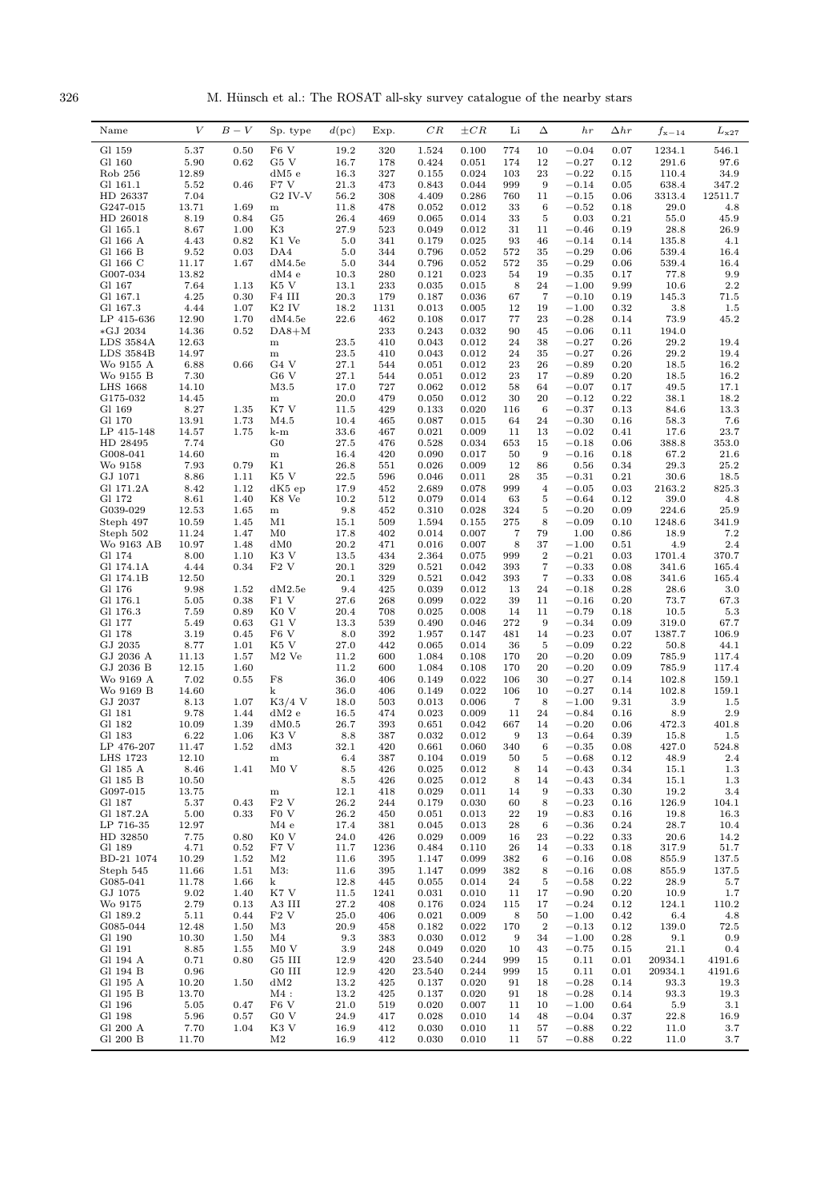326 M. Hünsch et al.: The ROSAT all-sky survey catalogue of the nearby stars

| Name                     | V              | $B-V$        | Sp. type               | $d(\text{pc})$ | Exp.        | $_{CR}$        | $\pm CR$       | Li         | Δ                      | hr                 | $_{\Delta hr}$ | $f_{\rm x-14}$ | $L_{\rm x27}$  |
|--------------------------|----------------|--------------|------------------------|----------------|-------------|----------------|----------------|------------|------------------------|--------------------|----------------|----------------|----------------|
| Gl 159                   | 5.37           | 0.50         | F <sub>6</sub> V       | 19.2           | 320         | 1.524          | 0.100          | 774        | 10                     | $-0.04$            | 0.07           | 1234.1         | 546.1          |
| Gl 160                   | 5.90           | 0.62         | G5 V                   | 16.7           | 178         | 0.424          | 0.051          | 174        | 12                     | $-0.27$            | 0.12           | 291.6          | 97.6           |
| Rob 256                  | 12.89          |              | $dM5$ e                | 16.3           | 327         | 0.155          | 0.024          | 103        | 23                     | $-0.22$            | 0.15           | 110.4          | 34.9           |
| Gl 161.1                 | 5.52           | 0.46         | F7 V                   | 21.3           | 473         | 0.843          | 0.044          | 999        | 9                      | $-0.14$            | 0.05           | 638.4          | 347.2          |
| HD 26337<br>G247-015     | 7.04<br>13.71  | 1.69         | $G2$ IV-V<br>${\bf m}$ | 56.2<br>11.8   | 308<br>478  | 4.409<br>0.052 | 0.286<br>0.012 | 760<br>33  | 11<br>6                | $-0.15$<br>$-0.52$ | 0.06<br>0.18   | 3313.4<br>29.0 | 12511.7<br>4.8 |
| HD 26018                 | 8.19           | 0.84         | G5                     | 26.4           | 469         | 0.065          | 0.014          | 33         | 5                      | 0.03               | 0.21           | 55.0           | 45.9           |
| Gl 165.1                 | 8.67           | 1.00         | K3                     | 27.9           | 523         | 0.049          | 0.012          | 31         | 11                     | $-0.46$            | 0.19           | 28.8           | 26.9           |
| Gl 166 A                 | 4.43           | 0.82         | K1 Ve                  | 5.0            | 341         | 0.179          | 0.025          | 93         | 46                     | $-0.14$            | 0.14           | 135.8          | 4.1            |
| Gl 166 B                 | 9.52           | 0.03<br>1.67 | DA4                    | 5.0            | 344         | 0.796          | 0.052          | 572        | 35                     | $-0.29$            | 0.06           | 539.4          | 16.4           |
| Gl 166 C<br>G007-034     | 11.17<br>13.82 |              | dM4.5e<br>dM4e         | 5.0<br>10.3    | 344<br>280  | 0.796<br>0.121 | 0.052<br>0.023 | 572<br>54  | 35<br>19               | $-0.29$<br>$-0.35$ | 0.06<br>0.17   | 539.4<br>77.8  | 16.4<br>9.9    |
| Gl 167                   | 7.64           | 1.13         | K5 V                   | 13.1           | 233         | 0.035          | 0.015          | 8          | 24                     | $-1.00$            | 9.99           | 10.6           | $2.2\,$        |
| Gl 167.1                 | 4.25           | 0.30         | F4 III                 | 20.3           | 179         | 0.187          | 0.036          | 67         | $\overline{7}$         | $-0.10$            | 0.19           | 145.3          | 71.5           |
| Gl 167.3                 | 4.44           | 1.07         | K <sub>2</sub> IV      | 18.2           | 1131        | 0.013          | 0.005          | 12         | 19                     | $-1.00$            | 0.32           | 3.8            | $1.5\,$        |
| LP 415-636<br>$*GJ 2034$ | 12.90<br>14.36 | 1.70<br>0.52 | dM4.5e<br>$DA8+M$      | 22.6           | 462<br>233  | 0.108<br>0.243 | 0.017<br>0.032 | 77<br>90   | 23<br>45               | $-0.28$<br>$-0.06$ | 0.14<br>0.11   | 73.9<br>194.0  | 45.2           |
| LDS 3584A                | 12.63          |              | $\, {\rm m}$           | 23.5           | 410         | 0.043          | 0.012          | 24         | 38                     | $-0.27$            | 0.26           | 29.2           | 19.4           |
| LDS 3584B                | 14.97          |              | $\, {\rm m}$           | 23.5           | 410         | 0.043          | 0.012          | 24         | 35                     | $-0.27$            | 0.26           | 29.2           | 19.4           |
| Wo 9155 A                | 6.88           | 0.66         | G <sub>4</sub> V       | 27.1           | 544         | 0.051          | 0.012          | 23         | 26                     | $-0.89$            | 0.20           | 18.5           | 16.2           |
| Wo 9155 B                | 7.30           |              | G <sub>6</sub> V       | 27.1           | 544         | 0.051          | 0.012          | 23         | 17                     | $-0.89$            | 0.20           | 18.5           | 16.2           |
| LHS 1668<br>G175-032     | 14.10<br>14.45 |              | M3.5<br>${\bf m}$      | 17.0<br>20.0   | 727<br>479  | 0.062<br>0.050 | 0.012<br>0.012 | 58<br>30   | 64<br>20               | $-0.07$<br>$-0.12$ | 0.17<br>0.22   | 49.5<br>38.1   | 17.1<br>18.2   |
| Gl 169                   | 8.27           | 1.35         | K7 V                   | 11.5           | 429         | 0.133          | 0.020          | 116        | 6                      | $-0.37$            | 0.13           | 84.6           | 13.3           |
| Gl 170                   | 13.91          | 1.73         | M4.5                   | 10.4           | 465         | 0.087          | 0.015          | 64         | 24                     | $-0.30$            | 0.16           | 58.3           | 7.6            |
| LP 415-148               | 14.57          | 1.75         | k-m                    | 33.6           | 467         | 0.021          | 0.009          | 11         | 13                     | $-0.02$            | 0.41           | 17.6           | 23.7           |
| HD 28495                 | 7.74           |              | $\rm G0$               | 27.5           | 476         | 0.528          | 0.034          | 653        | 15                     | $-0.18$            | 0.06           | 388.8          | 353.0          |
| G008-041<br>Wo 9158      | 14.60<br>7.93  | 0.79         | ${\bf m}$<br>K1        | 16.4<br>26.8   | 420<br>551  | 0.090<br>0.026 | 0.017<br>0.009 | 50<br>12   | 9<br>86                | $-0.16$<br>0.56    | 0.18<br>0.34   | 67.2<br>29.3   | 21.6<br>25.2   |
| GJ 1071                  | 8.86           | 1.11         | K5 V                   | 22.5           | 596         | 0.046          | 0.011          | 28         | 35                     | $-0.31$            | 0.21           | 30.6           | 18.5           |
| Gl 171.2A                | 8.42           | 1.12         | dK5ep                  | 17.9           | 452         | 2.689          | 0.078          | 999        | $\overline{4}$         | $-0.05$            | 0.03           | 2163.2         | 825.3          |
| Gl 172                   | 8.61           | 1.40         | K8 Ve                  | 10.2           | 512         | 0.079          | 0.014          | 63         | 5                      | $-0.64$            | 0.12           | 39.0           | 4.8            |
| G039-029                 | 12.53          | 1.65         | $\, {\rm m}$           | 9.8            | 452         | 0.310          | 0.028          | 324        | 5                      | $-0.20$            | 0.09           | 224.6          | 25.9           |
| Steph 497<br>Steph 502   | 10.59<br>11.24 | 1.45<br>1.47 | M1<br>M0               | 15.1<br>17.8   | 509<br>402  | 1.594<br>0.014 | 0.155<br>0.007 | 275<br>7   | 8<br>79                | $-0.09$<br>1.00    | 0.10<br>0.86   | 1248.6<br>18.9 | 341.9<br>7.2   |
| Wo 9163 AB               | 10.97          | 1.48         | dM0                    | 20.2           | 471         | 0.016          | 0.007          | 8          | 37                     | $-1.00$            | 0.51           | 4.9            | 2.4            |
| Gl 174                   | 8.00           | 1.10         | K3 V                   | 13.5           | 434         | 2.364          | 0.075          | 999        | $\,2$                  | $-0.21$            | 0.03           | 1701.4         | 370.7          |
| Gl 174.1A                | 4.44           | 0.34         | F2V                    | 20.1           | 329         | 0.521          | 0.042          | 393        | 7                      | $-0.33$            | 0.08           | 341.6          | 165.4          |
| Gl 174.1B                | 12.50          |              |                        | 20.1           | 329         | 0.521          | 0.042          | 393        | 7                      | $-0.33$            | 0.08           | 341.6          | 165.4          |
| Gl 176<br>Gl 176.1       | 9.98<br>5.05   | 1.52<br>0.38 | dM2.5e<br>F1 V         | 9.4<br>27.6    | 425<br>268  | 0.039<br>0.099 | 0.012<br>0.022 | 13<br>39   | 24<br>11               | $-0.18$<br>$-0.16$ | 0.28<br>0.20   | 28.6<br>73.7   | 3.0<br>67.3    |
| Gl 176.3                 | 7.59           | 0.89         | K <sub>0</sub> V       | 20.4           | 708         | 0.025          | 0.008          | 14         | 11                     | $-0.79$            | 0.18           | 10.5           | 5.3            |
| Gl 177                   | 5.49           | 0.63         | G1 V                   | 13.3           | 539         | 0.490          | 0.046          | 272        | 9                      | $-0.34$            | 0.09           | 319.0          | 67.7           |
| Gl 178                   | 3.19           | 0.45         | F <sub>6</sub> V       | 8.0            | 392         | 1.957          | 0.147          | 481        | 14                     | $-0.23$            | 0.07           | 1387.7         | 106.9          |
| GJ 2035                  | 8.77           | 1.01         | K5 V                   | 27.0           | 442         | 0.065          | 0.014          | 36         | 5                      | $-0.09$            | 0.22           | 50.8           | 44.1           |
| GJ 2036 A<br>GJ 2036 B   | 11.13<br>12.15 | 1.57<br>1.60 | $M2$ Ve                | 11.2<br>11.2   | 600<br>600  | 1.084<br>1.084 | 0.108<br>0.108 | 170<br>170 | 20<br>20               | $-0.20$<br>$-0.20$ | 0.09<br>0.09   | 785.9<br>785.9 | 117.4<br>117.4 |
| Wo 9169 A                | 7.02           | 0.55         | ${\rm F}8$             | 36.0           | 406         | 0.149          | 0.022          | 106        | 30                     | $-0.27$            | 0.14           | 102.8          | 159.1          |
| Wo 9169 B                | 14.60          |              | k                      | 36.0           | 406         | 0.149          | 0.022          | 106        | 10                     | $-0.27$            | 0.14           | 102.8          | 159.1          |
| GJ 2037                  | 8.13           | 1.07         | $K3/4$ V               | 18.0           | 503         | 0.013          | 0.006          | 7          | 8                      | $-1.00$            | 9.31           | $3.9\,$        | 1.5            |
| Gl 181<br>Gl 182         | 9.78<br>10.09  | 1.44<br>1.39 | dM2e<br>dM0.5          | 16.5<br>26.7   | 474<br>393  | 0.023<br>0.651 | 0.009<br>0.042 | 11<br>667  | 24<br>14               | $-0.84$<br>$-0.20$ | 0.16<br>0.06   | 8.9<br>472.3   | 2.9<br>401.8   |
| Gl 183                   | 6.22           | 1.06         | K3 V                   | 8.8            | 387         | 0.032          | 0.012          | 9          | 13                     | $-0.64$            | 0.39           | 15.8           | 1.5            |
| LP 476-207               | 11.47          | 1.52         | dM3                    | 32.1           | 420         | 0.661          | 0.060          | 340        | - 6                    | $-0.35$            | 0.08           | 427.0          | 524.8          |
| LHS 1723                 | 12.10          |              | ${\bf m}$              | 6.4            | 387         | 0.104          | 0.019          | 50         | 5                      | $-0.68$            | 0.12           | 48.9           | $2.4\,$        |
| Gl 185 A                 | 8.46           | 1.41         | M0V                    | 8.5            | 426         | 0.025          | 0.012          | 8          | 14                     | $-0.43$            | 0.34           | 15.1           | 1.3            |
| Gl 185 B<br>G097-015     | 10.50<br>13.75 |              | ${\bf m}$              | 8.5<br>12.1    | 426<br>418  | 0.025<br>0.029 | 0.012<br>0.011 | 8<br>14    | 14<br>$\boldsymbol{9}$ | $-0.43$<br>$-0.33$ | 0.34<br>0.30   | 15.1<br>19.2   | $1.3\,$<br>3.4 |
| Gl 187                   | 5.37           | 0.43         | F2V                    | 26.2           | 244         | 0.179          | 0.030          | 60         | 8                      | $-0.23$            | 0.16           | 126.9          | 104.1          |
| Gl 187.2A                | 5.00           | 0.33         | F <sub>0</sub> V       | 26.2           | 450         | 0.051          | 0.013          | 22         | 19                     | $-0.83$            | 0.16           | 19.8           | 16.3           |
| LP 716-35                | 12.97          |              | M4e                    | 17.4           | 381         | 0.045          | 0.013          | 28         | 6                      | $-0.36$            | 0.24           | 28.7           | 10.4           |
| HD 32850                 | 7.75           | 0.80         | K <sub>0</sub> V       | 24.0           | 426         | 0.029          | 0.009          | 16         | 23                     | $-0.22$            | 0.33           | 20.6           | 14.2           |
| Gl 189<br>BD-21 1074     | 4.71<br>10.29  | 0.52<br>1.52 | F7 V<br>$\rm M2$       | 11.7<br>11.6   | 1236<br>395 | 0.484<br>1.147 | 0.110<br>0.099 | 26<br>382  | 14<br>6                | $-0.33$<br>$-0.16$ | 0.18<br>0.08   | 317.9<br>855.9 | 51.7<br>137.5  |
| Steph 545                | 11.66          | 1.51         | M3:                    | 11.6           | 395         | 1.147          | 0.099          | 382        | 8                      | $-0.16$            | 0.08           | 855.9          | 137.5          |
| G085-041                 | 11.78          | 1.66         | k                      | 12.8           | 445         | 0.055          | 0.014          | 24         | 5                      | $-0.58$            | 0.22           | 28.9           | 5.7            |
| GJ 1075                  | 9.02           | 1.40         | K7 V                   | 11.5           | 1241        | 0.031          | 0.010          | 11         | 17                     | $-0.90$            | 0.20           | 10.9           | 1.7            |
| Wo 9175<br>Gl 189.2      | 2.79           | 0.13         | A3 III                 | 27.2           | 408         | 0.176          | 0.024          | 115        | 17                     | $-0.24$<br>$-1.00$ | 0.12           | 124.1          | 110.2          |
| G085-044                 | 5.11<br>12.48  | 0.44<br>1.50 | F2V<br>M3              | 25.0<br>20.9   | 406<br>458  | 0.021<br>0.182 | 0.009<br>0.022 | 8<br>170   | 50<br>$\,2$            | $-0.13$            | 0.42<br>0.12   | 6.4<br>139.0   | 4.8<br>72.5    |
| Gl 190                   | 10.30          | 1.50         | M4                     | 9.3            | 383         | 0.030          | 0.012          | 9          | 34                     | $-1.00$            | 0.28           | 9.1            | 0.9            |
| Gl 191                   | 8.85           | 1.55         | M0V                    | 3.9            | 248         | 0.049          | 0.020          | 10         | 43                     | $-0.75$            | 0.15           | 21.1           | 0.4            |
| Gl 194 A                 | 0.71           | 0.80         | G5 III                 | 12.9           | 420         | 23.540         | 0.244          | 999        | 15                     | 0.11               | 0.01           | 20934.1        | 4191.6         |
| Gl 194 B<br>Gl 195 A     | 0.96           |              | G0 III<br>dM2          | 12.9           | 420<br>425  | 23.540         | 0.244          | 999        | 15                     | 0.11<br>$-0.28$    | 0.01           | 20934.1        | 4191.6         |
| Gl 195 B                 | 10.20<br>13.70 | 1.50         | $M4$ :                 | 13.2<br>13.2   | 425         | 0.137<br>0.137 | 0.020<br>0.020 | 91<br>91   | 18<br>18               | $-0.28$            | 0.14<br>0.14   | 93.3<br>93.3   | 19.3<br>19.3   |
| Gl 196                   | 5.05           | 0.47         | F <sub>6</sub> V       | 21.0           | 519         | 0.020          | 0.007          | 11         | 10                     | $-1.00$            | 0.64           | 5.9            | 3.1            |
| Gl 198                   | 5.96           | 0.57         | G0 V                   | 24.9           | 417         | 0.028          | 0.010          | 14         | 48                     | $-0.04$            | 0.37           | 22.8           | 16.9           |
| Gl 200 A                 | 7.70           | 1.04         | K3 V                   | 16.9           | 412         | 0.030          | 0.010          | 11         | 57                     | $-0.88$            | 0.22           | 11.0           | 3.7            |
| Gl 200 B                 | 11.70          |              | M <sub>2</sub>         | 16.9           | 412         | 0.030          | 0.010          | 11         | 57                     | $-0.88$            | 0.22           | 11.0           | 3.7            |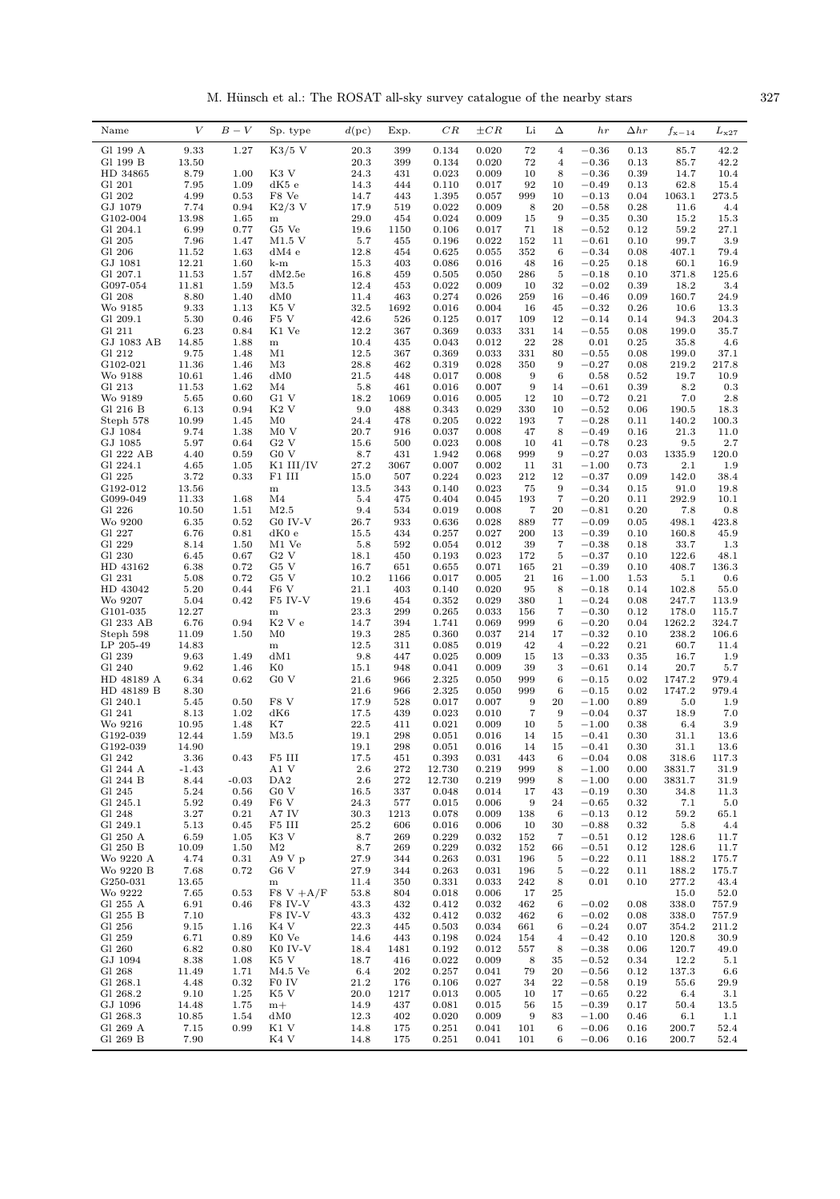M. Hünsch et al.: The ROSAT all-sky survey catalogue of the nearby stars  $327$ 

| Name                  | V             | $B-V$        | Sp. type                  | d(pc)        | Exp.        | CR             | $\pm CR$       | Li         | Δ                            | hr                 | $\Delta hr$  | $f_{\rm x-14}$  | $L_{\rm x27}$  |
|-----------------------|---------------|--------------|---------------------------|--------------|-------------|----------------|----------------|------------|------------------------------|--------------------|--------------|-----------------|----------------|
| Gl 199 A              | 9.33          | 1.27         | $K3/5$ V                  | 20.3         | 399         | 0.134          | 0.020          | 72         | $\overline{4}$               | $-0.36$            | 0.13         | 85.7            | 42.2           |
| Gl 199 B              | 13.50         |              |                           | 20.3         | 399         | 0.134          | 0.020          | 72         | $\overline{\mathbf{4}}$      | $-0.36$            | 0.13         | 85.7            | 42.2           |
| HD 34865              | 8.79          | 1.00         | K3 V                      | 24.3         | 431         | 0.023          | 0.009          | 10         | 8                            | $-0.36$            | 0.39         | 14.7            | 10.4           |
| Gl 201                | 7.95          | 1.09         | dK5 e                     | 14.3         | 444         | 0.110          | 0.017          | 92         | 10                           | $-0.49$            | 0.13         | 62.8            | 15.4           |
| Gl 202<br>GJ 1079     | 4.99<br>7.74  | 0.53<br>0.94 | F8 Ve<br>$K2/3$ V         | 14.7<br>17.9 | 443<br>519  | 1.395<br>0.022 | 0.057<br>0.009 | 999<br>8   | 10<br>20                     | $-0.13$<br>$-0.58$ | 0.04<br>0.28 | 1063.1<br>11.6  | 273.5<br>4.4   |
| G102-004              | 13.98         | 1.65         | ${\bf m}$                 | 29.0         | 454         | 0.024          | 0.009          | 15         | 9                            | $-0.35$            | 0.30         | 15.2            | 15.3           |
| Gl 204.1              | 6.99          | 0.77         | G5 Ve                     | 19.6         | 1150        | 0.106          | 0.017          | 71         | 18                           | $-0.52$            | 0.12         | 59.2            | 27.1           |
| Gl 205                | 7.96          | 1.47         | $M1.5$ V                  | 5.7          | 455         | 0.196          | 0.022          | 152        | 11                           | $^{ -0.61}$        | 0.10         | 99.7            | 3.9            |
| G1 206                | 11.52         | 1.63         | dM4e                      | 12.8         | 454         | 0.625          | 0.055          | 352        | 6                            | $-0.34$            | 0.08         | 407.1           | 79.4           |
| GJ 1081               | 12.21         | 1.60         | k-m                       | 15.3         | 403         | 0.086          | 0.016          | 48         | 16                           | $-0.25$            | 0.18         | 60.1            | 16.9           |
| Gl 207.1              | 11.53         | 1.57         | dM2.5e                    | 16.8         | 459         | 0.505          | 0.050          | 286        | 5                            | $-0.18$            | 0.10         | 371.8           | 125.6          |
| G097-054<br>Gl 208    | 11.81<br>8.80 | 1.59<br>1.40 | M3.5<br>dM0               | 12.4<br>11.4 | 453<br>463  | 0.022<br>0.274 | 0.009<br>0.026 | 10<br>259  | 32<br>16                     | $-0.02$<br>$-0.46$ | 0.39<br>0.09 | 18.2<br>160.7   | 3.4<br>24.9    |
| Wo 9185               | 9.33          | 1.13         | K5 V                      | 32.5         | 1692        | 0.016          | 0.004          | 16         | 45                           | $-0.32$            | 0.26         | 10.6            | 13.3           |
| Gl 209.1              | 5.30          | 0.46         | F5 V                      | 42.6         | 526         | 0.125          | 0.017          | 109        | 12                           | $-0.14$            | 0.14         | 94.3            | 204.3          |
| Gl 211                | 6.23          | 0.84         | K1 Ve                     | 12.2         | 367         | 0.369          | 0.033          | 331        | 14                           | $-0.55$            | 0.08         | 199.0           | 35.7           |
| GJ 1083 AB            | 14.85         | 1.88         | $\, {\rm m}$              | 10.4         | 435         | 0.043          | 0.012          | 22         | 28                           | 0.01               | 0.25         | 35.8            | 4.6            |
| Gl 212                | 9.75          | 1.48         | M1                        | 12.5         | 367         | 0.369          | 0.033          | 331        | 80                           | $-0.55$            | 0.08         | 199.0           | 37.1           |
| G102-021              | 11.36         | 1.46         | M3                        | 28.8         | 462         | 0.319          | 0.028          | 350        | 9                            | $-0.27$            | 0.08         | 219.2           | 217.8          |
| Wo 9188               | 10.61         | 1.46         | dM0                       | 21.5         | 448         | 0.017          | 0.008          | 9          | 6                            | 0.58               | 0.52         | 19.7            | 10.9           |
| Gl 213<br>Wo 9189     | 11.53<br>5.65 | 1.62<br>0.60 | M4<br>G1 V                | 5.8<br>18.2  | 461<br>1069 | 0.016<br>0.016 | 0.007<br>0.005 | 9<br>12    | 14<br>10                     | $-0.61$<br>$-0.72$ | 0.39<br>0.21 | 8.2<br>7.0      | 0.3<br>2.8     |
| Gl 216 B              | 6.13          | 0.94         | K <sub>2</sub> V          | 9.0          | 488         | 0.343          | 0.029          | 330        | 10                           | $-0.52$            | 0.06         | 190.5           | 18.3           |
| Steph 578             | 10.99         | 1.45         | M0                        | 24.4         | 478         | 0.205          | 0.022          | 193        | 7                            | $-0.28$            | 0.11         | 140.2           | 100.3          |
| GJ 1084               | 9.74          | 1.38         | M0V                       | 20.7         | 916         | 0.037          | 0.008          | 47         | 8                            | $-0.49$            | 0.16         | 21.3            | 11.0           |
| GJ 1085               | 5.97          | 0.64         | $G2$ V                    | 15.6         | 500         | 0.023          | 0.008          | 10         | 41                           | $-0.78$            | 0.23         | 9.5             | 2.7            |
| Gl 222 AB             | 4.40          | 0.59         | G0 V                      | 8.7          | 431         | 1.942          | 0.068          | 999        | 9                            | $-0.27$            | 0.03         | 1335.9          | 120.0          |
| Gl 224.1              | 4.65          | 1.05         | $K1$ III/IV               | 27.2         | 3067        | 0.007          | 0.002          | 11         | 31                           | $-1.00$            | 0.73         | 2.1             | 1.9            |
| Gl 225                | 3.72          | 0.33         | F1 III                    | 15.0         | 507         | 0.224          | 0.023          | 212        | 12                           | $-0.37$            | 0.09         | 142.0           | 38.4           |
| G192-012              | 13.56         |              | ${\bf m}$                 | 13.5         | 343         | 0.140          | 0.023          | 75         | 9                            | $-0.34$            | 0.15         | 91.0            | 19.8           |
| G099-049<br>Gl 226    | 11.33         | 1.68         | M <sub>4</sub><br>M2.5    | 5.4<br>9.4   | 475<br>534  | 0.404<br>0.019 | 0.045          | 193<br>7   | 7<br>20                      | $-0.20$<br>$-0.81$ | 0.11         | 292.9<br>7.8    | 10.1           |
| Wo 9200               | 10.50<br>6.35 | 1.51<br>0.52 | G0 IV-V                   | 26.7         | 933         | 0.636          | 0.008<br>0.028 | 889        | 77                           | $-0.09$            | 0.20<br>0.05 | 498.1           | 0.8<br>423.8   |
| Gl 227                | 6.76          | 0.81         | dK0e                      | 15.5         | 434         | 0.257          | 0.027          | 200        | 13                           | $-0.39$            | 0.10         | 160.8           | 45.9           |
| Gl 229                | 8.14          | 1.50         | M1 Ve                     | 5.8          | 592         | 0.054          | 0.012          | 39         | $\overline{7}$               | $-0.38$            | 0.18         | 33.7            | 1.3            |
| G1 230                | 6.45          | 0.67         | G2 V                      | 18.1         | 450         | 0.193          | 0.023          | 172        | 5                            | $-0.37$            | 0.10         | 122.6           | 48.1           |
| HD 43162              | 6.38          | 0.72         | G5 V                      | 16.7         | 651         | 0.655          | 0.071          | 165        | 21                           | $-0.39$            | 0.10         | 408.7           | 136.3          |
| Gl 231                | 5.08          | 0.72         | G5 V                      | 10.2         | 1166        | 0.017          | 0.005          | 21         | 16                           | $-1.00$            | 1.53         | 5.1             | 0.6            |
| HD 43042              | 5.20          | 0.44         | F <sub>6</sub> V          | 21.1         | 403         | 0.140          | 0.020          | 95         | 8                            | $-0.18$            | 0.14         | 102.8           | 55.0           |
| Wo 9207               | 5.04          | 0.42         | F5 IV-V                   | 19.6         | 454         | 0.352          | 0.029          | 380        | $\mathbf{1}$                 | $-0.24$            | 0.08         | 247.7           | 113.9          |
| G101-035<br>Gl 233 AB | 12.27<br>6.76 | 0.94         | ${\bf m}$<br>K2 V e       | 23.3<br>14.7 | 299<br>394  | 0.265<br>1.741 | 0.033<br>0.069 | 156<br>999 | 7<br>6                       | $-0.30$<br>$-0.20$ | 0.12<br>0.04 | 178.0<br>1262.2 | 115.7<br>324.7 |
| Steph 598             | 11.09         | 1.50         | M0                        | 19.3         | 285         | 0.360          | 0.037          | 214        | 17                           | $-0.32$            | 0.10         | 238.2           | 106.6          |
| LP 205-49             | 14.83         |              | m                         | 12.5         | 311         | 0.085          | 0.019          | 42         | $\overline{4}$               | $-0.22$            | 0.21         | 60.7            | 11.4           |
| G1 239                | 9.63          | 1.49         | dM1                       | 9.8          | 447         | 0.025          | 0.009          | 15         | 13                           | $-0.33$            | 0.35         | 16.7            | 1.9            |
| Gl 240                | 9.62          | 1.46         | K0                        | 15.1         | 948         | 0.041          | 0.009          | 39         | 3                            | $-0.61$            | 0.14         | 20.7            | 5.7            |
| HD 48189 A            | 6.34          | 0.62         | G0 V                      | 21.6         | 966         | 2.325          | 0.050          | 999        | 6                            | $-0.15$            | 0.02         | 1747.2          | 979.4          |
| HD 48189 B            | 8.30          |              |                           | 21.6         | 966         | 2.325          | 0.050          | 999        | 6                            | $-0.15$            | 0.02         | 1747.2          | 979.4          |
| Gl 240.1              | 5.45          | 0.50         | F8 V                      | 17.9         | 528         | 0.017          | 0.007          | 9          | 20                           | $-1.00$            | 0.89         | 5.0             | 1.9            |
| Gl 241<br>Wo 9216     | 8.13<br>10.95 | 1.02<br>1.48 | dK6<br>K7                 | 17.5<br>22.5 | 439<br>411  | 0.023<br>0.021 | 0.010<br>0.009 | 7<br>10    | 9<br>$\bf 5$                 | $-0.04$<br>$-1.00$ | 0.37<br>0.38 | 18.9<br>6.4     | 7.0<br>3.9     |
| G192-039              | 12.44         | 1.59         | M3.5                      | 19.1         | 298         | 0.051          | 0.016          | 14         | 15                           | $-0.41$            | 0.30         | 31.1            | 13.6           |
| G192-039              | 14.90         |              |                           | 19.1         | 298         | 0.051          | 0.016          | 14         | 15                           | $-0.41$            | 0.30         | 31.1            | 13.6           |
| Gl 242                | 3.36          | 0.43         | F5 III                    | 17.5         | 451         | 0.393          | 0.031          | 443        | 6                            | $-0.04$            | 0.08         | 318.6           | 117.3          |
| Gl 244 A              | -1.43         |              | A1 V                      | 2.6          | 272         | 12.730         | 0.219          | 999        | 8                            | $-1.00$            | 0.00         | 3831.7          | 31.9           |
| Gl 244 B              | 8.44          | $-0.03$      | DA <sub>2</sub>           | 2.6          | 272         | 12.730         | 0.219          | 999        | 8                            | $-1.00$            | 0.00         | 3831.7          | 31.9           |
| Gl 245                | 5.24          | 0.56         | G <sub>0</sub> V          | 16.5         | 337         | 0.048          | 0.014          | 17         | 43                           | $-0.19$            | 0.30         | 34.8            | 11.3           |
| Gl 245.1              | 5.92          | 0.49         | $F6$ V                    | 24.3         | 577         | 0.015          | 0.006          | 9          | 24                           | $-0.65$            | 0.32         | 7.1             | 5.0            |
| Gl 248<br>Gl 249.1    | 3.27<br>5.13  | 0.21         | A7 IV<br>F5 III           | 30.3<br>25.2 | 1213<br>606 | 0.078<br>0.016 | 0.009<br>0.006 | 138<br>10  | 6<br>30                      | $-0.13$<br>$-0.88$ | 0.12<br>0.32 | 59.2<br>5.8     | 65.1           |
| Gl 250 A              | 6.59          | 0.45<br>1.05 | K3 V                      | 8.7          | 269         | 0.229          | 0.032          | 152        | 7                            | $-0.51$            | 0.12         | 128.6           | 4.4<br>11.7    |
| Gl 250 B              | 10.09         | 1.50         | M <sub>2</sub>            | 8.7          | 269         | 0.229          | 0.032          | 152        | 66                           | $-0.51$            | 0.12         | 128.6           | 11.7           |
| Wo 9220 A             | 4.74          | 0.31         | A9Vp                      | 27.9         | 344         | 0.263          | 0.031          | 196        | 5                            | $-0.22$            | 0.11         | 188.2           | 175.7          |
| Wo 9220 B             | 7.68          | 0.72         | G6 V                      | 27.9         | 344         | 0.263          | 0.031          | 196        | 5                            | $-0.22$            | 0.11         | 188.2           | 175.7          |
| G250-031              | 13.65         |              | ${\bf m}$                 | 11.4         | 350         | 0.331          | 0.033          | 242        | 8                            | 0.01               | 0.10         | 277.2           | 43.4           |
| Wo 9222               | 7.65          | 0.53         | $F8 V + A/F$              | 53.8         | 804         | 0.018          | 0.006          | 17         | 25                           |                    |              | 15.0            | 52.0           |
| Gl 255 A              | 6.91          | 0.46         | F8 IV-V                   | 43.3         | 432         | 0.412          | 0.032          | 462        | 6                            | $-0.02$            | 0.08         | 338.0           | 757.9          |
| Gl 255 B              | 7.10          |              | F8 IV-V                   | 43.3         | 432         | 0.412          | 0.032          | 462        | 6                            | $-0.02$            | 0.08         | 338.0           | 757.9          |
| Gl 256                | 9.15          | 1.16         | K4 V<br>K <sub>0</sub> Ve | 22.3<br>14.6 | 445<br>443  | 0.503          | 0.034          | 661<br>154 | 6<br>$\overline{\mathbf{4}}$ | $-0.24$<br>$-0.42$ | 0.07         | 354.2<br>120.8  | 211.2          |
| Gl 259<br>Gl 260      | 6.71<br>6.82  | 0.89<br>0.80 | K0 IV-V                   | 18.4         | 1481        | 0.198<br>0.192 | 0.024<br>0.012 | 557        | 8                            | $-0.38$            | 0.10<br>0.06 | 120.7           | 30.9<br>49.0   |
| GJ 1094               | 8.38          | 1.08         | K5 V                      | 18.7         | 416         | 0.022          | 0.009          | 8          | 35                           | $-0.52$            | 0.34         | 12.2            | 5.1            |
| Gl 268                | 11.49         | 1.71         | $M4.5$ Ve                 | 6.4          | 202         | 0.257          | 0.041          | 79         | 20                           | $-0.56$            | 0.12         | 137.3           | 6.6            |
| Gl 268.1              | 4.48          | 0.32         | F0 IV                     | 21.2         | 176         | 0.106          | 0.027          | 34         | $\bf{^{22}}$                 | $-0.58$            | 0.19         | 55.6            | 29.9           |
| Gl 268.2              | 9.10          | 1.25         | K5 V                      | 20.0         | 1217        | 0.013          | 0.005          | 10         | 17                           | $-0.65$            | 0.22         | 6.4             | 3.1            |
| GJ 1096               | 14.48         | 1.75         | $m+$                      | 14.9         | 437         | 0.081          | 0.015          | 56         | 15                           | $-0.39$            | 0.17         | 50.4            | 13.5           |
| Gl 268.3              | 10.85         | 1.54         | dM0                       | 12.3         | 402         | 0.020          | 0.009          | 9          | 83                           | $-1.00$            | 0.46         | 6.1             | 1.1            |
| Gl 269 A              | 7.15          | 0.99         | K1 V                      | 14.8         | 175         | 0.251          | 0.041          | 101<br>101 | 6                            | $-0.06$<br>$-0.06$ | 0.16         | 200.7           | 52.4           |
| Gl 269 B              | 7.90          |              | K4 V                      | 14.8         | 175         | 0.251          | 0.041          |            | 6                            |                    | 0.16         | 200.7           | 52.4           |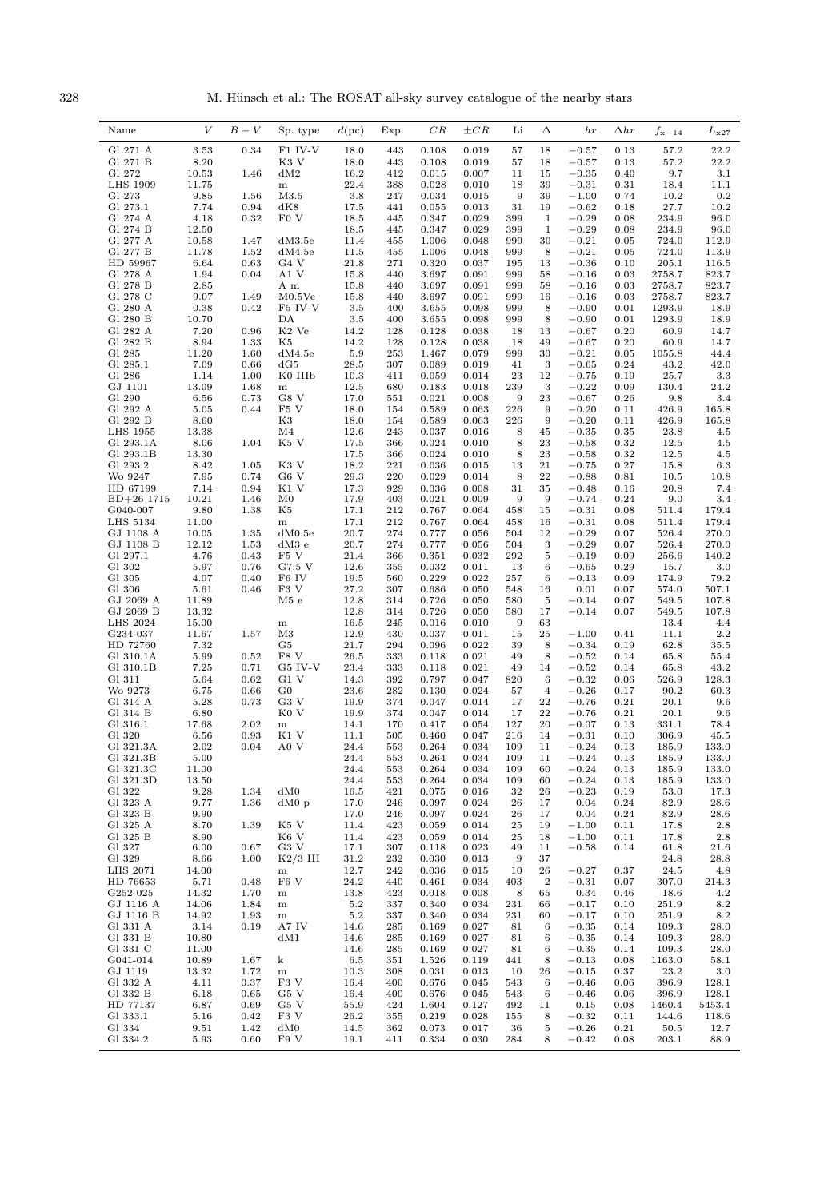328 M. Hünsch et al.: The ROSAT all-sky survey catalogue of the nearby stars

| $\boldsymbol{V}$<br>$B-V$<br>CR<br>Sp. type<br>d(pc)<br>$\pm CR$<br>Li<br>Δ<br>Name<br>Exp.<br>hr<br>$_{\Delta hr}$                                                                        |                                  | $L_{\rm x27}$  |
|--------------------------------------------------------------------------------------------------------------------------------------------------------------------------------------------|----------------------------------|----------------|
| 0.34<br>F1 IV-V<br>Gl 271 A<br>3.53<br>18.0<br>443<br>0.108<br>0.019<br>57<br>18<br>$^{+0.57}$                                                                                             | 0.13<br>57.2                     | 22.2           |
| 8.20<br>K <sub>3</sub> V<br>Gl 271 B<br>18.0<br>443<br>0.108<br>0.019<br>57<br>18<br>$^{+0.57}$                                                                                            | 0.13<br>57.2                     | 22.2           |
| Gl 272<br>10.53<br>dM2<br>16.2<br>0.015<br>1.46<br>412<br>0.007<br>11<br>15<br>$-0.35$                                                                                                     | 0.40<br>9.7                      | 3.1            |
| 22.4<br><b>LHS 1909</b><br>11.75<br>388<br>0.028<br>0.010<br>18<br>39<br>$-0.31$<br>${\bf m}$<br>Gl 273<br>9.85<br>M3.5<br>3.8<br>9<br>39<br>$-1.00$<br>1.56<br>247<br>0.034<br>0.015      | 0.31<br>18.4<br>10.2<br>0.74     | 11.1<br>0.2    |
| 7.74<br>Gl 273.1<br>0.94<br>dK8<br>17.5<br>0.013<br>$-0.62$<br>441<br>0.055<br>31<br>19                                                                                                    | 27.7<br>0.18                     | 10.2           |
| F0 V<br>Gl 274 A<br>4.18<br>0.32<br>18.5<br>445<br>0.347<br>0.029<br>399<br>$\mathbf{1}$<br>$-0.29$                                                                                        | 0.08<br>234.9                    | 96.0           |
| 12.50<br>$\mathbf{1}$<br>Gl 274 B<br>18.5<br>445<br>0.347<br>0.029<br>399<br>$-0.29$                                                                                                       | 0.08<br>234.9                    | 96.0           |
| Gl 277 A<br>10.58<br>$-0.21$<br>1.47<br>dM3.5e<br>11.4<br>1.006<br>0.048<br>999<br>30<br>455                                                                                               | 724.0<br>0.05                    | 112.9          |
| Gl 277 B<br>11.78<br>1.52<br>dM4.5e<br>11.5<br>455<br>1.006<br>0.048<br>999<br>8<br>$-0.21$<br>0.63<br>HD 59967<br>6.64<br>G4 V<br>21.8<br>271<br>0.320<br>0.037<br>195<br>13<br>$-0.36$   | 0.05<br>724.0<br>0.10<br>205.1   | 113.9<br>116.5 |
| Gl 278 A<br>1.94<br>3.697<br>0.091<br>$-0.16$<br>0.04<br>A1 V<br>15.8<br>440<br>999<br>58                                                                                                  | 2758.7<br>0.03                   | 823.7          |
| Gl 278 B<br>2.85<br>A m<br>15.8<br>440<br>3.697<br>0.091<br>999<br>58<br>$-0.16$                                                                                                           | 0.03<br>2758.7                   | 823.7          |
| Gl 278 C<br>9.07<br>1.49<br>M0.5Ve<br>15.8<br>440<br>3.697<br>0.091<br>999<br>16<br>$-0.16$                                                                                                | 0.03<br>2758.7                   | 823.7          |
| Gl 280 A<br>0.38<br>0.42<br>0.098<br>999<br>F5 IV-V<br>3.5<br>400<br>3.655<br>8<br>$-0.90$<br>8<br>Gl 280 B<br>10.70<br>DA<br>3.5<br>400<br>3.655<br>0.098<br>999<br>$-0.90$               | 1293.9<br>0.01<br>0.01<br>1293.9 | 18.9<br>18.9   |
| Gl 282 A<br>7.20<br>$\mathrm{K2}$ Ve<br>0.96<br>14.2<br>128<br>0.128<br>0.038<br>18<br>13<br>$-0.67$                                                                                       | 0.20<br>60.9                     | 14.7           |
| Gl 282 B<br>8.94<br>1.33<br>14.2<br>128<br>0.128<br>0.038<br>K5<br>18<br>49<br>$-0.67$                                                                                                     | 0.20<br>60.9                     | 14.7           |
| 11.20<br>Gl 285<br>1.60<br>dM4.5e<br>5.9<br>253<br>1.467<br>0.079<br>999<br>30<br>$-0.21$                                                                                                  | 0.05<br>1055.8                   | 44.4           |
| Gl 285.1<br>7.09<br>$\,3$<br>0.66<br>dG5<br>28.5<br>307<br>0.089<br>0.019<br>41<br>$-0.65$                                                                                                 | 0.24<br>43.2                     | 42.0           |
| 1.14<br>1.00<br>0.059<br>0.014<br>23<br>12<br>Gl 286<br>K0 IIIb<br>10.3<br>411<br>$-0.75$<br>13.09<br>GJ 1101<br>1.68<br>12.5<br>680<br>0.183<br>0.018<br>239<br>3<br>$-0.22$<br>${\bf m}$ | 25.7<br>0.19<br>0.09<br>130.4    | 3.3<br>24.2    |
| Gl 290<br>G8 V<br>23<br>6.56<br>0.73<br>17.0<br>551<br>0.021<br>0.008<br>9<br>$-0.67$                                                                                                      | 0.26<br>9.8                      | 3.4            |
| Gl 292 A<br>5.05<br>F5 V<br>18.0<br>0.589<br>0.063<br>226<br>9<br>$-0.20$<br>0.44<br>154                                                                                                   | 426.9<br>0.11                    | 165.8          |
| 8.60<br>K3<br>9<br>Gl 292 B<br>18.0<br>154<br>0.589<br>0.063<br>226<br>$-0.20$                                                                                                             | 0.11<br>426.9                    | 165.8          |
| <b>LHS 1955</b><br>13.38<br>M4<br>12.6<br>243<br>0.037<br>0.016<br>8<br>45<br>$-0.35$<br>8.06<br>8<br>Gl 293.1A<br>1.04<br>K5 V<br>17.5<br>366<br>0.024<br>0.010<br>23<br>$-0.58$          | 0.35<br>23.8<br>0.32<br>12.5     | 4.5<br>4.5     |
| Gl 293.1B<br>13.30<br>17.5<br>8<br>23<br>366<br>0.024<br>0.010<br>$-0.58$                                                                                                                  | 0.32<br>12.5                     | 4.5            |
| 8.42<br>K3 V<br>21<br>Gl 293.2<br>1.05<br>18.2<br>221<br>0.036<br>0.015<br>13<br>$-0.75$                                                                                                   | 0.27<br>15.8                     | 6.3            |
| 7.95<br>0.74<br>G <sub>6</sub> V<br>29.3<br>0.029<br>22<br>Wo 9247<br>220<br>0.014<br>8<br>$-0.88$                                                                                         | 0.81<br>10.5                     | 10.8           |
| 7.14<br>K1 V<br>17.3<br>35<br>HD 67199<br>0.94<br>929<br>0.036<br>0.008<br>31<br>$-0.48$                                                                                                   | 0.16<br>20.8                     | 7.4            |
| 10.21<br>9<br>9<br>$BD+26$ 1715<br>1.46<br>M0<br>17.9<br>403<br>0.021<br>0.009<br>$-0.74$<br>9.80<br>G040-007<br>1.38<br>K5<br>17.1<br>212<br>0.767<br>0.064<br>458<br>15<br>$-0.31$       | 0.24<br>9.0<br>0.08<br>511.4     | 3.4<br>179.4   |
| 11.00<br>17.1<br>LHS 5134<br>212<br>0.767<br>0.064<br>16<br>$-0.31$<br>${\bf m}$<br>458                                                                                                    | 0.08<br>511.4                    | 179.4          |
| 20.7<br>274<br>$-0.29$<br>GJ 1108 A<br>10.05<br>1.35<br>dM0.5e<br>0.777<br>0.056<br>12<br>504                                                                                              | 0.07<br>526.4                    | 270.0          |
| 12.12<br>$\sqrt{3}$<br>$-0.29$<br>GJ 1108 B<br>1.53<br>$dM3$ e<br>20.7<br>274<br>0.777<br>0.056<br>504                                                                                     | 0.07<br>526.4                    | 270.0          |
| 4.76<br>F5 V<br>292<br>Gl 297.1<br>0.43<br>21.4<br>366<br>0.351<br>0.032<br>5<br>$-0.19$<br>Gl 302<br>5.97<br>0.76<br>G7.5 V<br>12.6<br>355<br>0.032<br>0.011<br>6<br>$-0.65$<br>13        | 0.09<br>256.6<br>0.29<br>15.7    | 140.2<br>3.0   |
| 4.07<br>Gl 305<br>0.40<br>F6 IV<br>19.5<br>560<br>0.229<br>0.022<br>257<br>6<br>$-0.13$                                                                                                    | 0.09<br>174.9                    | 79.2           |
| Gl 306<br>5.61<br>F3 V<br>27.2<br>307<br>0.686<br>0.46<br>0.050<br>548<br>16<br>0.01                                                                                                       | 0.07<br>574.0                    | 507.1          |
| 11.89<br>12.8<br>GJ 2069 A<br>M5e<br>314<br>0.726<br>0.050<br>580<br>5<br>$-0.14$                                                                                                          | 0.07<br>549.5                    | 107.8          |
| GJ 2069 B<br>13.32<br>12.8<br>314<br>0.726<br>0.050<br>580<br>17<br>$-0.14$<br>15.00<br>16.5<br>9<br>LHS 2024<br>245<br>0.016<br>0.010<br>63<br>${\bf m}$                                  | 0.07<br>549.5<br>13.4            | 107.8<br>4.4   |
| 12.9<br>25<br>G234-037<br>11.67<br>1.57<br>M3<br>430<br>0.037<br>0.011<br>15<br>$-1.00$                                                                                                    | 0.41<br>11.1                     | 2.2            |
| HD 72760<br>7.32<br>G5<br>21.7<br>294<br>0.096<br>0.022<br>39<br>8<br>$-0.34$                                                                                                              | 0.19<br>62.8                     | 35.5           |
| 5.99<br>F8 V<br>49<br>Gl 310.1A<br>0.52<br>26.5<br>333<br>0.118<br>0.021<br>8<br>$-0.52$                                                                                                   | 0.14<br>65.8                     | 55.4           |
| Gl 310.1B<br>7.25<br>0.71<br>G5 IV-V<br>23.4<br>0.021<br>49<br>333<br>0.118<br>14<br>$-0.52$<br>G1 V<br>Gl 311<br>5.64<br>0.62<br>14.3<br>392<br>0.797<br>0.047<br>820<br>6<br>$-0.32$     | 0.14<br>65.8<br>0.06<br>526.9    | 43.2<br>128.3  |
| 6.75<br>Wo 9273<br>0.66<br>$_{\rm G0}$<br>23.6<br>282<br>0.130<br>0.024<br>57<br>$\overline{4}$<br>$-0.26$                                                                                 | 0.17<br>90.2                     | 60.3           |
| 5.28<br>0.73<br>G3 V<br>19.9<br>22<br>$-0.76$<br>Gl 314 A<br>374<br>0.047<br>0.014<br>17                                                                                                   | 0.21<br>20.1                     | 9.6            |
| 6.80<br>Gl 314 B<br>K0 V<br>19.9<br>374<br>0.047<br>0.014<br>17<br>22<br>$-0.76$                                                                                                           | 0.21<br>20.1                     | 9.6            |
| Gl 316.1<br>17.68<br>2.02<br>14.1<br>0.417<br>0.054<br>127<br>$-0.07$<br>170<br>20<br>${\bf m}$<br>6.56<br>0.93<br>K1 V<br>0.460<br>216<br>Gl 320<br>11.1<br>505<br>0.047<br>14<br>$-0.31$ | 0.13<br>331.1<br>0.10<br>306.9   | 78.4<br>45.5   |
| Gl 321.3A<br>2.02<br>A0 V<br>24.4<br>553<br>0.264<br>0.034<br>109<br>11<br>$-0.24$<br>0.04                                                                                                 | 0.13<br>185.9                    | 133.0          |
| $-0.24$<br>Gl 321.3B<br>5.00<br>24.4<br>553<br>0.264<br>0.034<br>109<br>11                                                                                                                 | 0.13<br>185.9                    | 133.0          |
| Gl 321.3C<br>11.00<br>0.264<br>0.034<br>$-0.24$<br>24.4<br>553<br>109<br>60                                                                                                                | 0.13<br>185.9                    | 133.0          |
| Gl 321.3D<br>13.50<br>24.4<br>553<br>0.264<br>0.034<br>109<br>60<br>$-0.24$                                                                                                                | 0.13<br>185.9                    | 133.0          |
| 9.28<br>dM0<br>Gl 322<br>1.34<br>16.5<br>421<br>0.075<br>0.016<br>32<br>26<br>$-0.23$<br>9.77<br>Gl 323 A<br>1.36<br>$dM0$ p<br>17.0<br>246<br>0.097<br>0.024<br>26<br>17<br>0.04          | 0.19<br>53.0<br>0.24<br>82.9     | 17.3<br>28.6   |
| 9.90<br>Gl 323 B<br>17.0<br>246<br>0.097<br>0.024<br>26<br>17<br>0.04                                                                                                                      | 0.24<br>82.9                     | 28.6           |
| 8.70<br>K5 V<br>Gl 325 A<br>1.39<br>11.4<br>423<br>0.059<br>0.014<br>25<br>19<br>$-1.00$                                                                                                   | 0.11<br>17.8                     | 2.8            |
| Gl 325 B<br>8.90<br>K <sub>6</sub> V<br>11.4<br>423<br>0.059<br>0.014<br>25<br>18<br>$-1.00$                                                                                               | 0.11<br>17.8                     | 2.8            |
| Gl 327<br>6.00<br>0.67<br>G3 V<br>17.1<br>307<br>0.118<br>0.023<br>49<br>11<br>$-0.58$<br>8.66<br>Gl 329<br>1.00<br>$K2/3$ III<br>31.2<br>232<br>0.030<br>0.013<br>9<br>37                 | 0.14<br>61.8<br>24.8             | 21.6<br>28.8   |
| <b>LHS 2071</b><br>14.00<br>12.7<br>242<br>0.036<br>0.015<br>10<br>26<br>$-0.27$<br>m                                                                                                      | 0.37<br>24.5                     | 4.8            |
| $\overline{2}$<br>5.71<br>0.48<br>F <sub>6</sub> V<br>0.034<br>HD 76653<br>24.2<br>440<br>0.461<br>403<br>$-0.31$                                                                          | 0.07<br>307.0                    | 214.3          |
| 14.32<br>0.34<br>G252-025<br>1.70<br>13.8<br>423<br>0.018<br>0.008<br>8<br>65<br>${\bf m}$                                                                                                 | 0.46<br>18.6                     | 4.2            |
| GJ 1116 A<br>14.06<br>1.84<br>5.2<br>337<br>0.340<br>0.034<br>231<br>66<br>$-0.17$<br>m<br>GJ 1116 B<br>14.92<br>5.2<br>$-0.17$<br>1.93<br>337<br>0.340<br>0.034<br>231<br>60              | 0.10<br>251.9<br>251.9           | 8.2<br>8.2     |
| ${\bf m}$<br>3.14<br>A7 IV<br>Gl 331 A<br>0.19<br>14.6<br>285<br>0.027<br>$-0.35$<br>0.169<br>81<br>6                                                                                      | 0.10<br>0.14<br>109.3            | 28.0           |
| 10.80<br>Gl 331 B<br>dM1<br>14.6<br>285<br>0.169<br>0.027<br>81<br>6<br>$-0.35$                                                                                                            | 0.14<br>109.3                    | 28.0           |
| Gl 331 C<br>11.00<br>0.027<br>$-0.35$<br>14.6<br>285<br>0.169<br>81<br>6                                                                                                                   | 109.3<br>0.14                    | 28.0           |
| 10.89<br>6.5<br>$-0.13$<br>G041-014<br>1.67<br>k<br>351<br>1.526<br>0.119<br>8<br>441                                                                                                      | 1163.0<br>0.08                   | 58.1           |
| GJ 1119<br>13.32<br>1.72<br>10.3<br>308<br>0.031<br>0.013<br>10<br>26<br>$-0.15$<br>${\bf m}$<br>Gl 332 A<br>4.11<br>0.37<br>F3 V<br>0.045<br>6<br>16.4<br>400<br>0.676<br>543<br>$-0.46$  | 0.37<br>23.2<br>0.06<br>396.9    | 3.0<br>128.1   |
| 6.18<br>G5 V<br>Gl 332 B<br>0.65<br>16.4<br>400<br>0.676<br>0.045<br>$-0.46$<br>543<br>6                                                                                                   | 0.06<br>396.9                    | 128.1          |
| HD 77137<br>6.87<br>0.69<br>G5 V<br>55.9<br>424<br>1.604<br>0.127<br>492<br>11<br>0.15                                                                                                     | 0.08<br>1460.4                   | 5453.4         |
| F3 V<br>Gl 333.1<br>5.16<br>0.42<br>26.2<br>355<br>0.219<br>0.028<br>155<br>8<br>$-0.32$<br>Gl 334<br>9.51<br>1.42<br>dM0<br>14.5<br>0.017<br>36<br>$-0.26$<br>362<br>0.073<br>5           | 0.11<br>144.6<br>0.21<br>50.5    | 118.6<br>12.7  |
| Gl 334.2<br>5.93<br>0.60<br>F9 V<br>19.1<br>411<br>0.334<br>0.030<br>284<br>8<br>$-0.42$                                                                                                   | 0.08<br>203.1                    | 88.9           |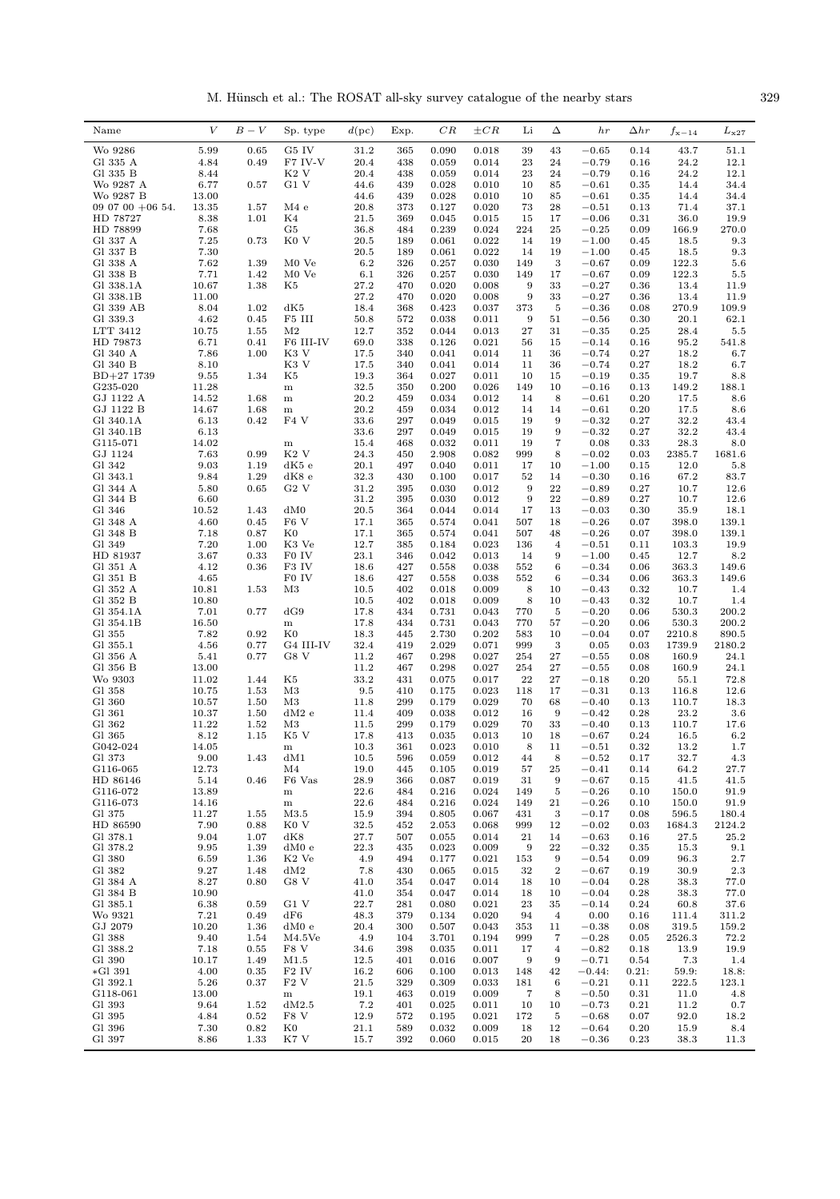M. Hünsch et al.: The ROSAT all-sky survey catalogue of the nearby stars  $329$ 

| Wo 9286<br>5.99<br>0.65<br>G5 IV<br>31.2<br>0.018<br>39<br>43<br>365<br>0.090<br>$-0.65$<br>0.14<br>F7 IV-V<br>20.4<br>Gl 335 A<br>4.84<br>0.49<br>438<br>0.059<br>0.014<br>23<br>24<br>$-0.79$<br>0.16<br>Gl 335 B<br>K2 V<br>20.4<br>$-0.79$<br>8.44<br>438<br>0.059<br>0.014<br>23<br>24<br>0.16<br>G1 V<br>Wo 9287 A<br>6.77<br>0.57<br>44.6<br>439<br>0.028<br>0.010<br>85<br>$-0.61$<br>0.35<br>10<br>Wo 9287 B<br>13.00<br>44.6<br>439<br>0.028<br>0.010<br>10<br>85<br>$-0.61$<br>0.35 | 43.7<br>51.1<br>24.2<br>12.1<br>24.2<br>12.1<br>14.4<br>34.4<br>14.4<br>34.4<br>71.4<br>37.1 |
|------------------------------------------------------------------------------------------------------------------------------------------------------------------------------------------------------------------------------------------------------------------------------------------------------------------------------------------------------------------------------------------------------------------------------------------------------------------------------------------------|----------------------------------------------------------------------------------------------|
|                                                                                                                                                                                                                                                                                                                                                                                                                                                                                                |                                                                                              |
|                                                                                                                                                                                                                                                                                                                                                                                                                                                                                                |                                                                                              |
|                                                                                                                                                                                                                                                                                                                                                                                                                                                                                                |                                                                                              |
|                                                                                                                                                                                                                                                                                                                                                                                                                                                                                                |                                                                                              |
|                                                                                                                                                                                                                                                                                                                                                                                                                                                                                                |                                                                                              |
| 20.8<br>09 07 00 $+06$ 54.<br>13.35<br>1.57<br>M4e<br>373<br>0.127<br>0.020<br>73<br>28<br>$-0.51$<br>0.13                                                                                                                                                                                                                                                                                                                                                                                     |                                                                                              |
| K4<br>17<br>HD 78727<br>8.38<br>1.01<br>21.5<br>369<br>0.045<br>0.015<br>15<br>$-0.06$<br>0.31                                                                                                                                                                                                                                                                                                                                                                                                 | 19.9<br>36.0                                                                                 |
| HD 78899<br>7.68<br>224<br>G5<br>36.8<br>0.239<br>0.024<br>25<br>$-0.25$<br>0.09<br>484                                                                                                                                                                                                                                                                                                                                                                                                        | 166.9<br>270.0                                                                               |
| Gl 337 A<br>7.25<br>K <sub>0</sub> V<br>20.5<br>0.022<br>0.73<br>189<br>0.061<br>14<br>19<br>$-1.00$<br>0.45<br>7.30<br>20.5<br>0.022<br>Gl 337 B<br>189<br>0.061<br>14<br>19<br>$-1.00$<br>0.45                                                                                                                                                                                                                                                                                               | 9.3<br>18.5<br>18.5<br>9.3                                                                   |
| M0 Ve<br>6.2<br>3<br>Gl 338 A<br>7.62<br>1.39<br>326<br>0.257<br>0.030<br>149<br>$-0.67$<br>0.09                                                                                                                                                                                                                                                                                                                                                                                               | 122.3<br>5.6                                                                                 |
| Gl 338 B<br>7.71<br>1.42<br>M0 Ve<br>6.1<br>326<br>0.257<br>0.030<br>149<br>17<br>$-0.67$<br>0.09                                                                                                                                                                                                                                                                                                                                                                                              | 122.3<br>5.5                                                                                 |
| 10.67<br>1.38<br>27.2<br>0.020<br>0.008<br>9<br>33<br>Gl 338.1A<br>K5<br>470<br>$-0.27$<br>0.36                                                                                                                                                                                                                                                                                                                                                                                                | 13.4<br>11.9                                                                                 |
| Gl 338.1B<br>27.2<br>0.020<br>9<br>11.00<br>470<br>0.008<br>33<br>$-0.27$<br>0.36                                                                                                                                                                                                                                                                                                                                                                                                              | 13.4<br>11.9                                                                                 |
| Gl 339 AB<br>8.04<br>1.02<br>dK5<br>18.4<br>368<br>0.423<br>0.037<br>373<br>5<br>$-0.36$<br>0.08                                                                                                                                                                                                                                                                                                                                                                                               | 270.9<br>109.9                                                                               |
| 4.62<br>F5 III<br>9<br>Gl 339.3<br>0.45<br>50.8<br>572<br>0.038<br>0.011<br>51<br>$-0.56$<br>0.30                                                                                                                                                                                                                                                                                                                                                                                              | 20.1<br>62.1                                                                                 |
| 12.7<br>LTT 3412<br>10.75<br>M <sub>2</sub><br>0.044<br>$27\,$<br>31<br>1.55<br>352<br>0.013<br>$-0.35$<br>0.25                                                                                                                                                                                                                                                                                                                                                                                | 28.4<br>5.5                                                                                  |
| HD 79873<br>6.71<br>0.41<br>F6 III-IV<br>69.0<br>338<br>0.126<br>0.021<br>56<br>15<br>$-0.14$<br>0.16                                                                                                                                                                                                                                                                                                                                                                                          | 95.2<br>541.8                                                                                |
| K3 V<br>Gl 340 A<br>7.86<br>1.00<br>17.5<br>340<br>0.041<br>0.014<br>11<br>36<br>$-0.74$<br>0.27                                                                                                                                                                                                                                                                                                                                                                                               | 18.2<br>6.7                                                                                  |
| Gl 340 B<br>8.10<br>K3 V<br>0.041<br>11<br>$-0.74$<br>17.5<br>340<br>0.014<br>36<br>0.27<br>$BD+27$ 1739<br>9.55<br>1.34<br>K5<br>19.3<br>364<br>0.027<br>0.011<br>10<br>15<br>$-0.19$<br>0.35                                                                                                                                                                                                                                                                                                 | 18.2<br>6.7<br>19.7<br>8.8                                                                   |
| 32.5<br>G235-020<br>11.28<br>350<br>0.200<br>0.026<br>149<br>10<br>$-0.16$<br>0.13<br>${\bf m}$                                                                                                                                                                                                                                                                                                                                                                                                | 149.2<br>188.1                                                                               |
| GJ 1122 A<br>14.52<br>1.68<br>20.2<br>0.034<br>459<br>0.012<br>14<br>8<br>$-0.61$<br>0.20<br>$\,$ m                                                                                                                                                                                                                                                                                                                                                                                            | 17.5<br>8.6                                                                                  |
| 20.2<br>GJ 1122 B<br>14.67<br>1.68<br>459<br>0.034<br>0.012<br>14<br>14<br>$-0.61$<br>0.20<br>m                                                                                                                                                                                                                                                                                                                                                                                                | 17.5<br>8.6                                                                                  |
| 0.42<br>$\mathrm{F4}$ V<br>33.6<br>297<br>9<br>Gl 340.1A<br>6.13<br>0.049<br>0.015<br>19<br>$-0.32$<br>0.27                                                                                                                                                                                                                                                                                                                                                                                    | 32.2<br>43.4                                                                                 |
| 6.13<br>33.6<br>297<br>0.049<br>9<br>$-0.32$<br>Gl 340.1B<br>0.015<br>19<br>0.27                                                                                                                                                                                                                                                                                                                                                                                                               | 32.2<br>43.4                                                                                 |
| $\overline{7}$<br>G115-071<br>14.02<br>15.4<br>0.032<br>0.011<br>19<br>0.08<br>0.33<br>468<br>${\bf m}$                                                                                                                                                                                                                                                                                                                                                                                        | 28.3<br>8.0                                                                                  |
| K <sub>2</sub> V<br>24.3<br>2385.7<br>GJ 1124<br>7.63<br>0.99<br>450<br>2.908<br>0.082<br>999<br>8<br>$-0.02$<br>0.03                                                                                                                                                                                                                                                                                                                                                                          | 1681.6                                                                                       |
| Gl 342<br>9.03<br>1.19<br>dK5 e<br>20.1<br>497<br>17<br>10<br>$-1.00$<br>0.040<br>0.011<br>0.15                                                                                                                                                                                                                                                                                                                                                                                                | 12.0<br>5.8                                                                                  |
| 1.29<br>Gl 343.1<br>9.84<br>dK8 e<br>32.3<br>430<br>0.100<br>0.017<br>52<br>14<br>$-0.30$<br>0.16                                                                                                                                                                                                                                                                                                                                                                                              | 67.2<br>83.7                                                                                 |
| $G2$ V<br>9<br>${\bf 22}$<br>Gl 344 A<br>5.80<br>0.65<br>31.2<br>395<br>0.030<br>0.012<br>$-0.89$<br>0.27<br>Gl 344 B<br>6.60<br>395<br>0.030<br>9<br>22                                                                                                                                                                                                                                                                                                                                       | 10.7<br>12.6<br>10.7                                                                         |
| 31.2<br>0.012<br>$-0.89$<br>0.27<br>Gl 346<br>dM0<br>$20.5\,$<br>10.52<br>1.43<br>364<br>0.044<br>0.014<br>17<br>13<br>$-0.03$<br>0.30                                                                                                                                                                                                                                                                                                                                                         | 12.6<br>35.9<br>18.1                                                                         |
| F6 V<br>17.1<br>Gl 348 A<br>4.60<br>0.45<br>365<br>0.574<br>0.041<br>507<br>18<br>$-0.26$<br>0.07                                                                                                                                                                                                                                                                                                                                                                                              | 398.0<br>139.1                                                                               |
| Gl 348 B<br>7.18<br>0.87<br>K0<br>17.1<br>365<br>0.574<br>0.041<br>507<br>48<br>$-0.26$<br>0.07<br>398.0                                                                                                                                                                                                                                                                                                                                                                                       | 139.1                                                                                        |
| Gl 349<br>7.20<br>K3 Ve<br>12.7<br>1.00<br>385<br>0.184<br>0.023<br>136<br>$\overline{4}$<br>$-0.51$<br>0.11                                                                                                                                                                                                                                                                                                                                                                                   | 19.9<br>103.3                                                                                |
| HD 81937<br>F0 IV<br>23.1<br>3.67<br>0.33<br>346<br>0.042<br>0.013<br>14<br>9<br>$-1.00$<br>0.45                                                                                                                                                                                                                                                                                                                                                                                               | 12.7<br>8.2                                                                                  |
| F3 IV<br>18.6<br>552<br>363.3<br>Gl 351 A<br>4.12<br>0.36<br>427<br>0.558<br>0.038<br>6<br>$-0.34$<br>0.06                                                                                                                                                                                                                                                                                                                                                                                     | 149.6                                                                                        |
| 4.65<br>F0 IV<br>552<br>Gl 351 B<br>18.6<br>427<br>0.558<br>0.038<br>6<br>$-0.34$<br>0.06                                                                                                                                                                                                                                                                                                                                                                                                      | 363.3<br>149.6                                                                               |
| M <sub>3</sub><br>8<br>Gl 352 A<br>10.81<br>1.53<br>10.5<br>402<br>0.018<br>0.009<br>10<br>$-0.43$<br>0.32                                                                                                                                                                                                                                                                                                                                                                                     | 10.7<br>1.4                                                                                  |
| 8<br>Gl 352 B<br>10.80<br>10.5<br>402<br>0.018<br>0.009<br>10<br>$-0.43$<br>0.32                                                                                                                                                                                                                                                                                                                                                                                                               | 10.7<br>1.4                                                                                  |
| dG9<br>5<br>Gl 354.1A<br>7.01<br>0.77<br>17.8<br>434<br>0.731<br>0.043<br>$-0.20$<br>0.06<br>770                                                                                                                                                                                                                                                                                                                                                                                               | 530.3<br>200.2                                                                               |
| 17.8<br>770<br>$-0.20$<br>Gl 354.1B<br>16.50<br>434<br>0.731<br>0.043<br>57<br>0.06<br>${\bf m}$<br>0.92<br>$_{\rm K0}$<br>583                                                                                                                                                                                                                                                                                                                                                                 | 530.3<br>200.2                                                                               |
| Gl 355<br>7.82<br>18.3<br>445<br>2.730<br>0.202<br>10<br>$-0.04$<br>0.07<br>2210.8<br>4.56<br>G4 III-IV<br>32.4<br>2.029<br>999<br>3<br>0.05<br>Gl 355.1<br>0.77<br>419<br>0.071<br>0.03<br>1739.9                                                                                                                                                                                                                                                                                             | 890.5<br>2180.2                                                                              |
| 0.77<br>11.2<br>254<br>$\bf{27}$<br>Gl 356 A<br>5.41<br>G8 V<br>467<br>0.298<br>0.027<br>$-0.55$<br>0.08<br>160.9                                                                                                                                                                                                                                                                                                                                                                              | 24.1                                                                                         |
| Gl 356 B<br>13.00<br>11.2<br>467<br>0.298<br>0.027<br>254<br>27<br>$-0.55$<br>0.08<br>160.9                                                                                                                                                                                                                                                                                                                                                                                                    | 24.1                                                                                         |
| Wo 9303<br>K5<br>33.2<br>0.075<br>22<br>27<br>$-0.18$<br>11.02<br>1.44<br>431<br>0.017<br>0.20                                                                                                                                                                                                                                                                                                                                                                                                 | 72.8<br>55.1                                                                                 |
| M <sub>3</sub><br>9.5<br>0.023<br>Gl 358<br>10.75<br>1.53<br>410<br>0.175<br>118<br>17<br>$-0.31$<br>0.13<br>116.8                                                                                                                                                                                                                                                                                                                                                                             | 12.6                                                                                         |
| Gl 360<br>10.57<br>1.50<br>M3<br>11.8<br>299<br>0.179<br>0.029<br>70<br>68<br>$-0.40$<br>0.13<br>110.7                                                                                                                                                                                                                                                                                                                                                                                         | 18.3                                                                                         |
| 9<br>Gl 361<br>10.37<br>1.50<br>dM2 e<br>11.4<br>409<br>0.038<br>0.012<br>16<br>$-0.42$<br>0.28                                                                                                                                                                                                                                                                                                                                                                                                | 23.2<br>3.6                                                                                  |
| Gl 362<br>11.22<br>11.5<br>299<br>0.029<br>70<br>33<br>1.52<br>M3<br>0.179<br>$-0.40$<br>0.13                                                                                                                                                                                                                                                                                                                                                                                                  | 110.7<br>17.6                                                                                |
| Gl 365<br>8.12<br>1.15<br>K5 V<br>17.8<br>413<br>0.035<br>0.013<br>10<br>18<br>$-0.67$<br>0.24<br>G042-024<br>14.05<br>10.3<br>361<br>0.023<br>0.010<br>8<br>11<br>0.32<br>$-0.51$                                                                                                                                                                                                                                                                                                             | 16.5<br>$6.2\,$<br>13.2<br>$1.7^{\circ}$                                                     |
| m<br>Gl 373<br>$\,9.00$<br>dM1<br>1.43<br>10.5<br>0.059<br>0.012<br>8<br>$-0.52$<br>0.17<br>596<br>44                                                                                                                                                                                                                                                                                                                                                                                          | 32.7<br>4.3                                                                                  |
| 12.73<br>M4<br>19.0<br>G116-065<br>445<br>0.105<br>0.019<br>57<br>25<br>$-0.41$<br>0.14                                                                                                                                                                                                                                                                                                                                                                                                        | 64.2<br>27.7                                                                                 |
| HD 86146<br>5.14<br>0.46<br>F <sub>6</sub> Vas<br>28.9<br>0.087<br>0.019<br>9<br>$-0.67$<br>366<br>31<br>0.15                                                                                                                                                                                                                                                                                                                                                                                  | 41.5<br>41.5                                                                                 |
| G116-072<br>13.89<br>22.6<br>0.024<br>$-0.26$<br>150.0<br>484<br>0.216<br>149<br>5<br>0.10<br>$\, {\rm m}$                                                                                                                                                                                                                                                                                                                                                                                     | 91.9                                                                                         |
| G116-073<br>14.16<br>22.6<br>0.216<br>0.024<br>149<br>21<br>$-0.26$<br>150.0<br>${\bf m}$<br>484<br>0.10                                                                                                                                                                                                                                                                                                                                                                                       | 91.9                                                                                         |
| Gl 375<br>11.27<br>15.9<br>0.805<br>3<br>$-0.17$<br>1.55<br>M3.5<br>394<br>0.067<br>431<br>0.08<br>596.5                                                                                                                                                                                                                                                                                                                                                                                       | 180.4                                                                                        |
| HD 86590<br>7.90<br>K <sub>0</sub> V<br>32.5<br>999<br>$-0.02$<br>0.88<br>452<br>2.053<br>0.068<br>12<br>0.03<br>1684.3                                                                                                                                                                                                                                                                                                                                                                        | 2124.2                                                                                       |
| Gl 378.1<br>9.04<br>1.07<br>dK8<br>27.7<br>507<br>0.055<br>21<br>14<br>$-0.63$<br>0.16<br>0.014                                                                                                                                                                                                                                                                                                                                                                                                | 27.5<br>25.2                                                                                 |
| Gl 378.2<br>9.95<br>1.39<br>dM0e<br>22.3<br>0.023<br>9<br>22<br>$-0.32$<br>435<br>0.009<br>0.35<br>9                                                                                                                                                                                                                                                                                                                                                                                           | 15.3<br>9.1                                                                                  |
| Gl 380<br>6.59<br>1.36<br>K <sub>2</sub> Ve<br>4.9<br>0.177<br>$-0.54$<br>494<br>0.021<br>0.09<br>153<br>9.27<br>$\,2$<br>Gl 382<br>1.48<br>dM2<br>7.8<br>430<br>0.065<br>0.015<br>$-0.67$<br>0.19<br>32                                                                                                                                                                                                                                                                                       | 96.3<br>2.7<br>30.9<br>2.3                                                                   |
| 8.27<br>G8 V<br>Gl 384 A<br>0.80<br>41.0<br>354<br>0.047<br>0.014<br>10<br>$-0.04$<br>0.28<br>18                                                                                                                                                                                                                                                                                                                                                                                               | 38.3<br>77.0                                                                                 |
| Gl 384 B<br>10.90<br>41.0<br>0.014<br>$-0.04$<br>354<br>0.047<br>18<br>10<br>0.28                                                                                                                                                                                                                                                                                                                                                                                                              | 38.3<br>77.0                                                                                 |
| Gl 385.1<br>6.38<br>G1 V<br>22.7<br>0.59<br>281<br>0.080<br>0.021<br>23<br>35<br>$-0.14$<br>0.24                                                                                                                                                                                                                                                                                                                                                                                               | 37.6<br>60.8                                                                                 |
| Wo 9321<br>7.21<br>${\rm dF6}$<br>0.00<br>0.49<br>48.3<br>379<br>0.134<br>0.020<br>94<br>$\overline{4}$<br>0.16<br>111.4                                                                                                                                                                                                                                                                                                                                                                       | 311.2                                                                                        |
| GJ 2079<br>20.4<br>10.20<br>1.36<br>dM0 e<br>300<br>0.507<br>0.043<br>353<br>$-0.38$<br>0.08<br>319.5<br>11                                                                                                                                                                                                                                                                                                                                                                                    | 159.2                                                                                        |
| 9.40<br>4.9<br>$\overline{7}$<br>Gl 388<br>1.54<br>M4.5Ve<br>104<br>3.701<br>0.194<br>999<br>$-0.28$<br>0.05<br>2526.3                                                                                                                                                                                                                                                                                                                                                                         | 72.2                                                                                         |
| Gl 388.2<br>7.18<br>F8 V<br>34.6<br>0.035<br>$-0.82$<br>0.55<br>398<br>0.011<br>17<br>$\overline{\mathbf{4}}$<br>0.18                                                                                                                                                                                                                                                                                                                                                                          | 19.9<br>13.9                                                                                 |
| 12.5<br>9<br>Gl 390<br>10.17<br>1.49<br>M1.5<br>401<br>0.016<br>0.007<br>9<br>$-0.71$<br>0.54                                                                                                                                                                                                                                                                                                                                                                                                  | 7.3<br>1.4                                                                                   |
| 4.00<br>16.2<br>42<br>*Gl 391<br>0.35<br>F <sub>2</sub> IV<br>606<br>0.100<br>0.013<br>148<br>$-0.44:$<br>0.21:                                                                                                                                                                                                                                                                                                                                                                                | 59.9:<br>18.8:                                                                               |
| Gl 392.1<br>5.26<br>F2V<br>21.5<br>0.309<br>$-0.21$<br>222.5<br>0.37<br>329<br>0.033<br>181<br>6<br>0.11<br>G118-061<br>13.00<br>19.1<br>$-0.50$<br>463<br>0.019<br>0.009<br>7<br>8<br>0.31<br>$\, {\rm m}$                                                                                                                                                                                                                                                                                    | 123.1<br>11.0<br>4.8                                                                         |
| Gl 393<br>9.64<br>7.2<br>1.52<br>dM2.5<br>401<br>0.025<br>0.011<br>10<br>10<br>$-0.73$<br>0.21                                                                                                                                                                                                                                                                                                                                                                                                 | 11.2<br>0.7                                                                                  |
| Gl 395<br>F8 V<br>12.9<br>$-0.68$<br>4.84<br>0.52<br>0.195<br>0.021<br>172<br>0.07<br>572<br>5                                                                                                                                                                                                                                                                                                                                                                                                 | 92.0<br>18.2                                                                                 |
| Gl 396<br>7.30<br>0.82<br>$_{\rm K0}$<br>21.1<br>0.032<br>0.009<br>12<br>$-0.64$<br>589<br>18<br>0.20                                                                                                                                                                                                                                                                                                                                                                                          | 15.9<br>8.4                                                                                  |
| Gl 397<br>1.33<br>K7 V<br>20<br>18<br>8.86<br>15.7<br>392<br>0.060<br>0.015<br>$-0.36$<br>0.23                                                                                                                                                                                                                                                                                                                                                                                                 | 38.3<br>11.3                                                                                 |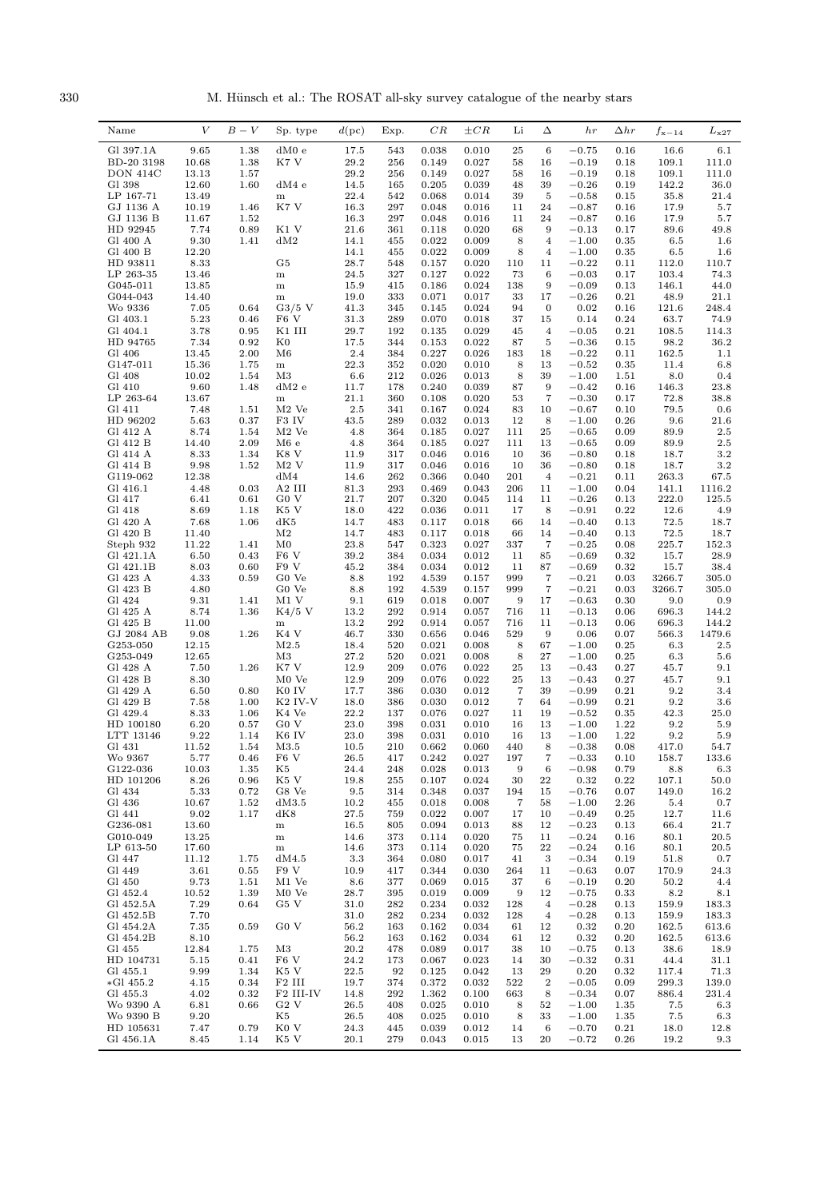330 M. Hünsch et al.: The ROSAT all-sky survey catalogue of the nearby stars

| Name                   | V              | $B-V$        | Sp. type                              | $d(\mathrm{pc})$ | Exp.       | $_{CR}$        | $\pm CR$       | Li                | Δ                       | h r                | $\Delta hr$  | $f_{\rm x-14}$ | $L_{\rm x27}$     |
|------------------------|----------------|--------------|---------------------------------------|------------------|------------|----------------|----------------|-------------------|-------------------------|--------------------|--------------|----------------|-------------------|
| Gl 397.1A              | 9.65           | 1.38         | dM0e                                  | 17.5             | 543        | 0.038          | 0.010          | 25                | 6                       | $-0.75$            | 0.16         | 16.6           | 6.1               |
| BD-20 3198             | 10.68          | 1.38         | K7 V                                  | 29.2             | 256        | 0.149          | 0.027          | 58                | 16                      | $-0.19$            | 0.18         | 109.1          | 111.0             |
| DON 414C               | 13.13          | 1.57         |                                       | 29.2             | 256        | 0.149          | 0.027          | 58                | 16                      | $-0.19$            | 0.18         | 109.1          | 111.0             |
| Gl 398<br>LP 167-71    | 12.60<br>13.49 | 1.60         | dM4e<br>${\bf m}$                     | 14.5<br>22.4     | 165<br>542 | 0.205<br>0.068 | 0.039<br>0.014 | 48<br>39          | 39<br>5                 | $-0.26$<br>$-0.58$ | 0.19<br>0.15 | 142.2<br>35.8  | 36.0<br>21.4      |
| GJ 1136 A              | 10.19          | 1.46         | K7 V                                  | 16.3             | 297        | 0.048          | 0.016          | 11                | 24                      | $-0.87$            | 0.16         | 17.9           | 5.7               |
| GJ 1136 B              | 11.67          | 1.52         |                                       | 16.3             | 297        | 0.048          | 0.016          | 11                | 24                      | $-0.87$            | 0.16         | 17.9           | 5.7               |
| HD 92945               | 7.74           | 0.89         | K1 V                                  | 21.6             | 361        | 0.118          | 0.020          | 68                | 9                       | $-0.13$            | 0.17         | 89.6           | 49.8              |
| Gl 400 A               | 9.30           | 1.41         | dM2                                   | 14.1             | 455        | 0.022          | 0.009          | 8                 | $\overline{\mathbf{4}}$ | $-1.00$            | 0.35         | 6.5            | 1.6               |
| Gl 400 B<br>HD 93811   | 12.20<br>8.33  |              | G5                                    | 14.1<br>28.7     | 455<br>548 | 0.022<br>0.157 | 0.009<br>0.020 | 8<br>110          | $\overline{4}$<br>11    | $-1.00$<br>$-0.22$ | 0.35<br>0.11 | 6.5<br>112.0   | 1.6<br>110.7      |
| LP 263-35              | 13.46          |              | ${\bf m}$                             | 24.5             | 327        | 0.127          | 0.022          | 73                | 6                       | $-0.03$            | 0.17         | 103.4          | 74.3              |
| G045-011               | 13.85          |              | ${\bf m}$                             | 15.9             | 415        | 0.186          | 0.024          | 138               | $\boldsymbol{9}$        | $-0.09$            | 0.13         | 146.1          | 44.0              |
| G044-043               | 14.40          |              | m                                     | 19.0             | 333        | 0.071          | 0.017          | 33                | 17                      | $-0.26$            | 0.21         | 48.9           | 21.1              |
| Wo 9336                | 7.05           | 0.64         | $G3/5$ V<br>F <sub>6</sub> V          | 41.3             | 345        | 0.145          | 0.024          | 94                | $\mathbf{0}$            | 0.02               | 0.16         | 121.6          | 248.4             |
| Gl 403.1<br>Gl 404.1   | 5.23<br>3.78   | 0.46<br>0.95 | K1 III                                | 31.3<br>29.7     | 289<br>192 | 0.070<br>0.135 | 0.018<br>0.029 | 37<br>45          | 15<br>$\bf{4}$          | 0.14<br>$-0.05$    | 0.24<br>0.21 | 63.7<br>108.5  | 74.9<br>114.3     |
| HD 94765               | 7.34           | 0.92         | $_{\rm K0}$                           | 17.5             | 344        | 0.153          | 0.022          | 87                | 5                       | $-0.36$            | 0.15         | 98.2           | 36.2              |
| Gl 406                 | 13.45          | 2.00         | M6                                    | 2.4              | 384        | 0.227          | 0.026          | 183               | 18                      | $-0.22$            | 0.11         | 162.5          | 1.1               |
| G147-011               | 15.36          | 1.75         | m                                     | 22.3             | 352        | 0.020          | 0.010          | 8                 | 13                      | $-0.52$            | 0.35         | 11.4           | 6.8               |
| Gl 408                 | 10.02          | 1.54         | M3                                    | 6.6              | 212        | 0.026          | 0.013          | 8                 | 39                      | $-1.00$            | 1.51         | 8.0            | 0.4               |
| Gl 410<br>LP 263-64    | 9.60<br>13.67  | 1.48         | dM2e<br>$\, {\rm m}$                  | 11.7<br>21.1     | 178<br>360 | 0.240<br>0.108 | 0.039<br>0.020 | 87<br>53          | 9<br>7                  | $-0.42$<br>$-0.30$ | 0.16<br>0.17 | 146.3<br>72.8  | 23.8<br>38.8      |
| Gl 411                 | 7.48           | 1.51         | $M2$ Ve                               | 2.5              | 341        | 0.167          | 0.024          | 83                | 10                      | $-0.67$            | 0.10         | 79.5           | 0.6               |
| HD 96202               | 5.63           | 0.37         | F3 IV                                 | 43.5             | 289        | 0.032          | 0.013          | 12                | 8                       | $-1.00$            | 0.26         | 9.6            | 21.6              |
| Gl 412 A               | 8.74           | 1.54         | $M2$ Ve                               | 4.8              | 364        | 0.185          | 0.027          | 111               | $\bf 25$                | $-0.65$            | 0.09         | 89.9           | $2.5\,$           |
| Gl 412 B               | 14.40          | 2.09         | M6e                                   | 4.8              | 364        | 0.185          | 0.027          | 111               | 13                      | $-0.65$            | 0.09         | 89.9           | $2.5\,$           |
| Gl 414 A<br>Gl 414 B   | 8.33<br>9.98   | 1.34<br>1.52 | K8 V<br>M2V                           | 11.9<br>11.9     | 317<br>317 | 0.046<br>0.046 | 0.016<br>0.016 | 10<br>10          | 36<br>36                | $-0.80$<br>$-0.80$ | 0.18<br>0.18 | 18.7<br>18.7   | 3.2<br>3.2        |
| G119-062               | 12.38          |              | dM4                                   | 14.6             | 262        | 0.366          | 0.040          | 201               | $\overline{4}$          | $-0.21$            | 0.11         | 263.3          | 67.5              |
| Gl 416.1               | 4.48           | 0.03         | A2 III                                | 81.3             | 293        | 0.469          | 0.043          | 206               | 11                      | $-1.00$            | 0.04         | 141.1          | 1116.2            |
| Gl 417                 | 6.41           | 0.61         | G <sub>0</sub> V                      | 21.7             | 207        | 0.320          | 0.045          | 114               | 11                      | $-0.26$            | 0.13         | 222.0          | 125.5             |
| Gl 418                 | 8.69           | 1.18         | K5 V                                  | 18.0             | 422        | 0.036          | 0.011          | 17                | 8                       | $-0.91$            | 0.22         | 12.6           | 4.9               |
| Gl 420 A<br>Gl 420 B   | 7.68<br>11.40  | 1.06         | dK5<br>$\rm M2$                       | 14.7<br>14.7     | 483<br>483 | 0.117<br>0.117 | 0.018<br>0.018 | 66<br>66          | 14<br>14                | $-0.40$<br>$-0.40$ | 0.13<br>0.13 | 72.5<br>72.5   | 18.7<br>18.7      |
| Steph 932              | 11.22          | 1.41         | $_{\rm M0}$                           | 23.8             | 547        | 0.323          | 0.027          | 337               | $\overline{7}$          | $-0.25$            | 0.08         | 225.7          | 152.3             |
| Gl 421.1A              | 6.50           | 0.43         | F <sub>6</sub> V                      | 39.2             | 384        | 0.034          | 0.012          | 11                | 85                      | $-0.69$            | 0.32         | 15.7           | 28.9              |
| Gl 421.1B              | 8.03           | 0.60         | F9 V                                  | 45.2             | 384        | 0.034          | 0.012          | 11                | 87                      | $-0.69$            | 0.32         | 15.7           | 38.4              |
| Gl 423 A               | 4.33           | 0.59         | G0 Ve                                 | 8.8              | 192        | 4.539          | 0.157          | 999               | 7                       | $-0.21$            | 0.03         | 3266.7         | 305.0             |
| Gl 423 B               | 4.80           |              | G0 Ve<br>M1 V                         | 8.8<br>9.1       | 192        | 4.539          | 0.157          | 999<br>9          | $\overline{7}$          | $-0.21$            | 0.03         | 3266.7         | 305.0             |
| Gl 424<br>Gl 425 A     | 9.31<br>8.74   | 1.41<br>1.36 | $K4/5$ V                              | 13.2             | 619<br>292 | 0.018<br>0.914 | 0.007<br>0.057 | 716               | 17<br>11                | $-0.63$<br>$-0.13$ | 0.30<br>0.06 | 9.0<br>696.3   | $_{0.9}$<br>144.2 |
| Gl 425 B               | 11.00          |              | ${\bf m}$                             | 13.2             | 292        | 0.914          | 0.057          | 716               | 11                      | $-0.13$            | 0.06         | 696.3          | 144.2             |
| GJ 2084 AB             | 9.08           | 1.26         | K4 V                                  | 46.7             | 330        | 0.656          | 0.046          | 529               | 9                       | 0.06               | 0.07         | 566.3          | 1479.6            |
| G253-050               | 12.15          |              | M2.5                                  | 18.4             | 520        | 0.021          | 0.008          | 8                 | 67                      | $-1.00$            | 0.25         | 6.3            | $_{2.5}$          |
| G253-049<br>Gl 428 A   | 12.65<br>7.50  | 1.26         | M3<br>K7 V                            | 27.2<br>12.9     | 520<br>209 | 0.021<br>0.076 | 0.008<br>0.022 | 8<br>$\bf 25$     | 27<br>13                | $-1.00$<br>$-0.43$ | 0.25<br>0.27 | 6.3<br>45.7    | $5.6\,$<br>9.1    |
| Gl 428 B               | 8.30           |              | M <sub>0</sub> Ve                     | 12.9             | 209        | 0.076          | 0.022          | 25                | 13                      | $-0.43$            | 0.27         | 45.7           | 9.1               |
| Gl 429 A               | 6.50           | 0.80         | K0 IV                                 | 17.7             | 386        | 0.030          | 0.012          | $\overline{7}$    | 39                      | $-0.99$            | 0.21         | 9.2            | 3.4               |
| Gl 429 B               | 7.58           | 1.00         | K <sub>2</sub> IV-V                   | 18.0             | 386        | 0.030          | 0.012          | $\scriptstyle{7}$ | 64                      | $-0.99$            | 0.21         | 9.2            | 3.6               |
| Gl 429.4               | 8.33           | 1.06         | K4 Ve                                 | 22.2             | 137        | 0.076          | 0.027          | 11                | 19                      | $-0.52$            | 0.35         | 42.3           | 25.0              |
| HD 100180<br>LTT 13146 | 6.20<br>9.22   | 0.57<br>1.14 | G <sub>0</sub> V<br>K <sub>6</sub> IV | 23.0<br>23.0     | 398<br>398 | 0.031<br>0.031 | 0.010<br>0.010 | 16<br>16          | 13<br>13                | $-1.00$<br>$-1.00$ | 1.22<br>1.22 | 9.2<br>9.2     | 5.9<br>5.9        |
| Gl 431                 | 11.52          | 1.54         | M3.5                                  | 10.5             | 210        | 0.662          | 0.060          | 440               | 8                       | $-0.38$            | 0.08         | 417.0          | 54.7              |
| Wo 9367                | 5.77           | 0.46         | F <sub>6</sub> V                      | 26.5             | 417        | 0.242          | 0.027          | 197               | $\overline{7}$          | $-0.33$            | 0.10         | 158.7          | 133.6             |
| G122-036               | 10.03          | 1.35         | K5                                    | 24.4             | 248        | 0.028          | 0.013          | 9                 | 6                       | $-0.98$            | 0.79         | 8.8            | $6.3\,$           |
| HD 101206<br>Gl 434    | 8.26<br>5.33   | 0.96<br>0.72 | K5 V<br>G8 Ve                         | 19.8<br>9.5      | 255<br>314 | 0.107<br>0.348 | 0.024<br>0.037 | 30<br>194         | 22<br>15                | 0.32<br>$-0.76$    | 0.22<br>0.07 | 107.1<br>149.0 | 50.0<br>16.2      |
| Gl 436                 | 10.67          | 1.52         | dM3.5                                 | 10.2             | 455        | 0.018          | 0.008          | 7                 | 58                      | $-1.00$            | 2.26         | 5.4            | 0.7               |
| Gl 441                 | 9.02           | 1.17         | dK8                                   | 27.5             | 759        | 0.022          | 0.007          | 17                | 10                      | $-0.49$            | 0.25         | 12.7           | 11.6              |
| G236-081               | 13.60          |              | ${\bf m}$                             | 16.5             | 805        | 0.094          | 0.013          | 88                | 12                      | $-0.23$            | 0.13         | 66.4           | 21.7              |
| G010-049               | 13.25          |              | ${\bf m}$                             | 14.6             | 373        | 0.114          | 0.020          | 75                | 11                      | $-0.24$            | 0.16         | 80.1           | 20.5              |
| LP 613-50<br>Gl 447    | 17.60<br>11.12 | 1.75         | ${\bf m}$<br>dM4.5                    | 14.6<br>3.3      | 373<br>364 | 0.114<br>0.080 | 0.020<br>0.017 | 75<br>41          | 22<br>3                 | $-0.24$<br>$-0.34$ | 0.16<br>0.19 | 80.1<br>51.8   | 20.5<br>0.7       |
| Gl 449                 | 3.61           | 0.55         | $F9 V$                                | 10.9             | 417        | 0.344          | 0.030          | 264               | 11                      | $-0.63$            | 0.07         | 170.9          | 24.3              |
| Gl 450                 | 9.73           | 1.51         | M1 Ve                                 | 8.6              | 377        | 0.069          | 0.015          | 37                | 6                       | $-0.19$            | 0.20         | 50.2           | 4.4               |
| Gl 452.4               | 10.52          | 1.39         | M0 Ve                                 | 28.7             | 395        | 0.019          | 0.009          | 9                 | 12                      | $-0.75$            | 0.33         | 8.2            | 8.1               |
| Gl 452.5A              | 7.29           | 0.64         | $\rm{G5}$ V                           | 31.0             | 282        | 0.234          | 0.032          | 128               | $\overline{4}$          | $-0.28$            | 0.13         | 159.9          | 183.3             |
| Gl 452.5B<br>Gl 454.2A | 7.70           | 0.59         | $G0$ V                                | 31.0<br>56.2     | 282<br>163 | 0.234<br>0.162 | 0.032<br>0.034 | 128<br>61         | $\overline{4}$<br>12    | $-0.28$<br>0.32    | 0.13<br>0.20 | 159.9<br>162.5 | 183.3<br>613.6    |
| Gl 454.2B              | 7.35<br>8.10   |              |                                       | 56.2             | 163        | 0.162          | 0.034          | 61                | 12                      | 0.32               | 0.20         | 162.5          | 613.6             |
| Gl 455                 | 12.84          | 1.75         | M3                                    | 20.2             | 478        | 0.089          | 0.017          | 38                | 10                      | $-0.75$            | 0.13         | 38.6           | 18.9              |
| HD 104731              | 5.15           | 0.41         | F6 V                                  | 24.2             | 173        | 0.067          | 0.023          | 14                | 30                      | $-0.32$            | 0.31         | 44.4           | 31.1              |
| Gl 455.1               | 9.99           | 1.34         | K5 V                                  | 22.5             | 92         | 0.125          | 0.042          | 13                | 29                      | 0.20               | 0.32         | 117.4          | 71.3              |
| *Gl 455.2<br>Gl 455.3  | 4.15<br>4.02   | 0.34<br>0.32 | F <sub>2</sub> III<br>F2 III-IV       | 19.7<br>14.8     | 374<br>292 | 0.372<br>1.362 | 0.032<br>0.100 | 522<br>663        | $\boldsymbol{2}$<br>8   | $-0.05$<br>$-0.34$ | 0.09<br>0.07 | 299.3<br>886.4 | 139.0<br>231.4    |
| Wo 9390 A              | 6.81           | 0.66         | G2V                                   | 26.5             | 408        | 0.025          | 0.010          | 8                 | 52                      | $-1.00$            | 1.35         | 7.5            | 6.3               |
| Wo 9390 B              | 9.20           |              | K5                                    | 26.5             | 408        | 0.025          | 0.010          | 8                 | 33                      | $-1.00$            | 1.35         | 7.5            | 6.3               |
| HD 105631              | 7.47           | 0.79         | K <sub>0</sub> V                      | 24.3             | 445        | 0.039          | 0.012          | 14                | 6                       | $-0.70$            | 0.21         | 18.0           | 12.8              |
| Gl 456.1A              | 8.45           | 1.14         | K5 V                                  | 20.1             | 279        | 0.043          | 0.015          | 13                | 20                      | $-0.72$            | 0.26         | 19.2           | 9.3               |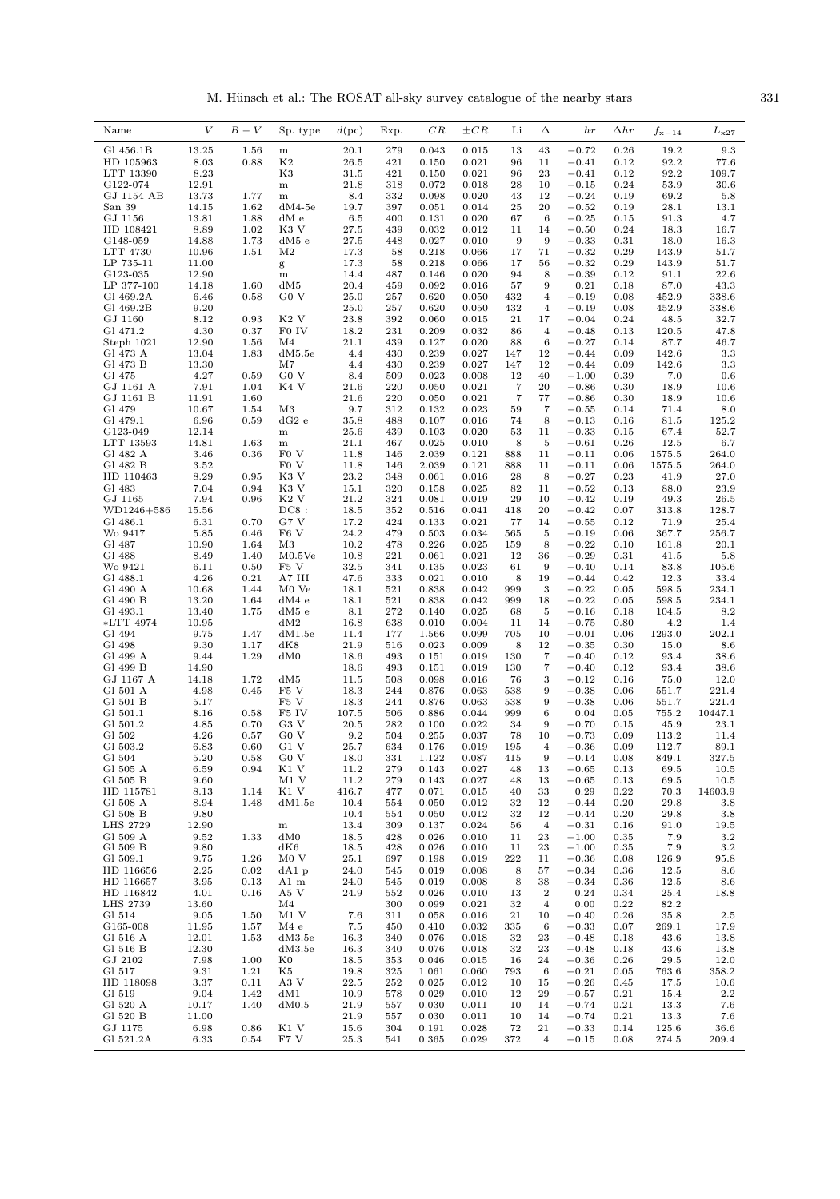M. Hünsch et al.: The ROSAT all-sky survey catalogue of the nearby stars  $331$ 

| Gl 456.1B<br>13.25<br>1.56<br>20.1<br>279<br>0.043<br>0.015<br>13<br>43<br>$-0.72$<br>0.26<br>19.2<br>9.3<br>${\bf m}$<br>HD 105963<br>8.03<br>0.88<br>K <sub>2</sub><br>26.5<br>421<br>0.021<br>96<br>11<br>$-0.41$<br>0.12<br>92.2<br>77.6<br>0.150<br>8.23<br>K3<br>23<br>$-0.41$<br>92.2<br>109.7<br>LTT 13390<br>31.5<br>421<br>0.150<br>0.021<br>96<br>0.12<br>10<br>30.6<br>G122-074<br>12.91<br>21.8<br>318<br>0.072<br>0.018<br>28<br>$-0.15$<br>0.24<br>53.9<br>${\bf m}$<br>GJ 1154 AB<br>13.73<br>1.77<br>8.4<br>332<br>0.098<br>0.020<br>43<br>12<br>$-0.24$<br>0.19<br>69.2<br>5.8<br>$\, {\rm m}$<br>20<br>$-0.52$<br>28.1<br>San 39<br>14.15<br>1.62<br>$dM4-5e$<br>19.7<br>397<br>0.051<br>0.014<br>25<br>0.19<br>13.1<br>GJ 1156<br>4.7<br>13.81<br>1.88<br>dM e<br>6.5<br>400<br>0.131<br>0.020<br>67<br>6<br>$-0.25$<br>0.15<br>91.3<br>8.89<br>HD 108421<br>1.02<br>K3 V<br>27.5<br>439<br>0.032<br>0.012<br>11<br>14<br>$-0.50$<br>0.24<br>18.3<br>16.7<br>14.88<br>1.73<br>9<br>9<br>$-0.33$<br>18.0<br>G148-059<br>dM5 e<br>27.5<br>448<br>0.027<br>0.010<br>0.31<br>16.3<br>10.96<br>71<br>LTT 4730<br>1.51<br>M <sub>2</sub><br>17.3<br>58<br>0.218<br>0.066<br>17<br>$-0.32$<br>0.29<br>143.9<br>51.7<br>0.29<br>143.9<br>LP 735-11<br>11.00<br>17.3<br>58<br>0.218<br>0.066<br>17<br>56<br>$-0.32$<br>51.7<br>g<br>12.90<br>94<br>8<br>$-0.39$<br>91.1<br>22.6<br>G123-035<br>14.4<br>487<br>0.146<br>0.020<br>0.12<br>m<br>57<br>87.0<br>LP 377-100<br>14.18<br>1.60<br>dM5<br>20.4<br>459<br>0.092<br>0.016<br>9<br>0.21<br>0.18<br>43.3<br>G <sub>0</sub> V<br>25.0<br>452.9<br>338.6<br>Gl 469.2A<br>6.46<br>0.58<br>257<br>0.620<br>0.050<br>432<br>$\overline{4}$<br>$-0.19$<br>0.08<br>9.20<br>25.0<br>$-0.19$<br>452.9<br>338.6<br>Gl 469.2B<br>257<br>0.620<br>0.050<br>432<br>$\overline{4}$<br>0.08<br>8.12<br>0.93<br>K <sub>2</sub> V<br>23.8<br>392<br>21<br>$-0.04$<br>48.5<br>32.7<br>GJ 1160<br>0.060<br>0.015<br>17<br>0.24<br>4.30<br>18.2<br>Gl 471.2<br>0.37<br>F0 IV<br>231<br>0.209<br>0.032<br>86<br>$\overline{4}$<br>$-0.48$<br>0.13<br>120.5<br>47.8<br>12.90<br>0.020<br>6<br>$-0.27$<br>87.7<br>Steph 1021<br>1.56<br>M4<br>21.1<br>439<br>0.127<br>88<br>0.14<br>46.7<br>13.04<br>0.027<br>142.6<br>3.3<br>Gl 473 A<br>1.83<br>dM5.5e<br>4.4<br>430<br>0.239<br>147<br>12<br>$-0.44$<br>0.09<br>Gl 473 B<br>4.4<br>0.239<br>12<br>0.09<br>142.6<br>3.3<br>13.30<br>M7<br>430<br>0.027<br>147<br>$-0.44$<br>4.27<br>0.59<br>G <sub>0</sub> V<br>0.008<br>40<br>$-1.00$<br>0.39<br>7.0<br>Gl 475<br>8.4<br>509<br>0.023<br>12<br>0.6<br>$\scriptstyle{7}$<br>7.91<br>1.04<br>K4 V<br>220<br>0.021<br>20<br>$-0.86$<br>GJ 1161 A<br>21.6<br>0.050<br>0.30<br>18.9<br>10.6<br>$\overline{7}$<br>GJ 1161 B<br>11.91<br>1.60<br>21.6<br>220<br>0.050<br>0.021<br>77<br>$-0.86$<br>0.30<br>18.9<br>10.6<br>Gl 479<br>10.67<br>M <sub>3</sub><br>9.7<br>0.023<br>59<br>7<br>$-0.55$<br>0.14<br>71.4<br>8.0<br>1.54<br>312<br>0.132<br>Gl 479.1<br>6.96<br>35.8<br>0.107<br>0.016<br>74<br>8<br>$-0.13$<br>125.2<br>0.59<br>$dG2$ e<br>488<br>0.16<br>81.5<br>G123-049<br>12.14<br>25.6<br>439<br>0.103<br>0.020<br>53<br>11<br>$-0.33$<br>0.15<br>67.4<br>52.7<br>${\bf m}$<br>LTT 13593<br>14.81<br>1.63<br>21.1<br>467<br>0.025<br>0.010<br>8<br>5<br>$-0.61$<br>0.26<br>12.5<br>6.7<br>${\bf m}$<br>Gl 482 A<br>0.36<br>F <sub>0</sub> V<br>2.039<br>0.121<br>$-0.11$<br>1575.5<br>264.0<br>3.46<br>11.8<br>146<br>888<br>11<br>0.06<br>3.52<br>F <sub>0</sub> V<br>264.0<br>Gl 482 B<br>11.8<br>146<br>2.039<br>0.121<br>888<br>11<br>$-0.11$<br>0.06<br>1575.5<br>8.29<br>0.95<br>K3 V<br>23.2<br>$-0.27$<br>27.0<br>HD 110463<br>348<br>0.061<br>0.016<br>28<br>8<br>0.23<br>41.9<br>7.04<br>0.94<br>K3 V<br>15.1<br>320<br>0.025<br>82<br>$-0.52$<br>0.13<br>88.0<br>23.9<br>Gl 483<br>0.158<br>11<br>7.94<br>K <sub>2</sub> V<br>29<br>GJ 1165<br>0.96<br>21.2<br>324<br>0.081<br>0.019<br>10<br>$-0.42$<br>0.19<br>49.3<br>$26.5\,$<br>DC8:<br>18.5<br>20<br>$-0.42$<br>313.8<br>128.7<br>WD1246+586<br>15.56<br>352<br>0.516<br>0.041<br>418<br>0.07<br>G7 V<br>17.2<br>424<br>0.133<br>0.021<br>77<br>$-0.55$<br>0.12<br>71.9<br>25.4<br>Gl 486.1<br>6.31<br>0.70<br>14<br>5.85<br>F <sub>6</sub> V<br>24.2<br>Wo 9417<br>0.46<br>479<br>0.503<br>0.034<br>565<br>5<br>$-0.19$<br>0.06<br>367.7<br>256.7<br>Gl 487<br>10.90<br>M <sub>3</sub><br>10.2<br>0.226<br>0.025<br>$-0.22$<br>0.10<br>20.1<br>1.64<br>478<br>159<br>8<br>161.8<br>8.49<br>1.40<br>M0.5Ve<br>10.8<br>221<br>0.021<br>12<br>$-0.29$<br>0.31<br>41.5<br>5.8<br>Gl 488<br>0.061<br>36<br>Wo 9421<br>6.11<br>0.50<br>F5 V<br>32.5<br>0.135<br>0.023<br>61<br>9<br>$-0.40$<br>0.14<br>83.8<br>105.6<br>341<br>0.21<br>A7 III<br>$-0.44$<br>33.4<br>Gl 488.1<br>4.26<br>47.6<br>333<br>0.021<br>0.010<br>8<br>19<br>0.42<br>12.3<br>Gl 490 A<br>1.44<br>521<br>0.838<br>0.042<br>999<br>3<br>$-0.22$<br>598.5<br>234.1<br>10.68<br>M <sub>0</sub> Ve<br>18.1<br>0.05<br>234.1<br>Gl 490 B<br>13.20<br>1.64<br>dM4e<br>18.1<br>521<br>0.838<br>0.042<br>999<br>18<br>$-0.22$<br>0.05<br>598.5<br>Gl 493.1<br>13.40<br>1.75<br>dM5 e<br>8.1<br>272<br>0.140<br>0.025<br>68<br>5<br>$-0.16$<br>0.18<br>104.5<br>8.2<br>*LTT 4974<br>dM2<br>16.8<br>0.010<br>0.004<br>$-0.75$<br>4.2<br>1.4<br>10.95<br>638<br>11<br>14<br>0.80<br>10<br>1293.0<br>202.1<br>Gl 494<br>9.75<br>1.47<br>dM1.5e<br>11.4<br>1.566<br>0.099<br>705<br>$-0.01$<br>0.06<br>177<br>Gl 498<br>8.6<br>9.30<br>1.17<br>dK8<br>21.9<br>516<br>0.023<br>0.009<br>8<br>12<br>$-0.35$<br>0.30<br>15.0<br>1.29<br>$\overline{7}$<br>$-0.40$<br>Gl 499 A<br>9.44<br>dM0<br>18.6<br>493<br>0.151<br>0.019<br>130<br>0.12<br>93.4<br>38.6<br>Gl 499 B<br>14.90<br>7<br>93.4<br>18.6<br>493<br>0.151<br>0.019<br>130<br>$-0.40$<br>0.12<br>38.6<br>GJ 1167 A<br>14.18<br>dM5<br>11.5<br>3<br>$-0.12$<br>1.72<br>508<br>0.098<br>0.016<br>76<br>0.16<br>75.0<br>12.0<br>F <sub>5</sub> V<br>9<br>Gl 501 A<br>4.98<br>0.45<br>18.3<br>244<br>0.876<br>0.063<br>538<br>$-0.38$<br>0.06<br>551.7<br>221.4<br>F <sub>5</sub> V<br>18.3<br>9<br>221.4<br>Gl 501 B<br>5.17<br>244<br>0.876<br>0.063<br>538<br>$-0.38$<br>0.06<br>551.7<br>Gl 501.1<br>F5 IV<br>107.5<br>10447.1<br>8.16<br>0.58<br>506<br>0.886<br>0.044<br>999<br>6<br>0.04<br>0.05<br>755.2<br>Gl 501.2<br>0.70<br>G3 V<br>20.5<br>282<br>0.100<br>0.022<br>34<br>9<br>$-0.70$<br>23.1<br>4.85<br>0.15<br>45.9<br>G <sub>0</sub> V<br>0.255<br>0.037<br>78<br>10<br>G1 502<br>4.26<br>0.57<br>9.2<br>504<br>$-0.73$<br>0.09<br>113.2<br>11.4<br>G1 V<br>25.7<br>Gl 503.2<br>6.83<br>0.60<br>634<br>0.176<br>0.019<br>195<br>0.09<br>112.7<br>4<br>$-0.36$<br>89.1<br>5.20<br>$-0.14$<br>Gl 504<br>0.58<br>G0 V<br>18.0<br>331<br>1.122<br>0.087<br>$\boldsymbol{9}$<br>0.08<br>849.1<br>327.5<br>415<br>Gl 505 A<br>6.59<br>0.94<br>K1 V<br>11.2<br>279<br>0.143<br>0.027<br>48<br>13<br>$-0.65$<br>69.5<br>10.5<br>0.13<br>Gl 505 B<br>9.60<br>M1 V<br>11.2<br>279<br>0.143<br>0.027<br>$-0.65$<br>69.5<br>10.5<br>48<br>13<br>0.13<br>K1 V<br>14603.9<br>HD 115781<br>8.13<br>1.14<br>416.7<br>477<br>0.071<br>0.015<br>40<br>33<br>0.29<br>0.22<br>70.3<br>8.94<br>0.012<br>12<br>29.8<br>Gl 508 A<br>1.48<br>dM1.5e<br>10.4<br>554<br>0.050<br>32<br>$-0.44$<br>0.20<br>3.8<br>Gl 508 B<br>9.80<br>0.012<br>32<br>12<br>$-0.44$<br>0.20<br>29.8<br>3.8<br>10.4<br>0.050<br>554<br>12.90<br>0.024<br>LHS 2729<br>13.4<br>309<br>0.137<br>56<br>$\overline{4}$<br>$-0.31$<br>0.16<br>91.0<br>19.5<br>${\bf m}$<br>dM0<br>0.010<br>23<br>7.9<br>$3.2\,$<br>Gl 509 A<br>9.52<br>1.33<br>18.5<br>428<br>0.026<br>11<br>$-1.00$<br>0.35<br>Gl 509 B<br>9.80<br>dK6<br>0.010<br>23<br>$-1.00$<br>0.35<br>7.9<br>3.2<br>18.5<br>428<br>0.026<br>11<br>Gl 509.1<br>M0V<br>9.75<br>1.26<br>25.1<br>697<br>0.198<br>0.019<br>222<br>11<br>$-0.36$<br>0.08<br>126.9<br>95.8<br>HD 116656<br>2.25<br>0.02<br>0.008<br>8<br>57<br>$-0.34$<br>12.5<br>$dA1$ p<br>24.0<br>545<br>0.019<br>0.36<br>8.6<br>HD 116657<br>3.95<br>0.008<br>$-0.34$<br>12.5<br>0.13<br>A1 m<br>24.0<br>545<br>0.019<br>8<br>38<br>0.36<br>8.6<br>4.01<br>$\overline{2}$<br>0.24<br>25.4<br>HD 116842<br>0.16<br>A5 V<br>24.9<br>552<br>0.026<br>0.010<br>13<br>0.34<br>18.8<br><b>LHS 2739</b><br>13.60<br>300<br>0.021<br>0.00<br>82.2<br>M4<br>0.099<br>32<br>$\overline{4}$<br>0.22<br>9.05<br>$M1$ V<br>7.6<br>311<br>0.016<br>21<br>10<br>$-0.40$<br>0.26<br>35.8<br>$2.5\,$<br>Gl 514<br>1.50<br>0.058 | Name     | $\bar{V}$ | $B-V$ | Sp. type | d(pc) | Exp. | CR    | $\pm CR$ | Li | Δ | h r     | $\Delta hr$ | $f_{\rm x-14}$ | $L_{\rm x27}$ |
|------------------------------------------------------------------------------------------------------------------------------------------------------------------------------------------------------------------------------------------------------------------------------------------------------------------------------------------------------------------------------------------------------------------------------------------------------------------------------------------------------------------------------------------------------------------------------------------------------------------------------------------------------------------------------------------------------------------------------------------------------------------------------------------------------------------------------------------------------------------------------------------------------------------------------------------------------------------------------------------------------------------------------------------------------------------------------------------------------------------------------------------------------------------------------------------------------------------------------------------------------------------------------------------------------------------------------------------------------------------------------------------------------------------------------------------------------------------------------------------------------------------------------------------------------------------------------------------------------------------------------------------------------------------------------------------------------------------------------------------------------------------------------------------------------------------------------------------------------------------------------------------------------------------------------------------------------------------------------------------------------------------------------------------------------------------------------------------------------------------------------------------------------------------------------------------------------------------------------------------------------------------------------------------------------------------------------------------------------------------------------------------------------------------------------------------------------------------------------------------------------------------------------------------------------------------------------------------------------------------------------------------------------------------------------------------------------------------------------------------------------------------------------------------------------------------------------------------------------------------------------------------------------------------------------------------------------------------------------------------------------------------------------------------------------------------------------------------------------------------------------------------------------------------------------------------------------------------------------------------------------------------------------------------------------------------------------------------------------------------------------------------------------------------------------------------------------------------------------------------------------------------------------------------------------------------------------------------------------------------------------------------------------------------------------------------------------------------------------------------------------------------------------------------------------------------------------------------------------------------------------------------------------------------------------------------------------------------------------------------------------------------------------------------------------------------------------------------------------------------------------------------------------------------------------------------------------------------------------------------------------------------------------------------------------------------------------------------------------------------------------------------------------------------------------------------------------------------------------------------------------------------------------------------------------------------------------------------------------------------------------------------------------------------------------------------------------------------------------------------------------------------------------------------------------------------------------------------------------------------------------------------------------------------------------------------------------------------------------------------------------------------------------------------------------------------------------------------------------------------------------------------------------------------------------------------------------------------------------------------------------------------------------------------------------------------------------------------------------------------------------------------------------------------------------------------------------------------------------------------------------------------------------------------------------------------------------------------------------------------------------------------------------------------------------------------------------------------------------------------------------------------------------------------------------------------------------------------------------------------------------------------------------------------------------------------------------------------------------------------------------------------------------------------------------------------------------------------------------------------------------------------------------------------------------------------------------------------------------------------------------------------------------------------------------------------------------------------------------------------------------------------------------------------------------------------------------------------------------------------------------------------------------------------------------------------------------------------------------------------------------------------------------------------------------------------------------------------------------------------------------------------------------------------------------------------------------------------------------------------------------------------------------------------------------------------------------------------------------------------------------------------------------------------------------------------------------------------------------------------------------------------------------------------------------------------------------------------------------------------------------------------------------------------------------------------------------------------------------------------------------------------------------------------------------------------------------------------------------------------------------------------------------------------------------------------------------------------------------------------------------------------------------------------------------------------------------------------------------------------------------------------------------------------------------------------------------------------------------------------------------------------------------------------------------------------------------------------------------------------------------------------------------------------------------------------------------------------------------------------------------------------------------------------------------------------------------------------------------------------------------------------------------------------------------------------------------------------------------------------------------------------------------------------------------------------------------------------------------------------------------------------------------|----------|-----------|-------|----------|-------|------|-------|----------|----|---|---------|-------------|----------------|---------------|
|                                                                                                                                                                                                                                                                                                                                                                                                                                                                                                                                                                                                                                                                                                                                                                                                                                                                                                                                                                                                                                                                                                                                                                                                                                                                                                                                                                                                                                                                                                                                                                                                                                                                                                                                                                                                                                                                                                                                                                                                                                                                                                                                                                                                                                                                                                                                                                                                                                                                                                                                                                                                                                                                                                                                                                                                                                                                                                                                                                                                                                                                                                                                                                                                                                                                                                                                                                                                                                                                                                                                                                                                                                                                                                                                                                                                                                                                                                                                                                                                                                                                                                                                                                                                                                                                                                                                                                                                                                                                                                                                                                                                                                                                                                                                                                                                                                                                                                                                                                                                                                                                                                                                                                                                                                                                                                                                                                                                                                                                                                                                                                                                                                                                                                                                                                                                                                                                                                                                                                                                                                                                                                                                                                                                                                                                                                                                                                                                                                                                                                                                                                                                                                                                                                                                                                                                                                                                                                                                                                                                                                                                                                                                                                                                                                                                                                                                                                                                                                                                                                                                                                                                                                                                                                                                                                                                                                                                                                                                                                                                                                                                                                                                                                                                                                                                                                                                                                                                                                                                                                                              |          |           |       |          |       |      |       |          |    |   |         |             |                |               |
|                                                                                                                                                                                                                                                                                                                                                                                                                                                                                                                                                                                                                                                                                                                                                                                                                                                                                                                                                                                                                                                                                                                                                                                                                                                                                                                                                                                                                                                                                                                                                                                                                                                                                                                                                                                                                                                                                                                                                                                                                                                                                                                                                                                                                                                                                                                                                                                                                                                                                                                                                                                                                                                                                                                                                                                                                                                                                                                                                                                                                                                                                                                                                                                                                                                                                                                                                                                                                                                                                                                                                                                                                                                                                                                                                                                                                                                                                                                                                                                                                                                                                                                                                                                                                                                                                                                                                                                                                                                                                                                                                                                                                                                                                                                                                                                                                                                                                                                                                                                                                                                                                                                                                                                                                                                                                                                                                                                                                                                                                                                                                                                                                                                                                                                                                                                                                                                                                                                                                                                                                                                                                                                                                                                                                                                                                                                                                                                                                                                                                                                                                                                                                                                                                                                                                                                                                                                                                                                                                                                                                                                                                                                                                                                                                                                                                                                                                                                                                                                                                                                                                                                                                                                                                                                                                                                                                                                                                                                                                                                                                                                                                                                                                                                                                                                                                                                                                                                                                                                                                                                              |          |           |       |          |       |      |       |          |    |   |         |             |                |               |
|                                                                                                                                                                                                                                                                                                                                                                                                                                                                                                                                                                                                                                                                                                                                                                                                                                                                                                                                                                                                                                                                                                                                                                                                                                                                                                                                                                                                                                                                                                                                                                                                                                                                                                                                                                                                                                                                                                                                                                                                                                                                                                                                                                                                                                                                                                                                                                                                                                                                                                                                                                                                                                                                                                                                                                                                                                                                                                                                                                                                                                                                                                                                                                                                                                                                                                                                                                                                                                                                                                                                                                                                                                                                                                                                                                                                                                                                                                                                                                                                                                                                                                                                                                                                                                                                                                                                                                                                                                                                                                                                                                                                                                                                                                                                                                                                                                                                                                                                                                                                                                                                                                                                                                                                                                                                                                                                                                                                                                                                                                                                                                                                                                                                                                                                                                                                                                                                                                                                                                                                                                                                                                                                                                                                                                                                                                                                                                                                                                                                                                                                                                                                                                                                                                                                                                                                                                                                                                                                                                                                                                                                                                                                                                                                                                                                                                                                                                                                                                                                                                                                                                                                                                                                                                                                                                                                                                                                                                                                                                                                                                                                                                                                                                                                                                                                                                                                                                                                                                                                                                                              |          |           |       |          |       |      |       |          |    |   |         |             |                |               |
|                                                                                                                                                                                                                                                                                                                                                                                                                                                                                                                                                                                                                                                                                                                                                                                                                                                                                                                                                                                                                                                                                                                                                                                                                                                                                                                                                                                                                                                                                                                                                                                                                                                                                                                                                                                                                                                                                                                                                                                                                                                                                                                                                                                                                                                                                                                                                                                                                                                                                                                                                                                                                                                                                                                                                                                                                                                                                                                                                                                                                                                                                                                                                                                                                                                                                                                                                                                                                                                                                                                                                                                                                                                                                                                                                                                                                                                                                                                                                                                                                                                                                                                                                                                                                                                                                                                                                                                                                                                                                                                                                                                                                                                                                                                                                                                                                                                                                                                                                                                                                                                                                                                                                                                                                                                                                                                                                                                                                                                                                                                                                                                                                                                                                                                                                                                                                                                                                                                                                                                                                                                                                                                                                                                                                                                                                                                                                                                                                                                                                                                                                                                                                                                                                                                                                                                                                                                                                                                                                                                                                                                                                                                                                                                                                                                                                                                                                                                                                                                                                                                                                                                                                                                                                                                                                                                                                                                                                                                                                                                                                                                                                                                                                                                                                                                                                                                                                                                                                                                                                                                              |          |           |       |          |       |      |       |          |    |   |         |             |                |               |
|                                                                                                                                                                                                                                                                                                                                                                                                                                                                                                                                                                                                                                                                                                                                                                                                                                                                                                                                                                                                                                                                                                                                                                                                                                                                                                                                                                                                                                                                                                                                                                                                                                                                                                                                                                                                                                                                                                                                                                                                                                                                                                                                                                                                                                                                                                                                                                                                                                                                                                                                                                                                                                                                                                                                                                                                                                                                                                                                                                                                                                                                                                                                                                                                                                                                                                                                                                                                                                                                                                                                                                                                                                                                                                                                                                                                                                                                                                                                                                                                                                                                                                                                                                                                                                                                                                                                                                                                                                                                                                                                                                                                                                                                                                                                                                                                                                                                                                                                                                                                                                                                                                                                                                                                                                                                                                                                                                                                                                                                                                                                                                                                                                                                                                                                                                                                                                                                                                                                                                                                                                                                                                                                                                                                                                                                                                                                                                                                                                                                                                                                                                                                                                                                                                                                                                                                                                                                                                                                                                                                                                                                                                                                                                                                                                                                                                                                                                                                                                                                                                                                                                                                                                                                                                                                                                                                                                                                                                                                                                                                                                                                                                                                                                                                                                                                                                                                                                                                                                                                                                                              |          |           |       |          |       |      |       |          |    |   |         |             |                |               |
|                                                                                                                                                                                                                                                                                                                                                                                                                                                                                                                                                                                                                                                                                                                                                                                                                                                                                                                                                                                                                                                                                                                                                                                                                                                                                                                                                                                                                                                                                                                                                                                                                                                                                                                                                                                                                                                                                                                                                                                                                                                                                                                                                                                                                                                                                                                                                                                                                                                                                                                                                                                                                                                                                                                                                                                                                                                                                                                                                                                                                                                                                                                                                                                                                                                                                                                                                                                                                                                                                                                                                                                                                                                                                                                                                                                                                                                                                                                                                                                                                                                                                                                                                                                                                                                                                                                                                                                                                                                                                                                                                                                                                                                                                                                                                                                                                                                                                                                                                                                                                                                                                                                                                                                                                                                                                                                                                                                                                                                                                                                                                                                                                                                                                                                                                                                                                                                                                                                                                                                                                                                                                                                                                                                                                                                                                                                                                                                                                                                                                                                                                                                                                                                                                                                                                                                                                                                                                                                                                                                                                                                                                                                                                                                                                                                                                                                                                                                                                                                                                                                                                                                                                                                                                                                                                                                                                                                                                                                                                                                                                                                                                                                                                                                                                                                                                                                                                                                                                                                                                                                              |          |           |       |          |       |      |       |          |    |   |         |             |                |               |
|                                                                                                                                                                                                                                                                                                                                                                                                                                                                                                                                                                                                                                                                                                                                                                                                                                                                                                                                                                                                                                                                                                                                                                                                                                                                                                                                                                                                                                                                                                                                                                                                                                                                                                                                                                                                                                                                                                                                                                                                                                                                                                                                                                                                                                                                                                                                                                                                                                                                                                                                                                                                                                                                                                                                                                                                                                                                                                                                                                                                                                                                                                                                                                                                                                                                                                                                                                                                                                                                                                                                                                                                                                                                                                                                                                                                                                                                                                                                                                                                                                                                                                                                                                                                                                                                                                                                                                                                                                                                                                                                                                                                                                                                                                                                                                                                                                                                                                                                                                                                                                                                                                                                                                                                                                                                                                                                                                                                                                                                                                                                                                                                                                                                                                                                                                                                                                                                                                                                                                                                                                                                                                                                                                                                                                                                                                                                                                                                                                                                                                                                                                                                                                                                                                                                                                                                                                                                                                                                                                                                                                                                                                                                                                                                                                                                                                                                                                                                                                                                                                                                                                                                                                                                                                                                                                                                                                                                                                                                                                                                                                                                                                                                                                                                                                                                                                                                                                                                                                                                                                                              |          |           |       |          |       |      |       |          |    |   |         |             |                |               |
|                                                                                                                                                                                                                                                                                                                                                                                                                                                                                                                                                                                                                                                                                                                                                                                                                                                                                                                                                                                                                                                                                                                                                                                                                                                                                                                                                                                                                                                                                                                                                                                                                                                                                                                                                                                                                                                                                                                                                                                                                                                                                                                                                                                                                                                                                                                                                                                                                                                                                                                                                                                                                                                                                                                                                                                                                                                                                                                                                                                                                                                                                                                                                                                                                                                                                                                                                                                                                                                                                                                                                                                                                                                                                                                                                                                                                                                                                                                                                                                                                                                                                                                                                                                                                                                                                                                                                                                                                                                                                                                                                                                                                                                                                                                                                                                                                                                                                                                                                                                                                                                                                                                                                                                                                                                                                                                                                                                                                                                                                                                                                                                                                                                                                                                                                                                                                                                                                                                                                                                                                                                                                                                                                                                                                                                                                                                                                                                                                                                                                                                                                                                                                                                                                                                                                                                                                                                                                                                                                                                                                                                                                                                                                                                                                                                                                                                                                                                                                                                                                                                                                                                                                                                                                                                                                                                                                                                                                                                                                                                                                                                                                                                                                                                                                                                                                                                                                                                                                                                                                                                              |          |           |       |          |       |      |       |          |    |   |         |             |                |               |
|                                                                                                                                                                                                                                                                                                                                                                                                                                                                                                                                                                                                                                                                                                                                                                                                                                                                                                                                                                                                                                                                                                                                                                                                                                                                                                                                                                                                                                                                                                                                                                                                                                                                                                                                                                                                                                                                                                                                                                                                                                                                                                                                                                                                                                                                                                                                                                                                                                                                                                                                                                                                                                                                                                                                                                                                                                                                                                                                                                                                                                                                                                                                                                                                                                                                                                                                                                                                                                                                                                                                                                                                                                                                                                                                                                                                                                                                                                                                                                                                                                                                                                                                                                                                                                                                                                                                                                                                                                                                                                                                                                                                                                                                                                                                                                                                                                                                                                                                                                                                                                                                                                                                                                                                                                                                                                                                                                                                                                                                                                                                                                                                                                                                                                                                                                                                                                                                                                                                                                                                                                                                                                                                                                                                                                                                                                                                                                                                                                                                                                                                                                                                                                                                                                                                                                                                                                                                                                                                                                                                                                                                                                                                                                                                                                                                                                                                                                                                                                                                                                                                                                                                                                                                                                                                                                                                                                                                                                                                                                                                                                                                                                                                                                                                                                                                                                                                                                                                                                                                                                                              |          |           |       |          |       |      |       |          |    |   |         |             |                |               |
|                                                                                                                                                                                                                                                                                                                                                                                                                                                                                                                                                                                                                                                                                                                                                                                                                                                                                                                                                                                                                                                                                                                                                                                                                                                                                                                                                                                                                                                                                                                                                                                                                                                                                                                                                                                                                                                                                                                                                                                                                                                                                                                                                                                                                                                                                                                                                                                                                                                                                                                                                                                                                                                                                                                                                                                                                                                                                                                                                                                                                                                                                                                                                                                                                                                                                                                                                                                                                                                                                                                                                                                                                                                                                                                                                                                                                                                                                                                                                                                                                                                                                                                                                                                                                                                                                                                                                                                                                                                                                                                                                                                                                                                                                                                                                                                                                                                                                                                                                                                                                                                                                                                                                                                                                                                                                                                                                                                                                                                                                                                                                                                                                                                                                                                                                                                                                                                                                                                                                                                                                                                                                                                                                                                                                                                                                                                                                                                                                                                                                                                                                                                                                                                                                                                                                                                                                                                                                                                                                                                                                                                                                                                                                                                                                                                                                                                                                                                                                                                                                                                                                                                                                                                                                                                                                                                                                                                                                                                                                                                                                                                                                                                                                                                                                                                                                                                                                                                                                                                                                                                              |          |           |       |          |       |      |       |          |    |   |         |             |                |               |
|                                                                                                                                                                                                                                                                                                                                                                                                                                                                                                                                                                                                                                                                                                                                                                                                                                                                                                                                                                                                                                                                                                                                                                                                                                                                                                                                                                                                                                                                                                                                                                                                                                                                                                                                                                                                                                                                                                                                                                                                                                                                                                                                                                                                                                                                                                                                                                                                                                                                                                                                                                                                                                                                                                                                                                                                                                                                                                                                                                                                                                                                                                                                                                                                                                                                                                                                                                                                                                                                                                                                                                                                                                                                                                                                                                                                                                                                                                                                                                                                                                                                                                                                                                                                                                                                                                                                                                                                                                                                                                                                                                                                                                                                                                                                                                                                                                                                                                                                                                                                                                                                                                                                                                                                                                                                                                                                                                                                                                                                                                                                                                                                                                                                                                                                                                                                                                                                                                                                                                                                                                                                                                                                                                                                                                                                                                                                                                                                                                                                                                                                                                                                                                                                                                                                                                                                                                                                                                                                                                                                                                                                                                                                                                                                                                                                                                                                                                                                                                                                                                                                                                                                                                                                                                                                                                                                                                                                                                                                                                                                                                                                                                                                                                                                                                                                                                                                                                                                                                                                                                                              |          |           |       |          |       |      |       |          |    |   |         |             |                |               |
|                                                                                                                                                                                                                                                                                                                                                                                                                                                                                                                                                                                                                                                                                                                                                                                                                                                                                                                                                                                                                                                                                                                                                                                                                                                                                                                                                                                                                                                                                                                                                                                                                                                                                                                                                                                                                                                                                                                                                                                                                                                                                                                                                                                                                                                                                                                                                                                                                                                                                                                                                                                                                                                                                                                                                                                                                                                                                                                                                                                                                                                                                                                                                                                                                                                                                                                                                                                                                                                                                                                                                                                                                                                                                                                                                                                                                                                                                                                                                                                                                                                                                                                                                                                                                                                                                                                                                                                                                                                                                                                                                                                                                                                                                                                                                                                                                                                                                                                                                                                                                                                                                                                                                                                                                                                                                                                                                                                                                                                                                                                                                                                                                                                                                                                                                                                                                                                                                                                                                                                                                                                                                                                                                                                                                                                                                                                                                                                                                                                                                                                                                                                                                                                                                                                                                                                                                                                                                                                                                                                                                                                                                                                                                                                                                                                                                                                                                                                                                                                                                                                                                                                                                                                                                                                                                                                                                                                                                                                                                                                                                                                                                                                                                                                                                                                                                                                                                                                                                                                                                                                              |          |           |       |          |       |      |       |          |    |   |         |             |                |               |
|                                                                                                                                                                                                                                                                                                                                                                                                                                                                                                                                                                                                                                                                                                                                                                                                                                                                                                                                                                                                                                                                                                                                                                                                                                                                                                                                                                                                                                                                                                                                                                                                                                                                                                                                                                                                                                                                                                                                                                                                                                                                                                                                                                                                                                                                                                                                                                                                                                                                                                                                                                                                                                                                                                                                                                                                                                                                                                                                                                                                                                                                                                                                                                                                                                                                                                                                                                                                                                                                                                                                                                                                                                                                                                                                                                                                                                                                                                                                                                                                                                                                                                                                                                                                                                                                                                                                                                                                                                                                                                                                                                                                                                                                                                                                                                                                                                                                                                                                                                                                                                                                                                                                                                                                                                                                                                                                                                                                                                                                                                                                                                                                                                                                                                                                                                                                                                                                                                                                                                                                                                                                                                                                                                                                                                                                                                                                                                                                                                                                                                                                                                                                                                                                                                                                                                                                                                                                                                                                                                                                                                                                                                                                                                                                                                                                                                                                                                                                                                                                                                                                                                                                                                                                                                                                                                                                                                                                                                                                                                                                                                                                                                                                                                                                                                                                                                                                                                                                                                                                                                                              |          |           |       |          |       |      |       |          |    |   |         |             |                |               |
|                                                                                                                                                                                                                                                                                                                                                                                                                                                                                                                                                                                                                                                                                                                                                                                                                                                                                                                                                                                                                                                                                                                                                                                                                                                                                                                                                                                                                                                                                                                                                                                                                                                                                                                                                                                                                                                                                                                                                                                                                                                                                                                                                                                                                                                                                                                                                                                                                                                                                                                                                                                                                                                                                                                                                                                                                                                                                                                                                                                                                                                                                                                                                                                                                                                                                                                                                                                                                                                                                                                                                                                                                                                                                                                                                                                                                                                                                                                                                                                                                                                                                                                                                                                                                                                                                                                                                                                                                                                                                                                                                                                                                                                                                                                                                                                                                                                                                                                                                                                                                                                                                                                                                                                                                                                                                                                                                                                                                                                                                                                                                                                                                                                                                                                                                                                                                                                                                                                                                                                                                                                                                                                                                                                                                                                                                                                                                                                                                                                                                                                                                                                                                                                                                                                                                                                                                                                                                                                                                                                                                                                                                                                                                                                                                                                                                                                                                                                                                                                                                                                                                                                                                                                                                                                                                                                                                                                                                                                                                                                                                                                                                                                                                                                                                                                                                                                                                                                                                                                                                                                              |          |           |       |          |       |      |       |          |    |   |         |             |                |               |
|                                                                                                                                                                                                                                                                                                                                                                                                                                                                                                                                                                                                                                                                                                                                                                                                                                                                                                                                                                                                                                                                                                                                                                                                                                                                                                                                                                                                                                                                                                                                                                                                                                                                                                                                                                                                                                                                                                                                                                                                                                                                                                                                                                                                                                                                                                                                                                                                                                                                                                                                                                                                                                                                                                                                                                                                                                                                                                                                                                                                                                                                                                                                                                                                                                                                                                                                                                                                                                                                                                                                                                                                                                                                                                                                                                                                                                                                                                                                                                                                                                                                                                                                                                                                                                                                                                                                                                                                                                                                                                                                                                                                                                                                                                                                                                                                                                                                                                                                                                                                                                                                                                                                                                                                                                                                                                                                                                                                                                                                                                                                                                                                                                                                                                                                                                                                                                                                                                                                                                                                                                                                                                                                                                                                                                                                                                                                                                                                                                                                                                                                                                                                                                                                                                                                                                                                                                                                                                                                                                                                                                                                                                                                                                                                                                                                                                                                                                                                                                                                                                                                                                                                                                                                                                                                                                                                                                                                                                                                                                                                                                                                                                                                                                                                                                                                                                                                                                                                                                                                                                                              |          |           |       |          |       |      |       |          |    |   |         |             |                |               |
|                                                                                                                                                                                                                                                                                                                                                                                                                                                                                                                                                                                                                                                                                                                                                                                                                                                                                                                                                                                                                                                                                                                                                                                                                                                                                                                                                                                                                                                                                                                                                                                                                                                                                                                                                                                                                                                                                                                                                                                                                                                                                                                                                                                                                                                                                                                                                                                                                                                                                                                                                                                                                                                                                                                                                                                                                                                                                                                                                                                                                                                                                                                                                                                                                                                                                                                                                                                                                                                                                                                                                                                                                                                                                                                                                                                                                                                                                                                                                                                                                                                                                                                                                                                                                                                                                                                                                                                                                                                                                                                                                                                                                                                                                                                                                                                                                                                                                                                                                                                                                                                                                                                                                                                                                                                                                                                                                                                                                                                                                                                                                                                                                                                                                                                                                                                                                                                                                                                                                                                                                                                                                                                                                                                                                                                                                                                                                                                                                                                                                                                                                                                                                                                                                                                                                                                                                                                                                                                                                                                                                                                                                                                                                                                                                                                                                                                                                                                                                                                                                                                                                                                                                                                                                                                                                                                                                                                                                                                                                                                                                                                                                                                                                                                                                                                                                                                                                                                                                                                                                                                              |          |           |       |          |       |      |       |          |    |   |         |             |                |               |
|                                                                                                                                                                                                                                                                                                                                                                                                                                                                                                                                                                                                                                                                                                                                                                                                                                                                                                                                                                                                                                                                                                                                                                                                                                                                                                                                                                                                                                                                                                                                                                                                                                                                                                                                                                                                                                                                                                                                                                                                                                                                                                                                                                                                                                                                                                                                                                                                                                                                                                                                                                                                                                                                                                                                                                                                                                                                                                                                                                                                                                                                                                                                                                                                                                                                                                                                                                                                                                                                                                                                                                                                                                                                                                                                                                                                                                                                                                                                                                                                                                                                                                                                                                                                                                                                                                                                                                                                                                                                                                                                                                                                                                                                                                                                                                                                                                                                                                                                                                                                                                                                                                                                                                                                                                                                                                                                                                                                                                                                                                                                                                                                                                                                                                                                                                                                                                                                                                                                                                                                                                                                                                                                                                                                                                                                                                                                                                                                                                                                                                                                                                                                                                                                                                                                                                                                                                                                                                                                                                                                                                                                                                                                                                                                                                                                                                                                                                                                                                                                                                                                                                                                                                                                                                                                                                                                                                                                                                                                                                                                                                                                                                                                                                                                                                                                                                                                                                                                                                                                                                                              |          |           |       |          |       |      |       |          |    |   |         |             |                |               |
|                                                                                                                                                                                                                                                                                                                                                                                                                                                                                                                                                                                                                                                                                                                                                                                                                                                                                                                                                                                                                                                                                                                                                                                                                                                                                                                                                                                                                                                                                                                                                                                                                                                                                                                                                                                                                                                                                                                                                                                                                                                                                                                                                                                                                                                                                                                                                                                                                                                                                                                                                                                                                                                                                                                                                                                                                                                                                                                                                                                                                                                                                                                                                                                                                                                                                                                                                                                                                                                                                                                                                                                                                                                                                                                                                                                                                                                                                                                                                                                                                                                                                                                                                                                                                                                                                                                                                                                                                                                                                                                                                                                                                                                                                                                                                                                                                                                                                                                                                                                                                                                                                                                                                                                                                                                                                                                                                                                                                                                                                                                                                                                                                                                                                                                                                                                                                                                                                                                                                                                                                                                                                                                                                                                                                                                                                                                                                                                                                                                                                                                                                                                                                                                                                                                                                                                                                                                                                                                                                                                                                                                                                                                                                                                                                                                                                                                                                                                                                                                                                                                                                                                                                                                                                                                                                                                                                                                                                                                                                                                                                                                                                                                                                                                                                                                                                                                                                                                                                                                                                                                              |          |           |       |          |       |      |       |          |    |   |         |             |                |               |
|                                                                                                                                                                                                                                                                                                                                                                                                                                                                                                                                                                                                                                                                                                                                                                                                                                                                                                                                                                                                                                                                                                                                                                                                                                                                                                                                                                                                                                                                                                                                                                                                                                                                                                                                                                                                                                                                                                                                                                                                                                                                                                                                                                                                                                                                                                                                                                                                                                                                                                                                                                                                                                                                                                                                                                                                                                                                                                                                                                                                                                                                                                                                                                                                                                                                                                                                                                                                                                                                                                                                                                                                                                                                                                                                                                                                                                                                                                                                                                                                                                                                                                                                                                                                                                                                                                                                                                                                                                                                                                                                                                                                                                                                                                                                                                                                                                                                                                                                                                                                                                                                                                                                                                                                                                                                                                                                                                                                                                                                                                                                                                                                                                                                                                                                                                                                                                                                                                                                                                                                                                                                                                                                                                                                                                                                                                                                                                                                                                                                                                                                                                                                                                                                                                                                                                                                                                                                                                                                                                                                                                                                                                                                                                                                                                                                                                                                                                                                                                                                                                                                                                                                                                                                                                                                                                                                                                                                                                                                                                                                                                                                                                                                                                                                                                                                                                                                                                                                                                                                                                                              |          |           |       |          |       |      |       |          |    |   |         |             |                |               |
|                                                                                                                                                                                                                                                                                                                                                                                                                                                                                                                                                                                                                                                                                                                                                                                                                                                                                                                                                                                                                                                                                                                                                                                                                                                                                                                                                                                                                                                                                                                                                                                                                                                                                                                                                                                                                                                                                                                                                                                                                                                                                                                                                                                                                                                                                                                                                                                                                                                                                                                                                                                                                                                                                                                                                                                                                                                                                                                                                                                                                                                                                                                                                                                                                                                                                                                                                                                                                                                                                                                                                                                                                                                                                                                                                                                                                                                                                                                                                                                                                                                                                                                                                                                                                                                                                                                                                                                                                                                                                                                                                                                                                                                                                                                                                                                                                                                                                                                                                                                                                                                                                                                                                                                                                                                                                                                                                                                                                                                                                                                                                                                                                                                                                                                                                                                                                                                                                                                                                                                                                                                                                                                                                                                                                                                                                                                                                                                                                                                                                                                                                                                                                                                                                                                                                                                                                                                                                                                                                                                                                                                                                                                                                                                                                                                                                                                                                                                                                                                                                                                                                                                                                                                                                                                                                                                                                                                                                                                                                                                                                                                                                                                                                                                                                                                                                                                                                                                                                                                                                                                              |          |           |       |          |       |      |       |          |    |   |         |             |                |               |
|                                                                                                                                                                                                                                                                                                                                                                                                                                                                                                                                                                                                                                                                                                                                                                                                                                                                                                                                                                                                                                                                                                                                                                                                                                                                                                                                                                                                                                                                                                                                                                                                                                                                                                                                                                                                                                                                                                                                                                                                                                                                                                                                                                                                                                                                                                                                                                                                                                                                                                                                                                                                                                                                                                                                                                                                                                                                                                                                                                                                                                                                                                                                                                                                                                                                                                                                                                                                                                                                                                                                                                                                                                                                                                                                                                                                                                                                                                                                                                                                                                                                                                                                                                                                                                                                                                                                                                                                                                                                                                                                                                                                                                                                                                                                                                                                                                                                                                                                                                                                                                                                                                                                                                                                                                                                                                                                                                                                                                                                                                                                                                                                                                                                                                                                                                                                                                                                                                                                                                                                                                                                                                                                                                                                                                                                                                                                                                                                                                                                                                                                                                                                                                                                                                                                                                                                                                                                                                                                                                                                                                                                                                                                                                                                                                                                                                                                                                                                                                                                                                                                                                                                                                                                                                                                                                                                                                                                                                                                                                                                                                                                                                                                                                                                                                                                                                                                                                                                                                                                                                                              |          |           |       |          |       |      |       |          |    |   |         |             |                |               |
|                                                                                                                                                                                                                                                                                                                                                                                                                                                                                                                                                                                                                                                                                                                                                                                                                                                                                                                                                                                                                                                                                                                                                                                                                                                                                                                                                                                                                                                                                                                                                                                                                                                                                                                                                                                                                                                                                                                                                                                                                                                                                                                                                                                                                                                                                                                                                                                                                                                                                                                                                                                                                                                                                                                                                                                                                                                                                                                                                                                                                                                                                                                                                                                                                                                                                                                                                                                                                                                                                                                                                                                                                                                                                                                                                                                                                                                                                                                                                                                                                                                                                                                                                                                                                                                                                                                                                                                                                                                                                                                                                                                                                                                                                                                                                                                                                                                                                                                                                                                                                                                                                                                                                                                                                                                                                                                                                                                                                                                                                                                                                                                                                                                                                                                                                                                                                                                                                                                                                                                                                                                                                                                                                                                                                                                                                                                                                                                                                                                                                                                                                                                                                                                                                                                                                                                                                                                                                                                                                                                                                                                                                                                                                                                                                                                                                                                                                                                                                                                                                                                                                                                                                                                                                                                                                                                                                                                                                                                                                                                                                                                                                                                                                                                                                                                                                                                                                                                                                                                                                                                              |          |           |       |          |       |      |       |          |    |   |         |             |                |               |
|                                                                                                                                                                                                                                                                                                                                                                                                                                                                                                                                                                                                                                                                                                                                                                                                                                                                                                                                                                                                                                                                                                                                                                                                                                                                                                                                                                                                                                                                                                                                                                                                                                                                                                                                                                                                                                                                                                                                                                                                                                                                                                                                                                                                                                                                                                                                                                                                                                                                                                                                                                                                                                                                                                                                                                                                                                                                                                                                                                                                                                                                                                                                                                                                                                                                                                                                                                                                                                                                                                                                                                                                                                                                                                                                                                                                                                                                                                                                                                                                                                                                                                                                                                                                                                                                                                                                                                                                                                                                                                                                                                                                                                                                                                                                                                                                                                                                                                                                                                                                                                                                                                                                                                                                                                                                                                                                                                                                                                                                                                                                                                                                                                                                                                                                                                                                                                                                                                                                                                                                                                                                                                                                                                                                                                                                                                                                                                                                                                                                                                                                                                                                                                                                                                                                                                                                                                                                                                                                                                                                                                                                                                                                                                                                                                                                                                                                                                                                                                                                                                                                                                                                                                                                                                                                                                                                                                                                                                                                                                                                                                                                                                                                                                                                                                                                                                                                                                                                                                                                                                                              |          |           |       |          |       |      |       |          |    |   |         |             |                |               |
|                                                                                                                                                                                                                                                                                                                                                                                                                                                                                                                                                                                                                                                                                                                                                                                                                                                                                                                                                                                                                                                                                                                                                                                                                                                                                                                                                                                                                                                                                                                                                                                                                                                                                                                                                                                                                                                                                                                                                                                                                                                                                                                                                                                                                                                                                                                                                                                                                                                                                                                                                                                                                                                                                                                                                                                                                                                                                                                                                                                                                                                                                                                                                                                                                                                                                                                                                                                                                                                                                                                                                                                                                                                                                                                                                                                                                                                                                                                                                                                                                                                                                                                                                                                                                                                                                                                                                                                                                                                                                                                                                                                                                                                                                                                                                                                                                                                                                                                                                                                                                                                                                                                                                                                                                                                                                                                                                                                                                                                                                                                                                                                                                                                                                                                                                                                                                                                                                                                                                                                                                                                                                                                                                                                                                                                                                                                                                                                                                                                                                                                                                                                                                                                                                                                                                                                                                                                                                                                                                                                                                                                                                                                                                                                                                                                                                                                                                                                                                                                                                                                                                                                                                                                                                                                                                                                                                                                                                                                                                                                                                                                                                                                                                                                                                                                                                                                                                                                                                                                                                                                              |          |           |       |          |       |      |       |          |    |   |         |             |                |               |
|                                                                                                                                                                                                                                                                                                                                                                                                                                                                                                                                                                                                                                                                                                                                                                                                                                                                                                                                                                                                                                                                                                                                                                                                                                                                                                                                                                                                                                                                                                                                                                                                                                                                                                                                                                                                                                                                                                                                                                                                                                                                                                                                                                                                                                                                                                                                                                                                                                                                                                                                                                                                                                                                                                                                                                                                                                                                                                                                                                                                                                                                                                                                                                                                                                                                                                                                                                                                                                                                                                                                                                                                                                                                                                                                                                                                                                                                                                                                                                                                                                                                                                                                                                                                                                                                                                                                                                                                                                                                                                                                                                                                                                                                                                                                                                                                                                                                                                                                                                                                                                                                                                                                                                                                                                                                                                                                                                                                                                                                                                                                                                                                                                                                                                                                                                                                                                                                                                                                                                                                                                                                                                                                                                                                                                                                                                                                                                                                                                                                                                                                                                                                                                                                                                                                                                                                                                                                                                                                                                                                                                                                                                                                                                                                                                                                                                                                                                                                                                                                                                                                                                                                                                                                                                                                                                                                                                                                                                                                                                                                                                                                                                                                                                                                                                                                                                                                                                                                                                                                                                                              |          |           |       |          |       |      |       |          |    |   |         |             |                |               |
|                                                                                                                                                                                                                                                                                                                                                                                                                                                                                                                                                                                                                                                                                                                                                                                                                                                                                                                                                                                                                                                                                                                                                                                                                                                                                                                                                                                                                                                                                                                                                                                                                                                                                                                                                                                                                                                                                                                                                                                                                                                                                                                                                                                                                                                                                                                                                                                                                                                                                                                                                                                                                                                                                                                                                                                                                                                                                                                                                                                                                                                                                                                                                                                                                                                                                                                                                                                                                                                                                                                                                                                                                                                                                                                                                                                                                                                                                                                                                                                                                                                                                                                                                                                                                                                                                                                                                                                                                                                                                                                                                                                                                                                                                                                                                                                                                                                                                                                                                                                                                                                                                                                                                                                                                                                                                                                                                                                                                                                                                                                                                                                                                                                                                                                                                                                                                                                                                                                                                                                                                                                                                                                                                                                                                                                                                                                                                                                                                                                                                                                                                                                                                                                                                                                                                                                                                                                                                                                                                                                                                                                                                                                                                                                                                                                                                                                                                                                                                                                                                                                                                                                                                                                                                                                                                                                                                                                                                                                                                                                                                                                                                                                                                                                                                                                                                                                                                                                                                                                                                                                              |          |           |       |          |       |      |       |          |    |   |         |             |                |               |
|                                                                                                                                                                                                                                                                                                                                                                                                                                                                                                                                                                                                                                                                                                                                                                                                                                                                                                                                                                                                                                                                                                                                                                                                                                                                                                                                                                                                                                                                                                                                                                                                                                                                                                                                                                                                                                                                                                                                                                                                                                                                                                                                                                                                                                                                                                                                                                                                                                                                                                                                                                                                                                                                                                                                                                                                                                                                                                                                                                                                                                                                                                                                                                                                                                                                                                                                                                                                                                                                                                                                                                                                                                                                                                                                                                                                                                                                                                                                                                                                                                                                                                                                                                                                                                                                                                                                                                                                                                                                                                                                                                                                                                                                                                                                                                                                                                                                                                                                                                                                                                                                                                                                                                                                                                                                                                                                                                                                                                                                                                                                                                                                                                                                                                                                                                                                                                                                                                                                                                                                                                                                                                                                                                                                                                                                                                                                                                                                                                                                                                                                                                                                                                                                                                                                                                                                                                                                                                                                                                                                                                                                                                                                                                                                                                                                                                                                                                                                                                                                                                                                                                                                                                                                                                                                                                                                                                                                                                                                                                                                                                                                                                                                                                                                                                                                                                                                                                                                                                                                                                                              |          |           |       |          |       |      |       |          |    |   |         |             |                |               |
|                                                                                                                                                                                                                                                                                                                                                                                                                                                                                                                                                                                                                                                                                                                                                                                                                                                                                                                                                                                                                                                                                                                                                                                                                                                                                                                                                                                                                                                                                                                                                                                                                                                                                                                                                                                                                                                                                                                                                                                                                                                                                                                                                                                                                                                                                                                                                                                                                                                                                                                                                                                                                                                                                                                                                                                                                                                                                                                                                                                                                                                                                                                                                                                                                                                                                                                                                                                                                                                                                                                                                                                                                                                                                                                                                                                                                                                                                                                                                                                                                                                                                                                                                                                                                                                                                                                                                                                                                                                                                                                                                                                                                                                                                                                                                                                                                                                                                                                                                                                                                                                                                                                                                                                                                                                                                                                                                                                                                                                                                                                                                                                                                                                                                                                                                                                                                                                                                                                                                                                                                                                                                                                                                                                                                                                                                                                                                                                                                                                                                                                                                                                                                                                                                                                                                                                                                                                                                                                                                                                                                                                                                                                                                                                                                                                                                                                                                                                                                                                                                                                                                                                                                                                                                                                                                                                                                                                                                                                                                                                                                                                                                                                                                                                                                                                                                                                                                                                                                                                                                                                              |          |           |       |          |       |      |       |          |    |   |         |             |                |               |
|                                                                                                                                                                                                                                                                                                                                                                                                                                                                                                                                                                                                                                                                                                                                                                                                                                                                                                                                                                                                                                                                                                                                                                                                                                                                                                                                                                                                                                                                                                                                                                                                                                                                                                                                                                                                                                                                                                                                                                                                                                                                                                                                                                                                                                                                                                                                                                                                                                                                                                                                                                                                                                                                                                                                                                                                                                                                                                                                                                                                                                                                                                                                                                                                                                                                                                                                                                                                                                                                                                                                                                                                                                                                                                                                                                                                                                                                                                                                                                                                                                                                                                                                                                                                                                                                                                                                                                                                                                                                                                                                                                                                                                                                                                                                                                                                                                                                                                                                                                                                                                                                                                                                                                                                                                                                                                                                                                                                                                                                                                                                                                                                                                                                                                                                                                                                                                                                                                                                                                                                                                                                                                                                                                                                                                                                                                                                                                                                                                                                                                                                                                                                                                                                                                                                                                                                                                                                                                                                                                                                                                                                                                                                                                                                                                                                                                                                                                                                                                                                                                                                                                                                                                                                                                                                                                                                                                                                                                                                                                                                                                                                                                                                                                                                                                                                                                                                                                                                                                                                                                                              |          |           |       |          |       |      |       |          |    |   |         |             |                |               |
|                                                                                                                                                                                                                                                                                                                                                                                                                                                                                                                                                                                                                                                                                                                                                                                                                                                                                                                                                                                                                                                                                                                                                                                                                                                                                                                                                                                                                                                                                                                                                                                                                                                                                                                                                                                                                                                                                                                                                                                                                                                                                                                                                                                                                                                                                                                                                                                                                                                                                                                                                                                                                                                                                                                                                                                                                                                                                                                                                                                                                                                                                                                                                                                                                                                                                                                                                                                                                                                                                                                                                                                                                                                                                                                                                                                                                                                                                                                                                                                                                                                                                                                                                                                                                                                                                                                                                                                                                                                                                                                                                                                                                                                                                                                                                                                                                                                                                                                                                                                                                                                                                                                                                                                                                                                                                                                                                                                                                                                                                                                                                                                                                                                                                                                                                                                                                                                                                                                                                                                                                                                                                                                                                                                                                                                                                                                                                                                                                                                                                                                                                                                                                                                                                                                                                                                                                                                                                                                                                                                                                                                                                                                                                                                                                                                                                                                                                                                                                                                                                                                                                                                                                                                                                                                                                                                                                                                                                                                                                                                                                                                                                                                                                                                                                                                                                                                                                                                                                                                                                                                              |          |           |       |          |       |      |       |          |    |   |         |             |                |               |
|                                                                                                                                                                                                                                                                                                                                                                                                                                                                                                                                                                                                                                                                                                                                                                                                                                                                                                                                                                                                                                                                                                                                                                                                                                                                                                                                                                                                                                                                                                                                                                                                                                                                                                                                                                                                                                                                                                                                                                                                                                                                                                                                                                                                                                                                                                                                                                                                                                                                                                                                                                                                                                                                                                                                                                                                                                                                                                                                                                                                                                                                                                                                                                                                                                                                                                                                                                                                                                                                                                                                                                                                                                                                                                                                                                                                                                                                                                                                                                                                                                                                                                                                                                                                                                                                                                                                                                                                                                                                                                                                                                                                                                                                                                                                                                                                                                                                                                                                                                                                                                                                                                                                                                                                                                                                                                                                                                                                                                                                                                                                                                                                                                                                                                                                                                                                                                                                                                                                                                                                                                                                                                                                                                                                                                                                                                                                                                                                                                                                                                                                                                                                                                                                                                                                                                                                                                                                                                                                                                                                                                                                                                                                                                                                                                                                                                                                                                                                                                                                                                                                                                                                                                                                                                                                                                                                                                                                                                                                                                                                                                                                                                                                                                                                                                                                                                                                                                                                                                                                                                                              |          |           |       |          |       |      |       |          |    |   |         |             |                |               |
|                                                                                                                                                                                                                                                                                                                                                                                                                                                                                                                                                                                                                                                                                                                                                                                                                                                                                                                                                                                                                                                                                                                                                                                                                                                                                                                                                                                                                                                                                                                                                                                                                                                                                                                                                                                                                                                                                                                                                                                                                                                                                                                                                                                                                                                                                                                                                                                                                                                                                                                                                                                                                                                                                                                                                                                                                                                                                                                                                                                                                                                                                                                                                                                                                                                                                                                                                                                                                                                                                                                                                                                                                                                                                                                                                                                                                                                                                                                                                                                                                                                                                                                                                                                                                                                                                                                                                                                                                                                                                                                                                                                                                                                                                                                                                                                                                                                                                                                                                                                                                                                                                                                                                                                                                                                                                                                                                                                                                                                                                                                                                                                                                                                                                                                                                                                                                                                                                                                                                                                                                                                                                                                                                                                                                                                                                                                                                                                                                                                                                                                                                                                                                                                                                                                                                                                                                                                                                                                                                                                                                                                                                                                                                                                                                                                                                                                                                                                                                                                                                                                                                                                                                                                                                                                                                                                                                                                                                                                                                                                                                                                                                                                                                                                                                                                                                                                                                                                                                                                                                                                              |          |           |       |          |       |      |       |          |    |   |         |             |                |               |
|                                                                                                                                                                                                                                                                                                                                                                                                                                                                                                                                                                                                                                                                                                                                                                                                                                                                                                                                                                                                                                                                                                                                                                                                                                                                                                                                                                                                                                                                                                                                                                                                                                                                                                                                                                                                                                                                                                                                                                                                                                                                                                                                                                                                                                                                                                                                                                                                                                                                                                                                                                                                                                                                                                                                                                                                                                                                                                                                                                                                                                                                                                                                                                                                                                                                                                                                                                                                                                                                                                                                                                                                                                                                                                                                                                                                                                                                                                                                                                                                                                                                                                                                                                                                                                                                                                                                                                                                                                                                                                                                                                                                                                                                                                                                                                                                                                                                                                                                                                                                                                                                                                                                                                                                                                                                                                                                                                                                                                                                                                                                                                                                                                                                                                                                                                                                                                                                                                                                                                                                                                                                                                                                                                                                                                                                                                                                                                                                                                                                                                                                                                                                                                                                                                                                                                                                                                                                                                                                                                                                                                                                                                                                                                                                                                                                                                                                                                                                                                                                                                                                                                                                                                                                                                                                                                                                                                                                                                                                                                                                                                                                                                                                                                                                                                                                                                                                                                                                                                                                                                                              |          |           |       |          |       |      |       |          |    |   |         |             |                |               |
|                                                                                                                                                                                                                                                                                                                                                                                                                                                                                                                                                                                                                                                                                                                                                                                                                                                                                                                                                                                                                                                                                                                                                                                                                                                                                                                                                                                                                                                                                                                                                                                                                                                                                                                                                                                                                                                                                                                                                                                                                                                                                                                                                                                                                                                                                                                                                                                                                                                                                                                                                                                                                                                                                                                                                                                                                                                                                                                                                                                                                                                                                                                                                                                                                                                                                                                                                                                                                                                                                                                                                                                                                                                                                                                                                                                                                                                                                                                                                                                                                                                                                                                                                                                                                                                                                                                                                                                                                                                                                                                                                                                                                                                                                                                                                                                                                                                                                                                                                                                                                                                                                                                                                                                                                                                                                                                                                                                                                                                                                                                                                                                                                                                                                                                                                                                                                                                                                                                                                                                                                                                                                                                                                                                                                                                                                                                                                                                                                                                                                                                                                                                                                                                                                                                                                                                                                                                                                                                                                                                                                                                                                                                                                                                                                                                                                                                                                                                                                                                                                                                                                                                                                                                                                                                                                                                                                                                                                                                                                                                                                                                                                                                                                                                                                                                                                                                                                                                                                                                                                                                              |          |           |       |          |       |      |       |          |    |   |         |             |                |               |
|                                                                                                                                                                                                                                                                                                                                                                                                                                                                                                                                                                                                                                                                                                                                                                                                                                                                                                                                                                                                                                                                                                                                                                                                                                                                                                                                                                                                                                                                                                                                                                                                                                                                                                                                                                                                                                                                                                                                                                                                                                                                                                                                                                                                                                                                                                                                                                                                                                                                                                                                                                                                                                                                                                                                                                                                                                                                                                                                                                                                                                                                                                                                                                                                                                                                                                                                                                                                                                                                                                                                                                                                                                                                                                                                                                                                                                                                                                                                                                                                                                                                                                                                                                                                                                                                                                                                                                                                                                                                                                                                                                                                                                                                                                                                                                                                                                                                                                                                                                                                                                                                                                                                                                                                                                                                                                                                                                                                                                                                                                                                                                                                                                                                                                                                                                                                                                                                                                                                                                                                                                                                                                                                                                                                                                                                                                                                                                                                                                                                                                                                                                                                                                                                                                                                                                                                                                                                                                                                                                                                                                                                                                                                                                                                                                                                                                                                                                                                                                                                                                                                                                                                                                                                                                                                                                                                                                                                                                                                                                                                                                                                                                                                                                                                                                                                                                                                                                                                                                                                                                                              |          |           |       |          |       |      |       |          |    |   |         |             |                |               |
|                                                                                                                                                                                                                                                                                                                                                                                                                                                                                                                                                                                                                                                                                                                                                                                                                                                                                                                                                                                                                                                                                                                                                                                                                                                                                                                                                                                                                                                                                                                                                                                                                                                                                                                                                                                                                                                                                                                                                                                                                                                                                                                                                                                                                                                                                                                                                                                                                                                                                                                                                                                                                                                                                                                                                                                                                                                                                                                                                                                                                                                                                                                                                                                                                                                                                                                                                                                                                                                                                                                                                                                                                                                                                                                                                                                                                                                                                                                                                                                                                                                                                                                                                                                                                                                                                                                                                                                                                                                                                                                                                                                                                                                                                                                                                                                                                                                                                                                                                                                                                                                                                                                                                                                                                                                                                                                                                                                                                                                                                                                                                                                                                                                                                                                                                                                                                                                                                                                                                                                                                                                                                                                                                                                                                                                                                                                                                                                                                                                                                                                                                                                                                                                                                                                                                                                                                                                                                                                                                                                                                                                                                                                                                                                                                                                                                                                                                                                                                                                                                                                                                                                                                                                                                                                                                                                                                                                                                                                                                                                                                                                                                                                                                                                                                                                                                                                                                                                                                                                                                                                              |          |           |       |          |       |      |       |          |    |   |         |             |                |               |
|                                                                                                                                                                                                                                                                                                                                                                                                                                                                                                                                                                                                                                                                                                                                                                                                                                                                                                                                                                                                                                                                                                                                                                                                                                                                                                                                                                                                                                                                                                                                                                                                                                                                                                                                                                                                                                                                                                                                                                                                                                                                                                                                                                                                                                                                                                                                                                                                                                                                                                                                                                                                                                                                                                                                                                                                                                                                                                                                                                                                                                                                                                                                                                                                                                                                                                                                                                                                                                                                                                                                                                                                                                                                                                                                                                                                                                                                                                                                                                                                                                                                                                                                                                                                                                                                                                                                                                                                                                                                                                                                                                                                                                                                                                                                                                                                                                                                                                                                                                                                                                                                                                                                                                                                                                                                                                                                                                                                                                                                                                                                                                                                                                                                                                                                                                                                                                                                                                                                                                                                                                                                                                                                                                                                                                                                                                                                                                                                                                                                                                                                                                                                                                                                                                                                                                                                                                                                                                                                                                                                                                                                                                                                                                                                                                                                                                                                                                                                                                                                                                                                                                                                                                                                                                                                                                                                                                                                                                                                                                                                                                                                                                                                                                                                                                                                                                                                                                                                                                                                                                                              |          |           |       |          |       |      |       |          |    |   |         |             |                |               |
|                                                                                                                                                                                                                                                                                                                                                                                                                                                                                                                                                                                                                                                                                                                                                                                                                                                                                                                                                                                                                                                                                                                                                                                                                                                                                                                                                                                                                                                                                                                                                                                                                                                                                                                                                                                                                                                                                                                                                                                                                                                                                                                                                                                                                                                                                                                                                                                                                                                                                                                                                                                                                                                                                                                                                                                                                                                                                                                                                                                                                                                                                                                                                                                                                                                                                                                                                                                                                                                                                                                                                                                                                                                                                                                                                                                                                                                                                                                                                                                                                                                                                                                                                                                                                                                                                                                                                                                                                                                                                                                                                                                                                                                                                                                                                                                                                                                                                                                                                                                                                                                                                                                                                                                                                                                                                                                                                                                                                                                                                                                                                                                                                                                                                                                                                                                                                                                                                                                                                                                                                                                                                                                                                                                                                                                                                                                                                                                                                                                                                                                                                                                                                                                                                                                                                                                                                                                                                                                                                                                                                                                                                                                                                                                                                                                                                                                                                                                                                                                                                                                                                                                                                                                                                                                                                                                                                                                                                                                                                                                                                                                                                                                                                                                                                                                                                                                                                                                                                                                                                                                              |          |           |       |          |       |      |       |          |    |   |         |             |                |               |
|                                                                                                                                                                                                                                                                                                                                                                                                                                                                                                                                                                                                                                                                                                                                                                                                                                                                                                                                                                                                                                                                                                                                                                                                                                                                                                                                                                                                                                                                                                                                                                                                                                                                                                                                                                                                                                                                                                                                                                                                                                                                                                                                                                                                                                                                                                                                                                                                                                                                                                                                                                                                                                                                                                                                                                                                                                                                                                                                                                                                                                                                                                                                                                                                                                                                                                                                                                                                                                                                                                                                                                                                                                                                                                                                                                                                                                                                                                                                                                                                                                                                                                                                                                                                                                                                                                                                                                                                                                                                                                                                                                                                                                                                                                                                                                                                                                                                                                                                                                                                                                                                                                                                                                                                                                                                                                                                                                                                                                                                                                                                                                                                                                                                                                                                                                                                                                                                                                                                                                                                                                                                                                                                                                                                                                                                                                                                                                                                                                                                                                                                                                                                                                                                                                                                                                                                                                                                                                                                                                                                                                                                                                                                                                                                                                                                                                                                                                                                                                                                                                                                                                                                                                                                                                                                                                                                                                                                                                                                                                                                                                                                                                                                                                                                                                                                                                                                                                                                                                                                                                                              |          |           |       |          |       |      |       |          |    |   |         |             |                |               |
|                                                                                                                                                                                                                                                                                                                                                                                                                                                                                                                                                                                                                                                                                                                                                                                                                                                                                                                                                                                                                                                                                                                                                                                                                                                                                                                                                                                                                                                                                                                                                                                                                                                                                                                                                                                                                                                                                                                                                                                                                                                                                                                                                                                                                                                                                                                                                                                                                                                                                                                                                                                                                                                                                                                                                                                                                                                                                                                                                                                                                                                                                                                                                                                                                                                                                                                                                                                                                                                                                                                                                                                                                                                                                                                                                                                                                                                                                                                                                                                                                                                                                                                                                                                                                                                                                                                                                                                                                                                                                                                                                                                                                                                                                                                                                                                                                                                                                                                                                                                                                                                                                                                                                                                                                                                                                                                                                                                                                                                                                                                                                                                                                                                                                                                                                                                                                                                                                                                                                                                                                                                                                                                                                                                                                                                                                                                                                                                                                                                                                                                                                                                                                                                                                                                                                                                                                                                                                                                                                                                                                                                                                                                                                                                                                                                                                                                                                                                                                                                                                                                                                                                                                                                                                                                                                                                                                                                                                                                                                                                                                                                                                                                                                                                                                                                                                                                                                                                                                                                                                                                              |          |           |       |          |       |      |       |          |    |   |         |             |                |               |
|                                                                                                                                                                                                                                                                                                                                                                                                                                                                                                                                                                                                                                                                                                                                                                                                                                                                                                                                                                                                                                                                                                                                                                                                                                                                                                                                                                                                                                                                                                                                                                                                                                                                                                                                                                                                                                                                                                                                                                                                                                                                                                                                                                                                                                                                                                                                                                                                                                                                                                                                                                                                                                                                                                                                                                                                                                                                                                                                                                                                                                                                                                                                                                                                                                                                                                                                                                                                                                                                                                                                                                                                                                                                                                                                                                                                                                                                                                                                                                                                                                                                                                                                                                                                                                                                                                                                                                                                                                                                                                                                                                                                                                                                                                                                                                                                                                                                                                                                                                                                                                                                                                                                                                                                                                                                                                                                                                                                                                                                                                                                                                                                                                                                                                                                                                                                                                                                                                                                                                                                                                                                                                                                                                                                                                                                                                                                                                                                                                                                                                                                                                                                                                                                                                                                                                                                                                                                                                                                                                                                                                                                                                                                                                                                                                                                                                                                                                                                                                                                                                                                                                                                                                                                                                                                                                                                                                                                                                                                                                                                                                                                                                                                                                                                                                                                                                                                                                                                                                                                                                                              |          |           |       |          |       |      |       |          |    |   |         |             |                |               |
|                                                                                                                                                                                                                                                                                                                                                                                                                                                                                                                                                                                                                                                                                                                                                                                                                                                                                                                                                                                                                                                                                                                                                                                                                                                                                                                                                                                                                                                                                                                                                                                                                                                                                                                                                                                                                                                                                                                                                                                                                                                                                                                                                                                                                                                                                                                                                                                                                                                                                                                                                                                                                                                                                                                                                                                                                                                                                                                                                                                                                                                                                                                                                                                                                                                                                                                                                                                                                                                                                                                                                                                                                                                                                                                                                                                                                                                                                                                                                                                                                                                                                                                                                                                                                                                                                                                                                                                                                                                                                                                                                                                                                                                                                                                                                                                                                                                                                                                                                                                                                                                                                                                                                                                                                                                                                                                                                                                                                                                                                                                                                                                                                                                                                                                                                                                                                                                                                                                                                                                                                                                                                                                                                                                                                                                                                                                                                                                                                                                                                                                                                                                                                                                                                                                                                                                                                                                                                                                                                                                                                                                                                                                                                                                                                                                                                                                                                                                                                                                                                                                                                                                                                                                                                                                                                                                                                                                                                                                                                                                                                                                                                                                                                                                                                                                                                                                                                                                                                                                                                                                              |          |           |       |          |       |      |       |          |    |   |         |             |                |               |
|                                                                                                                                                                                                                                                                                                                                                                                                                                                                                                                                                                                                                                                                                                                                                                                                                                                                                                                                                                                                                                                                                                                                                                                                                                                                                                                                                                                                                                                                                                                                                                                                                                                                                                                                                                                                                                                                                                                                                                                                                                                                                                                                                                                                                                                                                                                                                                                                                                                                                                                                                                                                                                                                                                                                                                                                                                                                                                                                                                                                                                                                                                                                                                                                                                                                                                                                                                                                                                                                                                                                                                                                                                                                                                                                                                                                                                                                                                                                                                                                                                                                                                                                                                                                                                                                                                                                                                                                                                                                                                                                                                                                                                                                                                                                                                                                                                                                                                                                                                                                                                                                                                                                                                                                                                                                                                                                                                                                                                                                                                                                                                                                                                                                                                                                                                                                                                                                                                                                                                                                                                                                                                                                                                                                                                                                                                                                                                                                                                                                                                                                                                                                                                                                                                                                                                                                                                                                                                                                                                                                                                                                                                                                                                                                                                                                                                                                                                                                                                                                                                                                                                                                                                                                                                                                                                                                                                                                                                                                                                                                                                                                                                                                                                                                                                                                                                                                                                                                                                                                                                                              |          |           |       |          |       |      |       |          |    |   |         |             |                |               |
|                                                                                                                                                                                                                                                                                                                                                                                                                                                                                                                                                                                                                                                                                                                                                                                                                                                                                                                                                                                                                                                                                                                                                                                                                                                                                                                                                                                                                                                                                                                                                                                                                                                                                                                                                                                                                                                                                                                                                                                                                                                                                                                                                                                                                                                                                                                                                                                                                                                                                                                                                                                                                                                                                                                                                                                                                                                                                                                                                                                                                                                                                                                                                                                                                                                                                                                                                                                                                                                                                                                                                                                                                                                                                                                                                                                                                                                                                                                                                                                                                                                                                                                                                                                                                                                                                                                                                                                                                                                                                                                                                                                                                                                                                                                                                                                                                                                                                                                                                                                                                                                                                                                                                                                                                                                                                                                                                                                                                                                                                                                                                                                                                                                                                                                                                                                                                                                                                                                                                                                                                                                                                                                                                                                                                                                                                                                                                                                                                                                                                                                                                                                                                                                                                                                                                                                                                                                                                                                                                                                                                                                                                                                                                                                                                                                                                                                                                                                                                                                                                                                                                                                                                                                                                                                                                                                                                                                                                                                                                                                                                                                                                                                                                                                                                                                                                                                                                                                                                                                                                                                              |          |           |       |          |       |      |       |          |    |   |         |             |                |               |
|                                                                                                                                                                                                                                                                                                                                                                                                                                                                                                                                                                                                                                                                                                                                                                                                                                                                                                                                                                                                                                                                                                                                                                                                                                                                                                                                                                                                                                                                                                                                                                                                                                                                                                                                                                                                                                                                                                                                                                                                                                                                                                                                                                                                                                                                                                                                                                                                                                                                                                                                                                                                                                                                                                                                                                                                                                                                                                                                                                                                                                                                                                                                                                                                                                                                                                                                                                                                                                                                                                                                                                                                                                                                                                                                                                                                                                                                                                                                                                                                                                                                                                                                                                                                                                                                                                                                                                                                                                                                                                                                                                                                                                                                                                                                                                                                                                                                                                                                                                                                                                                                                                                                                                                                                                                                                                                                                                                                                                                                                                                                                                                                                                                                                                                                                                                                                                                                                                                                                                                                                                                                                                                                                                                                                                                                                                                                                                                                                                                                                                                                                                                                                                                                                                                                                                                                                                                                                                                                                                                                                                                                                                                                                                                                                                                                                                                                                                                                                                                                                                                                                                                                                                                                                                                                                                                                                                                                                                                                                                                                                                                                                                                                                                                                                                                                                                                                                                                                                                                                                                                              |          |           |       |          |       |      |       |          |    |   |         |             |                |               |
|                                                                                                                                                                                                                                                                                                                                                                                                                                                                                                                                                                                                                                                                                                                                                                                                                                                                                                                                                                                                                                                                                                                                                                                                                                                                                                                                                                                                                                                                                                                                                                                                                                                                                                                                                                                                                                                                                                                                                                                                                                                                                                                                                                                                                                                                                                                                                                                                                                                                                                                                                                                                                                                                                                                                                                                                                                                                                                                                                                                                                                                                                                                                                                                                                                                                                                                                                                                                                                                                                                                                                                                                                                                                                                                                                                                                                                                                                                                                                                                                                                                                                                                                                                                                                                                                                                                                                                                                                                                                                                                                                                                                                                                                                                                                                                                                                                                                                                                                                                                                                                                                                                                                                                                                                                                                                                                                                                                                                                                                                                                                                                                                                                                                                                                                                                                                                                                                                                                                                                                                                                                                                                                                                                                                                                                                                                                                                                                                                                                                                                                                                                                                                                                                                                                                                                                                                                                                                                                                                                                                                                                                                                                                                                                                                                                                                                                                                                                                                                                                                                                                                                                                                                                                                                                                                                                                                                                                                                                                                                                                                                                                                                                                                                                                                                                                                                                                                                                                                                                                                                                              |          |           |       |          |       |      |       |          |    |   |         |             |                |               |
|                                                                                                                                                                                                                                                                                                                                                                                                                                                                                                                                                                                                                                                                                                                                                                                                                                                                                                                                                                                                                                                                                                                                                                                                                                                                                                                                                                                                                                                                                                                                                                                                                                                                                                                                                                                                                                                                                                                                                                                                                                                                                                                                                                                                                                                                                                                                                                                                                                                                                                                                                                                                                                                                                                                                                                                                                                                                                                                                                                                                                                                                                                                                                                                                                                                                                                                                                                                                                                                                                                                                                                                                                                                                                                                                                                                                                                                                                                                                                                                                                                                                                                                                                                                                                                                                                                                                                                                                                                                                                                                                                                                                                                                                                                                                                                                                                                                                                                                                                                                                                                                                                                                                                                                                                                                                                                                                                                                                                                                                                                                                                                                                                                                                                                                                                                                                                                                                                                                                                                                                                                                                                                                                                                                                                                                                                                                                                                                                                                                                                                                                                                                                                                                                                                                                                                                                                                                                                                                                                                                                                                                                                                                                                                                                                                                                                                                                                                                                                                                                                                                                                                                                                                                                                                                                                                                                                                                                                                                                                                                                                                                                                                                                                                                                                                                                                                                                                                                                                                                                                                                              |          |           |       |          |       |      |       |          |    |   |         |             |                |               |
|                                                                                                                                                                                                                                                                                                                                                                                                                                                                                                                                                                                                                                                                                                                                                                                                                                                                                                                                                                                                                                                                                                                                                                                                                                                                                                                                                                                                                                                                                                                                                                                                                                                                                                                                                                                                                                                                                                                                                                                                                                                                                                                                                                                                                                                                                                                                                                                                                                                                                                                                                                                                                                                                                                                                                                                                                                                                                                                                                                                                                                                                                                                                                                                                                                                                                                                                                                                                                                                                                                                                                                                                                                                                                                                                                                                                                                                                                                                                                                                                                                                                                                                                                                                                                                                                                                                                                                                                                                                                                                                                                                                                                                                                                                                                                                                                                                                                                                                                                                                                                                                                                                                                                                                                                                                                                                                                                                                                                                                                                                                                                                                                                                                                                                                                                                                                                                                                                                                                                                                                                                                                                                                                                                                                                                                                                                                                                                                                                                                                                                                                                                                                                                                                                                                                                                                                                                                                                                                                                                                                                                                                                                                                                                                                                                                                                                                                                                                                                                                                                                                                                                                                                                                                                                                                                                                                                                                                                                                                                                                                                                                                                                                                                                                                                                                                                                                                                                                                                                                                                                                              |          |           |       |          |       |      |       |          |    |   |         |             |                |               |
|                                                                                                                                                                                                                                                                                                                                                                                                                                                                                                                                                                                                                                                                                                                                                                                                                                                                                                                                                                                                                                                                                                                                                                                                                                                                                                                                                                                                                                                                                                                                                                                                                                                                                                                                                                                                                                                                                                                                                                                                                                                                                                                                                                                                                                                                                                                                                                                                                                                                                                                                                                                                                                                                                                                                                                                                                                                                                                                                                                                                                                                                                                                                                                                                                                                                                                                                                                                                                                                                                                                                                                                                                                                                                                                                                                                                                                                                                                                                                                                                                                                                                                                                                                                                                                                                                                                                                                                                                                                                                                                                                                                                                                                                                                                                                                                                                                                                                                                                                                                                                                                                                                                                                                                                                                                                                                                                                                                                                                                                                                                                                                                                                                                                                                                                                                                                                                                                                                                                                                                                                                                                                                                                                                                                                                                                                                                                                                                                                                                                                                                                                                                                                                                                                                                                                                                                                                                                                                                                                                                                                                                                                                                                                                                                                                                                                                                                                                                                                                                                                                                                                                                                                                                                                                                                                                                                                                                                                                                                                                                                                                                                                                                                                                                                                                                                                                                                                                                                                                                                                                                              |          |           |       |          |       |      |       |          |    |   |         |             |                |               |
|                                                                                                                                                                                                                                                                                                                                                                                                                                                                                                                                                                                                                                                                                                                                                                                                                                                                                                                                                                                                                                                                                                                                                                                                                                                                                                                                                                                                                                                                                                                                                                                                                                                                                                                                                                                                                                                                                                                                                                                                                                                                                                                                                                                                                                                                                                                                                                                                                                                                                                                                                                                                                                                                                                                                                                                                                                                                                                                                                                                                                                                                                                                                                                                                                                                                                                                                                                                                                                                                                                                                                                                                                                                                                                                                                                                                                                                                                                                                                                                                                                                                                                                                                                                                                                                                                                                                                                                                                                                                                                                                                                                                                                                                                                                                                                                                                                                                                                                                                                                                                                                                                                                                                                                                                                                                                                                                                                                                                                                                                                                                                                                                                                                                                                                                                                                                                                                                                                                                                                                                                                                                                                                                                                                                                                                                                                                                                                                                                                                                                                                                                                                                                                                                                                                                                                                                                                                                                                                                                                                                                                                                                                                                                                                                                                                                                                                                                                                                                                                                                                                                                                                                                                                                                                                                                                                                                                                                                                                                                                                                                                                                                                                                                                                                                                                                                                                                                                                                                                                                                                                              |          |           |       |          |       |      |       |          |    |   |         |             |                |               |
|                                                                                                                                                                                                                                                                                                                                                                                                                                                                                                                                                                                                                                                                                                                                                                                                                                                                                                                                                                                                                                                                                                                                                                                                                                                                                                                                                                                                                                                                                                                                                                                                                                                                                                                                                                                                                                                                                                                                                                                                                                                                                                                                                                                                                                                                                                                                                                                                                                                                                                                                                                                                                                                                                                                                                                                                                                                                                                                                                                                                                                                                                                                                                                                                                                                                                                                                                                                                                                                                                                                                                                                                                                                                                                                                                                                                                                                                                                                                                                                                                                                                                                                                                                                                                                                                                                                                                                                                                                                                                                                                                                                                                                                                                                                                                                                                                                                                                                                                                                                                                                                                                                                                                                                                                                                                                                                                                                                                                                                                                                                                                                                                                                                                                                                                                                                                                                                                                                                                                                                                                                                                                                                                                                                                                                                                                                                                                                                                                                                                                                                                                                                                                                                                                                                                                                                                                                                                                                                                                                                                                                                                                                                                                                                                                                                                                                                                                                                                                                                                                                                                                                                                                                                                                                                                                                                                                                                                                                                                                                                                                                                                                                                                                                                                                                                                                                                                                                                                                                                                                                                              |          |           |       |          |       |      |       |          |    |   |         |             |                |               |
|                                                                                                                                                                                                                                                                                                                                                                                                                                                                                                                                                                                                                                                                                                                                                                                                                                                                                                                                                                                                                                                                                                                                                                                                                                                                                                                                                                                                                                                                                                                                                                                                                                                                                                                                                                                                                                                                                                                                                                                                                                                                                                                                                                                                                                                                                                                                                                                                                                                                                                                                                                                                                                                                                                                                                                                                                                                                                                                                                                                                                                                                                                                                                                                                                                                                                                                                                                                                                                                                                                                                                                                                                                                                                                                                                                                                                                                                                                                                                                                                                                                                                                                                                                                                                                                                                                                                                                                                                                                                                                                                                                                                                                                                                                                                                                                                                                                                                                                                                                                                                                                                                                                                                                                                                                                                                                                                                                                                                                                                                                                                                                                                                                                                                                                                                                                                                                                                                                                                                                                                                                                                                                                                                                                                                                                                                                                                                                                                                                                                                                                                                                                                                                                                                                                                                                                                                                                                                                                                                                                                                                                                                                                                                                                                                                                                                                                                                                                                                                                                                                                                                                                                                                                                                                                                                                                                                                                                                                                                                                                                                                                                                                                                                                                                                                                                                                                                                                                                                                                                                                                              |          |           |       |          |       |      |       |          |    |   |         |             |                |               |
|                                                                                                                                                                                                                                                                                                                                                                                                                                                                                                                                                                                                                                                                                                                                                                                                                                                                                                                                                                                                                                                                                                                                                                                                                                                                                                                                                                                                                                                                                                                                                                                                                                                                                                                                                                                                                                                                                                                                                                                                                                                                                                                                                                                                                                                                                                                                                                                                                                                                                                                                                                                                                                                                                                                                                                                                                                                                                                                                                                                                                                                                                                                                                                                                                                                                                                                                                                                                                                                                                                                                                                                                                                                                                                                                                                                                                                                                                                                                                                                                                                                                                                                                                                                                                                                                                                                                                                                                                                                                                                                                                                                                                                                                                                                                                                                                                                                                                                                                                                                                                                                                                                                                                                                                                                                                                                                                                                                                                                                                                                                                                                                                                                                                                                                                                                                                                                                                                                                                                                                                                                                                                                                                                                                                                                                                                                                                                                                                                                                                                                                                                                                                                                                                                                                                                                                                                                                                                                                                                                                                                                                                                                                                                                                                                                                                                                                                                                                                                                                                                                                                                                                                                                                                                                                                                                                                                                                                                                                                                                                                                                                                                                                                                                                                                                                                                                                                                                                                                                                                                                                              |          |           |       |          |       |      |       |          |    |   |         |             |                |               |
|                                                                                                                                                                                                                                                                                                                                                                                                                                                                                                                                                                                                                                                                                                                                                                                                                                                                                                                                                                                                                                                                                                                                                                                                                                                                                                                                                                                                                                                                                                                                                                                                                                                                                                                                                                                                                                                                                                                                                                                                                                                                                                                                                                                                                                                                                                                                                                                                                                                                                                                                                                                                                                                                                                                                                                                                                                                                                                                                                                                                                                                                                                                                                                                                                                                                                                                                                                                                                                                                                                                                                                                                                                                                                                                                                                                                                                                                                                                                                                                                                                                                                                                                                                                                                                                                                                                                                                                                                                                                                                                                                                                                                                                                                                                                                                                                                                                                                                                                                                                                                                                                                                                                                                                                                                                                                                                                                                                                                                                                                                                                                                                                                                                                                                                                                                                                                                                                                                                                                                                                                                                                                                                                                                                                                                                                                                                                                                                                                                                                                                                                                                                                                                                                                                                                                                                                                                                                                                                                                                                                                                                                                                                                                                                                                                                                                                                                                                                                                                                                                                                                                                                                                                                                                                                                                                                                                                                                                                                                                                                                                                                                                                                                                                                                                                                                                                                                                                                                                                                                                                                              |          |           |       |          |       |      |       |          |    |   |         |             |                |               |
|                                                                                                                                                                                                                                                                                                                                                                                                                                                                                                                                                                                                                                                                                                                                                                                                                                                                                                                                                                                                                                                                                                                                                                                                                                                                                                                                                                                                                                                                                                                                                                                                                                                                                                                                                                                                                                                                                                                                                                                                                                                                                                                                                                                                                                                                                                                                                                                                                                                                                                                                                                                                                                                                                                                                                                                                                                                                                                                                                                                                                                                                                                                                                                                                                                                                                                                                                                                                                                                                                                                                                                                                                                                                                                                                                                                                                                                                                                                                                                                                                                                                                                                                                                                                                                                                                                                                                                                                                                                                                                                                                                                                                                                                                                                                                                                                                                                                                                                                                                                                                                                                                                                                                                                                                                                                                                                                                                                                                                                                                                                                                                                                                                                                                                                                                                                                                                                                                                                                                                                                                                                                                                                                                                                                                                                                                                                                                                                                                                                                                                                                                                                                                                                                                                                                                                                                                                                                                                                                                                                                                                                                                                                                                                                                                                                                                                                                                                                                                                                                                                                                                                                                                                                                                                                                                                                                                                                                                                                                                                                                                                                                                                                                                                                                                                                                                                                                                                                                                                                                                                                              |          |           |       |          |       |      |       |          |    |   |         |             |                |               |
|                                                                                                                                                                                                                                                                                                                                                                                                                                                                                                                                                                                                                                                                                                                                                                                                                                                                                                                                                                                                                                                                                                                                                                                                                                                                                                                                                                                                                                                                                                                                                                                                                                                                                                                                                                                                                                                                                                                                                                                                                                                                                                                                                                                                                                                                                                                                                                                                                                                                                                                                                                                                                                                                                                                                                                                                                                                                                                                                                                                                                                                                                                                                                                                                                                                                                                                                                                                                                                                                                                                                                                                                                                                                                                                                                                                                                                                                                                                                                                                                                                                                                                                                                                                                                                                                                                                                                                                                                                                                                                                                                                                                                                                                                                                                                                                                                                                                                                                                                                                                                                                                                                                                                                                                                                                                                                                                                                                                                                                                                                                                                                                                                                                                                                                                                                                                                                                                                                                                                                                                                                                                                                                                                                                                                                                                                                                                                                                                                                                                                                                                                                                                                                                                                                                                                                                                                                                                                                                                                                                                                                                                                                                                                                                                                                                                                                                                                                                                                                                                                                                                                                                                                                                                                                                                                                                                                                                                                                                                                                                                                                                                                                                                                                                                                                                                                                                                                                                                                                                                                                                              |          |           |       |          |       |      |       |          |    |   |         |             |                |               |
|                                                                                                                                                                                                                                                                                                                                                                                                                                                                                                                                                                                                                                                                                                                                                                                                                                                                                                                                                                                                                                                                                                                                                                                                                                                                                                                                                                                                                                                                                                                                                                                                                                                                                                                                                                                                                                                                                                                                                                                                                                                                                                                                                                                                                                                                                                                                                                                                                                                                                                                                                                                                                                                                                                                                                                                                                                                                                                                                                                                                                                                                                                                                                                                                                                                                                                                                                                                                                                                                                                                                                                                                                                                                                                                                                                                                                                                                                                                                                                                                                                                                                                                                                                                                                                                                                                                                                                                                                                                                                                                                                                                                                                                                                                                                                                                                                                                                                                                                                                                                                                                                                                                                                                                                                                                                                                                                                                                                                                                                                                                                                                                                                                                                                                                                                                                                                                                                                                                                                                                                                                                                                                                                                                                                                                                                                                                                                                                                                                                                                                                                                                                                                                                                                                                                                                                                                                                                                                                                                                                                                                                                                                                                                                                                                                                                                                                                                                                                                                                                                                                                                                                                                                                                                                                                                                                                                                                                                                                                                                                                                                                                                                                                                                                                                                                                                                                                                                                                                                                                                                                              |          |           |       |          |       |      |       |          |    |   |         |             |                |               |
|                                                                                                                                                                                                                                                                                                                                                                                                                                                                                                                                                                                                                                                                                                                                                                                                                                                                                                                                                                                                                                                                                                                                                                                                                                                                                                                                                                                                                                                                                                                                                                                                                                                                                                                                                                                                                                                                                                                                                                                                                                                                                                                                                                                                                                                                                                                                                                                                                                                                                                                                                                                                                                                                                                                                                                                                                                                                                                                                                                                                                                                                                                                                                                                                                                                                                                                                                                                                                                                                                                                                                                                                                                                                                                                                                                                                                                                                                                                                                                                                                                                                                                                                                                                                                                                                                                                                                                                                                                                                                                                                                                                                                                                                                                                                                                                                                                                                                                                                                                                                                                                                                                                                                                                                                                                                                                                                                                                                                                                                                                                                                                                                                                                                                                                                                                                                                                                                                                                                                                                                                                                                                                                                                                                                                                                                                                                                                                                                                                                                                                                                                                                                                                                                                                                                                                                                                                                                                                                                                                                                                                                                                                                                                                                                                                                                                                                                                                                                                                                                                                                                                                                                                                                                                                                                                                                                                                                                                                                                                                                                                                                                                                                                                                                                                                                                                                                                                                                                                                                                                                                              |          |           |       |          |       |      |       |          |    |   |         |             |                |               |
|                                                                                                                                                                                                                                                                                                                                                                                                                                                                                                                                                                                                                                                                                                                                                                                                                                                                                                                                                                                                                                                                                                                                                                                                                                                                                                                                                                                                                                                                                                                                                                                                                                                                                                                                                                                                                                                                                                                                                                                                                                                                                                                                                                                                                                                                                                                                                                                                                                                                                                                                                                                                                                                                                                                                                                                                                                                                                                                                                                                                                                                                                                                                                                                                                                                                                                                                                                                                                                                                                                                                                                                                                                                                                                                                                                                                                                                                                                                                                                                                                                                                                                                                                                                                                                                                                                                                                                                                                                                                                                                                                                                                                                                                                                                                                                                                                                                                                                                                                                                                                                                                                                                                                                                                                                                                                                                                                                                                                                                                                                                                                                                                                                                                                                                                                                                                                                                                                                                                                                                                                                                                                                                                                                                                                                                                                                                                                                                                                                                                                                                                                                                                                                                                                                                                                                                                                                                                                                                                                                                                                                                                                                                                                                                                                                                                                                                                                                                                                                                                                                                                                                                                                                                                                                                                                                                                                                                                                                                                                                                                                                                                                                                                                                                                                                                                                                                                                                                                                                                                                                                              |          |           |       |          |       |      |       |          |    |   |         |             |                |               |
|                                                                                                                                                                                                                                                                                                                                                                                                                                                                                                                                                                                                                                                                                                                                                                                                                                                                                                                                                                                                                                                                                                                                                                                                                                                                                                                                                                                                                                                                                                                                                                                                                                                                                                                                                                                                                                                                                                                                                                                                                                                                                                                                                                                                                                                                                                                                                                                                                                                                                                                                                                                                                                                                                                                                                                                                                                                                                                                                                                                                                                                                                                                                                                                                                                                                                                                                                                                                                                                                                                                                                                                                                                                                                                                                                                                                                                                                                                                                                                                                                                                                                                                                                                                                                                                                                                                                                                                                                                                                                                                                                                                                                                                                                                                                                                                                                                                                                                                                                                                                                                                                                                                                                                                                                                                                                                                                                                                                                                                                                                                                                                                                                                                                                                                                                                                                                                                                                                                                                                                                                                                                                                                                                                                                                                                                                                                                                                                                                                                                                                                                                                                                                                                                                                                                                                                                                                                                                                                                                                                                                                                                                                                                                                                                                                                                                                                                                                                                                                                                                                                                                                                                                                                                                                                                                                                                                                                                                                                                                                                                                                                                                                                                                                                                                                                                                                                                                                                                                                                                                                                              |          |           |       |          |       |      |       |          |    |   |         |             |                |               |
| 335<br>0.07                                                                                                                                                                                                                                                                                                                                                                                                                                                                                                                                                                                                                                                                                                                                                                                                                                                                                                                                                                                                                                                                                                                                                                                                                                                                                                                                                                                                                                                                                                                                                                                                                                                                                                                                                                                                                                                                                                                                                                                                                                                                                                                                                                                                                                                                                                                                                                                                                                                                                                                                                                                                                                                                                                                                                                                                                                                                                                                                                                                                                                                                                                                                                                                                                                                                                                                                                                                                                                                                                                                                                                                                                                                                                                                                                                                                                                                                                                                                                                                                                                                                                                                                                                                                                                                                                                                                                                                                                                                                                                                                                                                                                                                                                                                                                                                                                                                                                                                                                                                                                                                                                                                                                                                                                                                                                                                                                                                                                                                                                                                                                                                                                                                                                                                                                                                                                                                                                                                                                                                                                                                                                                                                                                                                                                                                                                                                                                                                                                                                                                                                                                                                                                                                                                                                                                                                                                                                                                                                                                                                                                                                                                                                                                                                                                                                                                                                                                                                                                                                                                                                                                                                                                                                                                                                                                                                                                                                                                                                                                                                                                                                                                                                                                                                                                                                                                                                                                                                                                                                                                                  | G165-008 | 11.95     | 1.57  | M4 e     | 7.5   | 450  | 0.410 | 0.032    |    | 6 | $-0.33$ |             | 269.1          | 17.9          |
| 12.01<br>$-0.48$<br>43.6<br>Gl 516 A<br>1.53<br>dM3.5e<br>16.3<br>340<br>0.076<br>0.018<br>32<br>23<br>0.18<br>13.8                                                                                                                                                                                                                                                                                                                                                                                                                                                                                                                                                                                                                                                                                                                                                                                                                                                                                                                                                                                                                                                                                                                                                                                                                                                                                                                                                                                                                                                                                                                                                                                                                                                                                                                                                                                                                                                                                                                                                                                                                                                                                                                                                                                                                                                                                                                                                                                                                                                                                                                                                                                                                                                                                                                                                                                                                                                                                                                                                                                                                                                                                                                                                                                                                                                                                                                                                                                                                                                                                                                                                                                                                                                                                                                                                                                                                                                                                                                                                                                                                                                                                                                                                                                                                                                                                                                                                                                                                                                                                                                                                                                                                                                                                                                                                                                                                                                                                                                                                                                                                                                                                                                                                                                                                                                                                                                                                                                                                                                                                                                                                                                                                                                                                                                                                                                                                                                                                                                                                                                                                                                                                                                                                                                                                                                                                                                                                                                                                                                                                                                                                                                                                                                                                                                                                                                                                                                                                                                                                                                                                                                                                                                                                                                                                                                                                                                                                                                                                                                                                                                                                                                                                                                                                                                                                                                                                                                                                                                                                                                                                                                                                                                                                                                                                                                                                                                                                                                                          |          |           |       |          |       |      |       |          |    |   |         |             |                |               |
| Gl 516 B<br>12.30<br>dM3.5e<br>0.018<br>32<br>23<br>$-0.48$<br>43.6<br>13.8<br>16.3<br>340<br>0.076<br>0.18                                                                                                                                                                                                                                                                                                                                                                                                                                                                                                                                                                                                                                                                                                                                                                                                                                                                                                                                                                                                                                                                                                                                                                                                                                                                                                                                                                                                                                                                                                                                                                                                                                                                                                                                                                                                                                                                                                                                                                                                                                                                                                                                                                                                                                                                                                                                                                                                                                                                                                                                                                                                                                                                                                                                                                                                                                                                                                                                                                                                                                                                                                                                                                                                                                                                                                                                                                                                                                                                                                                                                                                                                                                                                                                                                                                                                                                                                                                                                                                                                                                                                                                                                                                                                                                                                                                                                                                                                                                                                                                                                                                                                                                                                                                                                                                                                                                                                                                                                                                                                                                                                                                                                                                                                                                                                                                                                                                                                                                                                                                                                                                                                                                                                                                                                                                                                                                                                                                                                                                                                                                                                                                                                                                                                                                                                                                                                                                                                                                                                                                                                                                                                                                                                                                                                                                                                                                                                                                                                                                                                                                                                                                                                                                                                                                                                                                                                                                                                                                                                                                                                                                                                                                                                                                                                                                                                                                                                                                                                                                                                                                                                                                                                                                                                                                                                                                                                                                                                  |          |           |       |          |       |      |       |          |    |   |         |             |                |               |
| 7.98<br>12.0<br>GJ 2102<br>1.00<br>$_{\rm K0}$<br>18.5<br>353<br>0.046<br>0.015<br>16<br>24<br>$-0.36$<br>0.26<br>29.5                                                                                                                                                                                                                                                                                                                                                                                                                                                                                                                                                                                                                                                                                                                                                                                                                                                                                                                                                                                                                                                                                                                                                                                                                                                                                                                                                                                                                                                                                                                                                                                                                                                                                                                                                                                                                                                                                                                                                                                                                                                                                                                                                                                                                                                                                                                                                                                                                                                                                                                                                                                                                                                                                                                                                                                                                                                                                                                                                                                                                                                                                                                                                                                                                                                                                                                                                                                                                                                                                                                                                                                                                                                                                                                                                                                                                                                                                                                                                                                                                                                                                                                                                                                                                                                                                                                                                                                                                                                                                                                                                                                                                                                                                                                                                                                                                                                                                                                                                                                                                                                                                                                                                                                                                                                                                                                                                                                                                                                                                                                                                                                                                                                                                                                                                                                                                                                                                                                                                                                                                                                                                                                                                                                                                                                                                                                                                                                                                                                                                                                                                                                                                                                                                                                                                                                                                                                                                                                                                                                                                                                                                                                                                                                                                                                                                                                                                                                                                                                                                                                                                                                                                                                                                                                                                                                                                                                                                                                                                                                                                                                                                                                                                                                                                                                                                                                                                                                                       |          |           |       |          |       |      |       |          |    |   |         |             |                |               |
| 9.31<br>1.21<br>0.060<br>$-0.21$<br>Gl 517<br>K5<br>19.8<br>325<br>1.061<br>793<br>6<br>0.05<br>763.6<br>358.2                                                                                                                                                                                                                                                                                                                                                                                                                                                                                                                                                                                                                                                                                                                                                                                                                                                                                                                                                                                                                                                                                                                                                                                                                                                                                                                                                                                                                                                                                                                                                                                                                                                                                                                                                                                                                                                                                                                                                                                                                                                                                                                                                                                                                                                                                                                                                                                                                                                                                                                                                                                                                                                                                                                                                                                                                                                                                                                                                                                                                                                                                                                                                                                                                                                                                                                                                                                                                                                                                                                                                                                                                                                                                                                                                                                                                                                                                                                                                                                                                                                                                                                                                                                                                                                                                                                                                                                                                                                                                                                                                                                                                                                                                                                                                                                                                                                                                                                                                                                                                                                                                                                                                                                                                                                                                                                                                                                                                                                                                                                                                                                                                                                                                                                                                                                                                                                                                                                                                                                                                                                                                                                                                                                                                                                                                                                                                                                                                                                                                                                                                                                                                                                                                                                                                                                                                                                                                                                                                                                                                                                                                                                                                                                                                                                                                                                                                                                                                                                                                                                                                                                                                                                                                                                                                                                                                                                                                                                                                                                                                                                                                                                                                                                                                                                                                                                                                                                                               |          |           |       |          |       |      |       |          |    |   |         |             |                |               |
| HD 118098<br>3.37<br>0.11<br>A3 V<br>22.5<br>252<br>0.025<br>0.012<br>$-0.26$<br>10.6<br>10<br>15<br>0.45<br>17.5                                                                                                                                                                                                                                                                                                                                                                                                                                                                                                                                                                                                                                                                                                                                                                                                                                                                                                                                                                                                                                                                                                                                                                                                                                                                                                                                                                                                                                                                                                                                                                                                                                                                                                                                                                                                                                                                                                                                                                                                                                                                                                                                                                                                                                                                                                                                                                                                                                                                                                                                                                                                                                                                                                                                                                                                                                                                                                                                                                                                                                                                                                                                                                                                                                                                                                                                                                                                                                                                                                                                                                                                                                                                                                                                                                                                                                                                                                                                                                                                                                                                                                                                                                                                                                                                                                                                                                                                                                                                                                                                                                                                                                                                                                                                                                                                                                                                                                                                                                                                                                                                                                                                                                                                                                                                                                                                                                                                                                                                                                                                                                                                                                                                                                                                                                                                                                                                                                                                                                                                                                                                                                                                                                                                                                                                                                                                                                                                                                                                                                                                                                                                                                                                                                                                                                                                                                                                                                                                                                                                                                                                                                                                                                                                                                                                                                                                                                                                                                                                                                                                                                                                                                                                                                                                                                                                                                                                                                                                                                                                                                                                                                                                                                                                                                                                                                                                                                                                            |          |           |       |          |       |      |       |          |    |   |         |             |                |               |
| 9.04<br>0.010<br>2.2<br>Gl 519<br>1.42<br>dM1<br>10.9<br>578<br>0.029<br>12<br>29<br>$-0.57$<br>0.21<br>15.4                                                                                                                                                                                                                                                                                                                                                                                                                                                                                                                                                                                                                                                                                                                                                                                                                                                                                                                                                                                                                                                                                                                                                                                                                                                                                                                                                                                                                                                                                                                                                                                                                                                                                                                                                                                                                                                                                                                                                                                                                                                                                                                                                                                                                                                                                                                                                                                                                                                                                                                                                                                                                                                                                                                                                                                                                                                                                                                                                                                                                                                                                                                                                                                                                                                                                                                                                                                                                                                                                                                                                                                                                                                                                                                                                                                                                                                                                                                                                                                                                                                                                                                                                                                                                                                                                                                                                                                                                                                                                                                                                                                                                                                                                                                                                                                                                                                                                                                                                                                                                                                                                                                                                                                                                                                                                                                                                                                                                                                                                                                                                                                                                                                                                                                                                                                                                                                                                                                                                                                                                                                                                                                                                                                                                                                                                                                                                                                                                                                                                                                                                                                                                                                                                                                                                                                                                                                                                                                                                                                                                                                                                                                                                                                                                                                                                                                                                                                                                                                                                                                                                                                                                                                                                                                                                                                                                                                                                                                                                                                                                                                                                                                                                                                                                                                                                                                                                                                                                 |          |           |       |          |       |      |       |          |    |   |         |             |                |               |
| Gl 520 A<br>10.17<br>0.011<br>$-0.74$<br>7.6<br>1.40<br>dM0.5<br>21.9<br>557<br>0.030<br>10<br>14<br>0.21<br>13.3<br>Gl 520 B<br>$-0.74$<br>11.00<br>21.9<br>557<br>0.030<br>0.011<br>10<br>14<br>0.21<br>13.3<br>7.6                                                                                                                                                                                                                                                                                                                                                                                                                                                                                                                                                                                                                                                                                                                                                                                                                                                                                                                                                                                                                                                                                                                                                                                                                                                                                                                                                                                                                                                                                                                                                                                                                                                                                                                                                                                                                                                                                                                                                                                                                                                                                                                                                                                                                                                                                                                                                                                                                                                                                                                                                                                                                                                                                                                                                                                                                                                                                                                                                                                                                                                                                                                                                                                                                                                                                                                                                                                                                                                                                                                                                                                                                                                                                                                                                                                                                                                                                                                                                                                                                                                                                                                                                                                                                                                                                                                                                                                                                                                                                                                                                                                                                                                                                                                                                                                                                                                                                                                                                                                                                                                                                                                                                                                                                                                                                                                                                                                                                                                                                                                                                                                                                                                                                                                                                                                                                                                                                                                                                                                                                                                                                                                                                                                                                                                                                                                                                                                                                                                                                                                                                                                                                                                                                                                                                                                                                                                                                                                                                                                                                                                                                                                                                                                                                                                                                                                                                                                                                                                                                                                                                                                                                                                                                                                                                                                                                                                                                                                                                                                                                                                                                                                                                                                                                                                                                                        |          |           |       |          |       |      |       |          |    |   |         |             |                |               |
| 6.98<br>K1 V<br>72<br>21<br>$-0.33$<br>36.6<br>GJ 1175<br>0.86<br>15.6<br>304<br>0.191<br>0.028<br>0.14<br>125.6                                                                                                                                                                                                                                                                                                                                                                                                                                                                                                                                                                                                                                                                                                                                                                                                                                                                                                                                                                                                                                                                                                                                                                                                                                                                                                                                                                                                                                                                                                                                                                                                                                                                                                                                                                                                                                                                                                                                                                                                                                                                                                                                                                                                                                                                                                                                                                                                                                                                                                                                                                                                                                                                                                                                                                                                                                                                                                                                                                                                                                                                                                                                                                                                                                                                                                                                                                                                                                                                                                                                                                                                                                                                                                                                                                                                                                                                                                                                                                                                                                                                                                                                                                                                                                                                                                                                                                                                                                                                                                                                                                                                                                                                                                                                                                                                                                                                                                                                                                                                                                                                                                                                                                                                                                                                                                                                                                                                                                                                                                                                                                                                                                                                                                                                                                                                                                                                                                                                                                                                                                                                                                                                                                                                                                                                                                                                                                                                                                                                                                                                                                                                                                                                                                                                                                                                                                                                                                                                                                                                                                                                                                                                                                                                                                                                                                                                                                                                                                                                                                                                                                                                                                                                                                                                                                                                                                                                                                                                                                                                                                                                                                                                                                                                                                                                                                                                                                                                             |          |           |       |          |       |      |       |          |    |   |         |             |                |               |
| F7 V<br>$-0.15$<br>Gl 521.2A<br>6.33<br>0.54<br>25.3<br>541<br>0.365<br>0.029<br>372<br>$\overline{4}$<br>0.08<br>274.5<br>209.4                                                                                                                                                                                                                                                                                                                                                                                                                                                                                                                                                                                                                                                                                                                                                                                                                                                                                                                                                                                                                                                                                                                                                                                                                                                                                                                                                                                                                                                                                                                                                                                                                                                                                                                                                                                                                                                                                                                                                                                                                                                                                                                                                                                                                                                                                                                                                                                                                                                                                                                                                                                                                                                                                                                                                                                                                                                                                                                                                                                                                                                                                                                                                                                                                                                                                                                                                                                                                                                                                                                                                                                                                                                                                                                                                                                                                                                                                                                                                                                                                                                                                                                                                                                                                                                                                                                                                                                                                                                                                                                                                                                                                                                                                                                                                                                                                                                                                                                                                                                                                                                                                                                                                                                                                                                                                                                                                                                                                                                                                                                                                                                                                                                                                                                                                                                                                                                                                                                                                                                                                                                                                                                                                                                                                                                                                                                                                                                                                                                                                                                                                                                                                                                                                                                                                                                                                                                                                                                                                                                                                                                                                                                                                                                                                                                                                                                                                                                                                                                                                                                                                                                                                                                                                                                                                                                                                                                                                                                                                                                                                                                                                                                                                                                                                                                                                                                                                                                             |          |           |       |          |       |      |       |          |    |   |         |             |                |               |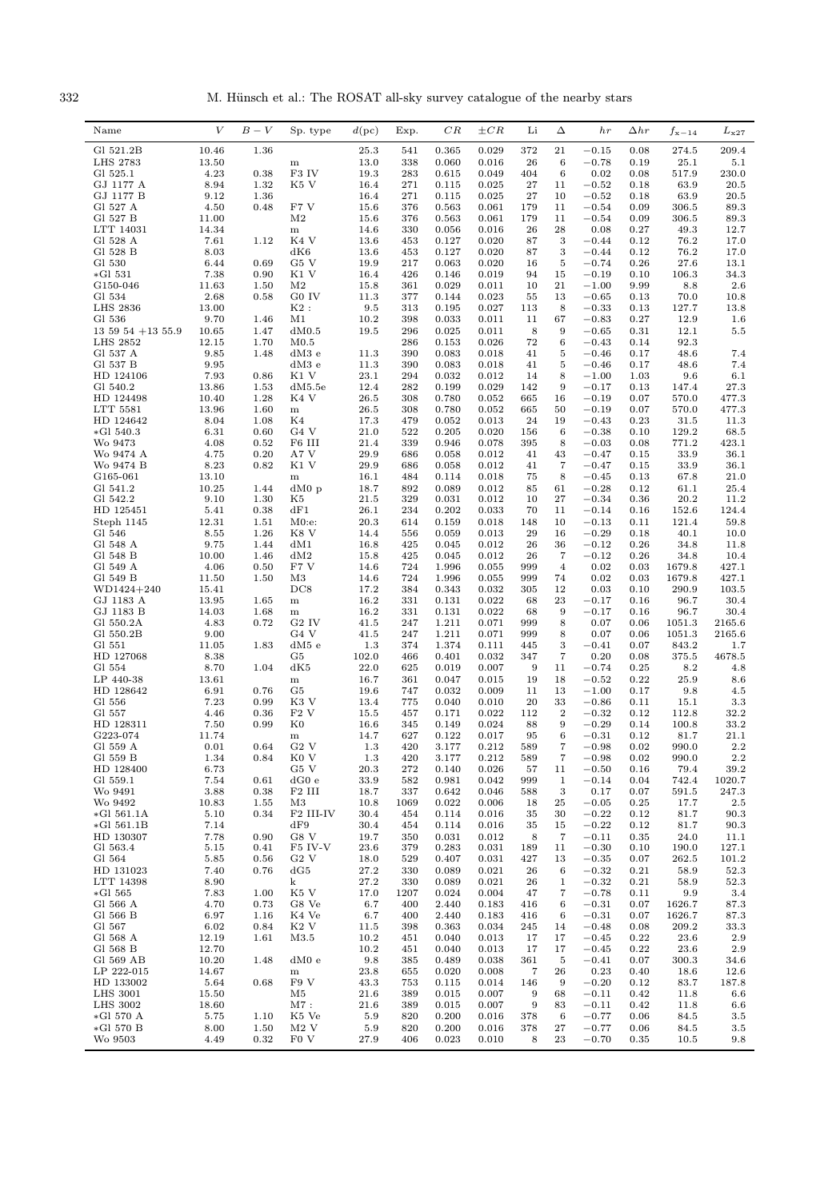332 M. Hünsch et al.: The ROSAT all-sky survey catalogue of the nearby stars

| Gl 521.2B<br>25.3<br>0.365<br>0.029<br>372<br>21<br>274.5<br>209.4<br>10.46<br>1.36<br>541<br>$-0.15$<br>0.08<br>13.0<br>LHS 2783<br>13.50<br>338<br>0.060<br>0.016<br>26<br>6<br>$-0.78$<br>0.19<br>25.1<br>5.1<br>${\bf m}$<br>4.23<br>F3 IV<br>19.3<br>283<br>0.02<br>517.9<br>230.0<br>Gl 525.1<br>0.38<br>0.615<br>0.049<br>404<br>6<br>0.08<br>GJ 1177 A<br>8.94<br>1.32<br>K5 V<br>271<br>0.025<br>$\sqrt{27}$<br>$-0.52$<br>63.9<br>20.5<br>16.4<br>0.115<br>11<br>0.18<br>9.12<br>63.9<br>20.5<br>GJ 1177 B<br>1.36<br>16.4<br>271<br>0.115<br>0.025<br>27<br>10<br>$-0.52$<br>0.18<br>Gl 527 A<br>306.5<br>89.3<br>4.50<br>0.48<br>F7 V<br>15.6<br>376<br>0.563<br>0.061<br>179<br>11<br>$-0.54$<br>0.09<br>Gl 527 B<br>$\rm M2$<br>$-0.54$<br>11.00<br>15.6<br>376<br>0.563<br>0.061<br>179<br>11<br>0.09<br>306.5<br>89.3<br>28<br>LTT 14031<br>14.34<br>14.6<br>330<br>0.056<br>0.016<br>26<br>0.08<br>0.27<br>49.3<br>12.7<br>${\bf m}$<br>7.61<br>K4 V<br>0.020<br>3<br>76.2<br>Gl 528 A<br>1.12<br>13.6<br>453<br>0.127<br>87<br>$-0.44$<br>0.12<br>17.0<br>Gl 528 B<br>dK6<br>0.020<br>3<br>76.2<br>8.03<br>13.6<br>453<br>0.127<br>87<br>$-0.44$<br>0.12<br>17.0<br>0.69<br>G <sub>5</sub> V<br>Gl 530<br>6.44<br>19.9<br>217<br>0.063<br>0.020<br>16<br>5<br>$-0.74$<br>0.26<br>27.6<br>13.1<br>7.38<br>0.90<br>K1 V<br>426<br>0.019<br>106.3<br>34.3<br>$*GI$ 531<br>16.4<br>0.146<br>94<br>15<br>$-0.19$<br>0.10<br>11.63<br>M <sub>2</sub><br>0.029<br>21<br>$2.6\,$<br>G150-046<br>1.50<br>15.8<br>361<br>0.011<br>10<br>$-1.00$<br>9.99<br>8.8<br>G0 IV<br>Gl 534<br>2.68<br>0.58<br>11.3<br>377<br>0.144<br>0.023<br>55<br>13<br>$-0.65$<br>70.0<br>10.8<br>0.13<br>$K2$ :<br>127.7<br>LHS 2836<br>13.00<br>9.5<br>313<br>0.195<br>0.027<br>113<br>8<br>$-0.33$<br>0.13<br>13.8<br>67<br>12.9<br>Gl 536<br>9.70<br>1.46<br>M1<br>10.2<br>398<br>0.033<br>0.011<br>11<br>$-0.83$<br>0.27<br>$1.6\,$<br>10.65<br>8<br>9<br>12.1<br>$13\ 59\ 54\ +13\ 55.9$<br>1.47<br>dM0.5<br>19.5<br>296<br>0.025<br>0.011<br>$-0.65$<br>$5.5\,$<br>0.31<br>92.3<br><b>LHS 2852</b><br>12.15<br>1.70<br>M <sub>0.5</sub><br>286<br>0.153<br>0.026<br>72<br>6<br>$-0.43$<br>0.14<br>48.6<br>7.4<br>Gl 537 A<br>9.85<br>1.48<br>$dM3$ e<br>11.3<br>390<br>0.083<br>0.018<br>41<br>5<br>$-0.46$<br>0.17<br>Gl 537 B<br>9.95<br>0.018<br>5<br>48.6<br>7.4<br>dM3e<br>11.3<br>390<br>0.083<br>41<br>$-0.46$<br>0.17<br>7.93<br>9.6<br>HD 124106<br>0.86<br>K1 V<br>23.1<br>294<br>0.032<br>0.012<br>14<br>8<br>$-1.00$<br>1.03<br>$6.1\,$<br>0.029<br>9<br>Gl 540.2<br>13.86<br>1.53<br>dM5.5e<br>12.4<br>282<br>0.199<br>142<br>$-0.17$<br>0.13<br>147.4<br>27.3<br>K4 V<br>HD 124498<br>10.40<br>1.28<br>26.5<br>308<br>0.780<br>0.052<br>665<br>16<br>$-0.19$<br>570.0<br>477.3<br>0.07<br>LTT 5581<br>1.60<br>0.052<br>$-0.19$<br>477.3<br>13.96<br>26.5<br>308<br>0.780<br>665<br>50<br>0.07<br>570.0<br>${\bf m}$<br>K4<br>HD 124642<br>8.04<br>1.08<br>17.3<br>479<br>0.052<br>0.013<br>24<br>19<br>$-0.43$<br>0.23<br>31.5<br>11.3<br>6.31<br>0.60<br>G <sub>4</sub> V<br>522<br>0.020<br>129.2<br>68.5<br>$*GI 540.3$<br>21.0<br>0.205<br>156<br>6<br>$-0.38$<br>0.10<br>F6 III<br>21.4<br>771.2<br>Wo 9473<br>4.08<br>0.52<br>339<br>0.946<br>0.078<br>395<br>8<br>$-0.03$<br>423.1<br>0.08<br>Wo 9474 A<br>4.75<br>0.20<br>A7 V<br>29.9<br>686<br>0.058<br>0.012<br>41<br>43<br>$-0.47$<br>0.15<br>33.9<br>36.1<br>Wo 9474 B<br>8.23<br>0.82<br>K1 V<br>29.9<br>0.058<br>0.012<br>$\overline{7}$<br>33.9<br>36.1<br>686<br>41<br>$-0.47$<br>0.15<br>0.018<br>67.8<br>G165-061<br>13.10<br>16.1<br>484<br>0.114<br>75<br>8<br>$-0.45$<br>0.13<br>21.0<br>${\bf m}$<br>Gl 541.2<br>10.25<br>1.44<br>$dM0$ p<br>18.7<br>892<br>0.089<br>0.012<br>85<br>61<br>$-0.28$<br>0.12<br>61.1<br>25.4<br>Gl 542.2<br>9.10<br>1.30<br>K5<br>329<br>0.031<br>0.012<br>27<br>$-0.34$<br>20.2<br>11.2<br>21.5<br>10<br>0.36<br>dF1<br>0.033<br>152.6<br>HD 125451<br>5.41<br>0.38<br>26.1<br>234<br>0.202<br>70<br>11<br>$-0.14$<br>0.16<br>124.4<br>Steph 1145<br>12.31<br>1.51<br>$M0:$ e:<br>20.3<br>614<br>0.159<br>0.018<br>148<br>10<br>$-0.13$<br>0.11<br>121.4<br>59.8<br>K8 V<br>Gl 546<br>8.55<br>1.26<br>14.4<br>556<br>0.059<br>0.013<br>29<br>16<br>$-0.29$<br>0.18<br>40.1<br>10.0<br>9.75<br>1.44<br>dM1<br>425<br>0.012<br>26<br>$-0.12$<br>34.8<br>11.8<br>Gl 548 A<br>16.8<br>0.045<br>36<br>0.26<br>10.00<br>Gl 548 B<br>1.46<br>dM2<br>15.8<br>425<br>0.045<br>0.012<br>26<br>7<br>$-0.12$<br>0.26<br>34.8<br>10.4<br>4.06<br>F7 V<br>Gl 549 A<br>0.50<br>14.6<br>724<br>1.996<br>0.055<br>999<br>$\overline{4}$<br>0.02<br>0.03<br>1679.8<br>427.1<br>11.50<br>724<br>0.02<br>427.1<br>Gl 549 B<br>1.50<br>M3<br>14.6<br>1.996<br>0.055<br>999<br>74<br>0.03<br>1679.8<br>103.5<br>WD1424+240<br>15.41<br>DC8<br>17.2<br>384<br>0.343<br>0.032<br>305<br>12<br>0.03<br>0.10<br>290.9<br>0.022<br>23<br>30.4<br>GJ 1183 A<br>13.95<br>1.65<br>16.2<br>331<br>0.131<br>68<br>$-0.17$<br>0.16<br>96.7<br>${\bf m}$<br>GJ 1183 B<br>1.68<br>0.022<br>9<br>$-0.17$<br>96.7<br>30.4<br>14.03<br>16.2<br>331<br>0.131<br>68<br>0.16<br>${\bf m}$<br>8<br>0.07<br>Gl 550.2A<br>4.83<br>0.72<br>G <sub>2</sub> IV<br>41.5<br>247<br>1.211<br>0.071<br>999<br>0.06<br>1051.3<br>2165.6<br>Gl 550.2B<br>G <sub>4</sub> V<br>1.211<br>9.00<br>41.5<br>247<br>0.071<br>999<br>8<br>0.07<br>0.06<br>1051.3<br>2165.6<br>1.83<br>dM5e<br>1.3<br>0.111<br>3<br>$-0.41$<br>843.2<br>Gl 551<br>11.05<br>374<br>1.374<br>445<br>0.07<br>1.7<br>7<br>0.20<br>HD 127068<br>8.38<br>G5<br>102.0<br>0.401<br>0.032<br>347<br>375.5<br>4678.5<br>466<br>0.08<br>dK5<br>Gl 554<br>8.70<br>1.04<br>22.0<br>625<br>0.019<br>0.007<br>9<br>11<br>$-0.74$<br>0.25<br>8.2<br>4.8<br>LP 440-38<br>13.61<br>16.7<br>0.047<br>0.015<br>18<br>$-0.52$<br>25.9<br>361<br>19<br>0.22<br>8.6<br>${\bf m}$<br>G <sub>5</sub><br>HD 128642<br>6.91<br>0.76<br>19.6<br>0.032<br>0.009<br>11<br>13<br>$-1.00$<br>0.17<br>9.8<br>4.5<br>747<br>7.23<br>Gl 556<br>0.99<br>K3 V<br>13.4<br>775<br>0.040<br>0.010<br>20<br>33<br>$-0.86$<br>0.11<br>15.1<br>$3.3\,$<br>0.36<br>F2V<br>$\boldsymbol{2}$<br>112.8<br>Gl 557<br>4.46<br>15.5<br>457<br>0.171<br>0.022<br>112<br>$-0.32$<br>0.12<br>32.2<br>$_{\rm K0}$<br>16.6<br>88<br>9<br>$-0.29$<br>0.14<br>33.2<br>HD 128311<br>7.50<br>0.99<br>345<br>0.149<br>0.024<br>100.8<br>6<br>G223-074<br>11.74<br>14.7<br>627<br>0.122<br>0.017<br>95<br>$-0.31$<br>0.12<br>81.7<br>21.1<br>m<br>Gl 559 A<br>0.01<br>0.64<br>$G2$ V<br>420<br>3.177<br>0.212<br>589<br>$\overline{7}$<br>$-0.98$<br>0.02<br>990.0<br>$2.2\,$<br>1.3<br>K <sub>0</sub> V<br>589<br>$\overline{7}$<br>$2.2\,$<br>Gl 559 B<br>1.34<br>0.84<br>1.3<br>420<br>3.177<br>0.212<br>$-0.98$<br>0.02<br>990.0<br>HD 128400<br>6.73<br>G5 V<br>20.3<br>272<br>0.140<br>0.026<br>11<br>$-0.50$<br>0.16<br>79.4<br>39.2<br>57<br>Gl 559.1<br>7.54<br>0.61<br>dG0e<br>33.9<br>0.042<br>$-0.14$<br>742.4<br>1020.7<br>582<br>0.981<br>999<br>1<br>0.04<br>3.88<br>F <sub>2</sub> III<br>337<br>3<br>0.17<br>247.3<br>Wo 9491<br>0.38<br>18.7<br>0.642<br>0.046<br>588<br>0.07<br>591.5<br>10.83<br>$\bf 25$<br>Wo 9492<br>1.55<br>M3<br>10.8<br>1069<br>0.022<br>0.006<br>$-0.05$<br>0.25<br>17.7<br>$_{2.5}$<br>18<br>5.10<br>F2 III-IV<br>$-0.22$<br>$*GI 561.1A$<br>0.34<br>30.4<br>454<br>0.114<br>0.016<br>35<br>30<br>0.12<br>81.7<br>90.3<br>7.14<br>35<br>$-0.22$<br>81.7<br>$*GI 561.1B$<br>dF9<br>30.4<br>454<br>0.114<br>0.016<br>15<br>0.12<br>90.3<br>HD 130307<br>7.78<br>0.90<br>G8 V<br>$-0.11$<br>24.0<br>19.7<br>350<br>0.031<br>0.012<br>8<br>7<br>0.35<br>11.1<br>Gl 563.4<br>F5 IV-V<br>23.6<br>0.283<br>0.031<br>$-0.30$<br>190.0<br>5.15<br>0.41<br>379<br>189<br>11<br>0.10<br>127.1<br>5.85<br>G2V<br>529<br>$-0.35$<br>101.2<br>Gl 564<br>0.56<br>18.0<br>0.407<br>0.031<br>427<br>13<br>0.07<br>262.5<br>7.40<br>27.2<br>$-0.32$<br>52.3<br>HD 131023<br>0.76<br>dG5<br>330<br>0.089<br>0.021<br>26<br>0.21<br>58.9<br>6<br>LTT 14398<br>8.90<br>k<br>27.2<br>330<br>0.089<br>0.021<br>26<br>$\mathbf{1}$<br>$-0.32$<br>0.21<br>58.9<br>52.3<br>$*GI 565$<br>7.83<br>K5 V<br>17.0<br>7<br>$-0.78$<br>9.9<br>3.4<br>1.00<br>1207<br>0.024<br>0.004<br>47<br>0.11<br>4.70<br>G8 Ve<br>6.7<br>$-0.31$<br>Gl 566 A<br>0.73<br>400<br>2.440<br>0.183<br>416<br>6<br>0.07<br>1626.7<br>87.3<br>Gl 566 B<br>6.97<br>1.16<br>K4 Ve<br>6.7<br>400<br>2.440<br>0.183<br>416<br>$-0.31$<br>0.07<br>1626.7<br>87.3<br>6<br>Gl 567<br>6.02<br>K <sub>2</sub> V<br>209.2<br>0.84<br>11.5<br>398<br>0.363<br>0.034<br>245<br>14<br>$-0.48$<br>0.08<br>33.3<br>Gl 568 A<br>12.19<br>M3.5<br>23.6<br>2.9<br>1.61<br>10.2<br>451<br>0.040<br>0.013<br>17<br>17<br>$-0.45$<br>0.22<br>Gl 568 B<br>12.70<br>23.6<br>10.2<br>451<br>0.040<br>0.013<br>17<br>17<br>$-0.45$<br>0.22<br>2.9<br>Gl 569 AB<br>10.20<br>9.8<br>1.48<br>dM0e<br>385<br>0.489<br>0.038<br>361<br>5<br>$-0.41$<br>0.07<br>300.3<br>34.6<br>LP 222-015<br>14.67<br>23.8<br>0.23<br>655<br>0.020<br>0.008<br>7<br>26<br>0.40<br>18.6<br>12.6<br>m<br>F9 V<br>83.7<br>HD 133002<br>5.64<br>0.68<br>43.3<br>753<br>0.115<br>0.014<br>146<br>9<br>$-0.20$<br>0.12<br>187.8<br><b>LHS 3001</b><br>15.50<br>M5<br>21.6<br>389<br>0.015<br>0.007<br>9<br>68<br>$-0.11$<br>0.42<br>11.8<br>$6.6\,$<br><b>LHS 3002</b><br>18.60<br>21.6<br>11.8<br>M7:<br>389<br>0.015<br>0.007<br>9<br>83<br>$-0.11$<br>0.42<br>$6.6\,$<br>*Gl 570 A<br>5.75<br>1.10<br>K5 Ve<br>5.9<br>820<br>0.200<br>0.016<br>378<br>6<br>$-0.77$<br>84.5<br>$3.5\,$<br>0.06<br>$*GI 570 B$<br>8.00<br>1.50<br>$M2$ V<br>5.9<br>820<br>0.200<br>0.016<br>27<br>$-0.77$<br>84.5<br>$3.5\,$<br>378<br>0.06<br>Wo 9503<br>4.49<br>0.32<br>F <sub>0</sub> V<br>27.9<br>0.023<br>0.010<br>8<br>23<br>$-0.70$<br>406<br>0.35<br>10.5<br>9.8 | Name | V | $B-V$ | Sp. type | d(pc) | Exp. | CR | $\pm CR$ | Li | Δ | hr | $\Delta hr$ | $f_{\rm x-14}$ | $L_{\rm x27}$ |
|------------------------------------------------------------------------------------------------------------------------------------------------------------------------------------------------------------------------------------------------------------------------------------------------------------------------------------------------------------------------------------------------------------------------------------------------------------------------------------------------------------------------------------------------------------------------------------------------------------------------------------------------------------------------------------------------------------------------------------------------------------------------------------------------------------------------------------------------------------------------------------------------------------------------------------------------------------------------------------------------------------------------------------------------------------------------------------------------------------------------------------------------------------------------------------------------------------------------------------------------------------------------------------------------------------------------------------------------------------------------------------------------------------------------------------------------------------------------------------------------------------------------------------------------------------------------------------------------------------------------------------------------------------------------------------------------------------------------------------------------------------------------------------------------------------------------------------------------------------------------------------------------------------------------------------------------------------------------------------------------------------------------------------------------------------------------------------------------------------------------------------------------------------------------------------------------------------------------------------------------------------------------------------------------------------------------------------------------------------------------------------------------------------------------------------------------------------------------------------------------------------------------------------------------------------------------------------------------------------------------------------------------------------------------------------------------------------------------------------------------------------------------------------------------------------------------------------------------------------------------------------------------------------------------------------------------------------------------------------------------------------------------------------------------------------------------------------------------------------------------------------------------------------------------------------------------------------------------------------------------------------------------------------------------------------------------------------------------------------------------------------------------------------------------------------------------------------------------------------------------------------------------------------------------------------------------------------------------------------------------------------------------------------------------------------------------------------------------------------------------------------------------------------------------------------------------------------------------------------------------------------------------------------------------------------------------------------------------------------------------------------------------------------------------------------------------------------------------------------------------------------------------------------------------------------------------------------------------------------------------------------------------------------------------------------------------------------------------------------------------------------------------------------------------------------------------------------------------------------------------------------------------------------------------------------------------------------------------------------------------------------------------------------------------------------------------------------------------------------------------------------------------------------------------------------------------------------------------------------------------------------------------------------------------------------------------------------------------------------------------------------------------------------------------------------------------------------------------------------------------------------------------------------------------------------------------------------------------------------------------------------------------------------------------------------------------------------------------------------------------------------------------------------------------------------------------------------------------------------------------------------------------------------------------------------------------------------------------------------------------------------------------------------------------------------------------------------------------------------------------------------------------------------------------------------------------------------------------------------------------------------------------------------------------------------------------------------------------------------------------------------------------------------------------------------------------------------------------------------------------------------------------------------------------------------------------------------------------------------------------------------------------------------------------------------------------------------------------------------------------------------------------------------------------------------------------------------------------------------------------------------------------------------------------------------------------------------------------------------------------------------------------------------------------------------------------------------------------------------------------------------------------------------------------------------------------------------------------------------------------------------------------------------------------------------------------------------------------------------------------------------------------------------------------------------------------------------------------------------------------------------------------------------------------------------------------------------------------------------------------------------------------------------------------------------------------------------------------------------------------------------------------------------------------------------------------------------------------------------------------------------------------------------------------------------------------------------------------------------------------------------------------------------------------------------------------------------------------------------------------------------------------------------------------------------------------------------------------------------------------------------------------------------------------------------------------------------------------------------------------------------------------------------------------------------------------------------------------------------------------------------------------------------------------------------------------------------------------------------------------------------------------------------------------------------------------------------------------------------------------------------------------------------------------------------------------------------------------------------------------------------------------------------------------------------------------------------------------------------------------------------------------------------------------------------------------------------------------------------------------------------------------------------------------------------------------------------------------------------------------------------------------------------------------------------------------------------------------------------------------------------------------------------------------------------------------------------------------------------------------------------------------------------------------------------------------------------------------------------------------------------------------------------------------------------------------------------------------------------------------------------------------------------------------------------------------------------------------------------------------------------------------------------------------------------------------------------------------------------------------------------------------------------------------------------------------------------------------------------------------------------------------------------------------------------------------------------------------------------------|------|---|-------|----------|-------|------|----|----------|----|---|----|-------------|----------------|---------------|
|                                                                                                                                                                                                                                                                                                                                                                                                                                                                                                                                                                                                                                                                                                                                                                                                                                                                                                                                                                                                                                                                                                                                                                                                                                                                                                                                                                                                                                                                                                                                                                                                                                                                                                                                                                                                                                                                                                                                                                                                                                                                                                                                                                                                                                                                                                                                                                                                                                                                                                                                                                                                                                                                                                                                                                                                                                                                                                                                                                                                                                                                                                                                                                                                                                                                                                                                                                                                                                                                                                                                                                                                                                                                                                                                                                                                                                                                                                                                                                                                                                                                                                                                                                                                                                                                                                                                                                                                                                                                                                                                                                                                                                                                                                                                                                                                                                                                                                                                                                                                                                                                                                                                                                                                                                                                                                                                                                                                                                                                                                                                                                                                                                                                                                                                                                                                                                                                                                                                                                                                                                                                                                                                                                                                                                                                                                                                                                                                                                                                                                                                                                                                                                                                                                                                                                                                                                                                                                                                                                                                                                                                                                                                                                                                                                                                                                                                                                                                                                                                                                                                                                                                                                                                                                                                                                                                                                                                                                                                                                                                                                                                                                                                                                                                                                                                                                                                                                                                                                                                                                                                                                                                                                                                                                                                                                                                                                                                                                                                                                                                                                                                                                                                                                                                                                                                                                                                                                                                                                                                                                                                                                                                                                                                                                                                                                                                                                                                  |      |   |       |          |       |      |    |          |    |   |    |             |                |               |
|                                                                                                                                                                                                                                                                                                                                                                                                                                                                                                                                                                                                                                                                                                                                                                                                                                                                                                                                                                                                                                                                                                                                                                                                                                                                                                                                                                                                                                                                                                                                                                                                                                                                                                                                                                                                                                                                                                                                                                                                                                                                                                                                                                                                                                                                                                                                                                                                                                                                                                                                                                                                                                                                                                                                                                                                                                                                                                                                                                                                                                                                                                                                                                                                                                                                                                                                                                                                                                                                                                                                                                                                                                                                                                                                                                                                                                                                                                                                                                                                                                                                                                                                                                                                                                                                                                                                                                                                                                                                                                                                                                                                                                                                                                                                                                                                                                                                                                                                                                                                                                                                                                                                                                                                                                                                                                                                                                                                                                                                                                                                                                                                                                                                                                                                                                                                                                                                                                                                                                                                                                                                                                                                                                                                                                                                                                                                                                                                                                                                                                                                                                                                                                                                                                                                                                                                                                                                                                                                                                                                                                                                                                                                                                                                                                                                                                                                                                                                                                                                                                                                                                                                                                                                                                                                                                                                                                                                                                                                                                                                                                                                                                                                                                                                                                                                                                                                                                                                                                                                                                                                                                                                                                                                                                                                                                                                                                                                                                                                                                                                                                                                                                                                                                                                                                                                                                                                                                                                                                                                                                                                                                                                                                                                                                                                                                                                                                                                  |      |   |       |          |       |      |    |          |    |   |    |             |                |               |
|                                                                                                                                                                                                                                                                                                                                                                                                                                                                                                                                                                                                                                                                                                                                                                                                                                                                                                                                                                                                                                                                                                                                                                                                                                                                                                                                                                                                                                                                                                                                                                                                                                                                                                                                                                                                                                                                                                                                                                                                                                                                                                                                                                                                                                                                                                                                                                                                                                                                                                                                                                                                                                                                                                                                                                                                                                                                                                                                                                                                                                                                                                                                                                                                                                                                                                                                                                                                                                                                                                                                                                                                                                                                                                                                                                                                                                                                                                                                                                                                                                                                                                                                                                                                                                                                                                                                                                                                                                                                                                                                                                                                                                                                                                                                                                                                                                                                                                                                                                                                                                                                                                                                                                                                                                                                                                                                                                                                                                                                                                                                                                                                                                                                                                                                                                                                                                                                                                                                                                                                                                                                                                                                                                                                                                                                                                                                                                                                                                                                                                                                                                                                                                                                                                                                                                                                                                                                                                                                                                                                                                                                                                                                                                                                                                                                                                                                                                                                                                                                                                                                                                                                                                                                                                                                                                                                                                                                                                                                                                                                                                                                                                                                                                                                                                                                                                                                                                                                                                                                                                                                                                                                                                                                                                                                                                                                                                                                                                                                                                                                                                                                                                                                                                                                                                                                                                                                                                                                                                                                                                                                                                                                                                                                                                                                                                                                                                                                  |      |   |       |          |       |      |    |          |    |   |    |             |                |               |
|                                                                                                                                                                                                                                                                                                                                                                                                                                                                                                                                                                                                                                                                                                                                                                                                                                                                                                                                                                                                                                                                                                                                                                                                                                                                                                                                                                                                                                                                                                                                                                                                                                                                                                                                                                                                                                                                                                                                                                                                                                                                                                                                                                                                                                                                                                                                                                                                                                                                                                                                                                                                                                                                                                                                                                                                                                                                                                                                                                                                                                                                                                                                                                                                                                                                                                                                                                                                                                                                                                                                                                                                                                                                                                                                                                                                                                                                                                                                                                                                                                                                                                                                                                                                                                                                                                                                                                                                                                                                                                                                                                                                                                                                                                                                                                                                                                                                                                                                                                                                                                                                                                                                                                                                                                                                                                                                                                                                                                                                                                                                                                                                                                                                                                                                                                                                                                                                                                                                                                                                                                                                                                                                                                                                                                                                                                                                                                                                                                                                                                                                                                                                                                                                                                                                                                                                                                                                                                                                                                                                                                                                                                                                                                                                                                                                                                                                                                                                                                                                                                                                                                                                                                                                                                                                                                                                                                                                                                                                                                                                                                                                                                                                                                                                                                                                                                                                                                                                                                                                                                                                                                                                                                                                                                                                                                                                                                                                                                                                                                                                                                                                                                                                                                                                                                                                                                                                                                                                                                                                                                                                                                                                                                                                                                                                                                                                                                                                  |      |   |       |          |       |      |    |          |    |   |    |             |                |               |
|                                                                                                                                                                                                                                                                                                                                                                                                                                                                                                                                                                                                                                                                                                                                                                                                                                                                                                                                                                                                                                                                                                                                                                                                                                                                                                                                                                                                                                                                                                                                                                                                                                                                                                                                                                                                                                                                                                                                                                                                                                                                                                                                                                                                                                                                                                                                                                                                                                                                                                                                                                                                                                                                                                                                                                                                                                                                                                                                                                                                                                                                                                                                                                                                                                                                                                                                                                                                                                                                                                                                                                                                                                                                                                                                                                                                                                                                                                                                                                                                                                                                                                                                                                                                                                                                                                                                                                                                                                                                                                                                                                                                                                                                                                                                                                                                                                                                                                                                                                                                                                                                                                                                                                                                                                                                                                                                                                                                                                                                                                                                                                                                                                                                                                                                                                                                                                                                                                                                                                                                                                                                                                                                                                                                                                                                                                                                                                                                                                                                                                                                                                                                                                                                                                                                                                                                                                                                                                                                                                                                                                                                                                                                                                                                                                                                                                                                                                                                                                                                                                                                                                                                                                                                                                                                                                                                                                                                                                                                                                                                                                                                                                                                                                                                                                                                                                                                                                                                                                                                                                                                                                                                                                                                                                                                                                                                                                                                                                                                                                                                                                                                                                                                                                                                                                                                                                                                                                                                                                                                                                                                                                                                                                                                                                                                                                                                                                                                  |      |   |       |          |       |      |    |          |    |   |    |             |                |               |
|                                                                                                                                                                                                                                                                                                                                                                                                                                                                                                                                                                                                                                                                                                                                                                                                                                                                                                                                                                                                                                                                                                                                                                                                                                                                                                                                                                                                                                                                                                                                                                                                                                                                                                                                                                                                                                                                                                                                                                                                                                                                                                                                                                                                                                                                                                                                                                                                                                                                                                                                                                                                                                                                                                                                                                                                                                                                                                                                                                                                                                                                                                                                                                                                                                                                                                                                                                                                                                                                                                                                                                                                                                                                                                                                                                                                                                                                                                                                                                                                                                                                                                                                                                                                                                                                                                                                                                                                                                                                                                                                                                                                                                                                                                                                                                                                                                                                                                                                                                                                                                                                                                                                                                                                                                                                                                                                                                                                                                                                                                                                                                                                                                                                                                                                                                                                                                                                                                                                                                                                                                                                                                                                                                                                                                                                                                                                                                                                                                                                                                                                                                                                                                                                                                                                                                                                                                                                                                                                                                                                                                                                                                                                                                                                                                                                                                                                                                                                                                                                                                                                                                                                                                                                                                                                                                                                                                                                                                                                                                                                                                                                                                                                                                                                                                                                                                                                                                                                                                                                                                                                                                                                                                                                                                                                                                                                                                                                                                                                                                                                                                                                                                                                                                                                                                                                                                                                                                                                                                                                                                                                                                                                                                                                                                                                                                                                                                                                  |      |   |       |          |       |      |    |          |    |   |    |             |                |               |
|                                                                                                                                                                                                                                                                                                                                                                                                                                                                                                                                                                                                                                                                                                                                                                                                                                                                                                                                                                                                                                                                                                                                                                                                                                                                                                                                                                                                                                                                                                                                                                                                                                                                                                                                                                                                                                                                                                                                                                                                                                                                                                                                                                                                                                                                                                                                                                                                                                                                                                                                                                                                                                                                                                                                                                                                                                                                                                                                                                                                                                                                                                                                                                                                                                                                                                                                                                                                                                                                                                                                                                                                                                                                                                                                                                                                                                                                                                                                                                                                                                                                                                                                                                                                                                                                                                                                                                                                                                                                                                                                                                                                                                                                                                                                                                                                                                                                                                                                                                                                                                                                                                                                                                                                                                                                                                                                                                                                                                                                                                                                                                                                                                                                                                                                                                                                                                                                                                                                                                                                                                                                                                                                                                                                                                                                                                                                                                                                                                                                                                                                                                                                                                                                                                                                                                                                                                                                                                                                                                                                                                                                                                                                                                                                                                                                                                                                                                                                                                                                                                                                                                                                                                                                                                                                                                                                                                                                                                                                                                                                                                                                                                                                                                                                                                                                                                                                                                                                                                                                                                                                                                                                                                                                                                                                                                                                                                                                                                                                                                                                                                                                                                                                                                                                                                                                                                                                                                                                                                                                                                                                                                                                                                                                                                                                                                                                                                                                  |      |   |       |          |       |      |    |          |    |   |    |             |                |               |
|                                                                                                                                                                                                                                                                                                                                                                                                                                                                                                                                                                                                                                                                                                                                                                                                                                                                                                                                                                                                                                                                                                                                                                                                                                                                                                                                                                                                                                                                                                                                                                                                                                                                                                                                                                                                                                                                                                                                                                                                                                                                                                                                                                                                                                                                                                                                                                                                                                                                                                                                                                                                                                                                                                                                                                                                                                                                                                                                                                                                                                                                                                                                                                                                                                                                                                                                                                                                                                                                                                                                                                                                                                                                                                                                                                                                                                                                                                                                                                                                                                                                                                                                                                                                                                                                                                                                                                                                                                                                                                                                                                                                                                                                                                                                                                                                                                                                                                                                                                                                                                                                                                                                                                                                                                                                                                                                                                                                                                                                                                                                                                                                                                                                                                                                                                                                                                                                                                                                                                                                                                                                                                                                                                                                                                                                                                                                                                                                                                                                                                                                                                                                                                                                                                                                                                                                                                                                                                                                                                                                                                                                                                                                                                                                                                                                                                                                                                                                                                                                                                                                                                                                                                                                                                                                                                                                                                                                                                                                                                                                                                                                                                                                                                                                                                                                                                                                                                                                                                                                                                                                                                                                                                                                                                                                                                                                                                                                                                                                                                                                                                                                                                                                                                                                                                                                                                                                                                                                                                                                                                                                                                                                                                                                                                                                                                                                                                                                  |      |   |       |          |       |      |    |          |    |   |    |             |                |               |
|                                                                                                                                                                                                                                                                                                                                                                                                                                                                                                                                                                                                                                                                                                                                                                                                                                                                                                                                                                                                                                                                                                                                                                                                                                                                                                                                                                                                                                                                                                                                                                                                                                                                                                                                                                                                                                                                                                                                                                                                                                                                                                                                                                                                                                                                                                                                                                                                                                                                                                                                                                                                                                                                                                                                                                                                                                                                                                                                                                                                                                                                                                                                                                                                                                                                                                                                                                                                                                                                                                                                                                                                                                                                                                                                                                                                                                                                                                                                                                                                                                                                                                                                                                                                                                                                                                                                                                                                                                                                                                                                                                                                                                                                                                                                                                                                                                                                                                                                                                                                                                                                                                                                                                                                                                                                                                                                                                                                                                                                                                                                                                                                                                                                                                                                                                                                                                                                                                                                                                                                                                                                                                                                                                                                                                                                                                                                                                                                                                                                                                                                                                                                                                                                                                                                                                                                                                                                                                                                                                                                                                                                                                                                                                                                                                                                                                                                                                                                                                                                                                                                                                                                                                                                                                                                                                                                                                                                                                                                                                                                                                                                                                                                                                                                                                                                                                                                                                                                                                                                                                                                                                                                                                                                                                                                                                                                                                                                                                                                                                                                                                                                                                                                                                                                                                                                                                                                                                                                                                                                                                                                                                                                                                                                                                                                                                                                                                                                  |      |   |       |          |       |      |    |          |    |   |    |             |                |               |
|                                                                                                                                                                                                                                                                                                                                                                                                                                                                                                                                                                                                                                                                                                                                                                                                                                                                                                                                                                                                                                                                                                                                                                                                                                                                                                                                                                                                                                                                                                                                                                                                                                                                                                                                                                                                                                                                                                                                                                                                                                                                                                                                                                                                                                                                                                                                                                                                                                                                                                                                                                                                                                                                                                                                                                                                                                                                                                                                                                                                                                                                                                                                                                                                                                                                                                                                                                                                                                                                                                                                                                                                                                                                                                                                                                                                                                                                                                                                                                                                                                                                                                                                                                                                                                                                                                                                                                                                                                                                                                                                                                                                                                                                                                                                                                                                                                                                                                                                                                                                                                                                                                                                                                                                                                                                                                                                                                                                                                                                                                                                                                                                                                                                                                                                                                                                                                                                                                                                                                                                                                                                                                                                                                                                                                                                                                                                                                                                                                                                                                                                                                                                                                                                                                                                                                                                                                                                                                                                                                                                                                                                                                                                                                                                                                                                                                                                                                                                                                                                                                                                                                                                                                                                                                                                                                                                                                                                                                                                                                                                                                                                                                                                                                                                                                                                                                                                                                                                                                                                                                                                                                                                                                                                                                                                                                                                                                                                                                                                                                                                                                                                                                                                                                                                                                                                                                                                                                                                                                                                                                                                                                                                                                                                                                                                                                                                                                                                  |      |   |       |          |       |      |    |          |    |   |    |             |                |               |
|                                                                                                                                                                                                                                                                                                                                                                                                                                                                                                                                                                                                                                                                                                                                                                                                                                                                                                                                                                                                                                                                                                                                                                                                                                                                                                                                                                                                                                                                                                                                                                                                                                                                                                                                                                                                                                                                                                                                                                                                                                                                                                                                                                                                                                                                                                                                                                                                                                                                                                                                                                                                                                                                                                                                                                                                                                                                                                                                                                                                                                                                                                                                                                                                                                                                                                                                                                                                                                                                                                                                                                                                                                                                                                                                                                                                                                                                                                                                                                                                                                                                                                                                                                                                                                                                                                                                                                                                                                                                                                                                                                                                                                                                                                                                                                                                                                                                                                                                                                                                                                                                                                                                                                                                                                                                                                                                                                                                                                                                                                                                                                                                                                                                                                                                                                                                                                                                                                                                                                                                                                                                                                                                                                                                                                                                                                                                                                                                                                                                                                                                                                                                                                                                                                                                                                                                                                                                                                                                                                                                                                                                                                                                                                                                                                                                                                                                                                                                                                                                                                                                                                                                                                                                                                                                                                                                                                                                                                                                                                                                                                                                                                                                                                                                                                                                                                                                                                                                                                                                                                                                                                                                                                                                                                                                                                                                                                                                                                                                                                                                                                                                                                                                                                                                                                                                                                                                                                                                                                                                                                                                                                                                                                                                                                                                                                                                                                                                  |      |   |       |          |       |      |    |          |    |   |    |             |                |               |
|                                                                                                                                                                                                                                                                                                                                                                                                                                                                                                                                                                                                                                                                                                                                                                                                                                                                                                                                                                                                                                                                                                                                                                                                                                                                                                                                                                                                                                                                                                                                                                                                                                                                                                                                                                                                                                                                                                                                                                                                                                                                                                                                                                                                                                                                                                                                                                                                                                                                                                                                                                                                                                                                                                                                                                                                                                                                                                                                                                                                                                                                                                                                                                                                                                                                                                                                                                                                                                                                                                                                                                                                                                                                                                                                                                                                                                                                                                                                                                                                                                                                                                                                                                                                                                                                                                                                                                                                                                                                                                                                                                                                                                                                                                                                                                                                                                                                                                                                                                                                                                                                                                                                                                                                                                                                                                                                                                                                                                                                                                                                                                                                                                                                                                                                                                                                                                                                                                                                                                                                                                                                                                                                                                                                                                                                                                                                                                                                                                                                                                                                                                                                                                                                                                                                                                                                                                                                                                                                                                                                                                                                                                                                                                                                                                                                                                                                                                                                                                                                                                                                                                                                                                                                                                                                                                                                                                                                                                                                                                                                                                                                                                                                                                                                                                                                                                                                                                                                                                                                                                                                                                                                                                                                                                                                                                                                                                                                                                                                                                                                                                                                                                                                                                                                                                                                                                                                                                                                                                                                                                                                                                                                                                                                                                                                                                                                                                                                  |      |   |       |          |       |      |    |          |    |   |    |             |                |               |
|                                                                                                                                                                                                                                                                                                                                                                                                                                                                                                                                                                                                                                                                                                                                                                                                                                                                                                                                                                                                                                                                                                                                                                                                                                                                                                                                                                                                                                                                                                                                                                                                                                                                                                                                                                                                                                                                                                                                                                                                                                                                                                                                                                                                                                                                                                                                                                                                                                                                                                                                                                                                                                                                                                                                                                                                                                                                                                                                                                                                                                                                                                                                                                                                                                                                                                                                                                                                                                                                                                                                                                                                                                                                                                                                                                                                                                                                                                                                                                                                                                                                                                                                                                                                                                                                                                                                                                                                                                                                                                                                                                                                                                                                                                                                                                                                                                                                                                                                                                                                                                                                                                                                                                                                                                                                                                                                                                                                                                                                                                                                                                                                                                                                                                                                                                                                                                                                                                                                                                                                                                                                                                                                                                                                                                                                                                                                                                                                                                                                                                                                                                                                                                                                                                                                                                                                                                                                                                                                                                                                                                                                                                                                                                                                                                                                                                                                                                                                                                                                                                                                                                                                                                                                                                                                                                                                                                                                                                                                                                                                                                                                                                                                                                                                                                                                                                                                                                                                                                                                                                                                                                                                                                                                                                                                                                                                                                                                                                                                                                                                                                                                                                                                                                                                                                                                                                                                                                                                                                                                                                                                                                                                                                                                                                                                                                                                                                                                  |      |   |       |          |       |      |    |          |    |   |    |             |                |               |
|                                                                                                                                                                                                                                                                                                                                                                                                                                                                                                                                                                                                                                                                                                                                                                                                                                                                                                                                                                                                                                                                                                                                                                                                                                                                                                                                                                                                                                                                                                                                                                                                                                                                                                                                                                                                                                                                                                                                                                                                                                                                                                                                                                                                                                                                                                                                                                                                                                                                                                                                                                                                                                                                                                                                                                                                                                                                                                                                                                                                                                                                                                                                                                                                                                                                                                                                                                                                                                                                                                                                                                                                                                                                                                                                                                                                                                                                                                                                                                                                                                                                                                                                                                                                                                                                                                                                                                                                                                                                                                                                                                                                                                                                                                                                                                                                                                                                                                                                                                                                                                                                                                                                                                                                                                                                                                                                                                                                                                                                                                                                                                                                                                                                                                                                                                                                                                                                                                                                                                                                                                                                                                                                                                                                                                                                                                                                                                                                                                                                                                                                                                                                                                                                                                                                                                                                                                                                                                                                                                                                                                                                                                                                                                                                                                                                                                                                                                                                                                                                                                                                                                                                                                                                                                                                                                                                                                                                                                                                                                                                                                                                                                                                                                                                                                                                                                                                                                                                                                                                                                                                                                                                                                                                                                                                                                                                                                                                                                                                                                                                                                                                                                                                                                                                                                                                                                                                                                                                                                                                                                                                                                                                                                                                                                                                                                                                                                                                  |      |   |       |          |       |      |    |          |    |   |    |             |                |               |
|                                                                                                                                                                                                                                                                                                                                                                                                                                                                                                                                                                                                                                                                                                                                                                                                                                                                                                                                                                                                                                                                                                                                                                                                                                                                                                                                                                                                                                                                                                                                                                                                                                                                                                                                                                                                                                                                                                                                                                                                                                                                                                                                                                                                                                                                                                                                                                                                                                                                                                                                                                                                                                                                                                                                                                                                                                                                                                                                                                                                                                                                                                                                                                                                                                                                                                                                                                                                                                                                                                                                                                                                                                                                                                                                                                                                                                                                                                                                                                                                                                                                                                                                                                                                                                                                                                                                                                                                                                                                                                                                                                                                                                                                                                                                                                                                                                                                                                                                                                                                                                                                                                                                                                                                                                                                                                                                                                                                                                                                                                                                                                                                                                                                                                                                                                                                                                                                                                                                                                                                                                                                                                                                                                                                                                                                                                                                                                                                                                                                                                                                                                                                                                                                                                                                                                                                                                                                                                                                                                                                                                                                                                                                                                                                                                                                                                                                                                                                                                                                                                                                                                                                                                                                                                                                                                                                                                                                                                                                                                                                                                                                                                                                                                                                                                                                                                                                                                                                                                                                                                                                                                                                                                                                                                                                                                                                                                                                                                                                                                                                                                                                                                                                                                                                                                                                                                                                                                                                                                                                                                                                                                                                                                                                                                                                                                                                                                                                  |      |   |       |          |       |      |    |          |    |   |    |             |                |               |
|                                                                                                                                                                                                                                                                                                                                                                                                                                                                                                                                                                                                                                                                                                                                                                                                                                                                                                                                                                                                                                                                                                                                                                                                                                                                                                                                                                                                                                                                                                                                                                                                                                                                                                                                                                                                                                                                                                                                                                                                                                                                                                                                                                                                                                                                                                                                                                                                                                                                                                                                                                                                                                                                                                                                                                                                                                                                                                                                                                                                                                                                                                                                                                                                                                                                                                                                                                                                                                                                                                                                                                                                                                                                                                                                                                                                                                                                                                                                                                                                                                                                                                                                                                                                                                                                                                                                                                                                                                                                                                                                                                                                                                                                                                                                                                                                                                                                                                                                                                                                                                                                                                                                                                                                                                                                                                                                                                                                                                                                                                                                                                                                                                                                                                                                                                                                                                                                                                                                                                                                                                                                                                                                                                                                                                                                                                                                                                                                                                                                                                                                                                                                                                                                                                                                                                                                                                                                                                                                                                                                                                                                                                                                                                                                                                                                                                                                                                                                                                                                                                                                                                                                                                                                                                                                                                                                                                                                                                                                                                                                                                                                                                                                                                                                                                                                                                                                                                                                                                                                                                                                                                                                                                                                                                                                                                                                                                                                                                                                                                                                                                                                                                                                                                                                                                                                                                                                                                                                                                                                                                                                                                                                                                                                                                                                                                                                                                                                  |      |   |       |          |       |      |    |          |    |   |    |             |                |               |
|                                                                                                                                                                                                                                                                                                                                                                                                                                                                                                                                                                                                                                                                                                                                                                                                                                                                                                                                                                                                                                                                                                                                                                                                                                                                                                                                                                                                                                                                                                                                                                                                                                                                                                                                                                                                                                                                                                                                                                                                                                                                                                                                                                                                                                                                                                                                                                                                                                                                                                                                                                                                                                                                                                                                                                                                                                                                                                                                                                                                                                                                                                                                                                                                                                                                                                                                                                                                                                                                                                                                                                                                                                                                                                                                                                                                                                                                                                                                                                                                                                                                                                                                                                                                                                                                                                                                                                                                                                                                                                                                                                                                                                                                                                                                                                                                                                                                                                                                                                                                                                                                                                                                                                                                                                                                                                                                                                                                                                                                                                                                                                                                                                                                                                                                                                                                                                                                                                                                                                                                                                                                                                                                                                                                                                                                                                                                                                                                                                                                                                                                                                                                                                                                                                                                                                                                                                                                                                                                                                                                                                                                                                                                                                                                                                                                                                                                                                                                                                                                                                                                                                                                                                                                                                                                                                                                                                                                                                                                                                                                                                                                                                                                                                                                                                                                                                                                                                                                                                                                                                                                                                                                                                                                                                                                                                                                                                                                                                                                                                                                                                                                                                                                                                                                                                                                                                                                                                                                                                                                                                                                                                                                                                                                                                                                                                                                                                                                  |      |   |       |          |       |      |    |          |    |   |    |             |                |               |
|                                                                                                                                                                                                                                                                                                                                                                                                                                                                                                                                                                                                                                                                                                                                                                                                                                                                                                                                                                                                                                                                                                                                                                                                                                                                                                                                                                                                                                                                                                                                                                                                                                                                                                                                                                                                                                                                                                                                                                                                                                                                                                                                                                                                                                                                                                                                                                                                                                                                                                                                                                                                                                                                                                                                                                                                                                                                                                                                                                                                                                                                                                                                                                                                                                                                                                                                                                                                                                                                                                                                                                                                                                                                                                                                                                                                                                                                                                                                                                                                                                                                                                                                                                                                                                                                                                                                                                                                                                                                                                                                                                                                                                                                                                                                                                                                                                                                                                                                                                                                                                                                                                                                                                                                                                                                                                                                                                                                                                                                                                                                                                                                                                                                                                                                                                                                                                                                                                                                                                                                                                                                                                                                                                                                                                                                                                                                                                                                                                                                                                                                                                                                                                                                                                                                                                                                                                                                                                                                                                                                                                                                                                                                                                                                                                                                                                                                                                                                                                                                                                                                                                                                                                                                                                                                                                                                                                                                                                                                                                                                                                                                                                                                                                                                                                                                                                                                                                                                                                                                                                                                                                                                                                                                                                                                                                                                                                                                                                                                                                                                                                                                                                                                                                                                                                                                                                                                                                                                                                                                                                                                                                                                                                                                                                                                                                                                                                                                  |      |   |       |          |       |      |    |          |    |   |    |             |                |               |
|                                                                                                                                                                                                                                                                                                                                                                                                                                                                                                                                                                                                                                                                                                                                                                                                                                                                                                                                                                                                                                                                                                                                                                                                                                                                                                                                                                                                                                                                                                                                                                                                                                                                                                                                                                                                                                                                                                                                                                                                                                                                                                                                                                                                                                                                                                                                                                                                                                                                                                                                                                                                                                                                                                                                                                                                                                                                                                                                                                                                                                                                                                                                                                                                                                                                                                                                                                                                                                                                                                                                                                                                                                                                                                                                                                                                                                                                                                                                                                                                                                                                                                                                                                                                                                                                                                                                                                                                                                                                                                                                                                                                                                                                                                                                                                                                                                                                                                                                                                                                                                                                                                                                                                                                                                                                                                                                                                                                                                                                                                                                                                                                                                                                                                                                                                                                                                                                                                                                                                                                                                                                                                                                                                                                                                                                                                                                                                                                                                                                                                                                                                                                                                                                                                                                                                                                                                                                                                                                                                                                                                                                                                                                                                                                                                                                                                                                                                                                                                                                                                                                                                                                                                                                                                                                                                                                                                                                                                                                                                                                                                                                                                                                                                                                                                                                                                                                                                                                                                                                                                                                                                                                                                                                                                                                                                                                                                                                                                                                                                                                                                                                                                                                                                                                                                                                                                                                                                                                                                                                                                                                                                                                                                                                                                                                                                                                                                                                  |      |   |       |          |       |      |    |          |    |   |    |             |                |               |
|                                                                                                                                                                                                                                                                                                                                                                                                                                                                                                                                                                                                                                                                                                                                                                                                                                                                                                                                                                                                                                                                                                                                                                                                                                                                                                                                                                                                                                                                                                                                                                                                                                                                                                                                                                                                                                                                                                                                                                                                                                                                                                                                                                                                                                                                                                                                                                                                                                                                                                                                                                                                                                                                                                                                                                                                                                                                                                                                                                                                                                                                                                                                                                                                                                                                                                                                                                                                                                                                                                                                                                                                                                                                                                                                                                                                                                                                                                                                                                                                                                                                                                                                                                                                                                                                                                                                                                                                                                                                                                                                                                                                                                                                                                                                                                                                                                                                                                                                                                                                                                                                                                                                                                                                                                                                                                                                                                                                                                                                                                                                                                                                                                                                                                                                                                                                                                                                                                                                                                                                                                                                                                                                                                                                                                                                                                                                                                                                                                                                                                                                                                                                                                                                                                                                                                                                                                                                                                                                                                                                                                                                                                                                                                                                                                                                                                                                                                                                                                                                                                                                                                                                                                                                                                                                                                                                                                                                                                                                                                                                                                                                                                                                                                                                                                                                                                                                                                                                                                                                                                                                                                                                                                                                                                                                                                                                                                                                                                                                                                                                                                                                                                                                                                                                                                                                                                                                                                                                                                                                                                                                                                                                                                                                                                                                                                                                                                                                  |      |   |       |          |       |      |    |          |    |   |    |             |                |               |
|                                                                                                                                                                                                                                                                                                                                                                                                                                                                                                                                                                                                                                                                                                                                                                                                                                                                                                                                                                                                                                                                                                                                                                                                                                                                                                                                                                                                                                                                                                                                                                                                                                                                                                                                                                                                                                                                                                                                                                                                                                                                                                                                                                                                                                                                                                                                                                                                                                                                                                                                                                                                                                                                                                                                                                                                                                                                                                                                                                                                                                                                                                                                                                                                                                                                                                                                                                                                                                                                                                                                                                                                                                                                                                                                                                                                                                                                                                                                                                                                                                                                                                                                                                                                                                                                                                                                                                                                                                                                                                                                                                                                                                                                                                                                                                                                                                                                                                                                                                                                                                                                                                                                                                                                                                                                                                                                                                                                                                                                                                                                                                                                                                                                                                                                                                                                                                                                                                                                                                                                                                                                                                                                                                                                                                                                                                                                                                                                                                                                                                                                                                                                                                                                                                                                                                                                                                                                                                                                                                                                                                                                                                                                                                                                                                                                                                                                                                                                                                                                                                                                                                                                                                                                                                                                                                                                                                                                                                                                                                                                                                                                                                                                                                                                                                                                                                                                                                                                                                                                                                                                                                                                                                                                                                                                                                                                                                                                                                                                                                                                                                                                                                                                                                                                                                                                                                                                                                                                                                                                                                                                                                                                                                                                                                                                                                                                                                                                  |      |   |       |          |       |      |    |          |    |   |    |             |                |               |
|                                                                                                                                                                                                                                                                                                                                                                                                                                                                                                                                                                                                                                                                                                                                                                                                                                                                                                                                                                                                                                                                                                                                                                                                                                                                                                                                                                                                                                                                                                                                                                                                                                                                                                                                                                                                                                                                                                                                                                                                                                                                                                                                                                                                                                                                                                                                                                                                                                                                                                                                                                                                                                                                                                                                                                                                                                                                                                                                                                                                                                                                                                                                                                                                                                                                                                                                                                                                                                                                                                                                                                                                                                                                                                                                                                                                                                                                                                                                                                                                                                                                                                                                                                                                                                                                                                                                                                                                                                                                                                                                                                                                                                                                                                                                                                                                                                                                                                                                                                                                                                                                                                                                                                                                                                                                                                                                                                                                                                                                                                                                                                                                                                                                                                                                                                                                                                                                                                                                                                                                                                                                                                                                                                                                                                                                                                                                                                                                                                                                                                                                                                                                                                                                                                                                                                                                                                                                                                                                                                                                                                                                                                                                                                                                                                                                                                                                                                                                                                                                                                                                                                                                                                                                                                                                                                                                                                                                                                                                                                                                                                                                                                                                                                                                                                                                                                                                                                                                                                                                                                                                                                                                                                                                                                                                                                                                                                                                                                                                                                                                                                                                                                                                                                                                                                                                                                                                                                                                                                                                                                                                                                                                                                                                                                                                                                                                                                                                  |      |   |       |          |       |      |    |          |    |   |    |             |                |               |
|                                                                                                                                                                                                                                                                                                                                                                                                                                                                                                                                                                                                                                                                                                                                                                                                                                                                                                                                                                                                                                                                                                                                                                                                                                                                                                                                                                                                                                                                                                                                                                                                                                                                                                                                                                                                                                                                                                                                                                                                                                                                                                                                                                                                                                                                                                                                                                                                                                                                                                                                                                                                                                                                                                                                                                                                                                                                                                                                                                                                                                                                                                                                                                                                                                                                                                                                                                                                                                                                                                                                                                                                                                                                                                                                                                                                                                                                                                                                                                                                                                                                                                                                                                                                                                                                                                                                                                                                                                                                                                                                                                                                                                                                                                                                                                                                                                                                                                                                                                                                                                                                                                                                                                                                                                                                                                                                                                                                                                                                                                                                                                                                                                                                                                                                                                                                                                                                                                                                                                                                                                                                                                                                                                                                                                                                                                                                                                                                                                                                                                                                                                                                                                                                                                                                                                                                                                                                                                                                                                                                                                                                                                                                                                                                                                                                                                                                                                                                                                                                                                                                                                                                                                                                                                                                                                                                                                                                                                                                                                                                                                                                                                                                                                                                                                                                                                                                                                                                                                                                                                                                                                                                                                                                                                                                                                                                                                                                                                                                                                                                                                                                                                                                                                                                                                                                                                                                                                                                                                                                                                                                                                                                                                                                                                                                                                                                                                                                  |      |   |       |          |       |      |    |          |    |   |    |             |                |               |
|                                                                                                                                                                                                                                                                                                                                                                                                                                                                                                                                                                                                                                                                                                                                                                                                                                                                                                                                                                                                                                                                                                                                                                                                                                                                                                                                                                                                                                                                                                                                                                                                                                                                                                                                                                                                                                                                                                                                                                                                                                                                                                                                                                                                                                                                                                                                                                                                                                                                                                                                                                                                                                                                                                                                                                                                                                                                                                                                                                                                                                                                                                                                                                                                                                                                                                                                                                                                                                                                                                                                                                                                                                                                                                                                                                                                                                                                                                                                                                                                                                                                                                                                                                                                                                                                                                                                                                                                                                                                                                                                                                                                                                                                                                                                                                                                                                                                                                                                                                                                                                                                                                                                                                                                                                                                                                                                                                                                                                                                                                                                                                                                                                                                                                                                                                                                                                                                                                                                                                                                                                                                                                                                                                                                                                                                                                                                                                                                                                                                                                                                                                                                                                                                                                                                                                                                                                                                                                                                                                                                                                                                                                                                                                                                                                                                                                                                                                                                                                                                                                                                                                                                                                                                                                                                                                                                                                                                                                                                                                                                                                                                                                                                                                                                                                                                                                                                                                                                                                                                                                                                                                                                                                                                                                                                                                                                                                                                                                                                                                                                                                                                                                                                                                                                                                                                                                                                                                                                                                                                                                                                                                                                                                                                                                                                                                                                                                                                  |      |   |       |          |       |      |    |          |    |   |    |             |                |               |
|                                                                                                                                                                                                                                                                                                                                                                                                                                                                                                                                                                                                                                                                                                                                                                                                                                                                                                                                                                                                                                                                                                                                                                                                                                                                                                                                                                                                                                                                                                                                                                                                                                                                                                                                                                                                                                                                                                                                                                                                                                                                                                                                                                                                                                                                                                                                                                                                                                                                                                                                                                                                                                                                                                                                                                                                                                                                                                                                                                                                                                                                                                                                                                                                                                                                                                                                                                                                                                                                                                                                                                                                                                                                                                                                                                                                                                                                                                                                                                                                                                                                                                                                                                                                                                                                                                                                                                                                                                                                                                                                                                                                                                                                                                                                                                                                                                                                                                                                                                                                                                                                                                                                                                                                                                                                                                                                                                                                                                                                                                                                                                                                                                                                                                                                                                                                                                                                                                                                                                                                                                                                                                                                                                                                                                                                                                                                                                                                                                                                                                                                                                                                                                                                                                                                                                                                                                                                                                                                                                                                                                                                                                                                                                                                                                                                                                                                                                                                                                                                                                                                                                                                                                                                                                                                                                                                                                                                                                                                                                                                                                                                                                                                                                                                                                                                                                                                                                                                                                                                                                                                                                                                                                                                                                                                                                                                                                                                                                                                                                                                                                                                                                                                                                                                                                                                                                                                                                                                                                                                                                                                                                                                                                                                                                                                                                                                                                                                  |      |   |       |          |       |      |    |          |    |   |    |             |                |               |
|                                                                                                                                                                                                                                                                                                                                                                                                                                                                                                                                                                                                                                                                                                                                                                                                                                                                                                                                                                                                                                                                                                                                                                                                                                                                                                                                                                                                                                                                                                                                                                                                                                                                                                                                                                                                                                                                                                                                                                                                                                                                                                                                                                                                                                                                                                                                                                                                                                                                                                                                                                                                                                                                                                                                                                                                                                                                                                                                                                                                                                                                                                                                                                                                                                                                                                                                                                                                                                                                                                                                                                                                                                                                                                                                                                                                                                                                                                                                                                                                                                                                                                                                                                                                                                                                                                                                                                                                                                                                                                                                                                                                                                                                                                                                                                                                                                                                                                                                                                                                                                                                                                                                                                                                                                                                                                                                                                                                                                                                                                                                                                                                                                                                                                                                                                                                                                                                                                                                                                                                                                                                                                                                                                                                                                                                                                                                                                                                                                                                                                                                                                                                                                                                                                                                                                                                                                                                                                                                                                                                                                                                                                                                                                                                                                                                                                                                                                                                                                                                                                                                                                                                                                                                                                                                                                                                                                                                                                                                                                                                                                                                                                                                                                                                                                                                                                                                                                                                                                                                                                                                                                                                                                                                                                                                                                                                                                                                                                                                                                                                                                                                                                                                                                                                                                                                                                                                                                                                                                                                                                                                                                                                                                                                                                                                                                                                                                                                  |      |   |       |          |       |      |    |          |    |   |    |             |                |               |
|                                                                                                                                                                                                                                                                                                                                                                                                                                                                                                                                                                                                                                                                                                                                                                                                                                                                                                                                                                                                                                                                                                                                                                                                                                                                                                                                                                                                                                                                                                                                                                                                                                                                                                                                                                                                                                                                                                                                                                                                                                                                                                                                                                                                                                                                                                                                                                                                                                                                                                                                                                                                                                                                                                                                                                                                                                                                                                                                                                                                                                                                                                                                                                                                                                                                                                                                                                                                                                                                                                                                                                                                                                                                                                                                                                                                                                                                                                                                                                                                                                                                                                                                                                                                                                                                                                                                                                                                                                                                                                                                                                                                                                                                                                                                                                                                                                                                                                                                                                                                                                                                                                                                                                                                                                                                                                                                                                                                                                                                                                                                                                                                                                                                                                                                                                                                                                                                                                                                                                                                                                                                                                                                                                                                                                                                                                                                                                                                                                                                                                                                                                                                                                                                                                                                                                                                                                                                                                                                                                                                                                                                                                                                                                                                                                                                                                                                                                                                                                                                                                                                                                                                                                                                                                                                                                                                                                                                                                                                                                                                                                                                                                                                                                                                                                                                                                                                                                                                                                                                                                                                                                                                                                                                                                                                                                                                                                                                                                                                                                                                                                                                                                                                                                                                                                                                                                                                                                                                                                                                                                                                                                                                                                                                                                                                                                                                                                                                  |      |   |       |          |       |      |    |          |    |   |    |             |                |               |
|                                                                                                                                                                                                                                                                                                                                                                                                                                                                                                                                                                                                                                                                                                                                                                                                                                                                                                                                                                                                                                                                                                                                                                                                                                                                                                                                                                                                                                                                                                                                                                                                                                                                                                                                                                                                                                                                                                                                                                                                                                                                                                                                                                                                                                                                                                                                                                                                                                                                                                                                                                                                                                                                                                                                                                                                                                                                                                                                                                                                                                                                                                                                                                                                                                                                                                                                                                                                                                                                                                                                                                                                                                                                                                                                                                                                                                                                                                                                                                                                                                                                                                                                                                                                                                                                                                                                                                                                                                                                                                                                                                                                                                                                                                                                                                                                                                                                                                                                                                                                                                                                                                                                                                                                                                                                                                                                                                                                                                                                                                                                                                                                                                                                                                                                                                                                                                                                                                                                                                                                                                                                                                                                                                                                                                                                                                                                                                                                                                                                                                                                                                                                                                                                                                                                                                                                                                                                                                                                                                                                                                                                                                                                                                                                                                                                                                                                                                                                                                                                                                                                                                                                                                                                                                                                                                                                                                                                                                                                                                                                                                                                                                                                                                                                                                                                                                                                                                                                                                                                                                                                                                                                                                                                                                                                                                                                                                                                                                                                                                                                                                                                                                                                                                                                                                                                                                                                                                                                                                                                                                                                                                                                                                                                                                                                                                                                                                                                  |      |   |       |          |       |      |    |          |    |   |    |             |                |               |
|                                                                                                                                                                                                                                                                                                                                                                                                                                                                                                                                                                                                                                                                                                                                                                                                                                                                                                                                                                                                                                                                                                                                                                                                                                                                                                                                                                                                                                                                                                                                                                                                                                                                                                                                                                                                                                                                                                                                                                                                                                                                                                                                                                                                                                                                                                                                                                                                                                                                                                                                                                                                                                                                                                                                                                                                                                                                                                                                                                                                                                                                                                                                                                                                                                                                                                                                                                                                                                                                                                                                                                                                                                                                                                                                                                                                                                                                                                                                                                                                                                                                                                                                                                                                                                                                                                                                                                                                                                                                                                                                                                                                                                                                                                                                                                                                                                                                                                                                                                                                                                                                                                                                                                                                                                                                                                                                                                                                                                                                                                                                                                                                                                                                                                                                                                                                                                                                                                                                                                                                                                                                                                                                                                                                                                                                                                                                                                                                                                                                                                                                                                                                                                                                                                                                                                                                                                                                                                                                                                                                                                                                                                                                                                                                                                                                                                                                                                                                                                                                                                                                                                                                                                                                                                                                                                                                                                                                                                                                                                                                                                                                                                                                                                                                                                                                                                                                                                                                                                                                                                                                                                                                                                                                                                                                                                                                                                                                                                                                                                                                                                                                                                                                                                                                                                                                                                                                                                                                                                                                                                                                                                                                                                                                                                                                                                                                                                                                  |      |   |       |          |       |      |    |          |    |   |    |             |                |               |
|                                                                                                                                                                                                                                                                                                                                                                                                                                                                                                                                                                                                                                                                                                                                                                                                                                                                                                                                                                                                                                                                                                                                                                                                                                                                                                                                                                                                                                                                                                                                                                                                                                                                                                                                                                                                                                                                                                                                                                                                                                                                                                                                                                                                                                                                                                                                                                                                                                                                                                                                                                                                                                                                                                                                                                                                                                                                                                                                                                                                                                                                                                                                                                                                                                                                                                                                                                                                                                                                                                                                                                                                                                                                                                                                                                                                                                                                                                                                                                                                                                                                                                                                                                                                                                                                                                                                                                                                                                                                                                                                                                                                                                                                                                                                                                                                                                                                                                                                                                                                                                                                                                                                                                                                                                                                                                                                                                                                                                                                                                                                                                                                                                                                                                                                                                                                                                                                                                                                                                                                                                                                                                                                                                                                                                                                                                                                                                                                                                                                                                                                                                                                                                                                                                                                                                                                                                                                                                                                                                                                                                                                                                                                                                                                                                                                                                                                                                                                                                                                                                                                                                                                                                                                                                                                                                                                                                                                                                                                                                                                                                                                                                                                                                                                                                                                                                                                                                                                                                                                                                                                                                                                                                                                                                                                                                                                                                                                                                                                                                                                                                                                                                                                                                                                                                                                                                                                                                                                                                                                                                                                                                                                                                                                                                                                                                                                                                                                  |      |   |       |          |       |      |    |          |    |   |    |             |                |               |
|                                                                                                                                                                                                                                                                                                                                                                                                                                                                                                                                                                                                                                                                                                                                                                                                                                                                                                                                                                                                                                                                                                                                                                                                                                                                                                                                                                                                                                                                                                                                                                                                                                                                                                                                                                                                                                                                                                                                                                                                                                                                                                                                                                                                                                                                                                                                                                                                                                                                                                                                                                                                                                                                                                                                                                                                                                                                                                                                                                                                                                                                                                                                                                                                                                                                                                                                                                                                                                                                                                                                                                                                                                                                                                                                                                                                                                                                                                                                                                                                                                                                                                                                                                                                                                                                                                                                                                                                                                                                                                                                                                                                                                                                                                                                                                                                                                                                                                                                                                                                                                                                                                                                                                                                                                                                                                                                                                                                                                                                                                                                                                                                                                                                                                                                                                                                                                                                                                                                                                                                                                                                                                                                                                                                                                                                                                                                                                                                                                                                                                                                                                                                                                                                                                                                                                                                                                                                                                                                                                                                                                                                                                                                                                                                                                                                                                                                                                                                                                                                                                                                                                                                                                                                                                                                                                                                                                                                                                                                                                                                                                                                                                                                                                                                                                                                                                                                                                                                                                                                                                                                                                                                                                                                                                                                                                                                                                                                                                                                                                                                                                                                                                                                                                                                                                                                                                                                                                                                                                                                                                                                                                                                                                                                                                                                                                                                                                                                  |      |   |       |          |       |      |    |          |    |   |    |             |                |               |
|                                                                                                                                                                                                                                                                                                                                                                                                                                                                                                                                                                                                                                                                                                                                                                                                                                                                                                                                                                                                                                                                                                                                                                                                                                                                                                                                                                                                                                                                                                                                                                                                                                                                                                                                                                                                                                                                                                                                                                                                                                                                                                                                                                                                                                                                                                                                                                                                                                                                                                                                                                                                                                                                                                                                                                                                                                                                                                                                                                                                                                                                                                                                                                                                                                                                                                                                                                                                                                                                                                                                                                                                                                                                                                                                                                                                                                                                                                                                                                                                                                                                                                                                                                                                                                                                                                                                                                                                                                                                                                                                                                                                                                                                                                                                                                                                                                                                                                                                                                                                                                                                                                                                                                                                                                                                                                                                                                                                                                                                                                                                                                                                                                                                                                                                                                                                                                                                                                                                                                                                                                                                                                                                                                                                                                                                                                                                                                                                                                                                                                                                                                                                                                                                                                                                                                                                                                                                                                                                                                                                                                                                                                                                                                                                                                                                                                                                                                                                                                                                                                                                                                                                                                                                                                                                                                                                                                                                                                                                                                                                                                                                                                                                                                                                                                                                                                                                                                                                                                                                                                                                                                                                                                                                                                                                                                                                                                                                                                                                                                                                                                                                                                                                                                                                                                                                                                                                                                                                                                                                                                                                                                                                                                                                                                                                                                                                                                                                  |      |   |       |          |       |      |    |          |    |   |    |             |                |               |
|                                                                                                                                                                                                                                                                                                                                                                                                                                                                                                                                                                                                                                                                                                                                                                                                                                                                                                                                                                                                                                                                                                                                                                                                                                                                                                                                                                                                                                                                                                                                                                                                                                                                                                                                                                                                                                                                                                                                                                                                                                                                                                                                                                                                                                                                                                                                                                                                                                                                                                                                                                                                                                                                                                                                                                                                                                                                                                                                                                                                                                                                                                                                                                                                                                                                                                                                                                                                                                                                                                                                                                                                                                                                                                                                                                                                                                                                                                                                                                                                                                                                                                                                                                                                                                                                                                                                                                                                                                                                                                                                                                                                                                                                                                                                                                                                                                                                                                                                                                                                                                                                                                                                                                                                                                                                                                                                                                                                                                                                                                                                                                                                                                                                                                                                                                                                                                                                                                                                                                                                                                                                                                                                                                                                                                                                                                                                                                                                                                                                                                                                                                                                                                                                                                                                                                                                                                                                                                                                                                                                                                                                                                                                                                                                                                                                                                                                                                                                                                                                                                                                                                                                                                                                                                                                                                                                                                                                                                                                                                                                                                                                                                                                                                                                                                                                                                                                                                                                                                                                                                                                                                                                                                                                                                                                                                                                                                                                                                                                                                                                                                                                                                                                                                                                                                                                                                                                                                                                                                                                                                                                                                                                                                                                                                                                                                                                                                                                  |      |   |       |          |       |      |    |          |    |   |    |             |                |               |
|                                                                                                                                                                                                                                                                                                                                                                                                                                                                                                                                                                                                                                                                                                                                                                                                                                                                                                                                                                                                                                                                                                                                                                                                                                                                                                                                                                                                                                                                                                                                                                                                                                                                                                                                                                                                                                                                                                                                                                                                                                                                                                                                                                                                                                                                                                                                                                                                                                                                                                                                                                                                                                                                                                                                                                                                                                                                                                                                                                                                                                                                                                                                                                                                                                                                                                                                                                                                                                                                                                                                                                                                                                                                                                                                                                                                                                                                                                                                                                                                                                                                                                                                                                                                                                                                                                                                                                                                                                                                                                                                                                                                                                                                                                                                                                                                                                                                                                                                                                                                                                                                                                                                                                                                                                                                                                                                                                                                                                                                                                                                                                                                                                                                                                                                                                                                                                                                                                                                                                                                                                                                                                                                                                                                                                                                                                                                                                                                                                                                                                                                                                                                                                                                                                                                                                                                                                                                                                                                                                                                                                                                                                                                                                                                                                                                                                                                                                                                                                                                                                                                                                                                                                                                                                                                                                                                                                                                                                                                                                                                                                                                                                                                                                                                                                                                                                                                                                                                                                                                                                                                                                                                                                                                                                                                                                                                                                                                                                                                                                                                                                                                                                                                                                                                                                                                                                                                                                                                                                                                                                                                                                                                                                                                                                                                                                                                                                                                  |      |   |       |          |       |      |    |          |    |   |    |             |                |               |
|                                                                                                                                                                                                                                                                                                                                                                                                                                                                                                                                                                                                                                                                                                                                                                                                                                                                                                                                                                                                                                                                                                                                                                                                                                                                                                                                                                                                                                                                                                                                                                                                                                                                                                                                                                                                                                                                                                                                                                                                                                                                                                                                                                                                                                                                                                                                                                                                                                                                                                                                                                                                                                                                                                                                                                                                                                                                                                                                                                                                                                                                                                                                                                                                                                                                                                                                                                                                                                                                                                                                                                                                                                                                                                                                                                                                                                                                                                                                                                                                                                                                                                                                                                                                                                                                                                                                                                                                                                                                                                                                                                                                                                                                                                                                                                                                                                                                                                                                                                                                                                                                                                                                                                                                                                                                                                                                                                                                                                                                                                                                                                                                                                                                                                                                                                                                                                                                                                                                                                                                                                                                                                                                                                                                                                                                                                                                                                                                                                                                                                                                                                                                                                                                                                                                                                                                                                                                                                                                                                                                                                                                                                                                                                                                                                                                                                                                                                                                                                                                                                                                                                                                                                                                                                                                                                                                                                                                                                                                                                                                                                                                                                                                                                                                                                                                                                                                                                                                                                                                                                                                                                                                                                                                                                                                                                                                                                                                                                                                                                                                                                                                                                                                                                                                                                                                                                                                                                                                                                                                                                                                                                                                                                                                                                                                                                                                                                                                  |      |   |       |          |       |      |    |          |    |   |    |             |                |               |
|                                                                                                                                                                                                                                                                                                                                                                                                                                                                                                                                                                                                                                                                                                                                                                                                                                                                                                                                                                                                                                                                                                                                                                                                                                                                                                                                                                                                                                                                                                                                                                                                                                                                                                                                                                                                                                                                                                                                                                                                                                                                                                                                                                                                                                                                                                                                                                                                                                                                                                                                                                                                                                                                                                                                                                                                                                                                                                                                                                                                                                                                                                                                                                                                                                                                                                                                                                                                                                                                                                                                                                                                                                                                                                                                                                                                                                                                                                                                                                                                                                                                                                                                                                                                                                                                                                                                                                                                                                                                                                                                                                                                                                                                                                                                                                                                                                                                                                                                                                                                                                                                                                                                                                                                                                                                                                                                                                                                                                                                                                                                                                                                                                                                                                                                                                                                                                                                                                                                                                                                                                                                                                                                                                                                                                                                                                                                                                                                                                                                                                                                                                                                                                                                                                                                                                                                                                                                                                                                                                                                                                                                                                                                                                                                                                                                                                                                                                                                                                                                                                                                                                                                                                                                                                                                                                                                                                                                                                                                                                                                                                                                                                                                                                                                                                                                                                                                                                                                                                                                                                                                                                                                                                                                                                                                                                                                                                                                                                                                                                                                                                                                                                                                                                                                                                                                                                                                                                                                                                                                                                                                                                                                                                                                                                                                                                                                                                                                  |      |   |       |          |       |      |    |          |    |   |    |             |                |               |
|                                                                                                                                                                                                                                                                                                                                                                                                                                                                                                                                                                                                                                                                                                                                                                                                                                                                                                                                                                                                                                                                                                                                                                                                                                                                                                                                                                                                                                                                                                                                                                                                                                                                                                                                                                                                                                                                                                                                                                                                                                                                                                                                                                                                                                                                                                                                                                                                                                                                                                                                                                                                                                                                                                                                                                                                                                                                                                                                                                                                                                                                                                                                                                                                                                                                                                                                                                                                                                                                                                                                                                                                                                                                                                                                                                                                                                                                                                                                                                                                                                                                                                                                                                                                                                                                                                                                                                                                                                                                                                                                                                                                                                                                                                                                                                                                                                                                                                                                                                                                                                                                                                                                                                                                                                                                                                                                                                                                                                                                                                                                                                                                                                                                                                                                                                                                                                                                                                                                                                                                                                                                                                                                                                                                                                                                                                                                                                                                                                                                                                                                                                                                                                                                                                                                                                                                                                                                                                                                                                                                                                                                                                                                                                                                                                                                                                                                                                                                                                                                                                                                                                                                                                                                                                                                                                                                                                                                                                                                                                                                                                                                                                                                                                                                                                                                                                                                                                                                                                                                                                                                                                                                                                                                                                                                                                                                                                                                                                                                                                                                                                                                                                                                                                                                                                                                                                                                                                                                                                                                                                                                                                                                                                                                                                                                                                                                                                                                  |      |   |       |          |       |      |    |          |    |   |    |             |                |               |
|                                                                                                                                                                                                                                                                                                                                                                                                                                                                                                                                                                                                                                                                                                                                                                                                                                                                                                                                                                                                                                                                                                                                                                                                                                                                                                                                                                                                                                                                                                                                                                                                                                                                                                                                                                                                                                                                                                                                                                                                                                                                                                                                                                                                                                                                                                                                                                                                                                                                                                                                                                                                                                                                                                                                                                                                                                                                                                                                                                                                                                                                                                                                                                                                                                                                                                                                                                                                                                                                                                                                                                                                                                                                                                                                                                                                                                                                                                                                                                                                                                                                                                                                                                                                                                                                                                                                                                                                                                                                                                                                                                                                                                                                                                                                                                                                                                                                                                                                                                                                                                                                                                                                                                                                                                                                                                                                                                                                                                                                                                                                                                                                                                                                                                                                                                                                                                                                                                                                                                                                                                                                                                                                                                                                                                                                                                                                                                                                                                                                                                                                                                                                                                                                                                                                                                                                                                                                                                                                                                                                                                                                                                                                                                                                                                                                                                                                                                                                                                                                                                                                                                                                                                                                                                                                                                                                                                                                                                                                                                                                                                                                                                                                                                                                                                                                                                                                                                                                                                                                                                                                                                                                                                                                                                                                                                                                                                                                                                                                                                                                                                                                                                                                                                                                                                                                                                                                                                                                                                                                                                                                                                                                                                                                                                                                                                                                                                                                  |      |   |       |          |       |      |    |          |    |   |    |             |                |               |
|                                                                                                                                                                                                                                                                                                                                                                                                                                                                                                                                                                                                                                                                                                                                                                                                                                                                                                                                                                                                                                                                                                                                                                                                                                                                                                                                                                                                                                                                                                                                                                                                                                                                                                                                                                                                                                                                                                                                                                                                                                                                                                                                                                                                                                                                                                                                                                                                                                                                                                                                                                                                                                                                                                                                                                                                                                                                                                                                                                                                                                                                                                                                                                                                                                                                                                                                                                                                                                                                                                                                                                                                                                                                                                                                                                                                                                                                                                                                                                                                                                                                                                                                                                                                                                                                                                                                                                                                                                                                                                                                                                                                                                                                                                                                                                                                                                                                                                                                                                                                                                                                                                                                                                                                                                                                                                                                                                                                                                                                                                                                                                                                                                                                                                                                                                                                                                                                                                                                                                                                                                                                                                                                                                                                                                                                                                                                                                                                                                                                                                                                                                                                                                                                                                                                                                                                                                                                                                                                                                                                                                                                                                                                                                                                                                                                                                                                                                                                                                                                                                                                                                                                                                                                                                                                                                                                                                                                                                                                                                                                                                                                                                                                                                                                                                                                                                                                                                                                                                                                                                                                                                                                                                                                                                                                                                                                                                                                                                                                                                                                                                                                                                                                                                                                                                                                                                                                                                                                                                                                                                                                                                                                                                                                                                                                                                                                                                                                  |      |   |       |          |       |      |    |          |    |   |    |             |                |               |
|                                                                                                                                                                                                                                                                                                                                                                                                                                                                                                                                                                                                                                                                                                                                                                                                                                                                                                                                                                                                                                                                                                                                                                                                                                                                                                                                                                                                                                                                                                                                                                                                                                                                                                                                                                                                                                                                                                                                                                                                                                                                                                                                                                                                                                                                                                                                                                                                                                                                                                                                                                                                                                                                                                                                                                                                                                                                                                                                                                                                                                                                                                                                                                                                                                                                                                                                                                                                                                                                                                                                                                                                                                                                                                                                                                                                                                                                                                                                                                                                                                                                                                                                                                                                                                                                                                                                                                                                                                                                                                                                                                                                                                                                                                                                                                                                                                                                                                                                                                                                                                                                                                                                                                                                                                                                                                                                                                                                                                                                                                                                                                                                                                                                                                                                                                                                                                                                                                                                                                                                                                                                                                                                                                                                                                                                                                                                                                                                                                                                                                                                                                                                                                                                                                                                                                                                                                                                                                                                                                                                                                                                                                                                                                                                                                                                                                                                                                                                                                                                                                                                                                                                                                                                                                                                                                                                                                                                                                                                                                                                                                                                                                                                                                                                                                                                                                                                                                                                                                                                                                                                                                                                                                                                                                                                                                                                                                                                                                                                                                                                                                                                                                                                                                                                                                                                                                                                                                                                                                                                                                                                                                                                                                                                                                                                                                                                                                                                  |      |   |       |          |       |      |    |          |    |   |    |             |                |               |
|                                                                                                                                                                                                                                                                                                                                                                                                                                                                                                                                                                                                                                                                                                                                                                                                                                                                                                                                                                                                                                                                                                                                                                                                                                                                                                                                                                                                                                                                                                                                                                                                                                                                                                                                                                                                                                                                                                                                                                                                                                                                                                                                                                                                                                                                                                                                                                                                                                                                                                                                                                                                                                                                                                                                                                                                                                                                                                                                                                                                                                                                                                                                                                                                                                                                                                                                                                                                                                                                                                                                                                                                                                                                                                                                                                                                                                                                                                                                                                                                                                                                                                                                                                                                                                                                                                                                                                                                                                                                                                                                                                                                                                                                                                                                                                                                                                                                                                                                                                                                                                                                                                                                                                                                                                                                                                                                                                                                                                                                                                                                                                                                                                                                                                                                                                                                                                                                                                                                                                                                                                                                                                                                                                                                                                                                                                                                                                                                                                                                                                                                                                                                                                                                                                                                                                                                                                                                                                                                                                                                                                                                                                                                                                                                                                                                                                                                                                                                                                                                                                                                                                                                                                                                                                                                                                                                                                                                                                                                                                                                                                                                                                                                                                                                                                                                                                                                                                                                                                                                                                                                                                                                                                                                                                                                                                                                                                                                                                                                                                                                                                                                                                                                                                                                                                                                                                                                                                                                                                                                                                                                                                                                                                                                                                                                                                                                                                                                  |      |   |       |          |       |      |    |          |    |   |    |             |                |               |
|                                                                                                                                                                                                                                                                                                                                                                                                                                                                                                                                                                                                                                                                                                                                                                                                                                                                                                                                                                                                                                                                                                                                                                                                                                                                                                                                                                                                                                                                                                                                                                                                                                                                                                                                                                                                                                                                                                                                                                                                                                                                                                                                                                                                                                                                                                                                                                                                                                                                                                                                                                                                                                                                                                                                                                                                                                                                                                                                                                                                                                                                                                                                                                                                                                                                                                                                                                                                                                                                                                                                                                                                                                                                                                                                                                                                                                                                                                                                                                                                                                                                                                                                                                                                                                                                                                                                                                                                                                                                                                                                                                                                                                                                                                                                                                                                                                                                                                                                                                                                                                                                                                                                                                                                                                                                                                                                                                                                                                                                                                                                                                                                                                                                                                                                                                                                                                                                                                                                                                                                                                                                                                                                                                                                                                                                                                                                                                                                                                                                                                                                                                                                                                                                                                                                                                                                                                                                                                                                                                                                                                                                                                                                                                                                                                                                                                                                                                                                                                                                                                                                                                                                                                                                                                                                                                                                                                                                                                                                                                                                                                                                                                                                                                                                                                                                                                                                                                                                                                                                                                                                                                                                                                                                                                                                                                                                                                                                                                                                                                                                                                                                                                                                                                                                                                                                                                                                                                                                                                                                                                                                                                                                                                                                                                                                                                                                                                                                  |      |   |       |          |       |      |    |          |    |   |    |             |                |               |
|                                                                                                                                                                                                                                                                                                                                                                                                                                                                                                                                                                                                                                                                                                                                                                                                                                                                                                                                                                                                                                                                                                                                                                                                                                                                                                                                                                                                                                                                                                                                                                                                                                                                                                                                                                                                                                                                                                                                                                                                                                                                                                                                                                                                                                                                                                                                                                                                                                                                                                                                                                                                                                                                                                                                                                                                                                                                                                                                                                                                                                                                                                                                                                                                                                                                                                                                                                                                                                                                                                                                                                                                                                                                                                                                                                                                                                                                                                                                                                                                                                                                                                                                                                                                                                                                                                                                                                                                                                                                                                                                                                                                                                                                                                                                                                                                                                                                                                                                                                                                                                                                                                                                                                                                                                                                                                                                                                                                                                                                                                                                                                                                                                                                                                                                                                                                                                                                                                                                                                                                                                                                                                                                                                                                                                                                                                                                                                                                                                                                                                                                                                                                                                                                                                                                                                                                                                                                                                                                                                                                                                                                                                                                                                                                                                                                                                                                                                                                                                                                                                                                                                                                                                                                                                                                                                                                                                                                                                                                                                                                                                                                                                                                                                                                                                                                                                                                                                                                                                                                                                                                                                                                                                                                                                                                                                                                                                                                                                                                                                                                                                                                                                                                                                                                                                                                                                                                                                                                                                                                                                                                                                                                                                                                                                                                                                                                                                                                  |      |   |       |          |       |      |    |          |    |   |    |             |                |               |
|                                                                                                                                                                                                                                                                                                                                                                                                                                                                                                                                                                                                                                                                                                                                                                                                                                                                                                                                                                                                                                                                                                                                                                                                                                                                                                                                                                                                                                                                                                                                                                                                                                                                                                                                                                                                                                                                                                                                                                                                                                                                                                                                                                                                                                                                                                                                                                                                                                                                                                                                                                                                                                                                                                                                                                                                                                                                                                                                                                                                                                                                                                                                                                                                                                                                                                                                                                                                                                                                                                                                                                                                                                                                                                                                                                                                                                                                                                                                                                                                                                                                                                                                                                                                                                                                                                                                                                                                                                                                                                                                                                                                                                                                                                                                                                                                                                                                                                                                                                                                                                                                                                                                                                                                                                                                                                                                                                                                                                                                                                                                                                                                                                                                                                                                                                                                                                                                                                                                                                                                                                                                                                                                                                                                                                                                                                                                                                                                                                                                                                                                                                                                                                                                                                                                                                                                                                                                                                                                                                                                                                                                                                                                                                                                                                                                                                                                                                                                                                                                                                                                                                                                                                                                                                                                                                                                                                                                                                                                                                                                                                                                                                                                                                                                                                                                                                                                                                                                                                                                                                                                                                                                                                                                                                                                                                                                                                                                                                                                                                                                                                                                                                                                                                                                                                                                                                                                                                                                                                                                                                                                                                                                                                                                                                                                                                                                                                                                  |      |   |       |          |       |      |    |          |    |   |    |             |                |               |
|                                                                                                                                                                                                                                                                                                                                                                                                                                                                                                                                                                                                                                                                                                                                                                                                                                                                                                                                                                                                                                                                                                                                                                                                                                                                                                                                                                                                                                                                                                                                                                                                                                                                                                                                                                                                                                                                                                                                                                                                                                                                                                                                                                                                                                                                                                                                                                                                                                                                                                                                                                                                                                                                                                                                                                                                                                                                                                                                                                                                                                                                                                                                                                                                                                                                                                                                                                                                                                                                                                                                                                                                                                                                                                                                                                                                                                                                                                                                                                                                                                                                                                                                                                                                                                                                                                                                                                                                                                                                                                                                                                                                                                                                                                                                                                                                                                                                                                                                                                                                                                                                                                                                                                                                                                                                                                                                                                                                                                                                                                                                                                                                                                                                                                                                                                                                                                                                                                                                                                                                                                                                                                                                                                                                                                                                                                                                                                                                                                                                                                                                                                                                                                                                                                                                                                                                                                                                                                                                                                                                                                                                                                                                                                                                                                                                                                                                                                                                                                                                                                                                                                                                                                                                                                                                                                                                                                                                                                                                                                                                                                                                                                                                                                                                                                                                                                                                                                                                                                                                                                                                                                                                                                                                                                                                                                                                                                                                                                                                                                                                                                                                                                                                                                                                                                                                                                                                                                                                                                                                                                                                                                                                                                                                                                                                                                                                                                                                  |      |   |       |          |       |      |    |          |    |   |    |             |                |               |
|                                                                                                                                                                                                                                                                                                                                                                                                                                                                                                                                                                                                                                                                                                                                                                                                                                                                                                                                                                                                                                                                                                                                                                                                                                                                                                                                                                                                                                                                                                                                                                                                                                                                                                                                                                                                                                                                                                                                                                                                                                                                                                                                                                                                                                                                                                                                                                                                                                                                                                                                                                                                                                                                                                                                                                                                                                                                                                                                                                                                                                                                                                                                                                                                                                                                                                                                                                                                                                                                                                                                                                                                                                                                                                                                                                                                                                                                                                                                                                                                                                                                                                                                                                                                                                                                                                                                                                                                                                                                                                                                                                                                                                                                                                                                                                                                                                                                                                                                                                                                                                                                                                                                                                                                                                                                                                                                                                                                                                                                                                                                                                                                                                                                                                                                                                                                                                                                                                                                                                                                                                                                                                                                                                                                                                                                                                                                                                                                                                                                                                                                                                                                                                                                                                                                                                                                                                                                                                                                                                                                                                                                                                                                                                                                                                                                                                                                                                                                                                                                                                                                                                                                                                                                                                                                                                                                                                                                                                                                                                                                                                                                                                                                                                                                                                                                                                                                                                                                                                                                                                                                                                                                                                                                                                                                                                                                                                                                                                                                                                                                                                                                                                                                                                                                                                                                                                                                                                                                                                                                                                                                                                                                                                                                                                                                                                                                                                                                  |      |   |       |          |       |      |    |          |    |   |    |             |                |               |
|                                                                                                                                                                                                                                                                                                                                                                                                                                                                                                                                                                                                                                                                                                                                                                                                                                                                                                                                                                                                                                                                                                                                                                                                                                                                                                                                                                                                                                                                                                                                                                                                                                                                                                                                                                                                                                                                                                                                                                                                                                                                                                                                                                                                                                                                                                                                                                                                                                                                                                                                                                                                                                                                                                                                                                                                                                                                                                                                                                                                                                                                                                                                                                                                                                                                                                                                                                                                                                                                                                                                                                                                                                                                                                                                                                                                                                                                                                                                                                                                                                                                                                                                                                                                                                                                                                                                                                                                                                                                                                                                                                                                                                                                                                                                                                                                                                                                                                                                                                                                                                                                                                                                                                                                                                                                                                                                                                                                                                                                                                                                                                                                                                                                                                                                                                                                                                                                                                                                                                                                                                                                                                                                                                                                                                                                                                                                                                                                                                                                                                                                                                                                                                                                                                                                                                                                                                                                                                                                                                                                                                                                                                                                                                                                                                                                                                                                                                                                                                                                                                                                                                                                                                                                                                                                                                                                                                                                                                                                                                                                                                                                                                                                                                                                                                                                                                                                                                                                                                                                                                                                                                                                                                                                                                                                                                                                                                                                                                                                                                                                                                                                                                                                                                                                                                                                                                                                                                                                                                                                                                                                                                                                                                                                                                                                                                                                                                                                  |      |   |       |          |       |      |    |          |    |   |    |             |                |               |
|                                                                                                                                                                                                                                                                                                                                                                                                                                                                                                                                                                                                                                                                                                                                                                                                                                                                                                                                                                                                                                                                                                                                                                                                                                                                                                                                                                                                                                                                                                                                                                                                                                                                                                                                                                                                                                                                                                                                                                                                                                                                                                                                                                                                                                                                                                                                                                                                                                                                                                                                                                                                                                                                                                                                                                                                                                                                                                                                                                                                                                                                                                                                                                                                                                                                                                                                                                                                                                                                                                                                                                                                                                                                                                                                                                                                                                                                                                                                                                                                                                                                                                                                                                                                                                                                                                                                                                                                                                                                                                                                                                                                                                                                                                                                                                                                                                                                                                                                                                                                                                                                                                                                                                                                                                                                                                                                                                                                                                                                                                                                                                                                                                                                                                                                                                                                                                                                                                                                                                                                                                                                                                                                                                                                                                                                                                                                                                                                                                                                                                                                                                                                                                                                                                                                                                                                                                                                                                                                                                                                                                                                                                                                                                                                                                                                                                                                                                                                                                                                                                                                                                                                                                                                                                                                                                                                                                                                                                                                                                                                                                                                                                                                                                                                                                                                                                                                                                                                                                                                                                                                                                                                                                                                                                                                                                                                                                                                                                                                                                                                                                                                                                                                                                                                                                                                                                                                                                                                                                                                                                                                                                                                                                                                                                                                                                                                                                                                  |      |   |       |          |       |      |    |          |    |   |    |             |                |               |
|                                                                                                                                                                                                                                                                                                                                                                                                                                                                                                                                                                                                                                                                                                                                                                                                                                                                                                                                                                                                                                                                                                                                                                                                                                                                                                                                                                                                                                                                                                                                                                                                                                                                                                                                                                                                                                                                                                                                                                                                                                                                                                                                                                                                                                                                                                                                                                                                                                                                                                                                                                                                                                                                                                                                                                                                                                                                                                                                                                                                                                                                                                                                                                                                                                                                                                                                                                                                                                                                                                                                                                                                                                                                                                                                                                                                                                                                                                                                                                                                                                                                                                                                                                                                                                                                                                                                                                                                                                                                                                                                                                                                                                                                                                                                                                                                                                                                                                                                                                                                                                                                                                                                                                                                                                                                                                                                                                                                                                                                                                                                                                                                                                                                                                                                                                                                                                                                                                                                                                                                                                                                                                                                                                                                                                                                                                                                                                                                                                                                                                                                                                                                                                                                                                                                                                                                                                                                                                                                                                                                                                                                                                                                                                                                                                                                                                                                                                                                                                                                                                                                                                                                                                                                                                                                                                                                                                                                                                                                                                                                                                                                                                                                                                                                                                                                                                                                                                                                                                                                                                                                                                                                                                                                                                                                                                                                                                                                                                                                                                                                                                                                                                                                                                                                                                                                                                                                                                                                                                                                                                                                                                                                                                                                                                                                                                                                                                                                  |      |   |       |          |       |      |    |          |    |   |    |             |                |               |
|                                                                                                                                                                                                                                                                                                                                                                                                                                                                                                                                                                                                                                                                                                                                                                                                                                                                                                                                                                                                                                                                                                                                                                                                                                                                                                                                                                                                                                                                                                                                                                                                                                                                                                                                                                                                                                                                                                                                                                                                                                                                                                                                                                                                                                                                                                                                                                                                                                                                                                                                                                                                                                                                                                                                                                                                                                                                                                                                                                                                                                                                                                                                                                                                                                                                                                                                                                                                                                                                                                                                                                                                                                                                                                                                                                                                                                                                                                                                                                                                                                                                                                                                                                                                                                                                                                                                                                                                                                                                                                                                                                                                                                                                                                                                                                                                                                                                                                                                                                                                                                                                                                                                                                                                                                                                                                                                                                                                                                                                                                                                                                                                                                                                                                                                                                                                                                                                                                                                                                                                                                                                                                                                                                                                                                                                                                                                                                                                                                                                                                                                                                                                                                                                                                                                                                                                                                                                                                                                                                                                                                                                                                                                                                                                                                                                                                                                                                                                                                                                                                                                                                                                                                                                                                                                                                                                                                                                                                                                                                                                                                                                                                                                                                                                                                                                                                                                                                                                                                                                                                                                                                                                                                                                                                                                                                                                                                                                                                                                                                                                                                                                                                                                                                                                                                                                                                                                                                                                                                                                                                                                                                                                                                                                                                                                                                                                                                                                  |      |   |       |          |       |      |    |          |    |   |    |             |                |               |
|                                                                                                                                                                                                                                                                                                                                                                                                                                                                                                                                                                                                                                                                                                                                                                                                                                                                                                                                                                                                                                                                                                                                                                                                                                                                                                                                                                                                                                                                                                                                                                                                                                                                                                                                                                                                                                                                                                                                                                                                                                                                                                                                                                                                                                                                                                                                                                                                                                                                                                                                                                                                                                                                                                                                                                                                                                                                                                                                                                                                                                                                                                                                                                                                                                                                                                                                                                                                                                                                                                                                                                                                                                                                                                                                                                                                                                                                                                                                                                                                                                                                                                                                                                                                                                                                                                                                                                                                                                                                                                                                                                                                                                                                                                                                                                                                                                                                                                                                                                                                                                                                                                                                                                                                                                                                                                                                                                                                                                                                                                                                                                                                                                                                                                                                                                                                                                                                                                                                                                                                                                                                                                                                                                                                                                                                                                                                                                                                                                                                                                                                                                                                                                                                                                                                                                                                                                                                                                                                                                                                                                                                                                                                                                                                                                                                                                                                                                                                                                                                                                                                                                                                                                                                                                                                                                                                                                                                                                                                                                                                                                                                                                                                                                                                                                                                                                                                                                                                                                                                                                                                                                                                                                                                                                                                                                                                                                                                                                                                                                                                                                                                                                                                                                                                                                                                                                                                                                                                                                                                                                                                                                                                                                                                                                                                                                                                                                                                  |      |   |       |          |       |      |    |          |    |   |    |             |                |               |
|                                                                                                                                                                                                                                                                                                                                                                                                                                                                                                                                                                                                                                                                                                                                                                                                                                                                                                                                                                                                                                                                                                                                                                                                                                                                                                                                                                                                                                                                                                                                                                                                                                                                                                                                                                                                                                                                                                                                                                                                                                                                                                                                                                                                                                                                                                                                                                                                                                                                                                                                                                                                                                                                                                                                                                                                                                                                                                                                                                                                                                                                                                                                                                                                                                                                                                                                                                                                                                                                                                                                                                                                                                                                                                                                                                                                                                                                                                                                                                                                                                                                                                                                                                                                                                                                                                                                                                                                                                                                                                                                                                                                                                                                                                                                                                                                                                                                                                                                                                                                                                                                                                                                                                                                                                                                                                                                                                                                                                                                                                                                                                                                                                                                                                                                                                                                                                                                                                                                                                                                                                                                                                                                                                                                                                                                                                                                                                                                                                                                                                                                                                                                                                                                                                                                                                                                                                                                                                                                                                                                                                                                                                                                                                                                                                                                                                                                                                                                                                                                                                                                                                                                                                                                                                                                                                                                                                                                                                                                                                                                                                                                                                                                                                                                                                                                                                                                                                                                                                                                                                                                                                                                                                                                                                                                                                                                                                                                                                                                                                                                                                                                                                                                                                                                                                                                                                                                                                                                                                                                                                                                                                                                                                                                                                                                                                                                                                                                  |      |   |       |          |       |      |    |          |    |   |    |             |                |               |
|                                                                                                                                                                                                                                                                                                                                                                                                                                                                                                                                                                                                                                                                                                                                                                                                                                                                                                                                                                                                                                                                                                                                                                                                                                                                                                                                                                                                                                                                                                                                                                                                                                                                                                                                                                                                                                                                                                                                                                                                                                                                                                                                                                                                                                                                                                                                                                                                                                                                                                                                                                                                                                                                                                                                                                                                                                                                                                                                                                                                                                                                                                                                                                                                                                                                                                                                                                                                                                                                                                                                                                                                                                                                                                                                                                                                                                                                                                                                                                                                                                                                                                                                                                                                                                                                                                                                                                                                                                                                                                                                                                                                                                                                                                                                                                                                                                                                                                                                                                                                                                                                                                                                                                                                                                                                                                                                                                                                                                                                                                                                                                                                                                                                                                                                                                                                                                                                                                                                                                                                                                                                                                                                                                                                                                                                                                                                                                                                                                                                                                                                                                                                                                                                                                                                                                                                                                                                                                                                                                                                                                                                                                                                                                                                                                                                                                                                                                                                                                                                                                                                                                                                                                                                                                                                                                                                                                                                                                                                                                                                                                                                                                                                                                                                                                                                                                                                                                                                                                                                                                                                                                                                                                                                                                                                                                                                                                                                                                                                                                                                                                                                                                                                                                                                                                                                                                                                                                                                                                                                                                                                                                                                                                                                                                                                                                                                                                                                  |      |   |       |          |       |      |    |          |    |   |    |             |                |               |
|                                                                                                                                                                                                                                                                                                                                                                                                                                                                                                                                                                                                                                                                                                                                                                                                                                                                                                                                                                                                                                                                                                                                                                                                                                                                                                                                                                                                                                                                                                                                                                                                                                                                                                                                                                                                                                                                                                                                                                                                                                                                                                                                                                                                                                                                                                                                                                                                                                                                                                                                                                                                                                                                                                                                                                                                                                                                                                                                                                                                                                                                                                                                                                                                                                                                                                                                                                                                                                                                                                                                                                                                                                                                                                                                                                                                                                                                                                                                                                                                                                                                                                                                                                                                                                                                                                                                                                                                                                                                                                                                                                                                                                                                                                                                                                                                                                                                                                                                                                                                                                                                                                                                                                                                                                                                                                                                                                                                                                                                                                                                                                                                                                                                                                                                                                                                                                                                                                                                                                                                                                                                                                                                                                                                                                                                                                                                                                                                                                                                                                                                                                                                                                                                                                                                                                                                                                                                                                                                                                                                                                                                                                                                                                                                                                                                                                                                                                                                                                                                                                                                                                                                                                                                                                                                                                                                                                                                                                                                                                                                                                                                                                                                                                                                                                                                                                                                                                                                                                                                                                                                                                                                                                                                                                                                                                                                                                                                                                                                                                                                                                                                                                                                                                                                                                                                                                                                                                                                                                                                                                                                                                                                                                                                                                                                                                                                                                                                  |      |   |       |          |       |      |    |          |    |   |    |             |                |               |
|                                                                                                                                                                                                                                                                                                                                                                                                                                                                                                                                                                                                                                                                                                                                                                                                                                                                                                                                                                                                                                                                                                                                                                                                                                                                                                                                                                                                                                                                                                                                                                                                                                                                                                                                                                                                                                                                                                                                                                                                                                                                                                                                                                                                                                                                                                                                                                                                                                                                                                                                                                                                                                                                                                                                                                                                                                                                                                                                                                                                                                                                                                                                                                                                                                                                                                                                                                                                                                                                                                                                                                                                                                                                                                                                                                                                                                                                                                                                                                                                                                                                                                                                                                                                                                                                                                                                                                                                                                                                                                                                                                                                                                                                                                                                                                                                                                                                                                                                                                                                                                                                                                                                                                                                                                                                                                                                                                                                                                                                                                                                                                                                                                                                                                                                                                                                                                                                                                                                                                                                                                                                                                                                                                                                                                                                                                                                                                                                                                                                                                                                                                                                                                                                                                                                                                                                                                                                                                                                                                                                                                                                                                                                                                                                                                                                                                                                                                                                                                                                                                                                                                                                                                                                                                                                                                                                                                                                                                                                                                                                                                                                                                                                                                                                                                                                                                                                                                                                                                                                                                                                                                                                                                                                                                                                                                                                                                                                                                                                                                                                                                                                                                                                                                                                                                                                                                                                                                                                                                                                                                                                                                                                                                                                                                                                                                                                                                                                  |      |   |       |          |       |      |    |          |    |   |    |             |                |               |
|                                                                                                                                                                                                                                                                                                                                                                                                                                                                                                                                                                                                                                                                                                                                                                                                                                                                                                                                                                                                                                                                                                                                                                                                                                                                                                                                                                                                                                                                                                                                                                                                                                                                                                                                                                                                                                                                                                                                                                                                                                                                                                                                                                                                                                                                                                                                                                                                                                                                                                                                                                                                                                                                                                                                                                                                                                                                                                                                                                                                                                                                                                                                                                                                                                                                                                                                                                                                                                                                                                                                                                                                                                                                                                                                                                                                                                                                                                                                                                                                                                                                                                                                                                                                                                                                                                                                                                                                                                                                                                                                                                                                                                                                                                                                                                                                                                                                                                                                                                                                                                                                                                                                                                                                                                                                                                                                                                                                                                                                                                                                                                                                                                                                                                                                                                                                                                                                                                                                                                                                                                                                                                                                                                                                                                                                                                                                                                                                                                                                                                                                                                                                                                                                                                                                                                                                                                                                                                                                                                                                                                                                                                                                                                                                                                                                                                                                                                                                                                                                                                                                                                                                                                                                                                                                                                                                                                                                                                                                                                                                                                                                                                                                                                                                                                                                                                                                                                                                                                                                                                                                                                                                                                                                                                                                                                                                                                                                                                                                                                                                                                                                                                                                                                                                                                                                                                                                                                                                                                                                                                                                                                                                                                                                                                                                                                                                                                                                  |      |   |       |          |       |      |    |          |    |   |    |             |                |               |
|                                                                                                                                                                                                                                                                                                                                                                                                                                                                                                                                                                                                                                                                                                                                                                                                                                                                                                                                                                                                                                                                                                                                                                                                                                                                                                                                                                                                                                                                                                                                                                                                                                                                                                                                                                                                                                                                                                                                                                                                                                                                                                                                                                                                                                                                                                                                                                                                                                                                                                                                                                                                                                                                                                                                                                                                                                                                                                                                                                                                                                                                                                                                                                                                                                                                                                                                                                                                                                                                                                                                                                                                                                                                                                                                                                                                                                                                                                                                                                                                                                                                                                                                                                                                                                                                                                                                                                                                                                                                                                                                                                                                                                                                                                                                                                                                                                                                                                                                                                                                                                                                                                                                                                                                                                                                                                                                                                                                                                                                                                                                                                                                                                                                                                                                                                                                                                                                                                                                                                                                                                                                                                                                                                                                                                                                                                                                                                                                                                                                                                                                                                                                                                                                                                                                                                                                                                                                                                                                                                                                                                                                                                                                                                                                                                                                                                                                                                                                                                                                                                                                                                                                                                                                                                                                                                                                                                                                                                                                                                                                                                                                                                                                                                                                                                                                                                                                                                                                                                                                                                                                                                                                                                                                                                                                                                                                                                                                                                                                                                                                                                                                                                                                                                                                                                                                                                                                                                                                                                                                                                                                                                                                                                                                                                                                                                                                                                                                  |      |   |       |          |       |      |    |          |    |   |    |             |                |               |
|                                                                                                                                                                                                                                                                                                                                                                                                                                                                                                                                                                                                                                                                                                                                                                                                                                                                                                                                                                                                                                                                                                                                                                                                                                                                                                                                                                                                                                                                                                                                                                                                                                                                                                                                                                                                                                                                                                                                                                                                                                                                                                                                                                                                                                                                                                                                                                                                                                                                                                                                                                                                                                                                                                                                                                                                                                                                                                                                                                                                                                                                                                                                                                                                                                                                                                                                                                                                                                                                                                                                                                                                                                                                                                                                                                                                                                                                                                                                                                                                                                                                                                                                                                                                                                                                                                                                                                                                                                                                                                                                                                                                                                                                                                                                                                                                                                                                                                                                                                                                                                                                                                                                                                                                                                                                                                                                                                                                                                                                                                                                                                                                                                                                                                                                                                                                                                                                                                                                                                                                                                                                                                                                                                                                                                                                                                                                                                                                                                                                                                                                                                                                                                                                                                                                                                                                                                                                                                                                                                                                                                                                                                                                                                                                                                                                                                                                                                                                                                                                                                                                                                                                                                                                                                                                                                                                                                                                                                                                                                                                                                                                                                                                                                                                                                                                                                                                                                                                                                                                                                                                                                                                                                                                                                                                                                                                                                                                                                                                                                                                                                                                                                                                                                                                                                                                                                                                                                                                                                                                                                                                                                                                                                                                                                                                                                                                                                                                  |      |   |       |          |       |      |    |          |    |   |    |             |                |               |
|                                                                                                                                                                                                                                                                                                                                                                                                                                                                                                                                                                                                                                                                                                                                                                                                                                                                                                                                                                                                                                                                                                                                                                                                                                                                                                                                                                                                                                                                                                                                                                                                                                                                                                                                                                                                                                                                                                                                                                                                                                                                                                                                                                                                                                                                                                                                                                                                                                                                                                                                                                                                                                                                                                                                                                                                                                                                                                                                                                                                                                                                                                                                                                                                                                                                                                                                                                                                                                                                                                                                                                                                                                                                                                                                                                                                                                                                                                                                                                                                                                                                                                                                                                                                                                                                                                                                                                                                                                                                                                                                                                                                                                                                                                                                                                                                                                                                                                                                                                                                                                                                                                                                                                                                                                                                                                                                                                                                                                                                                                                                                                                                                                                                                                                                                                                                                                                                                                                                                                                                                                                                                                                                                                                                                                                                                                                                                                                                                                                                                                                                                                                                                                                                                                                                                                                                                                                                                                                                                                                                                                                                                                                                                                                                                                                                                                                                                                                                                                                                                                                                                                                                                                                                                                                                                                                                                                                                                                                                                                                                                                                                                                                                                                                                                                                                                                                                                                                                                                                                                                                                                                                                                                                                                                                                                                                                                                                                                                                                                                                                                                                                                                                                                                                                                                                                                                                                                                                                                                                                                                                                                                                                                                                                                                                                                                                                                                                                  |      |   |       |          |       |      |    |          |    |   |    |             |                |               |
|                                                                                                                                                                                                                                                                                                                                                                                                                                                                                                                                                                                                                                                                                                                                                                                                                                                                                                                                                                                                                                                                                                                                                                                                                                                                                                                                                                                                                                                                                                                                                                                                                                                                                                                                                                                                                                                                                                                                                                                                                                                                                                                                                                                                                                                                                                                                                                                                                                                                                                                                                                                                                                                                                                                                                                                                                                                                                                                                                                                                                                                                                                                                                                                                                                                                                                                                                                                                                                                                                                                                                                                                                                                                                                                                                                                                                                                                                                                                                                                                                                                                                                                                                                                                                                                                                                                                                                                                                                                                                                                                                                                                                                                                                                                                                                                                                                                                                                                                                                                                                                                                                                                                                                                                                                                                                                                                                                                                                                                                                                                                                                                                                                                                                                                                                                                                                                                                                                                                                                                                                                                                                                                                                                                                                                                                                                                                                                                                                                                                                                                                                                                                                                                                                                                                                                                                                                                                                                                                                                                                                                                                                                                                                                                                                                                                                                                                                                                                                                                                                                                                                                                                                                                                                                                                                                                                                                                                                                                                                                                                                                                                                                                                                                                                                                                                                                                                                                                                                                                                                                                                                                                                                                                                                                                                                                                                                                                                                                                                                                                                                                                                                                                                                                                                                                                                                                                                                                                                                                                                                                                                                                                                                                                                                                                                                                                                                                                                  |      |   |       |          |       |      |    |          |    |   |    |             |                |               |
|                                                                                                                                                                                                                                                                                                                                                                                                                                                                                                                                                                                                                                                                                                                                                                                                                                                                                                                                                                                                                                                                                                                                                                                                                                                                                                                                                                                                                                                                                                                                                                                                                                                                                                                                                                                                                                                                                                                                                                                                                                                                                                                                                                                                                                                                                                                                                                                                                                                                                                                                                                                                                                                                                                                                                                                                                                                                                                                                                                                                                                                                                                                                                                                                                                                                                                                                                                                                                                                                                                                                                                                                                                                                                                                                                                                                                                                                                                                                                                                                                                                                                                                                                                                                                                                                                                                                                                                                                                                                                                                                                                                                                                                                                                                                                                                                                                                                                                                                                                                                                                                                                                                                                                                                                                                                                                                                                                                                                                                                                                                                                                                                                                                                                                                                                                                                                                                                                                                                                                                                                                                                                                                                                                                                                                                                                                                                                                                                                                                                                                                                                                                                                                                                                                                                                                                                                                                                                                                                                                                                                                                                                                                                                                                                                                                                                                                                                                                                                                                                                                                                                                                                                                                                                                                                                                                                                                                                                                                                                                                                                                                                                                                                                                                                                                                                                                                                                                                                                                                                                                                                                                                                                                                                                                                                                                                                                                                                                                                                                                                                                                                                                                                                                                                                                                                                                                                                                                                                                                                                                                                                                                                                                                                                                                                                                                                                                                                                  |      |   |       |          |       |      |    |          |    |   |    |             |                |               |
|                                                                                                                                                                                                                                                                                                                                                                                                                                                                                                                                                                                                                                                                                                                                                                                                                                                                                                                                                                                                                                                                                                                                                                                                                                                                                                                                                                                                                                                                                                                                                                                                                                                                                                                                                                                                                                                                                                                                                                                                                                                                                                                                                                                                                                                                                                                                                                                                                                                                                                                                                                                                                                                                                                                                                                                                                                                                                                                                                                                                                                                                                                                                                                                                                                                                                                                                                                                                                                                                                                                                                                                                                                                                                                                                                                                                                                                                                                                                                                                                                                                                                                                                                                                                                                                                                                                                                                                                                                                                                                                                                                                                                                                                                                                                                                                                                                                                                                                                                                                                                                                                                                                                                                                                                                                                                                                                                                                                                                                                                                                                                                                                                                                                                                                                                                                                                                                                                                                                                                                                                                                                                                                                                                                                                                                                                                                                                                                                                                                                                                                                                                                                                                                                                                                                                                                                                                                                                                                                                                                                                                                                                                                                                                                                                                                                                                                                                                                                                                                                                                                                                                                                                                                                                                                                                                                                                                                                                                                                                                                                                                                                                                                                                                                                                                                                                                                                                                                                                                                                                                                                                                                                                                                                                                                                                                                                                                                                                                                                                                                                                                                                                                                                                                                                                                                                                                                                                                                                                                                                                                                                                                                                                                                                                                                                                                                                                                                                  |      |   |       |          |       |      |    |          |    |   |    |             |                |               |
|                                                                                                                                                                                                                                                                                                                                                                                                                                                                                                                                                                                                                                                                                                                                                                                                                                                                                                                                                                                                                                                                                                                                                                                                                                                                                                                                                                                                                                                                                                                                                                                                                                                                                                                                                                                                                                                                                                                                                                                                                                                                                                                                                                                                                                                                                                                                                                                                                                                                                                                                                                                                                                                                                                                                                                                                                                                                                                                                                                                                                                                                                                                                                                                                                                                                                                                                                                                                                                                                                                                                                                                                                                                                                                                                                                                                                                                                                                                                                                                                                                                                                                                                                                                                                                                                                                                                                                                                                                                                                                                                                                                                                                                                                                                                                                                                                                                                                                                                                                                                                                                                                                                                                                                                                                                                                                                                                                                                                                                                                                                                                                                                                                                                                                                                                                                                                                                                                                                                                                                                                                                                                                                                                                                                                                                                                                                                                                                                                                                                                                                                                                                                                                                                                                                                                                                                                                                                                                                                                                                                                                                                                                                                                                                                                                                                                                                                                                                                                                                                                                                                                                                                                                                                                                                                                                                                                                                                                                                                                                                                                                                                                                                                                                                                                                                                                                                                                                                                                                                                                                                                                                                                                                                                                                                                                                                                                                                                                                                                                                                                                                                                                                                                                                                                                                                                                                                                                                                                                                                                                                                                                                                                                                                                                                                                                                                                                                                                  |      |   |       |          |       |      |    |          |    |   |    |             |                |               |
|                                                                                                                                                                                                                                                                                                                                                                                                                                                                                                                                                                                                                                                                                                                                                                                                                                                                                                                                                                                                                                                                                                                                                                                                                                                                                                                                                                                                                                                                                                                                                                                                                                                                                                                                                                                                                                                                                                                                                                                                                                                                                                                                                                                                                                                                                                                                                                                                                                                                                                                                                                                                                                                                                                                                                                                                                                                                                                                                                                                                                                                                                                                                                                                                                                                                                                                                                                                                                                                                                                                                                                                                                                                                                                                                                                                                                                                                                                                                                                                                                                                                                                                                                                                                                                                                                                                                                                                                                                                                                                                                                                                                                                                                                                                                                                                                                                                                                                                                                                                                                                                                                                                                                                                                                                                                                                                                                                                                                                                                                                                                                                                                                                                                                                                                                                                                                                                                                                                                                                                                                                                                                                                                                                                                                                                                                                                                                                                                                                                                                                                                                                                                                                                                                                                                                                                                                                                                                                                                                                                                                                                                                                                                                                                                                                                                                                                                                                                                                                                                                                                                                                                                                                                                                                                                                                                                                                                                                                                                                                                                                                                                                                                                                                                                                                                                                                                                                                                                                                                                                                                                                                                                                                                                                                                                                                                                                                                                                                                                                                                                                                                                                                                                                                                                                                                                                                                                                                                                                                                                                                                                                                                                                                                                                                                                                                                                                                                                  |      |   |       |          |       |      |    |          |    |   |    |             |                |               |
|                                                                                                                                                                                                                                                                                                                                                                                                                                                                                                                                                                                                                                                                                                                                                                                                                                                                                                                                                                                                                                                                                                                                                                                                                                                                                                                                                                                                                                                                                                                                                                                                                                                                                                                                                                                                                                                                                                                                                                                                                                                                                                                                                                                                                                                                                                                                                                                                                                                                                                                                                                                                                                                                                                                                                                                                                                                                                                                                                                                                                                                                                                                                                                                                                                                                                                                                                                                                                                                                                                                                                                                                                                                                                                                                                                                                                                                                                                                                                                                                                                                                                                                                                                                                                                                                                                                                                                                                                                                                                                                                                                                                                                                                                                                                                                                                                                                                                                                                                                                                                                                                                                                                                                                                                                                                                                                                                                                                                                                                                                                                                                                                                                                                                                                                                                                                                                                                                                                                                                                                                                                                                                                                                                                                                                                                                                                                                                                                                                                                                                                                                                                                                                                                                                                                                                                                                                                                                                                                                                                                                                                                                                                                                                                                                                                                                                                                                                                                                                                                                                                                                                                                                                                                                                                                                                                                                                                                                                                                                                                                                                                                                                                                                                                                                                                                                                                                                                                                                                                                                                                                                                                                                                                                                                                                                                                                                                                                                                                                                                                                                                                                                                                                                                                                                                                                                                                                                                                                                                                                                                                                                                                                                                                                                                                                                                                                                                                                  |      |   |       |          |       |      |    |          |    |   |    |             |                |               |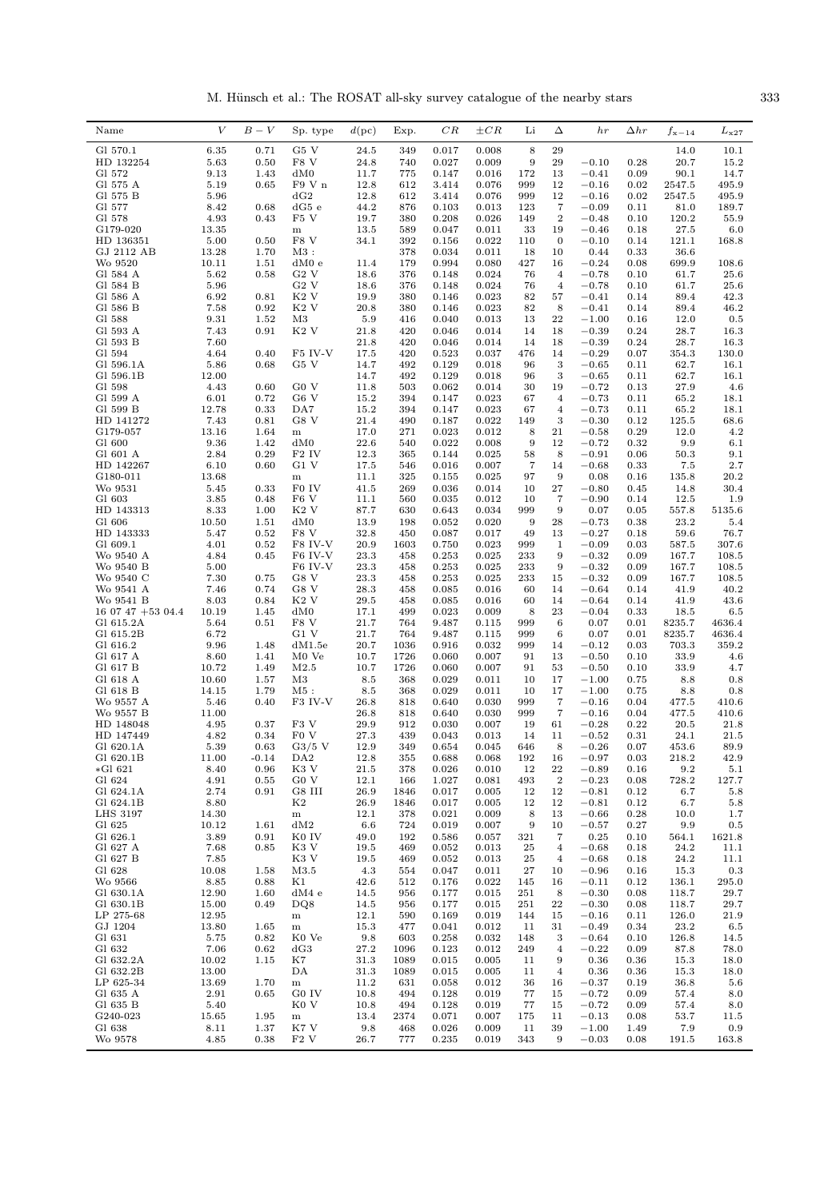M. Hünsch et al.: The ROSAT all-sky survey catalogue of the nearby stars  $333$ 

| Name                         | V             | $B-V$           | Sp. type                    | $d$ (pc)     | Exp.         | $_{CR}$        | $\pm CR$       | Li                   | Δ                                | hr                 | $\Delta hr$  | $f_{\rm x-14}$ | $L_{\rm x27}$   |
|------------------------------|---------------|-----------------|-----------------------------|--------------|--------------|----------------|----------------|----------------------|----------------------------------|--------------------|--------------|----------------|-----------------|
| Gl 570.1                     | 6.35          | 0.71            | G5 V                        | 24.5         | 349          | 0.017          | 0.008          | 8                    | 29                               |                    |              | 14.0           | 10.1            |
| HD 132254                    | 5.63          | 0.50            | F8 V                        | 24.8         | 740          | 0.027          | 0.009          | 9                    | 29                               | $-0.10$            | 0.28         | 20.7           | 15.2            |
| Gl 572<br>Gl 575 A           | 9.13<br>5.19  | 1.43<br>0.65    | dM0<br>F9 V n               | 11.7<br>12.8 | 775<br>612   | 0.147<br>3.414 | 0.016<br>0.076 | 172<br>999           | 13<br>12                         | $-0.41$<br>$-0.16$ | 0.09<br>0.02 | 90.1<br>2547.5 | 14.7<br>495.9   |
| Gl 575 B                     | 5.96          |                 | dG2                         | 12.8         | 612          | 3.414          | 0.076          | 999                  | 12                               | $-0.16$            | 0.02         | 2547.5         | 495.9           |
| Gl 577                       | 8.42          | 0.68            | dG5 e                       | 44.2         | 876          | 0.103          | 0.013          | 123                  | $\overline{7}$                   | $-0.09$            | 0.11         | 81.0           | 189.7           |
| Gl 578<br>G179-020           | 4.93<br>13.35 | 0.43            | F5 V<br>${\bf m}$           | 19.7<br>13.5 | 380<br>589   | 0.208<br>0.047 | 0.026<br>0.011 | 149<br>33            | $\boldsymbol{2}$<br>19           | $-0.48$<br>$-0.46$ | 0.10<br>0.18 | 120.2<br>27.5  | 55.9<br>6.0     |
| HD 136351                    | 5.00          | 0.50            | F8 V                        | 34.1         | 392          | 0.156          | 0.022          | 110                  | $\mathbf{0}$                     | $-0.10$            | 0.14         | 121.1          | 168.8           |
| GJ 2112 AB                   | 13.28         | 1.70            | M3 :                        |              | 378          | 0.034          | 0.011          | 18                   | 10                               | 0.44               | 0.33         | 36.6           |                 |
| Wo 9520                      | 10.11         | 1.51            | dM0 e<br>G2V                | 11.4         | 179          | 0.994          | 0.080          | 427                  | 16                               | $-0.24$            | 0.08         | 699.9          | 108.6           |
| Gl 584 A<br>Gl 584 B         | 5.62<br>5.96  | 0.58            | G2V                         | 18.6<br>18.6 | 376<br>376   | 0.148<br>0.148 | 0.024<br>0.024 | 76<br>76             | $\overline{4}$<br>$\overline{4}$ | $-0.78$<br>$-0.78$ | 0.10<br>0.10 | 61.7<br>61.7   | 25.6<br>25.6    |
| Gl 586 A                     | 6.92          | 0.81            | K <sub>2</sub> V            | 19.9         | 380          | 0.146          | 0.023          | 82                   | 57                               | $-0.41$            | 0.14         | 89.4           | 42.3            |
| Gl 586 B                     | 7.58          | 0.92            | K2 V                        | 20.8         | 380          | 0.146          | 0.023          | 82                   | 8                                | $-0.41$            | 0.14         | 89.4           | 46.2            |
| Gl 588<br>Gl 593 A           | 9.31<br>7.43  | 1.52<br>0.91    | M3<br>K <sub>2</sub> V      | 5.9<br>21.8  | 416<br>420   | 0.040<br>0.046 | 0.013<br>0.014 | 13<br>14             | $\bf{^{22}}$<br>18               | $-1.00$<br>$-0.39$ | 0.16<br>0.24 | 12.0<br>28.7   | 0.5<br>16.3     |
| Gl 593 B                     | 7.60          |                 |                             | 21.8         | 420          | 0.046          | 0.014          | 14                   | 18                               | $-0.39$            | 0.24         | 28.7           | 16.3            |
| Gl 594                       | 4.64          | 0.40            | F5 IV-V                     | 17.5         | 420          | 0.523          | 0.037          | 476                  | 14                               | $-0.29$            | 0.07         | 354.3          | 130.0           |
| Gl 596.1A<br>Gl 596.1B       | 5.86<br>12.00 | 0.68            | G5 V                        | 14.7<br>14.7 | 492<br>492   | 0.129<br>0.129 | 0.018<br>0.018 | 96<br>96             | 3<br>3                           | $-0.65$<br>$-0.65$ | 0.11<br>0.11 | 62.7<br>62.7   | 16.1<br>16.1    |
| Gl 598                       | 4.43          | 0.60            | G0 V                        | 11.8         | 503          | 0.062          | 0.014          | 30                   | 19                               | $-0.72$            | 0.13         | 27.9           | 4.6             |
| Gl 599 A                     | 6.01          | 0.72            | G6 V                        | 15.2         | 394          | 0.147          | 0.023          | 67                   | $\overline{4}$                   | $-0.73$            | 0.11         | 65.2           | 18.1            |
| Gl 599 B<br>HD 141272        | 12.78         | 0.33            | DA7                         | 15.2         | 394<br>490   | 0.147          | 0.023<br>0.022 | 67                   | $\overline{4}$<br>3              | $-0.73$            | 0.11         | 65.2           | 18.1            |
| G179-057                     | 7.43<br>13.16 | 0.81<br>1.64    | G8 V<br>m                   | 21.4<br>17.0 | 271          | 0.187<br>0.023 | 0.012          | 149<br>8             | 21                               | $-0.30$<br>$-0.58$ | 0.12<br>0.29 | 125.5<br>12.0  | 68.6<br>4.2     |
| G1 600                       | 9.36          | 1.42            | dM0                         | 22.6         | 540          | 0.022          | 0.008          | 9                    | 12                               | $-0.72$            | 0.32         | 9.9            | 6.1             |
| Gl 601 A                     | 2.84          | 0.29            | F2 IV                       | 12.3         | 365          | 0.144          | 0.025          | 58                   | 8                                | $^{-0.91}$         | 0.06         | 50.3           | 9.1             |
| HD 142267<br>G180-011        | 6.10<br>13.68 | 0.60            | G1 V<br>m                   | 17.5<br>11.1 | 546<br>325   | 0.016<br>0.155 | 0.007<br>0.025 | $\overline{7}$<br>97 | 14<br>9                          | $-0.68$<br>0.08    | 0.33<br>0.16 | 7.5<br>135.8   | 2.7<br>20.2     |
| Wo 9531                      | 5.45          | 0.33            | F0 IV                       | 41.5         | 269          | 0.036          | 0.014          | 10                   | 27                               | $-0.80$            | 0.45         | 14.8           | 30.4            |
| Gl 603                       | 3.85          | 0.48            | F <sub>6</sub> V            | 11.1         | 560          | 0.035          | 0.012          | 10                   | $\overline{7}$                   | $-0.90$            | 0.14         | 12.5           | 1.9             |
| HD 143313<br>G1 606          | 8.33<br>10.50 | 1.00<br>1.51    | K2 V<br>dM0                 | 87.7<br>13.9 | 630<br>198   | 0.643<br>0.052 | 0.034<br>0.020 | 999<br>9             | 9<br>28                          | 0.07<br>$-0.73$    | 0.05<br>0.38 | 557.8<br>23.2  | 5135.6<br>5.4   |
| HD 143333                    | 5.47          | 0.52            | F8 V                        | 32.8         | 450          | 0.087          | 0.017          | 49                   | 13                               | $-0.27$            | 0.18         | 59.6           | 76.7            |
| Gl 609.1                     | 4.01          | 0.52            | F8 IV-V                     | 20.9         | 1603         | 0.750          | 0.023          | 999                  | 1                                | $-0.09$            | 0.03         | 587.5          | 307.6           |
| Wo 9540 A<br>Wo 9540 B       | 4.84<br>5.00  | 0.45            | F6 IV-V<br>F6 IV-V          | 23.3<br>23.3 | 458<br>458   | 0.253<br>0.253 | 0.025<br>0.025 | 233<br>233           | 9<br>9                           | $-0.32$<br>$-0.32$ | 0.09<br>0.09 | 167.7<br>167.7 | 108.5<br>108.5  |
| Wo 9540 C                    | 7.30          | 0.75            | G8 V                        | 23.3         | 458          | 0.253          | 0.025          | 233                  | 15                               | $-0.32$            | 0.09         | 167.7          | 108.5           |
| Wo 9541 A                    | 7.46          | 0.74            | G8 V                        | 28.3         | 458          | 0.085          | 0.016          | 60                   | 14                               | $-0.64$            | 0.14         | 41.9           | 40.2            |
| Wo 9541 B<br>$160747+5304.4$ | 8.03<br>10.19 | 0.84<br>1.45    | $K2$ V<br>dM0               | 29.5<br>17.1 | 458<br>499   | 0.085<br>0.023 | 0.016<br>0.009 | 60<br>8              | 14<br>23                         | $-0.64$<br>$-0.04$ | 0.14<br>0.33 | 41.9<br>18.5   | 43.6<br>6.5     |
| Gl 615.2A                    | 5.64          | 0.51            | F8 V                        | 21.7         | 764          | 9.487          | 0.115          | 999                  | 6                                | 0.07               | 0.01         | 8235.7         | 4636.4          |
| Gl 615.2B                    | 6.72          |                 | G1 V                        | 21.7         | 764          | 9.487          | 0.115          | 999                  | 6                                | 0.07               | 0.01         | 8235.7         | 4636.4          |
| Gl 616.2<br>Gl 617 A         | 9.96<br>8.60  | 1.48<br>1.41    | dM1.5e<br>M <sub>0</sub> Ve | 20.7<br>10.7 | 1036<br>1726 | 0.916<br>0.060 | 0.032<br>0.007 | 999<br>91            | 14<br>13                         | $-0.12$<br>$-0.50$ | 0.03<br>0.10 | 703.3<br>33.9  | 359.2<br>4.6    |
| Gl 617 B                     | 10.72         | 1.49            | M2.5                        | 10.7         | 1726         | 0.060          | 0.007          | 91                   | 53                               | $-0.50$            | 0.10         | 33.9           | 4.7             |
| Gl 618 A                     | 10.60         | 1.57            | M3                          | 8.5          | 368          | 0.029          | 0.011          | 10                   | 17                               | $-1.00$            | 0.75         | 8.8            | 0.8             |
| Gl 618 B<br>Wo 9557 A        | 14.15<br>5.46 | 1.79<br>0.40    | $M5$ :<br>F3 IV-V           | 8.5<br>26.8  | 368<br>818   | 0.029<br>0.640 | 0.011<br>0.030 | 10<br>999            | 17<br>7                          | $-1.00$<br>$-0.16$ | 0.75<br>0.04 | 8.8<br>477.5   | 0.8<br>410.6    |
| Wo 9557 B                    | 11.00         |                 |                             | 26.8         | 818          | 0.640          | 0.030          | 999                  | 7                                | $-0.16$            | 0.04         | 477.5          | 410.6           |
| HD 148048                    | 4.95          | 0.37            | F3 V                        | 29.9         | 912          | 0.030          | 0.007          | 19                   | 61                               | $-0.28$            | 0.22         | 20.5           | 21.8            |
| HD 147449<br>Gl 620.1A       | 4.82          | 0.34            | F <sub>0</sub> V            | 27.3         | 439          | 0.043          | 0.013          | 14                   | 11                               | $-0.52$            | 0.31         | 24.1           | 21.5            |
| Gl 620.1B                    | 5.39<br>11.00 | 0.63<br>$-0.14$ | $G3/5$ V<br>DA <sub>2</sub> | 12.9<br>12.8 | 349<br>355   | 0.654<br>0.688 | 0.045<br>0.068 | 646<br>192           | 8<br>16                          | $-0.26$<br>$-0.97$ | 0.07<br>0.03 | 453.6<br>218.2 | 89.9<br>42.9    |
| *Gl 621                      | 8.40          | 0.96            | K3 V                        | 21.5         | 378          | 0.026          | 0.010          | 12                   | 22                               | $-0.89$            | 0.16         | 9.2            | 5.1             |
| Gl 624<br>Gl 624.1A          | 4.91<br>2.74  | 0.55            | G0 V<br>G8 III              | 12.1         | 166          | 1.027          | 0.081          | 493                  | $\boldsymbol{2}$<br>12           | $-0.23$            | 0.08         | 728.2          | 127.7           |
| Gl 624.1B                    | 8.80          | 0.91            | K2                          | 26.9<br>26.9 | 1846<br>1846 | 0.017<br>0.017 | 0.005<br>0.005 | 12<br>12             | 12                               | $-0.81$<br>$-0.81$ | 0.12<br>0.12 | 6.7<br>6.7     | 5.8<br>5.8      |
| <b>LHS 3197</b>              | 14.30         |                 | m                           | 12.1         | 378          | 0.021          | 0.009          | 8                    | 13                               | $-0.66$            | 0.28         | 10.0           | 1.7             |
| G1 625                       | 10.12         | 1.61            | dM2                         | 6.6          | 724          | 0.019          | 0.007          | 9                    | 10                               | $-0.57$            | 0.27         | 9.9            | $0.5\,$         |
| Gl 626.1<br>Gl 627 A         | 3.89<br>7.68  | 0.91<br>0.85    | K <sub>0</sub> IV<br>K3 V   | 49.0<br>19.5 | 192<br>469   | 0.586<br>0.052 | 0.057<br>0.013 | 321<br>25            | 7<br>$\overline{4}$              | 0.25<br>$-0.68$    | 0.10<br>0.18 | 564.1<br>24.2  | 1621.8<br>11.1  |
| Gl 627 B                     | 7.85          |                 | K3 V                        | 19.5         | 469          | 0.052          | 0.013          | $\bf 25$             | $\overline{4}$                   | $-0.68$            | 0.18         | 24.2           | 11.1            |
| Gl 628                       | 10.08         | 1.58            | M3.5                        | 4.3          | 554          | 0.047          | 0.011          | 27                   | 10                               | $-0.96$            | 0.16         | 15.3           | $0.3\,$         |
| Wo 9566<br>Gl 630.1A         | 8.85<br>12.90 | 0.88<br>1.60    | Κ1<br>dM4e                  | 42.6<br>14.5 | 512<br>956   | 0.176<br>0.177 | 0.022<br>0.015 | 145<br>251           | 16<br>8                          | $-0.11$<br>$-0.30$ | 0.12<br>0.08 | 136.1<br>118.7 | 295.0<br>29.7   |
| Gl 630.1B                    | 15.00         | 0.49            | DQ8                         | 14.5         | 956          | 0.177          | 0.015          | 251                  | ${\bf 22}$                       | $-0.30$            | 0.08         | 118.7          | 29.7            |
| LP 275-68                    | 12.95         |                 | ${\bf m}$                   | 12.1         | 590          | 0.169          | 0.019          | 144                  | 15                               | $-0.16$            | 0.11         | 126.0          | 21.9            |
| GJ 1204<br>Gl 631            | 13.80<br>5.75 | 1.65<br>0.82    | ${\bf m}$<br>K0 Ve          | 15.3<br>9.8  | 477<br>603   | 0.041<br>0.258 | 0.012<br>0.032 | 11<br>148            | 31<br>3                          | $-0.49$<br>$-0.64$ | 0.34<br>0.10 | 23.2<br>126.8  | $6.5\,$<br>14.5 |
| Gl 632                       | 7.06          | 0.62            | dG3                         | 27.2         | 1096         | 0.123          | 0.012          | 249                  | $\overline{4}$                   | $-0.22$            | 0.09         | 87.8           | 78.0            |
| Gl 632.2A                    | 10.02         | 1.15            | K7                          | 31.3         | 1089         | 0.015          | 0.005          | 11                   | 9                                | 0.36               | 0.36         | 15.3           | 18.0            |
| Gl 632.2B                    | 13.00         |                 | DA                          | 31.3         | 1089         | 0.015          | 0.005          | 11                   | 4                                | 0.36               | 0.36         | 15.3           | 18.0            |
| LP 625-34<br>Gl 635 A        | 13.69<br>2.91 | 1.70<br>0.65    | ${\bf m}$<br>G0 IV          | 11.2<br>10.8 | 631<br>494   | 0.058<br>0.128 | 0.012<br>0.019 | 36<br>77             | 16<br>15                         | $-0.37$<br>$-0.72$ | 0.19<br>0.09 | 36.8<br>57.4   | 5.6<br>8.0      |
| Gl 635 B                     | 5.40          |                 | K <sub>0</sub> V            | 10.8         | 494          | 0.128          | 0.019          | 77                   | 15                               | $-0.72$            | 0.09         | 57.4           | 8.0             |
| G240-023<br>Gl 638           | 15.65<br>8.11 | 1.95<br>1.37    | ${\bf m}$<br>K7 V           | 13.4<br>9.8  | 2374<br>468  | 0.071<br>0.026 | 0.007<br>0.009 | 175<br>11            | 11<br>39                         | $-0.13$<br>$-1.00$ | 0.08<br>1.49 | 53.7<br>7.9    | 11.5<br>0.9     |
| Wo 9578                      | 4.85          | 0.38            | F2V                         | 26.7         | 777          | 0.235          | 0.019          | 343                  | 9                                | $-0.03$            | 0.08         | 191.5          | 163.8           |
|                              |               |                 |                             |              |              |                |                |                      |                                  |                    |              |                |                 |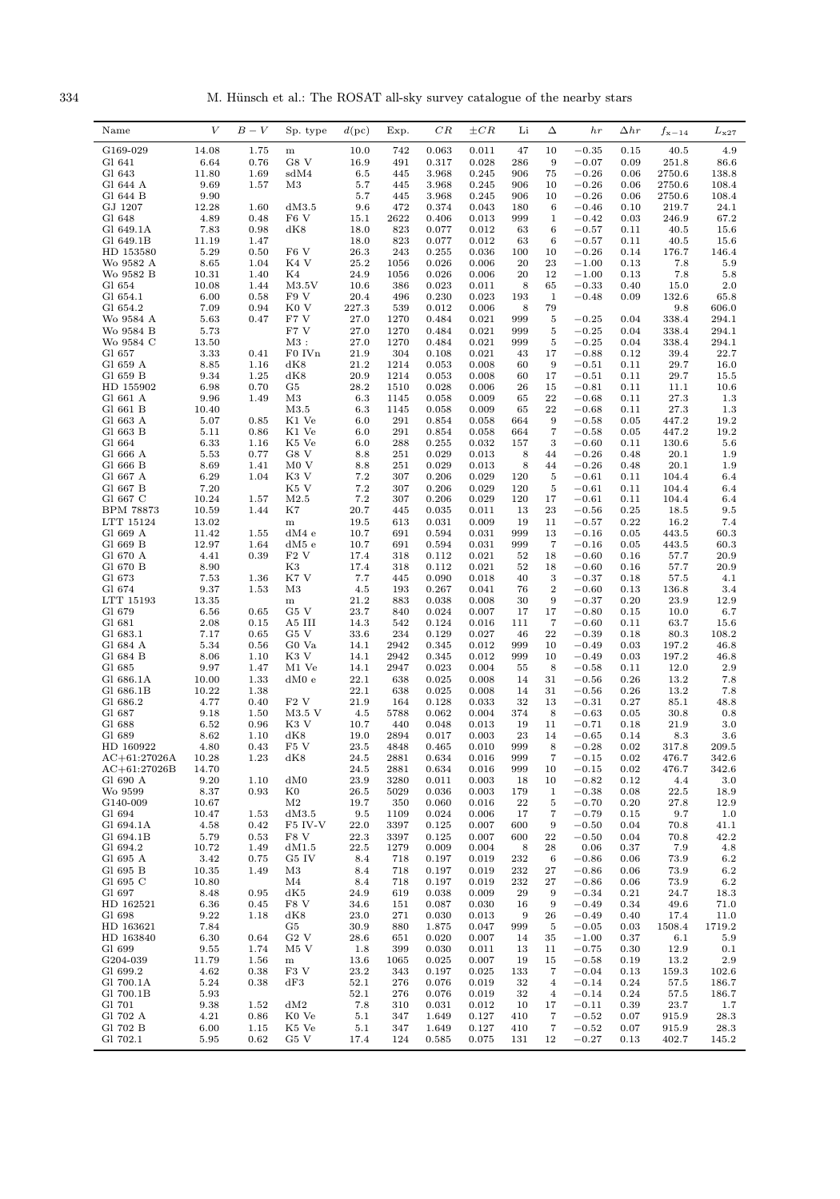334 M. Hünsch et al.: The ROSAT all-sky survey catalogue of the nearby stars

| Name                               | $\boldsymbol{V}$ | $B-V$        | Sp. type          | d(pc)        | Exp.         | CR             | $\pm CR$       | Li         | Δ                       | $_{hr}$            | $\Delta hr$  | $f_{\rm x-14}$  | $L_{\rm x27}$      |
|------------------------------------|------------------|--------------|-------------------|--------------|--------------|----------------|----------------|------------|-------------------------|--------------------|--------------|-----------------|--------------------|
| G169-029                           | 14.08            | 1.75         | m                 | 10.0         | 742          | 0.063          | 0.011          | 47         | 10                      | $-0.35$            | 0.15         | 40.5            | 4.9                |
| G1 641                             | 6.64             | 0.76         | G8 V              | 16.9         | 491          | 0.317          | 0.028          | 286        | 9                       | $-0.07$            | 0.09         | 251.8           | 86.6               |
| G1 643                             | 11.80            | 1.69         | sdM4              | 6.5          | 445          | 3.968          | 0.245          | 906        | 75                      | $-0.26$            | 0.06         | 2750.6          | 138.8              |
| Gl 644 A                           | 9.69             | 1.57         | M3                | 5.7          | 445          | 3.968          | 0.245          | 906        | 10                      | $-0.26$            | 0.06         | 2750.6          | 108.4              |
| Gl 644 B<br>GJ 1207                | 9.90<br>12.28    | 1.60         | dM3.5             | 5.7<br>9.6   | 445<br>472   | 3.968<br>0.374 | 0.245<br>0.043 | 906<br>180 | 10<br>6                 | $-0.26$<br>$-0.46$ | 0.06<br>0.10 | 2750.6<br>219.7 | 108.4<br>24.1      |
| G1 648                             | 4.89             | 0.48         | F <sub>6</sub> V  | 15.1         | 2622         | 0.406          | 0.013          | 999        | 1                       | $-0.42$            | 0.03         | 246.9           | 67.2               |
| Gl 649.1A                          | 7.83             | 0.98         | dK8               | 18.0         | 823          | 0.077          | 0.012          | 63         | 6                       | $-0.57$            | 0.11         | 40.5            | 15.6               |
| Gl 649.1B                          | 11.19            | 1.47         |                   | 18.0         | 823          | 0.077          | 0.012          | 63         | 6                       | $-0.57$            | 0.11         | 40.5            | 15.6               |
| HD 153580                          | 5.29             | 0.50         | F <sub>6</sub> V  | 26.3         | 243          | 0.255          | 0.036          | 100        | 10                      | $-0.26$            | 0.14         | 176.7           | 146.4              |
| Wo 9582 A<br>Wo 9582 B             | 8.65<br>10.31    | 1.04<br>1.40 | K4 V<br>K4        | 25.2<br>24.9 | 1056<br>1056 | 0.026<br>0.026 | 0.006<br>0.006 | 20<br>20   | 23<br>12                | $-1.00$<br>$-1.00$ | 0.13<br>0.13 | 7.8<br>7.8      | 5.9<br>5.8         |
| G1 654                             | 10.08            | 1.44         | $\rm M3.5V$       | 10.6         | 386          | 0.023          | 0.011          | 8          | 65                      | $-0.33$            | 0.40         | 15.0            | $2.0\,$            |
| Gl 654.1                           | 6.00             | 0.58         | F9 V              | 20.4         | 496          | 0.230          | 0.023          | 193        | $\mathbf{1}$            | $-0.48$            | 0.09         | 132.6           | 65.8               |
| Gl 654.2                           | 7.09             | 0.94         | K <sub>0</sub> V  | 227.3        | 539          | 0.012          | 0.006          | 8          | 79                      |                    |              | 9.8             | 606.0              |
| Wo 9584 A                          | 5.63             | 0.47         | F7 V<br>F7 V      | 27.0<br>27.0 | 1270         | 0.484          | 0.021          | 999<br>999 | $\,$ 5<br>$\,$ 5        | $-0.25$<br>$-0.25$ | 0.04         | 338.4<br>338.4  | 294.1              |
| Wo 9584 B<br>Wo 9584 C             | 5.73<br>13.50    |              | $M3$ :            | 27.0         | 1270<br>1270 | 0.484<br>0.484 | 0.021<br>0.021 | 999        | $\,$ 5                  | $-0.25$            | 0.04<br>0.04 | 338.4           | 294.1<br>294.1     |
| Gl 657                             | 3.33             | 0.41         | F0 IVn            | 21.9         | 304          | 0.108          | 0.021          | 43         | 17                      | $-0.88$            | 0.12         | 39.4            | 22.7               |
| Gl 659 A                           | 8.85             | 1.16         | dK8               | 21.2         | 1214         | 0.053          | 0.008          | 60         | 9                       | $-0.51$            | 0.11         | 29.7            | 16.0               |
| G1 659 B                           | 9.34             | 1.25         | dK8               | 20.9         | 1214         | 0.053          | 0.008          | 60         | 17                      | $-0.51$            | 0.11         | 29.7            | 15.5               |
| HD 155902<br>Gl 661 A              | 6.98<br>9.96     | 0.70<br>1.49 | G5<br>M3          | 28.2<br>6.3  | 1510<br>1145 | 0.028<br>0.058 | 0.006<br>0.009 | 26<br>65   | 15<br>$\bf{^{22}}$      | $-0.81$<br>$-0.68$ | 0.11<br>0.11 | 11.1<br>27.3    | 10.6<br>1.3        |
| Gl 661 B                           | 10.40            |              | M3.5              | 6.3          | 1145         | 0.058          | 0.009          | 65         | 22                      | $-0.68$            | 0.11         | 27.3            | 1.3                |
| Gl 663 A                           | 5.07             | 0.85         | K1 Ve             | 6.0          | 291          | 0.854          | 0.058          | 664        | 9                       | $-0.58$            | 0.05         | 447.2           | 19.2               |
| Gl 663 B                           | 5.11             | 0.86         | K1 Ve             | 6.0          | 291          | 0.854          | 0.058          | 664        | $\overline{7}$          | $-0.58$            | 0.05         | 447.2           | 19.2               |
| G1 664                             | 6.33             | 1.16         | K5 Ve             | 6.0          | 288          | 0.255          | 0.032          | 157        | 3                       | $-0.60$            | 0.11         | 130.6           | 5.6                |
| Gl 666 A<br>Gl 666 B               | 5.53<br>8.69     | 0.77<br>1.41 | G8 V<br>M0V       | 8.8<br>8.8   | 251<br>251   | 0.029<br>0.029 | 0.013<br>0.013 | 8<br>8     | 44<br>44                | $-0.26$<br>$-0.26$ | 0.48<br>0.48 | 20.1<br>20.1    | 1.9<br>1.9         |
| Gl 667 A                           | 6.29             | 1.04         | K3 V              | 7.2          | 307          | 0.206          | 0.029          | 120        | 5                       | $-0.61$            | 0.11         | 104.4           | 6.4                |
| Gl 667 B                           | 7.20             |              | K5 V              | 7.2          | 307          | 0.206          | 0.029          | 120        | 5                       | $-0.61$            | 0.11         | 104.4           | 6.4                |
| Gl 667 C                           | 10.24            | 1.57         | M2.5              | 7.2          | 307          | 0.206          | 0.029          | 120        | 17                      | $-0.61$            | 0.11         | 104.4           | 6.4                |
| BPM 78873                          | 10.59            | 1.44         | K7                | 20.7         | 445          | 0.035          | 0.011          | 13         | 23                      | $-0.56$            | 0.25         | 18.5            | 9.5                |
| LTT 15124<br>Gl 669 A              | 13.02<br>11.42   | 1.55         | ${\bf m}$<br>dM4e | 19.5<br>10.7 | 613<br>691   | 0.031<br>0.594 | 0.009<br>0.031 | 19<br>999  | 11<br>13                | $-0.57$<br>$-0.16$ | 0.22<br>0.05 | 16.2<br>443.5   | 7.4<br>60.3        |
| Gl 669 B                           | 12.97            | 1.64         | dM5 e             | 10.7         | 691          | 0.594          | 0.031          | 999        | $\overline{7}$          | $-0.16$            | 0.05         | 443.5           | 60.3               |
| Gl 670 A                           | 4.41             | 0.39         | F2V               | 17.4         | 318          | 0.112          | 0.021          | 52         | 18                      | $-0.60$            | 0.16         | 57.7            | 20.9               |
| Gl 670 B                           | 8.90             |              | K3                | 17.4         | 318          | 0.112          | 0.021          | 52         | 18                      | $-0.60$            | 0.16         | 57.7            | 20.9               |
| G1 673<br>Gl 674                   | 7.53<br>9.37     | 1.36<br>1.53 | K7 V<br>M3        | 7.7<br>4.5   | 445<br>193   | 0.090<br>0.267 | 0.018<br>0.041 | 40<br>76   | 3<br>$\boldsymbol{2}$   | $-0.37$<br>$-0.60$ | 0.18<br>0.13 | 57.5<br>136.8   | 4.1<br>3.4         |
| LTT 15193                          | 13.35            |              | ${\bf m}$         | 21.2         | 883          | 0.038          | 0.008          | 30         | 9                       | $-0.37$            | 0.20         | 23.9            | 12.9               |
| G1 679                             | 6.56             | 0.65         | G5 V              | 23.7         | 840          | 0.024          | 0.007          | 17         | 17                      | $-0.80$            | 0.15         | 10.0            | 6.7                |
| Gl 681                             | 2.08             | 0.15         | A5 III            | 14.3         | 542          | 0.124          | 0.016          | 111        | 7                       | $-0.60$            | 0.11         | 63.7            | 15.6               |
| Gl 683.1<br>Gl 684 A               | 7.17<br>5.34     | 0.65<br>0.56 | G5 V<br>G0 Va     | 33.6<br>14.1 | 234<br>2942  | 0.129<br>0.345 | 0.027<br>0.012 | 46<br>999  | 22<br>10                | $-0.39$<br>$-0.49$ | 0.18<br>0.03 | 80.3<br>197.2   | 108.2<br>46.8      |
| Gl 684 B                           | 8.06             | 1.10         | K3 V              | 14.1         | 2942         | 0.345          | 0.012          | 999        | 10                      | $-0.49$            | 0.03         | 197.2           | 46.8               |
| Gl 685                             | 9.97             | 1.47         | M1 Ve             | 14.1         | 2947         | 0.023          | 0.004          | 55         | 8                       | $-0.58$            | 0.11         | 12.0            | $2.9\,$            |
| Gl 686.1A                          | 10.00            | 1.33         | dM0e              | 22.1         | 638          | 0.025          | 0.008          | 14         | 31                      | $-0.56$            | 0.26         | 13.2            | 7.8                |
| Gl 686.1B<br>Gl 686.2              | 10.22<br>4.77    | 1.38<br>0.40 | F <sub>2</sub> V  | 22.1<br>21.9 | 638<br>164   | 0.025<br>0.128 | 0.008<br>0.033 | 14<br>32   | 31<br>13                | $-0.56$<br>$-0.31$ | 0.26<br>0.27 | 13.2<br>85.1    | 7.8<br>48.8        |
| Gl 687                             | 9.18             | 1.50         | M3.5 V            | 4.5          | 5788         | 0.062          | 0.004          | 374        | 8                       | $-0.63$            | 0.05         | 30.8            | 0.8                |
| Gl 688                             | 6.52             | 0.96         | K <sub>3</sub> V  | 10.7         | 440          | 0.048          | 0.013          | 19         | 11                      | $-0.71$            | 0.18         | 21.9            | 3.0                |
| G1 689                             | 8.62             | 1.10         | dK8               | 19.0         | 2894         | 0.017          | 0.003          | 23         | 14                      | $-0.65$            | 0.14         | 8.3             | 3.6                |
| HD 160922                          | 4.80             | 0.43         | F5 V              | 23.5         | 4848         | 0.465          | 0.010          | 999        | 8<br>$\overline{7}$     | $-0.28$            | 0.02         | 317.8           | 209.5              |
| $AC + 61:27026A$<br>$AC+61:27026B$ | 10.28<br>14.70   | 1.23         | dK8               | 24.5<br>24.5 | 2881<br>2881 | 0.634<br>0.634 | 0.016<br>0.016 | 999<br>999 | 10                      | $-0.15$<br>$-0.15$ | 0.02<br>0.02 | 476.7<br>476.7  | 342.6<br>342.6     |
| Gl 690 A                           | 9.20             | 1.10         | dM0               | 23.9         | 3280         | 0.011          | 0.003          | 18         | 10                      | $-0.82$            | 0.12         | 4.4             | 3.0                |
| Wo 9599                            | 8.37             | 0.93         | $_{\rm K0}$       | 26.5         | 5029         | 0.036          | 0.003          | 179        | 1                       | $-0.38$            | 0.08         | 22.5            | 18.9               |
| G140-009                           | 10.67            |              | $\rm M2$          | 19.7         | 350          | 0.060          | 0.016          | ${\bf 22}$ | $\overline{5}$          | $-0.70$            | 0.20         | 27.8            | 12.9               |
| Gl 694<br>Gl 694.1A                | 10.47<br>4.58    | 1.53<br>0.42 | dM3.5<br>F5 IV-V  | 9.5<br>22.0  | 1109<br>3397 | 0.024<br>0.125 | 0.006<br>0.007 | 17<br>600  | $\overline{7}$<br>9     | $-0.79$<br>$-0.50$ | 0.15<br>0.04 | 9.7<br>70.8     | 1.0<br>41.1        |
| Gl 694.1B                          | 5.79             | 0.53         | F8 V              | 22.3         | 3397         | 0.125          | 0.007          | 600        | $\bf{^{22}}$            | $-0.50$            | 0.04         | 70.8            | 42.2               |
| Gl 694.2                           | 10.72            | 1.49         | dM1.5             | 22.5         | 1279         | 0.009          | 0.004          | 8          | 28                      | 0.06               | 0.37         | 7.9             | 4.8                |
| Gl 695 A                           | 3.42             | 0.75         | G5 IV             | 8.4          | 718          | 0.197          | 0.019          | 232        | 6                       | $-0.86$            | 0.06         | 73.9            | $6.2\,$            |
| Gl 695 B<br>Gl 695 C               | 10.35<br>10.80   | 1.49         | M3<br>M4          | 8.4<br>8.4   | 718<br>718   | 0.197<br>0.197 | 0.019<br>0.019 | 232<br>232 | $^{\rm 27}$<br>27       | $-0.86$<br>$-0.86$ | 0.06<br>0.06 | 73.9<br>73.9    | $6.2\,$<br>$6.2\,$ |
| Gl 697                             | 8.48             | 0.95         | dK5               | 24.9         | 619          | 0.038          | 0.009          | 29         | 9                       | $-0.34$            | 0.21         | 24.7            | 18.3               |
| HD 162521                          | 6.36             | 0.45         | F8 V              | 34.6         | 151          | 0.087          | 0.030          | 16         | 9                       | $-0.49$            | 0.34         | 49.6            | 71.0               |
| G1 698                             | 9.22             | 1.18         | dK8               | 23.0         | 271          | 0.030          | 0.013          | 9          | 26                      | $-0.49$            | 0.40         | 17.4            | 11.0               |
| HD 163621                          | 7.84             |              | G5                | 30.9         | 880          | 1.875          | 0.047          | 999        | 5                       | $-0.05$            | 0.03         | 1508.4          | 1719.2             |
| HD 163840<br>G1 699                | 6.30<br>9.55     | 0.64<br>1.74 | G2V<br>M5 V       | 28.6<br>1.8  | 651<br>399   | 0.020<br>0.030 | 0.007<br>0.011 | 14<br>13   | 35<br>11                | $-1.00$<br>$-0.75$ | 0.37<br>0.30 | 6.1<br>12.9     | 5.9<br>0.1         |
| G204-039                           | 11.79            | 1.56         | ${\bf m}$         | 13.6         | 1065         | 0.025          | 0.007          | 19         | 15                      | $-0.58$            | 0.19         | 13.2            | 2.9                |
| Gl 699.2                           | 4.62             | 0.38         | F3 V              | 23.2         | 343          | 0.197          | 0.025          | 133        | 7                       | $-0.04$            | 0.13         | 159.3           | 102.6              |
| Gl 700.1A                          | 5.24             | 0.38         | dF3               | 52.1         | 276          | 0.076          | 0.019          | 32         | $\overline{\mathbf{4}}$ | $-0.14$            | 0.24         | 57.5            | 186.7              |
| Gl 700.1B<br>Gl 701                | 5.93<br>9.38     | 1.52         | dM2               | 52.1<br>7.8  | 276<br>310   | 0.076<br>0.031 | 0.019<br>0.012 | 32<br>10   | $\overline{4}$<br>17    | $-0.14$<br>$-0.11$ | 0.24<br>0.39 | 57.5<br>23.7    | 186.7<br>1.7       |
| Gl 702 A                           | 4.21             | 0.86         | K0 Ve             | 5.1          | 347          | 1.649          | 0.127          | 410        | 7                       | $-0.52$            | 0.07         | 915.9           | 28.3               |
| Gl 702 B                           | 6.00             | 1.15         | K5 Ve             | 5.1          | 347          | 1.649          | 0.127          | 410        | 7                       | $-0.52$            | 0.07         | 915.9           | 28.3               |
| Gl 702.1                           | 5.95             | 0.62         | G5 V              | 17.4         | 124          | 0.585          | 0.075          | 131        | 12                      | $-0.27$            | 0.13         | 402.7           | 145.2              |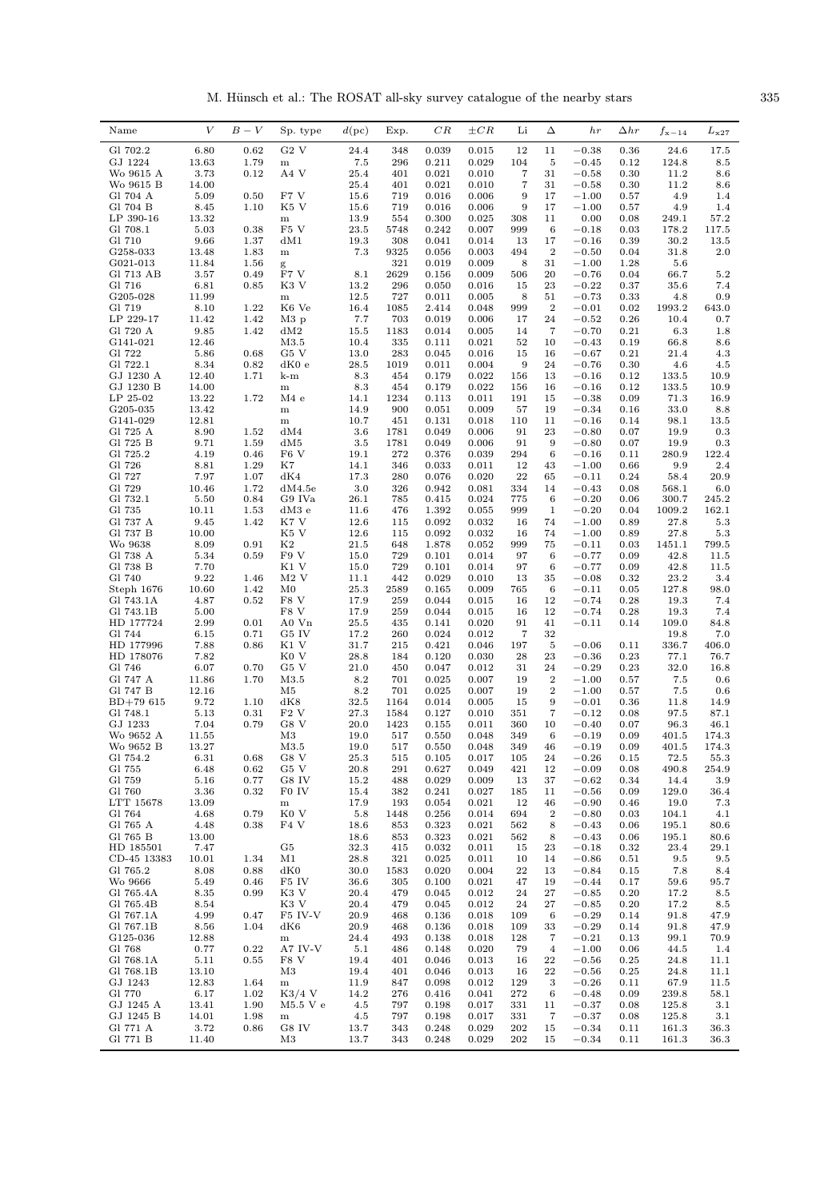M. Hünsch et al.: The ROSAT all-sky survey catalogue of the nearby stars  $335$ 

| Name                   | $\boldsymbol{V}$ | $B-V$        | Sp. type                  | d(pc)        | Exp.        | CR             | $\pm CR$       | Li                    | Δ                       | h(r)               | $_{\Delta hr}$ | $f_{\rm x-14}$ | $L_{\rm x27}$ |
|------------------------|------------------|--------------|---------------------------|--------------|-------------|----------------|----------------|-----------------------|-------------------------|--------------------|----------------|----------------|---------------|
| Gl 702.2               | 6.80             | 0.62         | $G2$ V                    | 24.4         | 348         | 0.039          | 0.015          | 12                    | 11                      | $-0.38$            | 0.36           | 24.6           | 17.5          |
| GJ 1224                | 13.63            | 1.79         | m                         | 7.5          | 296         | 0.211          | 0.029          | 104                   | 5                       | $-0.45$            | 0.12           | 124.8          | 8.5           |
| Wo 9615 A              | 3.73             | 0.12         | A4 V                      | 25.4         | 401         | 0.021          | 0.010          | $\overline{7}$        | 31                      | $-0.58$            | 0.30           | 11.2           | 8.6           |
| Wo 9615 B<br>Gl 704 A  | 14.00<br>5.09    | 0.50         | F7 V                      | 25.4<br>15.6 | 401<br>719  | 0.021<br>0.016 | 0.010<br>0.006 | 7<br>9                | 31<br>17                | $-0.58$<br>$-1.00$ | 0.30<br>0.57   | 11.2<br>4.9    | 8.6<br>1.4    |
| Gl 704 B               | 8.45             | 1.10         | K5 V                      | 15.6         | 719         | 0.016          | 0.006          | 9                     | 17                      | $-1.00$            | 0.57           | 4.9            | 1.4           |
| LP 390-16              | 13.32            |              | m                         | 13.9         | 554         | 0.300          | 0.025          | 308                   | 11                      | 0.00               | 0.08           | 249.1          | 57.2          |
| Gl 708.1               | 5.03             | 0.38         | $\mathrm{F5}$ V           | 23.5         | 5748        | 0.242          | 0.007          | 999                   | 6                       | $-0.18$            | 0.03           | 178.2          | 117.5         |
| Gl 710                 | 9.66             | 1.37         | dM1                       | 19.3         | 308         | 0.041          | 0.014          | 13                    | 17                      | $-0.16$            | 0.39           | 30.2           | 13.5          |
| G258-033               | 13.48            | 1.83         | ${\bf m}$                 | 7.3          | 9325<br>321 | 0.056          | 0.003          | 494                   | $\overline{2}$          | $-0.50$            | 0.04           | 31.8           | 2.0           |
| G021-013<br>Gl 713 AB  | 11.84<br>3.57    | 1.56<br>0.49 | g<br>F7 V                 | 8.1          | 2629        | 0.019<br>0.156 | 0.009<br>0.009 | 8<br>506              | 31<br>20                | $-1.00$<br>$-0.76$ | 1.28<br>0.04   | 5.6<br>66.7    | 5.2           |
| Gl 716                 | 6.81             | 0.85         | K3 V                      | 13.2         | 296         | 0.050          | 0.016          | 15                    | 23                      | $-0.22$            | 0.37           | 35.6           | 7.4           |
| G205-028               | 11.99            |              | $_{\rm m}$                | 12.5         | 727         | 0.011          | 0.005          | 8                     | 51                      | $-0.73$            | 0.33           | 4.8            | 0.9           |
| Gl 719                 | 8.10             | 1.22         | K <sub>6</sub> Ve         | 16.4         | 1085        | 2.414          | 0.048          | 999                   | $\boldsymbol{2}$        | $-0.01$            | 0.02           | 1993.2         | 643.0         |
| LP 229-17<br>Gl 720 A  | 11.42<br>9.85    | 1.42<br>1.42 | $M3$ p<br>dM2             | 7.7<br>15.5  | 703<br>1183 | 0.019<br>0.014 | 0.006<br>0.005 | 17<br>14              | 24<br>7                 | $-0.52$<br>$-0.70$ | 0.26<br>0.21   | 10.4<br>6.3    | 0.7<br>1.8    |
| G141-021               | 12.46            |              | M3.5                      | 10.4         | 335         | 0.111          | 0.021          | 52                    | 10                      | $-0.43$            | 0.19           | 66.8           | $8.6\,$       |
| Gl 722                 | 5.86             | 0.68         | G5 V                      | 13.0         | 283         | 0.045          | 0.016          | 15                    | 16                      | $-0.67$            | 0.21           | 21.4           | 4.3           |
| Gl 722.1               | 8.34             | 0.82         | dK0e                      | 28.5         | 1019        | 0.011          | 0.004          | 9                     | 24                      | $-0.76$            | 0.30           | 4.6            | 4.5           |
| GJ 1230 A              | 12.40            | 1.71         | k-m                       | 8.3          | 454         | 0.179          | 0.022          | 156                   | 13                      | $-0.16$            | 0.12           | 133.5          | 10.9          |
| GJ 1230 B<br>LP 25-02  | 14.00<br>13.22   | 1.72         | ${\bf m}$<br>M4e          | 8.3<br>14.1  | 454<br>1234 | 0.179<br>0.113 | 0.022<br>0.011 | 156<br>191            | 16<br>15                | $-0.16$<br>$-0.38$ | 0.12<br>0.09   | 133.5<br>71.3  | 10.9<br>16.9  |
| G205-035               | 13.42            |              | m                         | 14.9         | 900         | 0.051          | 0.009          | 57                    | 19                      | $-0.34$            | 0.16           | 33.0           | 8.8           |
| G141-029               | 12.81            |              | ${\bf m}$                 | 10.7         | 451         | 0.131          | 0.018          | 110                   | 11                      | $-0.16$            | 0.14           | 98.1           | 13.5          |
| Gl 725 A               | 8.90             | 1.52         | dM4                       | 3.6          | 1781        | 0.049          | 0.006          | 91                    | 23                      | $-0.80$            | 0.07           | 19.9           | 0.3           |
| Gl 725 B<br>Gl 725.2   | 9.71             | 1.59         | dM5<br>F <sub>6</sub> V   | 3.5<br>19.1  | 1781<br>272 | 0.049<br>0.376 | 0.006<br>0.039 | 91<br>294             | 9<br>6                  | $-0.80$            | 0.07           | 19.9<br>280.9  | 0.3<br>122.4  |
| Gl 726                 | 4.19<br>8.81     | 0.46<br>1.29 | K7                        | 14.1         | 346         | 0.033          | 0.011          | 12                    | 43                      | $-0.16$<br>$-1.00$ | 0.11<br>0.66   | 9.9            | 2.4           |
| Gl 727                 | 7.97             | 1.07         | dK4                       | 17.3         | 280         | 0.076          | 0.020          | ${\bf 22}$            | 65                      | $-0.11$            | 0.24           | 58.4           | 20.9          |
| Gl 729                 | 10.46            | 1.72         | dM4.5e                    | 3.0          | 326         | 0.942          | 0.081          | 334                   | 14                      | $-0.43$            | 0.08           | 568.1          | 6.0           |
| Gl 732.1               | 5.50             | 0.84         | G9 IVa                    | 26.1         | 785         | 0.415          | 0.024          | 775                   | 6                       | $-0.20$            | 0.06           | 300.7          | 245.2         |
| Gl 735<br>Gl 737 A     | 10.11<br>9.45    | 1.53<br>1.42 | dM3 e<br>K7 V             | 11.6<br>12.6 | 476<br>115  | 1.392<br>0.092 | 0.055<br>0.032 | 999<br>16             | 1<br>74                 | $-0.20$<br>$-1.00$ | 0.04<br>0.89   | 1009.2<br>27.8 | 162.1<br>5.3  |
| Gl 737 B               | 10.00            |              | K5 V                      | 12.6         | 115         | 0.092          | 0.032          | 16                    | 74                      | $-1.00$            | 0.89           | 27.8           | $5.3\,$       |
| Wo 9638                | 8.09             | 0.91         | K <sub>2</sub>            | 21.5         | 648         | 1.878          | 0.052          | 999                   | 75                      | $-0.11$            | 0.03           | 1451.1         | 799.5         |
| Gl 738 A               | 5.34             | 0.59         | F9 V                      | 15.0         | 729         | 0.101          | 0.014          | 97                    | 6                       | $-0.77$            | 0.09           | 42.8           | 11.5          |
| Gl 738 B               | 7.70             |              | K1 V                      | 15.0         | 729         | 0.101          | 0.014          | 97                    | 6                       | $-0.77$            | 0.09           | 42.8           | 11.5          |
| Gl 740<br>Steph 1676   | 9.22<br>10.60    | 1.46<br>1.42 | $M2$ V<br>$_{\rm M0}$     | 11.1<br>25.3 | 442<br>2589 | 0.029<br>0.165 | 0.010<br>0.009 | 13<br>765             | 35<br>6                 | $-0.08$<br>$-0.11$ | 0.32<br>0.05   | 23.2<br>127.8  | 3.4<br>98.0   |
| Gl 743.1A              | 4.87             | 0.52         | F8 V                      | 17.9         | 259         | 0.044          | 0.015          | 16                    | 12                      | $-0.74$            | 0.28           | 19.3           | 7.4           |
| Gl 743.1B              | 5.00             |              | F8 V                      | 17.9         | 259         | 0.044          | 0.015          | 16                    | 12                      | $-0.74$            | 0.28           | 19.3           | 7.4           |
| HD 177724              | 2.99             | 0.01         | A0 Vn                     | 25.5         | 435         | 0.141          | 0.020          | 91                    | 41                      | $-0.11$            | 0.14           | 109.0          | 84.8          |
| Gl 744<br>HD 177996    | 6.15<br>7.88     | 0.71<br>0.86 | G5 IV<br>K1 V             | 17.2<br>31.7 | 260<br>215  | 0.024<br>0.421 | 0.012<br>0.046 | $\overline{7}$<br>197 | 32<br>5                 | $-0.06$            | 0.11           | 19.8<br>336.7  | 7.0<br>406.0  |
| HD 178076              | 7.82             |              | K <sub>0</sub> V          | 28.8         | 184         | 0.120          | 0.030          | 28                    | 23                      | $-0.36$            | 0.23           | 77.1           | 76.7          |
| Gl 746                 | 6.07             | 0.70         | G5 V                      | 21.0         | 450         | 0.047          | 0.012          | 31                    | 24                      | $-0.29$            | 0.23           | 32.0           | 16.8          |
| Gl 747 A               | 11.86            | 1.70         | M3.5                      | 8.2          | 701         | 0.025          | 0.007          | 19                    | $\overline{2}$          | $-1.00$            | 0.57           | 7.5            | $0.6\,$       |
| Gl 747 B<br>$BD+79615$ | 12.16<br>9.72    | 1.10         | M5<br>dK8                 | 8.2<br>32.5  | 701<br>1164 | 0.025<br>0.014 | 0.007<br>0.005 | 19<br>15              | $\,2$<br>$\overline{9}$ | $-1.00$<br>$-0.01$ | 0.57<br>0.36   | 7.5<br>11.8    | 0.6<br>14.9   |
| Gl 748.1               | 5.13             | 0.31         | F2V                       | 27.3         | 1584        | 0.127          | 0.010          | 351                   | 7                       | $-0.12$            | 0.08           | 97.5           | 87.1          |
| GJ 1233                | 7.04             | 0.79         | G8 V                      | 20.0         | 1423        | 0.155          | 0.011          | 360                   | 10                      | $-0.40$            | 0.07           | 96.3           | 46.1          |
| Wo 9652 A              | 11.55            |              | M3                        | 19.0         | 517         | 0.550          | 0.048          | 349                   | 6                       | $-0.19$            | 0.09           | 401.5          | 174.3         |
| Wo 9652 B<br>Gl 754.2  | 13.27            |              | M3.5                      | 19.0         | 517         | 0.550          | 0.048          | 349                   | 46                      | $-0.19$            | 0.09           | 401.5          | 174.3         |
| Gl 755                 | 6.31<br>6.48     | 0.68<br>0.62 | G8 V<br>G5 V              | 25.3<br>20.8 | 515<br>291  | 0.105<br>0.627 | 0.017<br>0.049 | 105<br>421            | 24<br>12                | $-0.26$<br>$-0.09$ | 0.15<br>0.08   | 72.5<br>490.8  | 55.3<br>254.9 |
| Gl 759                 | 5.16             | 0.77         | G8 IV                     | 15.2         | 488         | 0.029          | 0.009          | 13                    | 37                      | $-0.62$            | 0.34           | 14.4           | 3.9           |
| Gl 760                 | 3.36             | 0.32         | F0 IV                     | 15.4         | 382         | 0.241          | 0.027          | 185                   | 11                      | $-0.56$            | 0.09           | 129.0          | 36.4          |
| LTT 15678              | 13.09            |              | ${\bf m}$                 | 17.9         | 193         | 0.054          | 0.021          | 12                    | 46                      | $-0.90$            | 0.46           | 19.0           | 7.3           |
| Gl 764<br>Gl 765 A     | 4.68<br>4.48     | 0.79<br>0.38 | K0 V<br>F4 V              | 5.8<br>18.6  | 1448<br>853 | 0.256<br>0.323 | 0.014<br>0.021 | 694<br>562            | $\,2$<br>8              | $-0.80$<br>$-0.43$ | 0.03<br>0.06   | 104.1<br>195.1 | 4.1<br>80.6   |
| Gl 765 B               | 13.00            |              |                           | 18.6         | 853         | 0.323          | 0.021          | 562                   | 8                       | $-0.43$            | 0.06           | 195.1          | 80.6          |
| HD 185501              | 7.47             |              | G5                        | 32.3         | 415         | 0.032          | 0.011          | 15                    | 23                      | $-0.18$            | 0.32           | 23.4           | 29.1          |
| CD-45 13383            | 10.01            | 1.34         | M1                        | 28.8         | 321         | 0.025          | 0.011          | 10                    | 14                      | $-0.86$            | 0.51           | 9.5            | 9.5           |
| Gl 765.2               | 8.08             | 0.88         | dK0                       | 30.0         | 1583        | 0.020          | 0.004          | 22                    | 13                      | $-0.84$            | 0.15           | 7.8            | 8.4           |
| Wo 9666<br>Gl 765.4A   | 5.49<br>8.35     | 0.46<br>0.99 | F5 IV<br>K3 V             | 36.6<br>20.4 | 305<br>479  | 0.100<br>0.045 | 0.021<br>0.012 | 47<br>24              | 19<br>27                | $-0.44$<br>$-0.85$ | 0.17<br>0.20   | 59.6<br>17.2   | 95.7<br>8.5   |
| Gl 765.4B              | 8.54             |              | K3 V                      | 20.4         | 479         | 0.045          | 0.012          | 24                    | 27                      | $-0.85$            | 0.20           | 17.2           | 8.5           |
| Gl 767.1A              | 4.99             | 0.47         | F5 IV-V                   | 20.9         | 468         | 0.136          | 0.018          | 109                   | 6                       | $-0.29$            | 0.14           | 91.8           | 47.9          |
| Gl 767.1B              | 8.56             | 1.04         | dK6                       | 20.9         | 468         | 0.136          | 0.018          | 109                   | 33                      | $-0.29$            | 0.14           | 91.8           | 47.9          |
| G125-036<br>Gl 768     | 12.88<br>0.77    | 0.22         | ${\bf m}$<br>A7 IV-V      | 24.4<br>5.1  | 493<br>486  | 0.138<br>0.148 | 0.018<br>0.020 | 128<br>79             | 7<br>$\overline{4}$     | $-0.21$<br>$-1.00$ | 0.13<br>0.06   | 99.1<br>44.5   | 70.9<br>1.4   |
| Gl 768.1A              | 5.11             | 0.55         | F8 V                      | 19.4         | 401         | 0.046          | 0.013          | 16                    | 22                      | $-0.56$            | 0.25           | 24.8           | 11.1          |
| Gl 768.1B              | 13.10            |              | M3                        | 19.4         | 401         | 0.046          | 0.013          | 16                    | 22                      | $-0.56$            | 0.25           | 24.8           | 11.1          |
| GJ 1243                | 12.83            | 1.64         | ${\bf m}$                 | 11.9         | 847         | 0.098          | 0.012          | 129                   | 3                       | $-0.26$            | 0.11           | 67.9           | 11.5          |
| Gl 770                 | 6.17             | 1.02         | $K3/4$ V                  | 14.2         | 276         | 0.416          | 0.041          | 272                   | 6                       | $-0.48$            | 0.09           | 239.8          | 58.1          |
| GJ 1245 A<br>GJ 1245 B | 13.41<br>14.01   | 1.90<br>1.98 | $M5.5$ V $e$<br>${\bf m}$ | 4.5<br>4.5   | 797<br>797  | 0.198<br>0.198 | 0.017<br>0.017 | 331<br>331            | 11<br>7                 | $-0.37$<br>$-0.37$ | 0.08<br>0.08   | 125.8<br>125.8 | 3.1<br>3.1    |
| Gl 771 A               | 3.72             | 0.86         | G8 IV                     | 13.7         | 343         | 0.248          | 0.029          | 202                   | 15                      | $-0.34$            | 0.11           | 161.3          | 36.3          |
| Gl 771 B               | 11.40            |              | M3                        | 13.7         | 343         | 0.248          | 0.029          | 202                   | 15                      | $-0.34$            | 0.11           | 161.3          | 36.3          |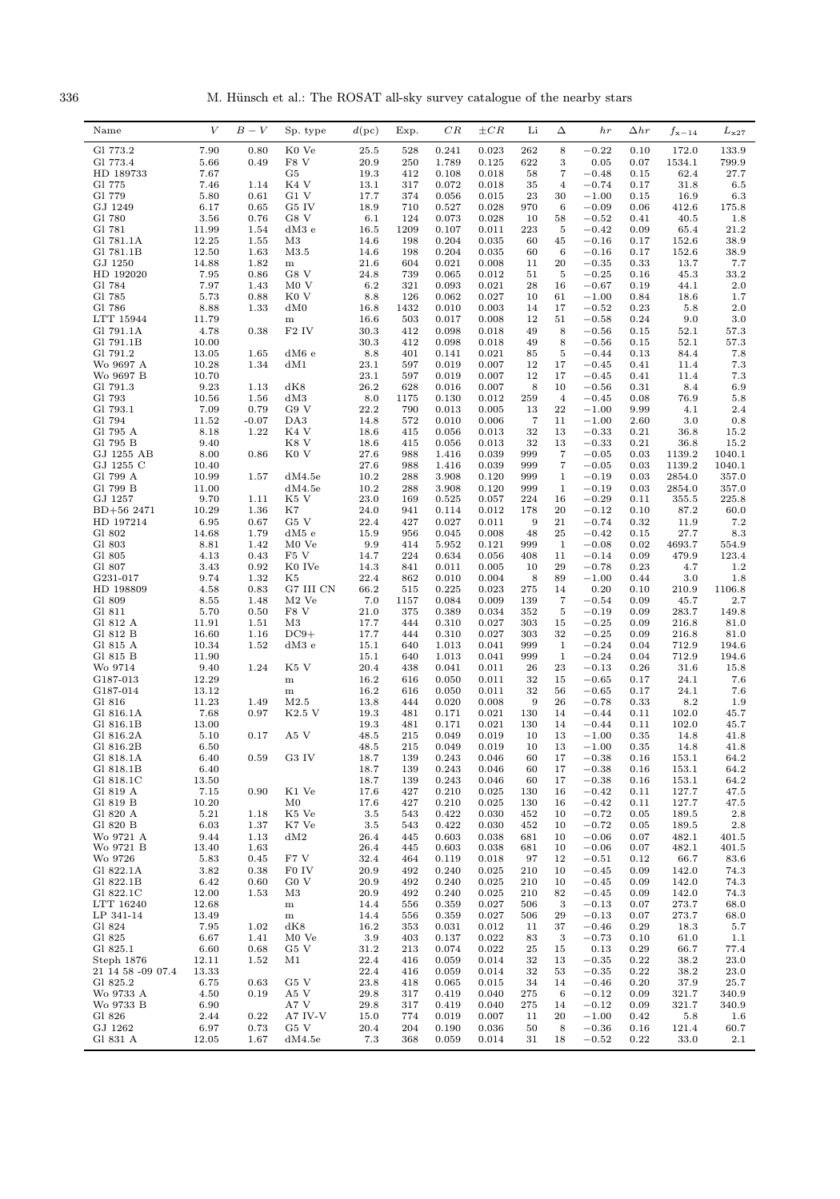336 M. Hünsch et al.: The ROSAT all-sky survey catalogue of the nearby stars

| Gl 773.2<br>7.90<br>0.80<br>K0 Ve<br>0.023<br>262<br>8<br>$-0.22$<br>172.0<br>133.9<br>25.5<br>528<br>0.241<br>0.10<br>5.66<br>F8 V<br>622<br>3<br>799.9<br>Gl 773.4<br>0.49<br>20.9<br>250<br>1.789<br>0.125<br>0.05<br>0.07<br>1534.1<br>HD 189733<br>7.67<br>G5<br>19.3<br>7<br>62.4<br>27.7<br>412<br>0.108<br>0.018<br>58<br>$-0.48$<br>0.15<br>K4 V<br>$-0.74$<br>31.8<br>Gl 775<br>7.46<br>1.14<br>13.1<br>317<br>0.072<br>0.018<br>35<br>$\overline{4}$<br>0.17<br>$6.5\,$<br>Gl 779<br>5.80<br>G1V<br>23<br>0.61<br>17.7<br>374<br>0.056<br>0.015<br>30<br>$-1.00$<br>0.15<br>16.9<br>6.3<br>GJ 1249<br>6.17<br>G5 IV<br>$-0.09$<br>412.6<br>0.65<br>18.9<br>710<br>0.527<br>0.028<br>970<br>6<br>0.06<br>175.8<br>Gl 780<br>3.56<br>0.76<br>G8 V<br>0.073<br>58<br>6.1<br>124<br>0.028<br>10<br>$-0.52$<br>0.41<br>40.5<br>1.8<br>Gl 781<br>5<br>11.99<br>1.54<br>$dM3$ e<br>16.5<br>1209<br>0.107<br>0.011<br>223<br>$-0.42$<br>0.09<br>65.4<br>21.2<br>Gl 781.1A<br>12.25<br>0.204<br>$-0.16$<br>38.9<br>1.55<br>M3<br>14.6<br>198<br>0.035<br>60<br>45<br>0.17<br>152.6<br>Gl 781.1B<br>12.50<br>1.63<br>M3.5<br>14.6<br>198<br>0.204<br>0.035<br>6<br>$-0.16$<br>0.17<br>152.6<br>38.9<br>60<br>GJ 1250<br>14.88<br>1.82<br>21.6<br>604<br>0.021<br>0.008<br>11<br>20<br>$-0.35$<br>0.33<br>13.7<br>7.7<br>${\bf m}$<br>HD 192020<br>7.95<br>0.86<br>G8 V<br>739<br>$-0.25$<br>45.3<br>33.2<br>24.8<br>0.065<br>0.012<br>51<br>5<br>0.16<br>7.97<br>44.1<br>2.0<br>Gl 784<br>1.43<br>M0V<br>6.2<br>321<br>0.093<br>0.021<br>28<br>16<br>$-0.67$<br>0.19<br>Gl 785<br>5.73<br>0.88<br>K0 V<br>8.8<br>126<br>0.062<br>0.027<br>10<br>61<br>$-1.00$<br>0.84<br>18.6<br>1.7<br>Gl 786<br>8.88<br>2.0<br>1.33<br>dM0<br>16.8<br>1432<br>0.010<br>0.003<br>14<br>17<br>$-0.52$<br>0.23<br>5.8<br>11.79<br>9.0<br>3.0<br>LTT 15944<br>16.6<br>503<br>0.017<br>0.008<br>12<br>51<br>$-0.58$<br>0.24<br>${\bf m}$<br>4.78<br>0.38<br>52.1<br>Gl 791.1A<br>$F2$ IV<br>30.3<br>412<br>0.098<br>0.018<br>49<br>8<br>$-0.56$<br>0.15<br>57.3<br>Gl 791.1B<br>10.00<br>52.1<br>30.3<br>412<br>0.098<br>0.018<br>49<br>8<br>$-0.56$<br>0.15<br>57.3<br>Gl 791.2<br>13.05<br>5<br>1.65<br>dM6 e<br>8.8<br>401<br>0.141<br>0.021<br>85<br>$-0.44$<br>0.13<br>84.4<br>7.8<br>10.28<br>17<br>Wo 9697 A<br>1.34<br>dM1<br>23.1<br>597<br>0.019<br>0.007<br>12<br>$-0.45$<br>0.41<br>11.4<br>7.3<br>10.70<br>12<br>7.3<br>Wo 9697 B<br>23.1<br>597<br>0.019<br>0.007<br>17<br>$-0.45$<br>0.41<br>11.4<br>Gl 791.3<br>9.23<br>dK8<br>26.2<br>8.4<br>6.9<br>1.13<br>628<br>0.016<br>0.007<br>8<br>10<br>$-0.56$<br>0.31<br>Gl 793<br>10.56<br>1.56<br>dM3<br>8.0<br>0.130<br>0.012<br>259<br>$\overline{4}$<br>$-0.45$<br>0.08<br>76.9<br>5.8<br>1175<br>Gl 793.1<br>7.09<br>0.79<br>G9 V<br>22.2<br>790<br>0.005<br>${\bf 22}$<br>2.4<br>0.013<br>13<br>$-1.00$<br>9.99<br>4.1<br>Gl 794<br>11.52<br>$-0.07$<br>DA3<br>0.010<br>3.0<br>14.8<br>572<br>0.006<br>7<br>11<br>$-1.00$<br>2.60<br>0.8<br>1.22<br>32<br>36.8<br>Gl 795 A<br>8.18<br>K4 V<br>18.6<br>0.056<br>0.013<br>13<br>$-0.33$<br>0.21<br>15.2<br>415<br>Gl 795 B<br>9.40<br>K8 V<br>36.8<br>15.2<br>18.6<br>415<br>0.056<br>0.013<br>32<br>13<br>$-0.33$<br>0.21<br>GJ 1255 AB<br>8.00<br>0.86<br>K <sub>0</sub> V<br>1040.1<br>27.6<br>988<br>1.416<br>0.039<br>999<br>7<br>$-0.05$<br>0.03<br>1139.2<br>GJ 1255 C<br>7<br>1040.1<br>10.40<br>27.6<br>988<br>1.416<br>0.039<br>999<br>$-0.05$<br>0.03<br>1139.2<br>10.99<br>Gl 799 A<br>1.57<br>dM4.5e<br>10.2<br>288<br>3.908<br>0.120<br>999<br>1<br>$-0.19$<br>0.03<br>2854.0<br>357.0<br>Gl 799 B<br>11.00<br>dM4.5e<br>10.2<br>288<br>3.908<br>0.120<br>999<br>$\mathbf{1}$<br>$-0.19$<br>0.03<br>2854.0<br>357.0<br>GJ 1257<br>9.70<br>23.0<br>$-0.29$<br>225.8<br>1.11<br>K5 V<br>169<br>0.525<br>0.057<br>224<br>16<br>0.11<br>355.5<br>10.29<br>K7<br>$BD+562471$<br>1.36<br>24.0<br>941<br>0.114<br>0.012<br>178<br>20<br>$-0.12$<br>0.10<br>87.2<br>60.0<br>6.95<br>22.4<br>0.027<br>21<br>HD 197214<br>0.67<br>G5 V<br>427<br>0.011<br>9<br>$-0.74$<br>0.32<br>11.9<br>7.2<br>14.68<br>1.79<br>25<br>27.7<br>8.3<br>G1 802<br>dM5 e<br>15.9<br>956<br>0.045<br>0.008<br>48<br>$-0.42$<br>0.15<br>Gl 803<br>4693.7<br>8.81<br>1.42<br>M <sub>0</sub> Ve<br>9.9<br>414<br>5.952<br>0.121<br>999<br>1<br>$-0.08$<br>0.02<br>554.9<br>0.43<br>224<br>479.9<br>123.4<br>G1 805<br>4.13<br>F5 V<br>14.7<br>0.634<br>0.056<br>408<br>11<br>$-0.14$<br>0.09<br>3.43<br>0.92<br>K0 IVe<br>29<br>0.23<br>1.2<br>G1 807<br>14.3<br>0.011<br>0.005<br>10<br>$-0.78$<br>4.7<br>841<br>9.74<br>1.32<br>3.0<br>1.8<br>G231-017<br>K5<br>22.4<br>862<br>0.010<br>0.004<br>8<br>89<br>$-1.00$<br>0.44<br>HD 198809<br>0.83<br>0.225<br>0.20<br>210.9<br>1106.8<br>4.58<br>G7 III CN<br>66.2<br>515<br>0.023<br>275<br>14<br>0.10<br>Gl 809<br>$\overline{7}$<br>45.7<br>8.55<br>1.48<br>$M2$ Ve<br>7.0<br>1157<br>0.084<br>0.009<br>139<br>$-0.54$<br>0.09<br>$2.7\,$<br>5.70<br>F8 V<br>21.0<br>375<br>$-0.19$<br>283.7<br>Gl 811<br>0.50<br>0.389<br>0.034<br>352<br>5<br>0.09<br>149.8<br>11.91<br>Gl 812 A<br>1.51<br>M3<br>17.7<br>444<br>0.310<br>0.027<br>303<br>15<br>$-0.25$<br>0.09<br>216.8<br>81.0<br>16.60<br>$DC9+$<br>32<br>Gl 812 B<br>1.16<br>17.7<br>444<br>0.310<br>0.027<br>303<br>$-0.25$<br>0.09<br>216.8<br>81.0<br>10.34<br>$-0.24$<br>712.9<br>Gl 815 A<br>1.52<br>dM3e<br>15.1<br>1.013<br>0.041<br>999<br>1<br>0.04<br>194.6<br>640<br>11.90<br>Gl 815 B<br>15.1<br>640<br>1.013<br>0.041<br>999<br>1<br>$-0.24$<br>0.04<br>712.9<br>194.6<br>1.24<br>K5 V<br>23<br>Wo 9714<br>9.40<br>20.4<br>438<br>0.041<br>0.011<br>26<br>$-0.13$<br>0.26<br>31.6<br>15.8<br>12.29<br>16.2<br>24.1<br>7.6<br>G187-013<br>0.050<br>0.011<br>32<br>15<br>$-0.65$<br>0.17<br>${\bf m}$<br>616<br>24.1<br>G187-014<br>13.12<br>16.2<br>616<br>0.050<br>0.011<br>32<br>56<br>$-0.65$<br>0.17<br>7.6<br>m<br>11.23<br>1.49<br>26<br>Gl 816<br>M2.5<br>13.8<br>444<br>0.020<br>0.008<br>9<br>$-0.78$<br>0.33<br>8.2<br>1.9<br>7.68<br>0.97<br>K2.5 V<br>Gl 816.1A<br>19.3<br>481<br>0.171<br>0.021<br>130<br>14<br>$-0.44$<br>0.11<br>102.0<br>45.7<br>Gl 816.1B<br>13.00<br>19.3<br>481<br>0.171<br>0.021<br>130<br>14<br>$-0.44$<br>0.11<br>102.0<br>45.7<br>0.17<br>A5 V<br>13<br>Gl 816.2A<br>5.10<br>48.5<br>215<br>0.049<br>0.019<br>10<br>$-1.00$<br>0.35<br>14.8<br>41.8<br>Gl 816.2B<br>6.50<br>48.5<br>215<br>0.049<br>0.019<br>10<br>13<br>$-1.00$<br>0.35<br>14.8<br>41.8<br>G3 IV<br>Gl 818.1A<br>6.40<br>0.59<br>18.7<br>139<br>0.243<br>0.046<br>60<br>17<br>$-0.38$<br>0.16<br>153.1<br>64.2<br>Gl 818.1B<br>0.046<br>$-0.38$<br>6.40<br>18.7<br>139<br>0.243<br>60<br>17<br>0.16<br>153.1<br>64.2<br>Gl 818.1C<br>13.50<br>18.7<br>0.243<br>0.046<br>$-0.38$<br>153.1<br>139<br>60<br>17<br>0.16<br>64.2<br>7.15<br>0.90<br>K1 Ve<br>Gl 819 A<br>17.6<br>427<br>0.210<br>0.025<br>130<br>$-0.42$<br>0.11<br>127.7<br>47.5<br>16<br>10.20<br>127.7<br>Gl 819 B<br>$_{\rm M0}$<br>17.6<br>427<br>0.210<br>0.025<br>130<br>$-0.42$<br>0.11<br>47.5<br>16<br>Gl 820 A<br>5.21<br>1.18<br>K5 Ve<br>3.5<br>0.422<br>0.030<br>$-0.72$<br>189.5<br>$2.8\,$<br>543<br>452<br>10<br>0.05<br>Gl 820 B<br>6.03<br>$\rm K7\ Ve$<br>3.5<br>1.37<br>543<br>0.422<br>0.030<br>452<br>$-0.72$<br>0.05<br>189.5<br>2.8<br>10<br>Wo 9721 A<br>9.44<br>dM2<br>26.4<br>1.13<br>445<br>0.603<br>0.038<br>681<br>$-0.06$<br>0.07<br>482.1<br>401.5<br>10<br>Wo 9721 B<br>13.40<br>1.63<br>26.4<br>0.603<br>0.038<br>$-0.06$<br>482.1<br>445<br>681<br>10<br>0.07<br>401.5<br>5.83<br>F7 V<br>32.4<br>66.7<br>Wo 9726<br>0.45<br>464<br>0.119<br>0.018<br>97<br>$-0.51$<br>0.12<br>83.6<br>12<br>Gl 822.1A<br>3.82<br>F0 IV<br>0.38<br>20.9<br>492<br>0.240<br>0.025<br>210<br>10<br>$-0.45$<br>0.09<br>142.0<br>74.3<br>Gl 822.1B<br>6.42<br>G0 V<br>20.9<br>0.025<br>142.0<br>0.60<br>492<br>0.240<br>210<br>10<br>$-0.45$<br>0.09<br>74.3<br>Gl 822.1C<br>12.00<br>20.9<br>$-0.45$<br>1.53<br>M3<br>492<br>0.240<br>0.025<br>210<br>82<br>0.09<br>142.0<br>74.3<br>LTT 16240<br>12.68<br>$-0.13$<br>14.4<br>556<br>0.359<br>0.027<br>506<br>3<br>0.07<br>273.7<br>68.0<br>m<br>LP 341-14<br>13.49<br>0.027<br>$-0.13$<br>273.7<br>14.4<br>556<br>0.359<br>506<br>29<br>0.07<br>68.0<br>${\bf m}$<br>7.95<br>dK8<br>16.2<br>18.3<br>Gl 824<br>1.02<br>353<br>0.031<br>0.012<br>11<br>$-0.46$<br>0.29<br>5.7<br>37<br>6.67<br>3.9<br>$-0.73$<br>61.0<br>Gl 825<br>1.41<br>M <sub>0</sub> Ve<br>403<br>0.137<br>$_{0.022}$<br>83<br>3<br>0.10<br>1.1<br>Gl 825.1<br>6.60<br>G5 V<br>31.2<br>0.022<br>0.13<br>0.29<br>66.7<br>0.68<br>213<br>0.074<br>25<br>15<br>77.4<br>12.11<br>22.4<br>32<br>38.2<br>23.0<br>Steph 1876<br>1.52<br>M1<br>416<br>0.059<br>0.014<br>13<br>$-0.35$<br>0.22<br>21 14 58 -09 07.4<br>13.33<br>22.4<br>32<br>$-0.35$<br>38.2<br>23.0<br>0.059<br>0.014<br>53<br>0.22<br>416<br>Gl 825.2<br>G5 V<br>23.8<br>0.015<br>$-0.46$<br>37.9<br>6.75<br>0.63<br>418<br>0.065<br>34<br>14<br>0.20<br>25.7<br>Wo 9733 A<br>4.50<br>A5 V<br>29.8<br>$-0.12$<br>321.7<br>0.19<br>317<br>0.419<br>0.040<br>275<br>6<br>0.09<br>340.9<br>Wo 9733 B<br>6.90<br>A7 V<br>29.8<br>$-0.12$<br>321.7<br>317<br>0.419<br>0.040<br>275<br>14<br>0.09<br>340.9<br>Gl 826<br>0.22<br>A7 IV-V<br>2.44<br>15.0<br>774<br>0.019<br>0.007<br>20<br>$-1.00$<br>0.42<br>5.8<br>$1.6\,$<br>11<br>GJ 1262<br>6.97<br>G5 V<br>204<br>$-0.36$<br>121.4<br>0.73<br>20.4<br>0.190<br>0.036<br>50<br>8<br>0.16<br>60.7<br>Gl 831 A<br>12.05<br>dM4.5e<br>7.3<br>$-0.52$<br>33.0<br>$2.1\,$<br>1.67<br>368<br>0.059<br>0.014<br>31<br>18<br>0.22 | Name | $\boldsymbol{V}$ | $B-V$ | Sp. type | d(pc) | Exp. | CR | $\pm CR$ | Li | Δ | hr | $_{\Delta hr}$ | $f_{\rm x-14}$ | $L_{\rm x27}$ |
|---------------------------------------------------------------------------------------------------------------------------------------------------------------------------------------------------------------------------------------------------------------------------------------------------------------------------------------------------------------------------------------------------------------------------------------------------------------------------------------------------------------------------------------------------------------------------------------------------------------------------------------------------------------------------------------------------------------------------------------------------------------------------------------------------------------------------------------------------------------------------------------------------------------------------------------------------------------------------------------------------------------------------------------------------------------------------------------------------------------------------------------------------------------------------------------------------------------------------------------------------------------------------------------------------------------------------------------------------------------------------------------------------------------------------------------------------------------------------------------------------------------------------------------------------------------------------------------------------------------------------------------------------------------------------------------------------------------------------------------------------------------------------------------------------------------------------------------------------------------------------------------------------------------------------------------------------------------------------------------------------------------------------------------------------------------------------------------------------------------------------------------------------------------------------------------------------------------------------------------------------------------------------------------------------------------------------------------------------------------------------------------------------------------------------------------------------------------------------------------------------------------------------------------------------------------------------------------------------------------------------------------------------------------------------------------------------------------------------------------------------------------------------------------------------------------------------------------------------------------------------------------------------------------------------------------------------------------------------------------------------------------------------------------------------------------------------------------------------------------------------------------------------------------------------------------------------------------------------------------------------------------------------------------------------------------------------------------------------------------------------------------------------------------------------------------------------------------------------------------------------------------------------------------------------------------------------------------------------------------------------------------------------------------------------------------------------------------------------------------------------------------------------------------------------------------------------------------------------------------------------------------------------------------------------------------------------------------------------------------------------------------------------------------------------------------------------------------------------------------------------------------------------------------------------------------------------------------------------------------------------------------------------------------------------------------------------------------------------------------------------------------------------------------------------------------------------------------------------------------------------------------------------------------------------------------------------------------------------------------------------------------------------------------------------------------------------------------------------------------------------------------------------------------------------------------------------------------------------------------------------------------------------------------------------------------------------------------------------------------------------------------------------------------------------------------------------------------------------------------------------------------------------------------------------------------------------------------------------------------------------------------------------------------------------------------------------------------------------------------------------------------------------------------------------------------------------------------------------------------------------------------------------------------------------------------------------------------------------------------------------------------------------------------------------------------------------------------------------------------------------------------------------------------------------------------------------------------------------------------------------------------------------------------------------------------------------------------------------------------------------------------------------------------------------------------------------------------------------------------------------------------------------------------------------------------------------------------------------------------------------------------------------------------------------------------------------------------------------------------------------------------------------------------------------------------------------------------------------------------------------------------------------------------------------------------------------------------------------------------------------------------------------------------------------------------------------------------------------------------------------------------------------------------------------------------------------------------------------------------------------------------------------------------------------------------------------------------------------------------------------------------------------------------------------------------------------------------------------------------------------------------------------------------------------------------------------------------------------------------------------------------------------------------------------------------------------------------------------------------------------------------------------------------------------------------------------------------------------------------------------------------------------------------------------------------------------------------------------------------------------------------------------------------------------------------------------------------------------------------------------------------------------------------------------------------------------------------------------------------------------------------------------------------------------------------------------------------------------------------------------------------------------------------------------------------------------------------------------------------------------------------------------------------------------------------------------------------------------------------------------------------------------------------------------------------------------------------------------------------------------------------------------------------------------------------------------------------------------------------------------------------------------------------------------------------------------------------------------------------------------------------------------------------------------------------------------------------------------------------------------------------------------------------------------------------------------------------------------------------------------------------------------------------------------------------------------------------------------------------------------------------------------------------------------------------------------------------------------------------------------------------------------------------------------------------------------------------------------------------------------------------------------------------------------------------------------------------------------------------------------------------------------------------------------------------------------------------------------------------------------------------------------------------------------------------------------------------------------------------------------------------------|------|------------------|-------|----------|-------|------|----|----------|----|---|----|----------------|----------------|---------------|
|                                                                                                                                                                                                                                                                                                                                                                                                                                                                                                                                                                                                                                                                                                                                                                                                                                                                                                                                                                                                                                                                                                                                                                                                                                                                                                                                                                                                                                                                                                                                                                                                                                                                                                                                                                                                                                                                                                                                                                                                                                                                                                                                                                                                                                                                                                                                                                                                                                                                                                                                                                                                                                                                                                                                                                                                                                                                                                                                                                                                                                                                                                                                                                                                                                                                                                                                                                                                                                                                                                                                                                                                                                                                                                                                                                                                                                                                                                                                                                                                                                                                                                                                                                                                                                                                                                                                                                                                                                                                                                                                                                                                                                                                                                                                                                                                                                                                                                                                                                                                                                                                                                                                                                                                                                                                                                                                                                                                                                                                                                                                                                                                                                                                                                                                                                                                                                                                                                                                                                                                                                                                                                                                                                                                                                                                                                                                                                                                                                                                                                                                                                                                                                                                                                                                                                                                                                                                                                                                                                                                                                                                                                                                                                                                                                                                                                                                                                                                                                                                                                                                                                                                                                                                                                                                                                                                                                                                                                                                                                                                                                                                                                                                                                                                                                                                                                                                                                                                                                                                                                                                                                                                                                                                                                                                                                                                                                                                                                                                                                                                                                                                                                                                                                                                                                                                                                                                                                                                                                                                                                                                                                                                                                             |      |                  |       |          |       |      |    |          |    |   |    |                |                |               |
|                                                                                                                                                                                                                                                                                                                                                                                                                                                                                                                                                                                                                                                                                                                                                                                                                                                                                                                                                                                                                                                                                                                                                                                                                                                                                                                                                                                                                                                                                                                                                                                                                                                                                                                                                                                                                                                                                                                                                                                                                                                                                                                                                                                                                                                                                                                                                                                                                                                                                                                                                                                                                                                                                                                                                                                                                                                                                                                                                                                                                                                                                                                                                                                                                                                                                                                                                                                                                                                                                                                                                                                                                                                                                                                                                                                                                                                                                                                                                                                                                                                                                                                                                                                                                                                                                                                                                                                                                                                                                                                                                                                                                                                                                                                                                                                                                                                                                                                                                                                                                                                                                                                                                                                                                                                                                                                                                                                                                                                                                                                                                                                                                                                                                                                                                                                                                                                                                                                                                                                                                                                                                                                                                                                                                                                                                                                                                                                                                                                                                                                                                                                                                                                                                                                                                                                                                                                                                                                                                                                                                                                                                                                                                                                                                                                                                                                                                                                                                                                                                                                                                                                                                                                                                                                                                                                                                                                                                                                                                                                                                                                                                                                                                                                                                                                                                                                                                                                                                                                                                                                                                                                                                                                                                                                                                                                                                                                                                                                                                                                                                                                                                                                                                                                                                                                                                                                                                                                                                                                                                                                                                                                                                                             |      |                  |       |          |       |      |    |          |    |   |    |                |                |               |
|                                                                                                                                                                                                                                                                                                                                                                                                                                                                                                                                                                                                                                                                                                                                                                                                                                                                                                                                                                                                                                                                                                                                                                                                                                                                                                                                                                                                                                                                                                                                                                                                                                                                                                                                                                                                                                                                                                                                                                                                                                                                                                                                                                                                                                                                                                                                                                                                                                                                                                                                                                                                                                                                                                                                                                                                                                                                                                                                                                                                                                                                                                                                                                                                                                                                                                                                                                                                                                                                                                                                                                                                                                                                                                                                                                                                                                                                                                                                                                                                                                                                                                                                                                                                                                                                                                                                                                                                                                                                                                                                                                                                                                                                                                                                                                                                                                                                                                                                                                                                                                                                                                                                                                                                                                                                                                                                                                                                                                                                                                                                                                                                                                                                                                                                                                                                                                                                                                                                                                                                                                                                                                                                                                                                                                                                                                                                                                                                                                                                                                                                                                                                                                                                                                                                                                                                                                                                                                                                                                                                                                                                                                                                                                                                                                                                                                                                                                                                                                                                                                                                                                                                                                                                                                                                                                                                                                                                                                                                                                                                                                                                                                                                                                                                                                                                                                                                                                                                                                                                                                                                                                                                                                                                                                                                                                                                                                                                                                                                                                                                                                                                                                                                                                                                                                                                                                                                                                                                                                                                                                                                                                                                                                             |      |                  |       |          |       |      |    |          |    |   |    |                |                |               |
|                                                                                                                                                                                                                                                                                                                                                                                                                                                                                                                                                                                                                                                                                                                                                                                                                                                                                                                                                                                                                                                                                                                                                                                                                                                                                                                                                                                                                                                                                                                                                                                                                                                                                                                                                                                                                                                                                                                                                                                                                                                                                                                                                                                                                                                                                                                                                                                                                                                                                                                                                                                                                                                                                                                                                                                                                                                                                                                                                                                                                                                                                                                                                                                                                                                                                                                                                                                                                                                                                                                                                                                                                                                                                                                                                                                                                                                                                                                                                                                                                                                                                                                                                                                                                                                                                                                                                                                                                                                                                                                                                                                                                                                                                                                                                                                                                                                                                                                                                                                                                                                                                                                                                                                                                                                                                                                                                                                                                                                                                                                                                                                                                                                                                                                                                                                                                                                                                                                                                                                                                                                                                                                                                                                                                                                                                                                                                                                                                                                                                                                                                                                                                                                                                                                                                                                                                                                                                                                                                                                                                                                                                                                                                                                                                                                                                                                                                                                                                                                                                                                                                                                                                                                                                                                                                                                                                                                                                                                                                                                                                                                                                                                                                                                                                                                                                                                                                                                                                                                                                                                                                                                                                                                                                                                                                                                                                                                                                                                                                                                                                                                                                                                                                                                                                                                                                                                                                                                                                                                                                                                                                                                                                                             |      |                  |       |          |       |      |    |          |    |   |    |                |                |               |
|                                                                                                                                                                                                                                                                                                                                                                                                                                                                                                                                                                                                                                                                                                                                                                                                                                                                                                                                                                                                                                                                                                                                                                                                                                                                                                                                                                                                                                                                                                                                                                                                                                                                                                                                                                                                                                                                                                                                                                                                                                                                                                                                                                                                                                                                                                                                                                                                                                                                                                                                                                                                                                                                                                                                                                                                                                                                                                                                                                                                                                                                                                                                                                                                                                                                                                                                                                                                                                                                                                                                                                                                                                                                                                                                                                                                                                                                                                                                                                                                                                                                                                                                                                                                                                                                                                                                                                                                                                                                                                                                                                                                                                                                                                                                                                                                                                                                                                                                                                                                                                                                                                                                                                                                                                                                                                                                                                                                                                                                                                                                                                                                                                                                                                                                                                                                                                                                                                                                                                                                                                                                                                                                                                                                                                                                                                                                                                                                                                                                                                                                                                                                                                                                                                                                                                                                                                                                                                                                                                                                                                                                                                                                                                                                                                                                                                                                                                                                                                                                                                                                                                                                                                                                                                                                                                                                                                                                                                                                                                                                                                                                                                                                                                                                                                                                                                                                                                                                                                                                                                                                                                                                                                                                                                                                                                                                                                                                                                                                                                                                                                                                                                                                                                                                                                                                                                                                                                                                                                                                                                                                                                                                                                             |      |                  |       |          |       |      |    |          |    |   |    |                |                |               |
|                                                                                                                                                                                                                                                                                                                                                                                                                                                                                                                                                                                                                                                                                                                                                                                                                                                                                                                                                                                                                                                                                                                                                                                                                                                                                                                                                                                                                                                                                                                                                                                                                                                                                                                                                                                                                                                                                                                                                                                                                                                                                                                                                                                                                                                                                                                                                                                                                                                                                                                                                                                                                                                                                                                                                                                                                                                                                                                                                                                                                                                                                                                                                                                                                                                                                                                                                                                                                                                                                                                                                                                                                                                                                                                                                                                                                                                                                                                                                                                                                                                                                                                                                                                                                                                                                                                                                                                                                                                                                                                                                                                                                                                                                                                                                                                                                                                                                                                                                                                                                                                                                                                                                                                                                                                                                                                                                                                                                                                                                                                                                                                                                                                                                                                                                                                                                                                                                                                                                                                                                                                                                                                                                                                                                                                                                                                                                                                                                                                                                                                                                                                                                                                                                                                                                                                                                                                                                                                                                                                                                                                                                                                                                                                                                                                                                                                                                                                                                                                                                                                                                                                                                                                                                                                                                                                                                                                                                                                                                                                                                                                                                                                                                                                                                                                                                                                                                                                                                                                                                                                                                                                                                                                                                                                                                                                                                                                                                                                                                                                                                                                                                                                                                                                                                                                                                                                                                                                                                                                                                                                                                                                                                                             |      |                  |       |          |       |      |    |          |    |   |    |                |                |               |
|                                                                                                                                                                                                                                                                                                                                                                                                                                                                                                                                                                                                                                                                                                                                                                                                                                                                                                                                                                                                                                                                                                                                                                                                                                                                                                                                                                                                                                                                                                                                                                                                                                                                                                                                                                                                                                                                                                                                                                                                                                                                                                                                                                                                                                                                                                                                                                                                                                                                                                                                                                                                                                                                                                                                                                                                                                                                                                                                                                                                                                                                                                                                                                                                                                                                                                                                                                                                                                                                                                                                                                                                                                                                                                                                                                                                                                                                                                                                                                                                                                                                                                                                                                                                                                                                                                                                                                                                                                                                                                                                                                                                                                                                                                                                                                                                                                                                                                                                                                                                                                                                                                                                                                                                                                                                                                                                                                                                                                                                                                                                                                                                                                                                                                                                                                                                                                                                                                                                                                                                                                                                                                                                                                                                                                                                                                                                                                                                                                                                                                                                                                                                                                                                                                                                                                                                                                                                                                                                                                                                                                                                                                                                                                                                                                                                                                                                                                                                                                                                                                                                                                                                                                                                                                                                                                                                                                                                                                                                                                                                                                                                                                                                                                                                                                                                                                                                                                                                                                                                                                                                                                                                                                                                                                                                                                                                                                                                                                                                                                                                                                                                                                                                                                                                                                                                                                                                                                                                                                                                                                                                                                                                                                             |      |                  |       |          |       |      |    |          |    |   |    |                |                |               |
|                                                                                                                                                                                                                                                                                                                                                                                                                                                                                                                                                                                                                                                                                                                                                                                                                                                                                                                                                                                                                                                                                                                                                                                                                                                                                                                                                                                                                                                                                                                                                                                                                                                                                                                                                                                                                                                                                                                                                                                                                                                                                                                                                                                                                                                                                                                                                                                                                                                                                                                                                                                                                                                                                                                                                                                                                                                                                                                                                                                                                                                                                                                                                                                                                                                                                                                                                                                                                                                                                                                                                                                                                                                                                                                                                                                                                                                                                                                                                                                                                                                                                                                                                                                                                                                                                                                                                                                                                                                                                                                                                                                                                                                                                                                                                                                                                                                                                                                                                                                                                                                                                                                                                                                                                                                                                                                                                                                                                                                                                                                                                                                                                                                                                                                                                                                                                                                                                                                                                                                                                                                                                                                                                                                                                                                                                                                                                                                                                                                                                                                                                                                                                                                                                                                                                                                                                                                                                                                                                                                                                                                                                                                                                                                                                                                                                                                                                                                                                                                                                                                                                                                                                                                                                                                                                                                                                                                                                                                                                                                                                                                                                                                                                                                                                                                                                                                                                                                                                                                                                                                                                                                                                                                                                                                                                                                                                                                                                                                                                                                                                                                                                                                                                                                                                                                                                                                                                                                                                                                                                                                                                                                                                                             |      |                  |       |          |       |      |    |          |    |   |    |                |                |               |
|                                                                                                                                                                                                                                                                                                                                                                                                                                                                                                                                                                                                                                                                                                                                                                                                                                                                                                                                                                                                                                                                                                                                                                                                                                                                                                                                                                                                                                                                                                                                                                                                                                                                                                                                                                                                                                                                                                                                                                                                                                                                                                                                                                                                                                                                                                                                                                                                                                                                                                                                                                                                                                                                                                                                                                                                                                                                                                                                                                                                                                                                                                                                                                                                                                                                                                                                                                                                                                                                                                                                                                                                                                                                                                                                                                                                                                                                                                                                                                                                                                                                                                                                                                                                                                                                                                                                                                                                                                                                                                                                                                                                                                                                                                                                                                                                                                                                                                                                                                                                                                                                                                                                                                                                                                                                                                                                                                                                                                                                                                                                                                                                                                                                                                                                                                                                                                                                                                                                                                                                                                                                                                                                                                                                                                                                                                                                                                                                                                                                                                                                                                                                                                                                                                                                                                                                                                                                                                                                                                                                                                                                                                                                                                                                                                                                                                                                                                                                                                                                                                                                                                                                                                                                                                                                                                                                                                                                                                                                                                                                                                                                                                                                                                                                                                                                                                                                                                                                                                                                                                                                                                                                                                                                                                                                                                                                                                                                                                                                                                                                                                                                                                                                                                                                                                                                                                                                                                                                                                                                                                                                                                                                                                             |      |                  |       |          |       |      |    |          |    |   |    |                |                |               |
|                                                                                                                                                                                                                                                                                                                                                                                                                                                                                                                                                                                                                                                                                                                                                                                                                                                                                                                                                                                                                                                                                                                                                                                                                                                                                                                                                                                                                                                                                                                                                                                                                                                                                                                                                                                                                                                                                                                                                                                                                                                                                                                                                                                                                                                                                                                                                                                                                                                                                                                                                                                                                                                                                                                                                                                                                                                                                                                                                                                                                                                                                                                                                                                                                                                                                                                                                                                                                                                                                                                                                                                                                                                                                                                                                                                                                                                                                                                                                                                                                                                                                                                                                                                                                                                                                                                                                                                                                                                                                                                                                                                                                                                                                                                                                                                                                                                                                                                                                                                                                                                                                                                                                                                                                                                                                                                                                                                                                                                                                                                                                                                                                                                                                                                                                                                                                                                                                                                                                                                                                                                                                                                                                                                                                                                                                                                                                                                                                                                                                                                                                                                                                                                                                                                                                                                                                                                                                                                                                                                                                                                                                                                                                                                                                                                                                                                                                                                                                                                                                                                                                                                                                                                                                                                                                                                                                                                                                                                                                                                                                                                                                                                                                                                                                                                                                                                                                                                                                                                                                                                                                                                                                                                                                                                                                                                                                                                                                                                                                                                                                                                                                                                                                                                                                                                                                                                                                                                                                                                                                                                                                                                                                                             |      |                  |       |          |       |      |    |          |    |   |    |                |                |               |
|                                                                                                                                                                                                                                                                                                                                                                                                                                                                                                                                                                                                                                                                                                                                                                                                                                                                                                                                                                                                                                                                                                                                                                                                                                                                                                                                                                                                                                                                                                                                                                                                                                                                                                                                                                                                                                                                                                                                                                                                                                                                                                                                                                                                                                                                                                                                                                                                                                                                                                                                                                                                                                                                                                                                                                                                                                                                                                                                                                                                                                                                                                                                                                                                                                                                                                                                                                                                                                                                                                                                                                                                                                                                                                                                                                                                                                                                                                                                                                                                                                                                                                                                                                                                                                                                                                                                                                                                                                                                                                                                                                                                                                                                                                                                                                                                                                                                                                                                                                                                                                                                                                                                                                                                                                                                                                                                                                                                                                                                                                                                                                                                                                                                                                                                                                                                                                                                                                                                                                                                                                                                                                                                                                                                                                                                                                                                                                                                                                                                                                                                                                                                                                                                                                                                                                                                                                                                                                                                                                                                                                                                                                                                                                                                                                                                                                                                                                                                                                                                                                                                                                                                                                                                                                                                                                                                                                                                                                                                                                                                                                                                                                                                                                                                                                                                                                                                                                                                                                                                                                                                                                                                                                                                                                                                                                                                                                                                                                                                                                                                                                                                                                                                                                                                                                                                                                                                                                                                                                                                                                                                                                                                                                             |      |                  |       |          |       |      |    |          |    |   |    |                |                |               |
|                                                                                                                                                                                                                                                                                                                                                                                                                                                                                                                                                                                                                                                                                                                                                                                                                                                                                                                                                                                                                                                                                                                                                                                                                                                                                                                                                                                                                                                                                                                                                                                                                                                                                                                                                                                                                                                                                                                                                                                                                                                                                                                                                                                                                                                                                                                                                                                                                                                                                                                                                                                                                                                                                                                                                                                                                                                                                                                                                                                                                                                                                                                                                                                                                                                                                                                                                                                                                                                                                                                                                                                                                                                                                                                                                                                                                                                                                                                                                                                                                                                                                                                                                                                                                                                                                                                                                                                                                                                                                                                                                                                                                                                                                                                                                                                                                                                                                                                                                                                                                                                                                                                                                                                                                                                                                                                                                                                                                                                                                                                                                                                                                                                                                                                                                                                                                                                                                                                                                                                                                                                                                                                                                                                                                                                                                                                                                                                                                                                                                                                                                                                                                                                                                                                                                                                                                                                                                                                                                                                                                                                                                                                                                                                                                                                                                                                                                                                                                                                                                                                                                                                                                                                                                                                                                                                                                                                                                                                                                                                                                                                                                                                                                                                                                                                                                                                                                                                                                                                                                                                                                                                                                                                                                                                                                                                                                                                                                                                                                                                                                                                                                                                                                                                                                                                                                                                                                                                                                                                                                                                                                                                                                                             |      |                  |       |          |       |      |    |          |    |   |    |                |                |               |
|                                                                                                                                                                                                                                                                                                                                                                                                                                                                                                                                                                                                                                                                                                                                                                                                                                                                                                                                                                                                                                                                                                                                                                                                                                                                                                                                                                                                                                                                                                                                                                                                                                                                                                                                                                                                                                                                                                                                                                                                                                                                                                                                                                                                                                                                                                                                                                                                                                                                                                                                                                                                                                                                                                                                                                                                                                                                                                                                                                                                                                                                                                                                                                                                                                                                                                                                                                                                                                                                                                                                                                                                                                                                                                                                                                                                                                                                                                                                                                                                                                                                                                                                                                                                                                                                                                                                                                                                                                                                                                                                                                                                                                                                                                                                                                                                                                                                                                                                                                                                                                                                                                                                                                                                                                                                                                                                                                                                                                                                                                                                                                                                                                                                                                                                                                                                                                                                                                                                                                                                                                                                                                                                                                                                                                                                                                                                                                                                                                                                                                                                                                                                                                                                                                                                                                                                                                                                                                                                                                                                                                                                                                                                                                                                                                                                                                                                                                                                                                                                                                                                                                                                                                                                                                                                                                                                                                                                                                                                                                                                                                                                                                                                                                                                                                                                                                                                                                                                                                                                                                                                                                                                                                                                                                                                                                                                                                                                                                                                                                                                                                                                                                                                                                                                                                                                                                                                                                                                                                                                                                                                                                                                                                             |      |                  |       |          |       |      |    |          |    |   |    |                |                |               |
|                                                                                                                                                                                                                                                                                                                                                                                                                                                                                                                                                                                                                                                                                                                                                                                                                                                                                                                                                                                                                                                                                                                                                                                                                                                                                                                                                                                                                                                                                                                                                                                                                                                                                                                                                                                                                                                                                                                                                                                                                                                                                                                                                                                                                                                                                                                                                                                                                                                                                                                                                                                                                                                                                                                                                                                                                                                                                                                                                                                                                                                                                                                                                                                                                                                                                                                                                                                                                                                                                                                                                                                                                                                                                                                                                                                                                                                                                                                                                                                                                                                                                                                                                                                                                                                                                                                                                                                                                                                                                                                                                                                                                                                                                                                                                                                                                                                                                                                                                                                                                                                                                                                                                                                                                                                                                                                                                                                                                                                                                                                                                                                                                                                                                                                                                                                                                                                                                                                                                                                                                                                                                                                                                                                                                                                                                                                                                                                                                                                                                                                                                                                                                                                                                                                                                                                                                                                                                                                                                                                                                                                                                                                                                                                                                                                                                                                                                                                                                                                                                                                                                                                                                                                                                                                                                                                                                                                                                                                                                                                                                                                                                                                                                                                                                                                                                                                                                                                                                                                                                                                                                                                                                                                                                                                                                                                                                                                                                                                                                                                                                                                                                                                                                                                                                                                                                                                                                                                                                                                                                                                                                                                                                                             |      |                  |       |          |       |      |    |          |    |   |    |                |                |               |
|                                                                                                                                                                                                                                                                                                                                                                                                                                                                                                                                                                                                                                                                                                                                                                                                                                                                                                                                                                                                                                                                                                                                                                                                                                                                                                                                                                                                                                                                                                                                                                                                                                                                                                                                                                                                                                                                                                                                                                                                                                                                                                                                                                                                                                                                                                                                                                                                                                                                                                                                                                                                                                                                                                                                                                                                                                                                                                                                                                                                                                                                                                                                                                                                                                                                                                                                                                                                                                                                                                                                                                                                                                                                                                                                                                                                                                                                                                                                                                                                                                                                                                                                                                                                                                                                                                                                                                                                                                                                                                                                                                                                                                                                                                                                                                                                                                                                                                                                                                                                                                                                                                                                                                                                                                                                                                                                                                                                                                                                                                                                                                                                                                                                                                                                                                                                                                                                                                                                                                                                                                                                                                                                                                                                                                                                                                                                                                                                                                                                                                                                                                                                                                                                                                                                                                                                                                                                                                                                                                                                                                                                                                                                                                                                                                                                                                                                                                                                                                                                                                                                                                                                                                                                                                                                                                                                                                                                                                                                                                                                                                                                                                                                                                                                                                                                                                                                                                                                                                                                                                                                                                                                                                                                                                                                                                                                                                                                                                                                                                                                                                                                                                                                                                                                                                                                                                                                                                                                                                                                                                                                                                                                                                             |      |                  |       |          |       |      |    |          |    |   |    |                |                |               |
|                                                                                                                                                                                                                                                                                                                                                                                                                                                                                                                                                                                                                                                                                                                                                                                                                                                                                                                                                                                                                                                                                                                                                                                                                                                                                                                                                                                                                                                                                                                                                                                                                                                                                                                                                                                                                                                                                                                                                                                                                                                                                                                                                                                                                                                                                                                                                                                                                                                                                                                                                                                                                                                                                                                                                                                                                                                                                                                                                                                                                                                                                                                                                                                                                                                                                                                                                                                                                                                                                                                                                                                                                                                                                                                                                                                                                                                                                                                                                                                                                                                                                                                                                                                                                                                                                                                                                                                                                                                                                                                                                                                                                                                                                                                                                                                                                                                                                                                                                                                                                                                                                                                                                                                                                                                                                                                                                                                                                                                                                                                                                                                                                                                                                                                                                                                                                                                                                                                                                                                                                                                                                                                                                                                                                                                                                                                                                                                                                                                                                                                                                                                                                                                                                                                                                                                                                                                                                                                                                                                                                                                                                                                                                                                                                                                                                                                                                                                                                                                                                                                                                                                                                                                                                                                                                                                                                                                                                                                                                                                                                                                                                                                                                                                                                                                                                                                                                                                                                                                                                                                                                                                                                                                                                                                                                                                                                                                                                                                                                                                                                                                                                                                                                                                                                                                                                                                                                                                                                                                                                                                                                                                                                                             |      |                  |       |          |       |      |    |          |    |   |    |                |                |               |
|                                                                                                                                                                                                                                                                                                                                                                                                                                                                                                                                                                                                                                                                                                                                                                                                                                                                                                                                                                                                                                                                                                                                                                                                                                                                                                                                                                                                                                                                                                                                                                                                                                                                                                                                                                                                                                                                                                                                                                                                                                                                                                                                                                                                                                                                                                                                                                                                                                                                                                                                                                                                                                                                                                                                                                                                                                                                                                                                                                                                                                                                                                                                                                                                                                                                                                                                                                                                                                                                                                                                                                                                                                                                                                                                                                                                                                                                                                                                                                                                                                                                                                                                                                                                                                                                                                                                                                                                                                                                                                                                                                                                                                                                                                                                                                                                                                                                                                                                                                                                                                                                                                                                                                                                                                                                                                                                                                                                                                                                                                                                                                                                                                                                                                                                                                                                                                                                                                                                                                                                                                                                                                                                                                                                                                                                                                                                                                                                                                                                                                                                                                                                                                                                                                                                                                                                                                                                                                                                                                                                                                                                                                                                                                                                                                                                                                                                                                                                                                                                                                                                                                                                                                                                                                                                                                                                                                                                                                                                                                                                                                                                                                                                                                                                                                                                                                                                                                                                                                                                                                                                                                                                                                                                                                                                                                                                                                                                                                                                                                                                                                                                                                                                                                                                                                                                                                                                                                                                                                                                                                                                                                                                                                             |      |                  |       |          |       |      |    |          |    |   |    |                |                |               |
|                                                                                                                                                                                                                                                                                                                                                                                                                                                                                                                                                                                                                                                                                                                                                                                                                                                                                                                                                                                                                                                                                                                                                                                                                                                                                                                                                                                                                                                                                                                                                                                                                                                                                                                                                                                                                                                                                                                                                                                                                                                                                                                                                                                                                                                                                                                                                                                                                                                                                                                                                                                                                                                                                                                                                                                                                                                                                                                                                                                                                                                                                                                                                                                                                                                                                                                                                                                                                                                                                                                                                                                                                                                                                                                                                                                                                                                                                                                                                                                                                                                                                                                                                                                                                                                                                                                                                                                                                                                                                                                                                                                                                                                                                                                                                                                                                                                                                                                                                                                                                                                                                                                                                                                                                                                                                                                                                                                                                                                                                                                                                                                                                                                                                                                                                                                                                                                                                                                                                                                                                                                                                                                                                                                                                                                                                                                                                                                                                                                                                                                                                                                                                                                                                                                                                                                                                                                                                                                                                                                                                                                                                                                                                                                                                                                                                                                                                                                                                                                                                                                                                                                                                                                                                                                                                                                                                                                                                                                                                                                                                                                                                                                                                                                                                                                                                                                                                                                                                                                                                                                                                                                                                                                                                                                                                                                                                                                                                                                                                                                                                                                                                                                                                                                                                                                                                                                                                                                                                                                                                                                                                                                                                                             |      |                  |       |          |       |      |    |          |    |   |    |                |                |               |
|                                                                                                                                                                                                                                                                                                                                                                                                                                                                                                                                                                                                                                                                                                                                                                                                                                                                                                                                                                                                                                                                                                                                                                                                                                                                                                                                                                                                                                                                                                                                                                                                                                                                                                                                                                                                                                                                                                                                                                                                                                                                                                                                                                                                                                                                                                                                                                                                                                                                                                                                                                                                                                                                                                                                                                                                                                                                                                                                                                                                                                                                                                                                                                                                                                                                                                                                                                                                                                                                                                                                                                                                                                                                                                                                                                                                                                                                                                                                                                                                                                                                                                                                                                                                                                                                                                                                                                                                                                                                                                                                                                                                                                                                                                                                                                                                                                                                                                                                                                                                                                                                                                                                                                                                                                                                                                                                                                                                                                                                                                                                                                                                                                                                                                                                                                                                                                                                                                                                                                                                                                                                                                                                                                                                                                                                                                                                                                                                                                                                                                                                                                                                                                                                                                                                                                                                                                                                                                                                                                                                                                                                                                                                                                                                                                                                                                                                                                                                                                                                                                                                                                                                                                                                                                                                                                                                                                                                                                                                                                                                                                                                                                                                                                                                                                                                                                                                                                                                                                                                                                                                                                                                                                                                                                                                                                                                                                                                                                                                                                                                                                                                                                                                                                                                                                                                                                                                                                                                                                                                                                                                                                                                                                             |      |                  |       |          |       |      |    |          |    |   |    |                |                |               |
|                                                                                                                                                                                                                                                                                                                                                                                                                                                                                                                                                                                                                                                                                                                                                                                                                                                                                                                                                                                                                                                                                                                                                                                                                                                                                                                                                                                                                                                                                                                                                                                                                                                                                                                                                                                                                                                                                                                                                                                                                                                                                                                                                                                                                                                                                                                                                                                                                                                                                                                                                                                                                                                                                                                                                                                                                                                                                                                                                                                                                                                                                                                                                                                                                                                                                                                                                                                                                                                                                                                                                                                                                                                                                                                                                                                                                                                                                                                                                                                                                                                                                                                                                                                                                                                                                                                                                                                                                                                                                                                                                                                                                                                                                                                                                                                                                                                                                                                                                                                                                                                                                                                                                                                                                                                                                                                                                                                                                                                                                                                                                                                                                                                                                                                                                                                                                                                                                                                                                                                                                                                                                                                                                                                                                                                                                                                                                                                                                                                                                                                                                                                                                                                                                                                                                                                                                                                                                                                                                                                                                                                                                                                                                                                                                                                                                                                                                                                                                                                                                                                                                                                                                                                                                                                                                                                                                                                                                                                                                                                                                                                                                                                                                                                                                                                                                                                                                                                                                                                                                                                                                                                                                                                                                                                                                                                                                                                                                                                                                                                                                                                                                                                                                                                                                                                                                                                                                                                                                                                                                                                                                                                                                                             |      |                  |       |          |       |      |    |          |    |   |    |                |                |               |
|                                                                                                                                                                                                                                                                                                                                                                                                                                                                                                                                                                                                                                                                                                                                                                                                                                                                                                                                                                                                                                                                                                                                                                                                                                                                                                                                                                                                                                                                                                                                                                                                                                                                                                                                                                                                                                                                                                                                                                                                                                                                                                                                                                                                                                                                                                                                                                                                                                                                                                                                                                                                                                                                                                                                                                                                                                                                                                                                                                                                                                                                                                                                                                                                                                                                                                                                                                                                                                                                                                                                                                                                                                                                                                                                                                                                                                                                                                                                                                                                                                                                                                                                                                                                                                                                                                                                                                                                                                                                                                                                                                                                                                                                                                                                                                                                                                                                                                                                                                                                                                                                                                                                                                                                                                                                                                                                                                                                                                                                                                                                                                                                                                                                                                                                                                                                                                                                                                                                                                                                                                                                                                                                                                                                                                                                                                                                                                                                                                                                                                                                                                                                                                                                                                                                                                                                                                                                                                                                                                                                                                                                                                                                                                                                                                                                                                                                                                                                                                                                                                                                                                                                                                                                                                                                                                                                                                                                                                                                                                                                                                                                                                                                                                                                                                                                                                                                                                                                                                                                                                                                                                                                                                                                                                                                                                                                                                                                                                                                                                                                                                                                                                                                                                                                                                                                                                                                                                                                                                                                                                                                                                                                                                             |      |                  |       |          |       |      |    |          |    |   |    |                |                |               |
|                                                                                                                                                                                                                                                                                                                                                                                                                                                                                                                                                                                                                                                                                                                                                                                                                                                                                                                                                                                                                                                                                                                                                                                                                                                                                                                                                                                                                                                                                                                                                                                                                                                                                                                                                                                                                                                                                                                                                                                                                                                                                                                                                                                                                                                                                                                                                                                                                                                                                                                                                                                                                                                                                                                                                                                                                                                                                                                                                                                                                                                                                                                                                                                                                                                                                                                                                                                                                                                                                                                                                                                                                                                                                                                                                                                                                                                                                                                                                                                                                                                                                                                                                                                                                                                                                                                                                                                                                                                                                                                                                                                                                                                                                                                                                                                                                                                                                                                                                                                                                                                                                                                                                                                                                                                                                                                                                                                                                                                                                                                                                                                                                                                                                                                                                                                                                                                                                                                                                                                                                                                                                                                                                                                                                                                                                                                                                                                                                                                                                                                                                                                                                                                                                                                                                                                                                                                                                                                                                                                                                                                                                                                                                                                                                                                                                                                                                                                                                                                                                                                                                                                                                                                                                                                                                                                                                                                                                                                                                                                                                                                                                                                                                                                                                                                                                                                                                                                                                                                                                                                                                                                                                                                                                                                                                                                                                                                                                                                                                                                                                                                                                                                                                                                                                                                                                                                                                                                                                                                                                                                                                                                                                                             |      |                  |       |          |       |      |    |          |    |   |    |                |                |               |
|                                                                                                                                                                                                                                                                                                                                                                                                                                                                                                                                                                                                                                                                                                                                                                                                                                                                                                                                                                                                                                                                                                                                                                                                                                                                                                                                                                                                                                                                                                                                                                                                                                                                                                                                                                                                                                                                                                                                                                                                                                                                                                                                                                                                                                                                                                                                                                                                                                                                                                                                                                                                                                                                                                                                                                                                                                                                                                                                                                                                                                                                                                                                                                                                                                                                                                                                                                                                                                                                                                                                                                                                                                                                                                                                                                                                                                                                                                                                                                                                                                                                                                                                                                                                                                                                                                                                                                                                                                                                                                                                                                                                                                                                                                                                                                                                                                                                                                                                                                                                                                                                                                                                                                                                                                                                                                                                                                                                                                                                                                                                                                                                                                                                                                                                                                                                                                                                                                                                                                                                                                                                                                                                                                                                                                                                                                                                                                                                                                                                                                                                                                                                                                                                                                                                                                                                                                                                                                                                                                                                                                                                                                                                                                                                                                                                                                                                                                                                                                                                                                                                                                                                                                                                                                                                                                                                                                                                                                                                                                                                                                                                                                                                                                                                                                                                                                                                                                                                                                                                                                                                                                                                                                                                                                                                                                                                                                                                                                                                                                                                                                                                                                                                                                                                                                                                                                                                                                                                                                                                                                                                                                                                                                             |      |                  |       |          |       |      |    |          |    |   |    |                |                |               |
|                                                                                                                                                                                                                                                                                                                                                                                                                                                                                                                                                                                                                                                                                                                                                                                                                                                                                                                                                                                                                                                                                                                                                                                                                                                                                                                                                                                                                                                                                                                                                                                                                                                                                                                                                                                                                                                                                                                                                                                                                                                                                                                                                                                                                                                                                                                                                                                                                                                                                                                                                                                                                                                                                                                                                                                                                                                                                                                                                                                                                                                                                                                                                                                                                                                                                                                                                                                                                                                                                                                                                                                                                                                                                                                                                                                                                                                                                                                                                                                                                                                                                                                                                                                                                                                                                                                                                                                                                                                                                                                                                                                                                                                                                                                                                                                                                                                                                                                                                                                                                                                                                                                                                                                                                                                                                                                                                                                                                                                                                                                                                                                                                                                                                                                                                                                                                                                                                                                                                                                                                                                                                                                                                                                                                                                                                                                                                                                                                                                                                                                                                                                                                                                                                                                                                                                                                                                                                                                                                                                                                                                                                                                                                                                                                                                                                                                                                                                                                                                                                                                                                                                                                                                                                                                                                                                                                                                                                                                                                                                                                                                                                                                                                                                                                                                                                                                                                                                                                                                                                                                                                                                                                                                                                                                                                                                                                                                                                                                                                                                                                                                                                                                                                                                                                                                                                                                                                                                                                                                                                                                                                                                                                                             |      |                  |       |          |       |      |    |          |    |   |    |                |                |               |
|                                                                                                                                                                                                                                                                                                                                                                                                                                                                                                                                                                                                                                                                                                                                                                                                                                                                                                                                                                                                                                                                                                                                                                                                                                                                                                                                                                                                                                                                                                                                                                                                                                                                                                                                                                                                                                                                                                                                                                                                                                                                                                                                                                                                                                                                                                                                                                                                                                                                                                                                                                                                                                                                                                                                                                                                                                                                                                                                                                                                                                                                                                                                                                                                                                                                                                                                                                                                                                                                                                                                                                                                                                                                                                                                                                                                                                                                                                                                                                                                                                                                                                                                                                                                                                                                                                                                                                                                                                                                                                                                                                                                                                                                                                                                                                                                                                                                                                                                                                                                                                                                                                                                                                                                                                                                                                                                                                                                                                                                                                                                                                                                                                                                                                                                                                                                                                                                                                                                                                                                                                                                                                                                                                                                                                                                                                                                                                                                                                                                                                                                                                                                                                                                                                                                                                                                                                                                                                                                                                                                                                                                                                                                                                                                                                                                                                                                                                                                                                                                                                                                                                                                                                                                                                                                                                                                                                                                                                                                                                                                                                                                                                                                                                                                                                                                                                                                                                                                                                                                                                                                                                                                                                                                                                                                                                                                                                                                                                                                                                                                                                                                                                                                                                                                                                                                                                                                                                                                                                                                                                                                                                                                                                             |      |                  |       |          |       |      |    |          |    |   |    |                |                |               |
|                                                                                                                                                                                                                                                                                                                                                                                                                                                                                                                                                                                                                                                                                                                                                                                                                                                                                                                                                                                                                                                                                                                                                                                                                                                                                                                                                                                                                                                                                                                                                                                                                                                                                                                                                                                                                                                                                                                                                                                                                                                                                                                                                                                                                                                                                                                                                                                                                                                                                                                                                                                                                                                                                                                                                                                                                                                                                                                                                                                                                                                                                                                                                                                                                                                                                                                                                                                                                                                                                                                                                                                                                                                                                                                                                                                                                                                                                                                                                                                                                                                                                                                                                                                                                                                                                                                                                                                                                                                                                                                                                                                                                                                                                                                                                                                                                                                                                                                                                                                                                                                                                                                                                                                                                                                                                                                                                                                                                                                                                                                                                                                                                                                                                                                                                                                                                                                                                                                                                                                                                                                                                                                                                                                                                                                                                                                                                                                                                                                                                                                                                                                                                                                                                                                                                                                                                                                                                                                                                                                                                                                                                                                                                                                                                                                                                                                                                                                                                                                                                                                                                                                                                                                                                                                                                                                                                                                                                                                                                                                                                                                                                                                                                                                                                                                                                                                                                                                                                                                                                                                                                                                                                                                                                                                                                                                                                                                                                                                                                                                                                                                                                                                                                                                                                                                                                                                                                                                                                                                                                                                                                                                                                                             |      |                  |       |          |       |      |    |          |    |   |    |                |                |               |
|                                                                                                                                                                                                                                                                                                                                                                                                                                                                                                                                                                                                                                                                                                                                                                                                                                                                                                                                                                                                                                                                                                                                                                                                                                                                                                                                                                                                                                                                                                                                                                                                                                                                                                                                                                                                                                                                                                                                                                                                                                                                                                                                                                                                                                                                                                                                                                                                                                                                                                                                                                                                                                                                                                                                                                                                                                                                                                                                                                                                                                                                                                                                                                                                                                                                                                                                                                                                                                                                                                                                                                                                                                                                                                                                                                                                                                                                                                                                                                                                                                                                                                                                                                                                                                                                                                                                                                                                                                                                                                                                                                                                                                                                                                                                                                                                                                                                                                                                                                                                                                                                                                                                                                                                                                                                                                                                                                                                                                                                                                                                                                                                                                                                                                                                                                                                                                                                                                                                                                                                                                                                                                                                                                                                                                                                                                                                                                                                                                                                                                                                                                                                                                                                                                                                                                                                                                                                                                                                                                                                                                                                                                                                                                                                                                                                                                                                                                                                                                                                                                                                                                                                                                                                                                                                                                                                                                                                                                                                                                                                                                                                                                                                                                                                                                                                                                                                                                                                                                                                                                                                                                                                                                                                                                                                                                                                                                                                                                                                                                                                                                                                                                                                                                                                                                                                                                                                                                                                                                                                                                                                                                                                                                             |      |                  |       |          |       |      |    |          |    |   |    |                |                |               |
|                                                                                                                                                                                                                                                                                                                                                                                                                                                                                                                                                                                                                                                                                                                                                                                                                                                                                                                                                                                                                                                                                                                                                                                                                                                                                                                                                                                                                                                                                                                                                                                                                                                                                                                                                                                                                                                                                                                                                                                                                                                                                                                                                                                                                                                                                                                                                                                                                                                                                                                                                                                                                                                                                                                                                                                                                                                                                                                                                                                                                                                                                                                                                                                                                                                                                                                                                                                                                                                                                                                                                                                                                                                                                                                                                                                                                                                                                                                                                                                                                                                                                                                                                                                                                                                                                                                                                                                                                                                                                                                                                                                                                                                                                                                                                                                                                                                                                                                                                                                                                                                                                                                                                                                                                                                                                                                                                                                                                                                                                                                                                                                                                                                                                                                                                                                                                                                                                                                                                                                                                                                                                                                                                                                                                                                                                                                                                                                                                                                                                                                                                                                                                                                                                                                                                                                                                                                                                                                                                                                                                                                                                                                                                                                                                                                                                                                                                                                                                                                                                                                                                                                                                                                                                                                                                                                                                                                                                                                                                                                                                                                                                                                                                                                                                                                                                                                                                                                                                                                                                                                                                                                                                                                                                                                                                                                                                                                                                                                                                                                                                                                                                                                                                                                                                                                                                                                                                                                                                                                                                                                                                                                                                                             |      |                  |       |          |       |      |    |          |    |   |    |                |                |               |
|                                                                                                                                                                                                                                                                                                                                                                                                                                                                                                                                                                                                                                                                                                                                                                                                                                                                                                                                                                                                                                                                                                                                                                                                                                                                                                                                                                                                                                                                                                                                                                                                                                                                                                                                                                                                                                                                                                                                                                                                                                                                                                                                                                                                                                                                                                                                                                                                                                                                                                                                                                                                                                                                                                                                                                                                                                                                                                                                                                                                                                                                                                                                                                                                                                                                                                                                                                                                                                                                                                                                                                                                                                                                                                                                                                                                                                                                                                                                                                                                                                                                                                                                                                                                                                                                                                                                                                                                                                                                                                                                                                                                                                                                                                                                                                                                                                                                                                                                                                                                                                                                                                                                                                                                                                                                                                                                                                                                                                                                                                                                                                                                                                                                                                                                                                                                                                                                                                                                                                                                                                                                                                                                                                                                                                                                                                                                                                                                                                                                                                                                                                                                                                                                                                                                                                                                                                                                                                                                                                                                                                                                                                                                                                                                                                                                                                                                                                                                                                                                                                                                                                                                                                                                                                                                                                                                                                                                                                                                                                                                                                                                                                                                                                                                                                                                                                                                                                                                                                                                                                                                                                                                                                                                                                                                                                                                                                                                                                                                                                                                                                                                                                                                                                                                                                                                                                                                                                                                                                                                                                                                                                                                                                             |      |                  |       |          |       |      |    |          |    |   |    |                |                |               |
|                                                                                                                                                                                                                                                                                                                                                                                                                                                                                                                                                                                                                                                                                                                                                                                                                                                                                                                                                                                                                                                                                                                                                                                                                                                                                                                                                                                                                                                                                                                                                                                                                                                                                                                                                                                                                                                                                                                                                                                                                                                                                                                                                                                                                                                                                                                                                                                                                                                                                                                                                                                                                                                                                                                                                                                                                                                                                                                                                                                                                                                                                                                                                                                                                                                                                                                                                                                                                                                                                                                                                                                                                                                                                                                                                                                                                                                                                                                                                                                                                                                                                                                                                                                                                                                                                                                                                                                                                                                                                                                                                                                                                                                                                                                                                                                                                                                                                                                                                                                                                                                                                                                                                                                                                                                                                                                                                                                                                                                                                                                                                                                                                                                                                                                                                                                                                                                                                                                                                                                                                                                                                                                                                                                                                                                                                                                                                                                                                                                                                                                                                                                                                                                                                                                                                                                                                                                                                                                                                                                                                                                                                                                                                                                                                                                                                                                                                                                                                                                                                                                                                                                                                                                                                                                                                                                                                                                                                                                                                                                                                                                                                                                                                                                                                                                                                                                                                                                                                                                                                                                                                                                                                                                                                                                                                                                                                                                                                                                                                                                                                                                                                                                                                                                                                                                                                                                                                                                                                                                                                                                                                                                                                                             |      |                  |       |          |       |      |    |          |    |   |    |                |                |               |
|                                                                                                                                                                                                                                                                                                                                                                                                                                                                                                                                                                                                                                                                                                                                                                                                                                                                                                                                                                                                                                                                                                                                                                                                                                                                                                                                                                                                                                                                                                                                                                                                                                                                                                                                                                                                                                                                                                                                                                                                                                                                                                                                                                                                                                                                                                                                                                                                                                                                                                                                                                                                                                                                                                                                                                                                                                                                                                                                                                                                                                                                                                                                                                                                                                                                                                                                                                                                                                                                                                                                                                                                                                                                                                                                                                                                                                                                                                                                                                                                                                                                                                                                                                                                                                                                                                                                                                                                                                                                                                                                                                                                                                                                                                                                                                                                                                                                                                                                                                                                                                                                                                                                                                                                                                                                                                                                                                                                                                                                                                                                                                                                                                                                                                                                                                                                                                                                                                                                                                                                                                                                                                                                                                                                                                                                                                                                                                                                                                                                                                                                                                                                                                                                                                                                                                                                                                                                                                                                                                                                                                                                                                                                                                                                                                                                                                                                                                                                                                                                                                                                                                                                                                                                                                                                                                                                                                                                                                                                                                                                                                                                                                                                                                                                                                                                                                                                                                                                                                                                                                                                                                                                                                                                                                                                                                                                                                                                                                                                                                                                                                                                                                                                                                                                                                                                                                                                                                                                                                                                                                                                                                                                                                             |      |                  |       |          |       |      |    |          |    |   |    |                |                |               |
|                                                                                                                                                                                                                                                                                                                                                                                                                                                                                                                                                                                                                                                                                                                                                                                                                                                                                                                                                                                                                                                                                                                                                                                                                                                                                                                                                                                                                                                                                                                                                                                                                                                                                                                                                                                                                                                                                                                                                                                                                                                                                                                                                                                                                                                                                                                                                                                                                                                                                                                                                                                                                                                                                                                                                                                                                                                                                                                                                                                                                                                                                                                                                                                                                                                                                                                                                                                                                                                                                                                                                                                                                                                                                                                                                                                                                                                                                                                                                                                                                                                                                                                                                                                                                                                                                                                                                                                                                                                                                                                                                                                                                                                                                                                                                                                                                                                                                                                                                                                                                                                                                                                                                                                                                                                                                                                                                                                                                                                                                                                                                                                                                                                                                                                                                                                                                                                                                                                                                                                                                                                                                                                                                                                                                                                                                                                                                                                                                                                                                                                                                                                                                                                                                                                                                                                                                                                                                                                                                                                                                                                                                                                                                                                                                                                                                                                                                                                                                                                                                                                                                                                                                                                                                                                                                                                                                                                                                                                                                                                                                                                                                                                                                                                                                                                                                                                                                                                                                                                                                                                                                                                                                                                                                                                                                                                                                                                                                                                                                                                                                                                                                                                                                                                                                                                                                                                                                                                                                                                                                                                                                                                                                                             |      |                  |       |          |       |      |    |          |    |   |    |                |                |               |
|                                                                                                                                                                                                                                                                                                                                                                                                                                                                                                                                                                                                                                                                                                                                                                                                                                                                                                                                                                                                                                                                                                                                                                                                                                                                                                                                                                                                                                                                                                                                                                                                                                                                                                                                                                                                                                                                                                                                                                                                                                                                                                                                                                                                                                                                                                                                                                                                                                                                                                                                                                                                                                                                                                                                                                                                                                                                                                                                                                                                                                                                                                                                                                                                                                                                                                                                                                                                                                                                                                                                                                                                                                                                                                                                                                                                                                                                                                                                                                                                                                                                                                                                                                                                                                                                                                                                                                                                                                                                                                                                                                                                                                                                                                                                                                                                                                                                                                                                                                                                                                                                                                                                                                                                                                                                                                                                                                                                                                                                                                                                                                                                                                                                                                                                                                                                                                                                                                                                                                                                                                                                                                                                                                                                                                                                                                                                                                                                                                                                                                                                                                                                                                                                                                                                                                                                                                                                                                                                                                                                                                                                                                                                                                                                                                                                                                                                                                                                                                                                                                                                                                                                                                                                                                                                                                                                                                                                                                                                                                                                                                                                                                                                                                                                                                                                                                                                                                                                                                                                                                                                                                                                                                                                                                                                                                                                                                                                                                                                                                                                                                                                                                                                                                                                                                                                                                                                                                                                                                                                                                                                                                                                                                             |      |                  |       |          |       |      |    |          |    |   |    |                |                |               |
|                                                                                                                                                                                                                                                                                                                                                                                                                                                                                                                                                                                                                                                                                                                                                                                                                                                                                                                                                                                                                                                                                                                                                                                                                                                                                                                                                                                                                                                                                                                                                                                                                                                                                                                                                                                                                                                                                                                                                                                                                                                                                                                                                                                                                                                                                                                                                                                                                                                                                                                                                                                                                                                                                                                                                                                                                                                                                                                                                                                                                                                                                                                                                                                                                                                                                                                                                                                                                                                                                                                                                                                                                                                                                                                                                                                                                                                                                                                                                                                                                                                                                                                                                                                                                                                                                                                                                                                                                                                                                                                                                                                                                                                                                                                                                                                                                                                                                                                                                                                                                                                                                                                                                                                                                                                                                                                                                                                                                                                                                                                                                                                                                                                                                                                                                                                                                                                                                                                                                                                                                                                                                                                                                                                                                                                                                                                                                                                                                                                                                                                                                                                                                                                                                                                                                                                                                                                                                                                                                                                                                                                                                                                                                                                                                                                                                                                                                                                                                                                                                                                                                                                                                                                                                                                                                                                                                                                                                                                                                                                                                                                                                                                                                                                                                                                                                                                                                                                                                                                                                                                                                                                                                                                                                                                                                                                                                                                                                                                                                                                                                                                                                                                                                                                                                                                                                                                                                                                                                                                                                                                                                                                                                                             |      |                  |       |          |       |      |    |          |    |   |    |                |                |               |
|                                                                                                                                                                                                                                                                                                                                                                                                                                                                                                                                                                                                                                                                                                                                                                                                                                                                                                                                                                                                                                                                                                                                                                                                                                                                                                                                                                                                                                                                                                                                                                                                                                                                                                                                                                                                                                                                                                                                                                                                                                                                                                                                                                                                                                                                                                                                                                                                                                                                                                                                                                                                                                                                                                                                                                                                                                                                                                                                                                                                                                                                                                                                                                                                                                                                                                                                                                                                                                                                                                                                                                                                                                                                                                                                                                                                                                                                                                                                                                                                                                                                                                                                                                                                                                                                                                                                                                                                                                                                                                                                                                                                                                                                                                                                                                                                                                                                                                                                                                                                                                                                                                                                                                                                                                                                                                                                                                                                                                                                                                                                                                                                                                                                                                                                                                                                                                                                                                                                                                                                                                                                                                                                                                                                                                                                                                                                                                                                                                                                                                                                                                                                                                                                                                                                                                                                                                                                                                                                                                                                                                                                                                                                                                                                                                                                                                                                                                                                                                                                                                                                                                                                                                                                                                                                                                                                                                                                                                                                                                                                                                                                                                                                                                                                                                                                                                                                                                                                                                                                                                                                                                                                                                                                                                                                                                                                                                                                                                                                                                                                                                                                                                                                                                                                                                                                                                                                                                                                                                                                                                                                                                                                                                             |      |                  |       |          |       |      |    |          |    |   |    |                |                |               |
|                                                                                                                                                                                                                                                                                                                                                                                                                                                                                                                                                                                                                                                                                                                                                                                                                                                                                                                                                                                                                                                                                                                                                                                                                                                                                                                                                                                                                                                                                                                                                                                                                                                                                                                                                                                                                                                                                                                                                                                                                                                                                                                                                                                                                                                                                                                                                                                                                                                                                                                                                                                                                                                                                                                                                                                                                                                                                                                                                                                                                                                                                                                                                                                                                                                                                                                                                                                                                                                                                                                                                                                                                                                                                                                                                                                                                                                                                                                                                                                                                                                                                                                                                                                                                                                                                                                                                                                                                                                                                                                                                                                                                                                                                                                                                                                                                                                                                                                                                                                                                                                                                                                                                                                                                                                                                                                                                                                                                                                                                                                                                                                                                                                                                                                                                                                                                                                                                                                                                                                                                                                                                                                                                                                                                                                                                                                                                                                                                                                                                                                                                                                                                                                                                                                                                                                                                                                                                                                                                                                                                                                                                                                                                                                                                                                                                                                                                                                                                                                                                                                                                                                                                                                                                                                                                                                                                                                                                                                                                                                                                                                                                                                                                                                                                                                                                                                                                                                                                                                                                                                                                                                                                                                                                                                                                                                                                                                                                                                                                                                                                                                                                                                                                                                                                                                                                                                                                                                                                                                                                                                                                                                                                                             |      |                  |       |          |       |      |    |          |    |   |    |                |                |               |
|                                                                                                                                                                                                                                                                                                                                                                                                                                                                                                                                                                                                                                                                                                                                                                                                                                                                                                                                                                                                                                                                                                                                                                                                                                                                                                                                                                                                                                                                                                                                                                                                                                                                                                                                                                                                                                                                                                                                                                                                                                                                                                                                                                                                                                                                                                                                                                                                                                                                                                                                                                                                                                                                                                                                                                                                                                                                                                                                                                                                                                                                                                                                                                                                                                                                                                                                                                                                                                                                                                                                                                                                                                                                                                                                                                                                                                                                                                                                                                                                                                                                                                                                                                                                                                                                                                                                                                                                                                                                                                                                                                                                                                                                                                                                                                                                                                                                                                                                                                                                                                                                                                                                                                                                                                                                                                                                                                                                                                                                                                                                                                                                                                                                                                                                                                                                                                                                                                                                                                                                                                                                                                                                                                                                                                                                                                                                                                                                                                                                                                                                                                                                                                                                                                                                                                                                                                                                                                                                                                                                                                                                                                                                                                                                                                                                                                                                                                                                                                                                                                                                                                                                                                                                                                                                                                                                                                                                                                                                                                                                                                                                                                                                                                                                                                                                                                                                                                                                                                                                                                                                                                                                                                                                                                                                                                                                                                                                                                                                                                                                                                                                                                                                                                                                                                                                                                                                                                                                                                                                                                                                                                                                                                             |      |                  |       |          |       |      |    |          |    |   |    |                |                |               |
|                                                                                                                                                                                                                                                                                                                                                                                                                                                                                                                                                                                                                                                                                                                                                                                                                                                                                                                                                                                                                                                                                                                                                                                                                                                                                                                                                                                                                                                                                                                                                                                                                                                                                                                                                                                                                                                                                                                                                                                                                                                                                                                                                                                                                                                                                                                                                                                                                                                                                                                                                                                                                                                                                                                                                                                                                                                                                                                                                                                                                                                                                                                                                                                                                                                                                                                                                                                                                                                                                                                                                                                                                                                                                                                                                                                                                                                                                                                                                                                                                                                                                                                                                                                                                                                                                                                                                                                                                                                                                                                                                                                                                                                                                                                                                                                                                                                                                                                                                                                                                                                                                                                                                                                                                                                                                                                                                                                                                                                                                                                                                                                                                                                                                                                                                                                                                                                                                                                                                                                                                                                                                                                                                                                                                                                                                                                                                                                                                                                                                                                                                                                                                                                                                                                                                                                                                                                                                                                                                                                                                                                                                                                                                                                                                                                                                                                                                                                                                                                                                                                                                                                                                                                                                                                                                                                                                                                                                                                                                                                                                                                                                                                                                                                                                                                                                                                                                                                                                                                                                                                                                                                                                                                                                                                                                                                                                                                                                                                                                                                                                                                                                                                                                                                                                                                                                                                                                                                                                                                                                                                                                                                                                                             |      |                  |       |          |       |      |    |          |    |   |    |                |                |               |
|                                                                                                                                                                                                                                                                                                                                                                                                                                                                                                                                                                                                                                                                                                                                                                                                                                                                                                                                                                                                                                                                                                                                                                                                                                                                                                                                                                                                                                                                                                                                                                                                                                                                                                                                                                                                                                                                                                                                                                                                                                                                                                                                                                                                                                                                                                                                                                                                                                                                                                                                                                                                                                                                                                                                                                                                                                                                                                                                                                                                                                                                                                                                                                                                                                                                                                                                                                                                                                                                                                                                                                                                                                                                                                                                                                                                                                                                                                                                                                                                                                                                                                                                                                                                                                                                                                                                                                                                                                                                                                                                                                                                                                                                                                                                                                                                                                                                                                                                                                                                                                                                                                                                                                                                                                                                                                                                                                                                                                                                                                                                                                                                                                                                                                                                                                                                                                                                                                                                                                                                                                                                                                                                                                                                                                                                                                                                                                                                                                                                                                                                                                                                                                                                                                                                                                                                                                                                                                                                                                                                                                                                                                                                                                                                                                                                                                                                                                                                                                                                                                                                                                                                                                                                                                                                                                                                                                                                                                                                                                                                                                                                                                                                                                                                                                                                                                                                                                                                                                                                                                                                                                                                                                                                                                                                                                                                                                                                                                                                                                                                                                                                                                                                                                                                                                                                                                                                                                                                                                                                                                                                                                                                                                             |      |                  |       |          |       |      |    |          |    |   |    |                |                |               |
|                                                                                                                                                                                                                                                                                                                                                                                                                                                                                                                                                                                                                                                                                                                                                                                                                                                                                                                                                                                                                                                                                                                                                                                                                                                                                                                                                                                                                                                                                                                                                                                                                                                                                                                                                                                                                                                                                                                                                                                                                                                                                                                                                                                                                                                                                                                                                                                                                                                                                                                                                                                                                                                                                                                                                                                                                                                                                                                                                                                                                                                                                                                                                                                                                                                                                                                                                                                                                                                                                                                                                                                                                                                                                                                                                                                                                                                                                                                                                                                                                                                                                                                                                                                                                                                                                                                                                                                                                                                                                                                                                                                                                                                                                                                                                                                                                                                                                                                                                                                                                                                                                                                                                                                                                                                                                                                                                                                                                                                                                                                                                                                                                                                                                                                                                                                                                                                                                                                                                                                                                                                                                                                                                                                                                                                                                                                                                                                                                                                                                                                                                                                                                                                                                                                                                                                                                                                                                                                                                                                                                                                                                                                                                                                                                                                                                                                                                                                                                                                                                                                                                                                                                                                                                                                                                                                                                                                                                                                                                                                                                                                                                                                                                                                                                                                                                                                                                                                                                                                                                                                                                                                                                                                                                                                                                                                                                                                                                                                                                                                                                                                                                                                                                                                                                                                                                                                                                                                                                                                                                                                                                                                                                                             |      |                  |       |          |       |      |    |          |    |   |    |                |                |               |
|                                                                                                                                                                                                                                                                                                                                                                                                                                                                                                                                                                                                                                                                                                                                                                                                                                                                                                                                                                                                                                                                                                                                                                                                                                                                                                                                                                                                                                                                                                                                                                                                                                                                                                                                                                                                                                                                                                                                                                                                                                                                                                                                                                                                                                                                                                                                                                                                                                                                                                                                                                                                                                                                                                                                                                                                                                                                                                                                                                                                                                                                                                                                                                                                                                                                                                                                                                                                                                                                                                                                                                                                                                                                                                                                                                                                                                                                                                                                                                                                                                                                                                                                                                                                                                                                                                                                                                                                                                                                                                                                                                                                                                                                                                                                                                                                                                                                                                                                                                                                                                                                                                                                                                                                                                                                                                                                                                                                                                                                                                                                                                                                                                                                                                                                                                                                                                                                                                                                                                                                                                                                                                                                                                                                                                                                                                                                                                                                                                                                                                                                                                                                                                                                                                                                                                                                                                                                                                                                                                                                                                                                                                                                                                                                                                                                                                                                                                                                                                                                                                                                                                                                                                                                                                                                                                                                                                                                                                                                                                                                                                                                                                                                                                                                                                                                                                                                                                                                                                                                                                                                                                                                                                                                                                                                                                                                                                                                                                                                                                                                                                                                                                                                                                                                                                                                                                                                                                                                                                                                                                                                                                                                                                             |      |                  |       |          |       |      |    |          |    |   |    |                |                |               |
|                                                                                                                                                                                                                                                                                                                                                                                                                                                                                                                                                                                                                                                                                                                                                                                                                                                                                                                                                                                                                                                                                                                                                                                                                                                                                                                                                                                                                                                                                                                                                                                                                                                                                                                                                                                                                                                                                                                                                                                                                                                                                                                                                                                                                                                                                                                                                                                                                                                                                                                                                                                                                                                                                                                                                                                                                                                                                                                                                                                                                                                                                                                                                                                                                                                                                                                                                                                                                                                                                                                                                                                                                                                                                                                                                                                                                                                                                                                                                                                                                                                                                                                                                                                                                                                                                                                                                                                                                                                                                                                                                                                                                                                                                                                                                                                                                                                                                                                                                                                                                                                                                                                                                                                                                                                                                                                                                                                                                                                                                                                                                                                                                                                                                                                                                                                                                                                                                                                                                                                                                                                                                                                                                                                                                                                                                                                                                                                                                                                                                                                                                                                                                                                                                                                                                                                                                                                                                                                                                                                                                                                                                                                                                                                                                                                                                                                                                                                                                                                                                                                                                                                                                                                                                                                                                                                                                                                                                                                                                                                                                                                                                                                                                                                                                                                                                                                                                                                                                                                                                                                                                                                                                                                                                                                                                                                                                                                                                                                                                                                                                                                                                                                                                                                                                                                                                                                                                                                                                                                                                                                                                                                                                                             |      |                  |       |          |       |      |    |          |    |   |    |                |                |               |
|                                                                                                                                                                                                                                                                                                                                                                                                                                                                                                                                                                                                                                                                                                                                                                                                                                                                                                                                                                                                                                                                                                                                                                                                                                                                                                                                                                                                                                                                                                                                                                                                                                                                                                                                                                                                                                                                                                                                                                                                                                                                                                                                                                                                                                                                                                                                                                                                                                                                                                                                                                                                                                                                                                                                                                                                                                                                                                                                                                                                                                                                                                                                                                                                                                                                                                                                                                                                                                                                                                                                                                                                                                                                                                                                                                                                                                                                                                                                                                                                                                                                                                                                                                                                                                                                                                                                                                                                                                                                                                                                                                                                                                                                                                                                                                                                                                                                                                                                                                                                                                                                                                                                                                                                                                                                                                                                                                                                                                                                                                                                                                                                                                                                                                                                                                                                                                                                                                                                                                                                                                                                                                                                                                                                                                                                                                                                                                                                                                                                                                                                                                                                                                                                                                                                                                                                                                                                                                                                                                                                                                                                                                                                                                                                                                                                                                                                                                                                                                                                                                                                                                                                                                                                                                                                                                                                                                                                                                                                                                                                                                                                                                                                                                                                                                                                                                                                                                                                                                                                                                                                                                                                                                                                                                                                                                                                                                                                                                                                                                                                                                                                                                                                                                                                                                                                                                                                                                                                                                                                                                                                                                                                                                             |      |                  |       |          |       |      |    |          |    |   |    |                |                |               |
|                                                                                                                                                                                                                                                                                                                                                                                                                                                                                                                                                                                                                                                                                                                                                                                                                                                                                                                                                                                                                                                                                                                                                                                                                                                                                                                                                                                                                                                                                                                                                                                                                                                                                                                                                                                                                                                                                                                                                                                                                                                                                                                                                                                                                                                                                                                                                                                                                                                                                                                                                                                                                                                                                                                                                                                                                                                                                                                                                                                                                                                                                                                                                                                                                                                                                                                                                                                                                                                                                                                                                                                                                                                                                                                                                                                                                                                                                                                                                                                                                                                                                                                                                                                                                                                                                                                                                                                                                                                                                                                                                                                                                                                                                                                                                                                                                                                                                                                                                                                                                                                                                                                                                                                                                                                                                                                                                                                                                                                                                                                                                                                                                                                                                                                                                                                                                                                                                                                                                                                                                                                                                                                                                                                                                                                                                                                                                                                                                                                                                                                                                                                                                                                                                                                                                                                                                                                                                                                                                                                                                                                                                                                                                                                                                                                                                                                                                                                                                                                                                                                                                                                                                                                                                                                                                                                                                                                                                                                                                                                                                                                                                                                                                                                                                                                                                                                                                                                                                                                                                                                                                                                                                                                                                                                                                                                                                                                                                                                                                                                                                                                                                                                                                                                                                                                                                                                                                                                                                                                                                                                                                                                                                                             |      |                  |       |          |       |      |    |          |    |   |    |                |                |               |
|                                                                                                                                                                                                                                                                                                                                                                                                                                                                                                                                                                                                                                                                                                                                                                                                                                                                                                                                                                                                                                                                                                                                                                                                                                                                                                                                                                                                                                                                                                                                                                                                                                                                                                                                                                                                                                                                                                                                                                                                                                                                                                                                                                                                                                                                                                                                                                                                                                                                                                                                                                                                                                                                                                                                                                                                                                                                                                                                                                                                                                                                                                                                                                                                                                                                                                                                                                                                                                                                                                                                                                                                                                                                                                                                                                                                                                                                                                                                                                                                                                                                                                                                                                                                                                                                                                                                                                                                                                                                                                                                                                                                                                                                                                                                                                                                                                                                                                                                                                                                                                                                                                                                                                                                                                                                                                                                                                                                                                                                                                                                                                                                                                                                                                                                                                                                                                                                                                                                                                                                                                                                                                                                                                                                                                                                                                                                                                                                                                                                                                                                                                                                                                                                                                                                                                                                                                                                                                                                                                                                                                                                                                                                                                                                                                                                                                                                                                                                                                                                                                                                                                                                                                                                                                                                                                                                                                                                                                                                                                                                                                                                                                                                                                                                                                                                                                                                                                                                                                                                                                                                                                                                                                                                                                                                                                                                                                                                                                                                                                                                                                                                                                                                                                                                                                                                                                                                                                                                                                                                                                                                                                                                                                             |      |                  |       |          |       |      |    |          |    |   |    |                |                |               |
|                                                                                                                                                                                                                                                                                                                                                                                                                                                                                                                                                                                                                                                                                                                                                                                                                                                                                                                                                                                                                                                                                                                                                                                                                                                                                                                                                                                                                                                                                                                                                                                                                                                                                                                                                                                                                                                                                                                                                                                                                                                                                                                                                                                                                                                                                                                                                                                                                                                                                                                                                                                                                                                                                                                                                                                                                                                                                                                                                                                                                                                                                                                                                                                                                                                                                                                                                                                                                                                                                                                                                                                                                                                                                                                                                                                                                                                                                                                                                                                                                                                                                                                                                                                                                                                                                                                                                                                                                                                                                                                                                                                                                                                                                                                                                                                                                                                                                                                                                                                                                                                                                                                                                                                                                                                                                                                                                                                                                                                                                                                                                                                                                                                                                                                                                                                                                                                                                                                                                                                                                                                                                                                                                                                                                                                                                                                                                                                                                                                                                                                                                                                                                                                                                                                                                                                                                                                                                                                                                                                                                                                                                                                                                                                                                                                                                                                                                                                                                                                                                                                                                                                                                                                                                                                                                                                                                                                                                                                                                                                                                                                                                                                                                                                                                                                                                                                                                                                                                                                                                                                                                                                                                                                                                                                                                                                                                                                                                                                                                                                                                                                                                                                                                                                                                                                                                                                                                                                                                                                                                                                                                                                                                                             |      |                  |       |          |       |      |    |          |    |   |    |                |                |               |
|                                                                                                                                                                                                                                                                                                                                                                                                                                                                                                                                                                                                                                                                                                                                                                                                                                                                                                                                                                                                                                                                                                                                                                                                                                                                                                                                                                                                                                                                                                                                                                                                                                                                                                                                                                                                                                                                                                                                                                                                                                                                                                                                                                                                                                                                                                                                                                                                                                                                                                                                                                                                                                                                                                                                                                                                                                                                                                                                                                                                                                                                                                                                                                                                                                                                                                                                                                                                                                                                                                                                                                                                                                                                                                                                                                                                                                                                                                                                                                                                                                                                                                                                                                                                                                                                                                                                                                                                                                                                                                                                                                                                                                                                                                                                                                                                                                                                                                                                                                                                                                                                                                                                                                                                                                                                                                                                                                                                                                                                                                                                                                                                                                                                                                                                                                                                                                                                                                                                                                                                                                                                                                                                                                                                                                                                                                                                                                                                                                                                                                                                                                                                                                                                                                                                                                                                                                                                                                                                                                                                                                                                                                                                                                                                                                                                                                                                                                                                                                                                                                                                                                                                                                                                                                                                                                                                                                                                                                                                                                                                                                                                                                                                                                                                                                                                                                                                                                                                                                                                                                                                                                                                                                                                                                                                                                                                                                                                                                                                                                                                                                                                                                                                                                                                                                                                                                                                                                                                                                                                                                                                                                                                                                             |      |                  |       |          |       |      |    |          |    |   |    |                |                |               |
|                                                                                                                                                                                                                                                                                                                                                                                                                                                                                                                                                                                                                                                                                                                                                                                                                                                                                                                                                                                                                                                                                                                                                                                                                                                                                                                                                                                                                                                                                                                                                                                                                                                                                                                                                                                                                                                                                                                                                                                                                                                                                                                                                                                                                                                                                                                                                                                                                                                                                                                                                                                                                                                                                                                                                                                                                                                                                                                                                                                                                                                                                                                                                                                                                                                                                                                                                                                                                                                                                                                                                                                                                                                                                                                                                                                                                                                                                                                                                                                                                                                                                                                                                                                                                                                                                                                                                                                                                                                                                                                                                                                                                                                                                                                                                                                                                                                                                                                                                                                                                                                                                                                                                                                                                                                                                                                                                                                                                                                                                                                                                                                                                                                                                                                                                                                                                                                                                                                                                                                                                                                                                                                                                                                                                                                                                                                                                                                                                                                                                                                                                                                                                                                                                                                                                                                                                                                                                                                                                                                                                                                                                                                                                                                                                                                                                                                                                                                                                                                                                                                                                                                                                                                                                                                                                                                                                                                                                                                                                                                                                                                                                                                                                                                                                                                                                                                                                                                                                                                                                                                                                                                                                                                                                                                                                                                                                                                                                                                                                                                                                                                                                                                                                                                                                                                                                                                                                                                                                                                                                                                                                                                                                                             |      |                  |       |          |       |      |    |          |    |   |    |                |                |               |
|                                                                                                                                                                                                                                                                                                                                                                                                                                                                                                                                                                                                                                                                                                                                                                                                                                                                                                                                                                                                                                                                                                                                                                                                                                                                                                                                                                                                                                                                                                                                                                                                                                                                                                                                                                                                                                                                                                                                                                                                                                                                                                                                                                                                                                                                                                                                                                                                                                                                                                                                                                                                                                                                                                                                                                                                                                                                                                                                                                                                                                                                                                                                                                                                                                                                                                                                                                                                                                                                                                                                                                                                                                                                                                                                                                                                                                                                                                                                                                                                                                                                                                                                                                                                                                                                                                                                                                                                                                                                                                                                                                                                                                                                                                                                                                                                                                                                                                                                                                                                                                                                                                                                                                                                                                                                                                                                                                                                                                                                                                                                                                                                                                                                                                                                                                                                                                                                                                                                                                                                                                                                                                                                                                                                                                                                                                                                                                                                                                                                                                                                                                                                                                                                                                                                                                                                                                                                                                                                                                                                                                                                                                                                                                                                                                                                                                                                                                                                                                                                                                                                                                                                                                                                                                                                                                                                                                                                                                                                                                                                                                                                                                                                                                                                                                                                                                                                                                                                                                                                                                                                                                                                                                                                                                                                                                                                                                                                                                                                                                                                                                                                                                                                                                                                                                                                                                                                                                                                                                                                                                                                                                                                                                             |      |                  |       |          |       |      |    |          |    |   |    |                |                |               |
|                                                                                                                                                                                                                                                                                                                                                                                                                                                                                                                                                                                                                                                                                                                                                                                                                                                                                                                                                                                                                                                                                                                                                                                                                                                                                                                                                                                                                                                                                                                                                                                                                                                                                                                                                                                                                                                                                                                                                                                                                                                                                                                                                                                                                                                                                                                                                                                                                                                                                                                                                                                                                                                                                                                                                                                                                                                                                                                                                                                                                                                                                                                                                                                                                                                                                                                                                                                                                                                                                                                                                                                                                                                                                                                                                                                                                                                                                                                                                                                                                                                                                                                                                                                                                                                                                                                                                                                                                                                                                                                                                                                                                                                                                                                                                                                                                                                                                                                                                                                                                                                                                                                                                                                                                                                                                                                                                                                                                                                                                                                                                                                                                                                                                                                                                                                                                                                                                                                                                                                                                                                                                                                                                                                                                                                                                                                                                                                                                                                                                                                                                                                                                                                                                                                                                                                                                                                                                                                                                                                                                                                                                                                                                                                                                                                                                                                                                                                                                                                                                                                                                                                                                                                                                                                                                                                                                                                                                                                                                                                                                                                                                                                                                                                                                                                                                                                                                                                                                                                                                                                                                                                                                                                                                                                                                                                                                                                                                                                                                                                                                                                                                                                                                                                                                                                                                                                                                                                                                                                                                                                                                                                                                                             |      |                  |       |          |       |      |    |          |    |   |    |                |                |               |
|                                                                                                                                                                                                                                                                                                                                                                                                                                                                                                                                                                                                                                                                                                                                                                                                                                                                                                                                                                                                                                                                                                                                                                                                                                                                                                                                                                                                                                                                                                                                                                                                                                                                                                                                                                                                                                                                                                                                                                                                                                                                                                                                                                                                                                                                                                                                                                                                                                                                                                                                                                                                                                                                                                                                                                                                                                                                                                                                                                                                                                                                                                                                                                                                                                                                                                                                                                                                                                                                                                                                                                                                                                                                                                                                                                                                                                                                                                                                                                                                                                                                                                                                                                                                                                                                                                                                                                                                                                                                                                                                                                                                                                                                                                                                                                                                                                                                                                                                                                                                                                                                                                                                                                                                                                                                                                                                                                                                                                                                                                                                                                                                                                                                                                                                                                                                                                                                                                                                                                                                                                                                                                                                                                                                                                                                                                                                                                                                                                                                                                                                                                                                                                                                                                                                                                                                                                                                                                                                                                                                                                                                                                                                                                                                                                                                                                                                                                                                                                                                                                                                                                                                                                                                                                                                                                                                                                                                                                                                                                                                                                                                                                                                                                                                                                                                                                                                                                                                                                                                                                                                                                                                                                                                                                                                                                                                                                                                                                                                                                                                                                                                                                                                                                                                                                                                                                                                                                                                                                                                                                                                                                                                                                             |      |                  |       |          |       |      |    |          |    |   |    |                |                |               |
|                                                                                                                                                                                                                                                                                                                                                                                                                                                                                                                                                                                                                                                                                                                                                                                                                                                                                                                                                                                                                                                                                                                                                                                                                                                                                                                                                                                                                                                                                                                                                                                                                                                                                                                                                                                                                                                                                                                                                                                                                                                                                                                                                                                                                                                                                                                                                                                                                                                                                                                                                                                                                                                                                                                                                                                                                                                                                                                                                                                                                                                                                                                                                                                                                                                                                                                                                                                                                                                                                                                                                                                                                                                                                                                                                                                                                                                                                                                                                                                                                                                                                                                                                                                                                                                                                                                                                                                                                                                                                                                                                                                                                                                                                                                                                                                                                                                                                                                                                                                                                                                                                                                                                                                                                                                                                                                                                                                                                                                                                                                                                                                                                                                                                                                                                                                                                                                                                                                                                                                                                                                                                                                                                                                                                                                                                                                                                                                                                                                                                                                                                                                                                                                                                                                                                                                                                                                                                                                                                                                                                                                                                                                                                                                                                                                                                                                                                                                                                                                                                                                                                                                                                                                                                                                                                                                                                                                                                                                                                                                                                                                                                                                                                                                                                                                                                                                                                                                                                                                                                                                                                                                                                                                                                                                                                                                                                                                                                                                                                                                                                                                                                                                                                                                                                                                                                                                                                                                                                                                                                                                                                                                                                                             |      |                  |       |          |       |      |    |          |    |   |    |                |                |               |
|                                                                                                                                                                                                                                                                                                                                                                                                                                                                                                                                                                                                                                                                                                                                                                                                                                                                                                                                                                                                                                                                                                                                                                                                                                                                                                                                                                                                                                                                                                                                                                                                                                                                                                                                                                                                                                                                                                                                                                                                                                                                                                                                                                                                                                                                                                                                                                                                                                                                                                                                                                                                                                                                                                                                                                                                                                                                                                                                                                                                                                                                                                                                                                                                                                                                                                                                                                                                                                                                                                                                                                                                                                                                                                                                                                                                                                                                                                                                                                                                                                                                                                                                                                                                                                                                                                                                                                                                                                                                                                                                                                                                                                                                                                                                                                                                                                                                                                                                                                                                                                                                                                                                                                                                                                                                                                                                                                                                                                                                                                                                                                                                                                                                                                                                                                                                                                                                                                                                                                                                                                                                                                                                                                                                                                                                                                                                                                                                                                                                                                                                                                                                                                                                                                                                                                                                                                                                                                                                                                                                                                                                                                                                                                                                                                                                                                                                                                                                                                                                                                                                                                                                                                                                                                                                                                                                                                                                                                                                                                                                                                                                                                                                                                                                                                                                                                                                                                                                                                                                                                                                                                                                                                                                                                                                                                                                                                                                                                                                                                                                                                                                                                                                                                                                                                                                                                                                                                                                                                                                                                                                                                                                                                             |      |                  |       |          |       |      |    |          |    |   |    |                |                |               |
|                                                                                                                                                                                                                                                                                                                                                                                                                                                                                                                                                                                                                                                                                                                                                                                                                                                                                                                                                                                                                                                                                                                                                                                                                                                                                                                                                                                                                                                                                                                                                                                                                                                                                                                                                                                                                                                                                                                                                                                                                                                                                                                                                                                                                                                                                                                                                                                                                                                                                                                                                                                                                                                                                                                                                                                                                                                                                                                                                                                                                                                                                                                                                                                                                                                                                                                                                                                                                                                                                                                                                                                                                                                                                                                                                                                                                                                                                                                                                                                                                                                                                                                                                                                                                                                                                                                                                                                                                                                                                                                                                                                                                                                                                                                                                                                                                                                                                                                                                                                                                                                                                                                                                                                                                                                                                                                                                                                                                                                                                                                                                                                                                                                                                                                                                                                                                                                                                                                                                                                                                                                                                                                                                                                                                                                                                                                                                                                                                                                                                                                                                                                                                                                                                                                                                                                                                                                                                                                                                                                                                                                                                                                                                                                                                                                                                                                                                                                                                                                                                                                                                                                                                                                                                                                                                                                                                                                                                                                                                                                                                                                                                                                                                                                                                                                                                                                                                                                                                                                                                                                                                                                                                                                                                                                                                                                                                                                                                                                                                                                                                                                                                                                                                                                                                                                                                                                                                                                                                                                                                                                                                                                                                                             |      |                  |       |          |       |      |    |          |    |   |    |                |                |               |
|                                                                                                                                                                                                                                                                                                                                                                                                                                                                                                                                                                                                                                                                                                                                                                                                                                                                                                                                                                                                                                                                                                                                                                                                                                                                                                                                                                                                                                                                                                                                                                                                                                                                                                                                                                                                                                                                                                                                                                                                                                                                                                                                                                                                                                                                                                                                                                                                                                                                                                                                                                                                                                                                                                                                                                                                                                                                                                                                                                                                                                                                                                                                                                                                                                                                                                                                                                                                                                                                                                                                                                                                                                                                                                                                                                                                                                                                                                                                                                                                                                                                                                                                                                                                                                                                                                                                                                                                                                                                                                                                                                                                                                                                                                                                                                                                                                                                                                                                                                                                                                                                                                                                                                                                                                                                                                                                                                                                                                                                                                                                                                                                                                                                                                                                                                                                                                                                                                                                                                                                                                                                                                                                                                                                                                                                                                                                                                                                                                                                                                                                                                                                                                                                                                                                                                                                                                                                                                                                                                                                                                                                                                                                                                                                                                                                                                                                                                                                                                                                                                                                                                                                                                                                                                                                                                                                                                                                                                                                                                                                                                                                                                                                                                                                                                                                                                                                                                                                                                                                                                                                                                                                                                                                                                                                                                                                                                                                                                                                                                                                                                                                                                                                                                                                                                                                                                                                                                                                                                                                                                                                                                                                                                             |      |                  |       |          |       |      |    |          |    |   |    |                |                |               |
|                                                                                                                                                                                                                                                                                                                                                                                                                                                                                                                                                                                                                                                                                                                                                                                                                                                                                                                                                                                                                                                                                                                                                                                                                                                                                                                                                                                                                                                                                                                                                                                                                                                                                                                                                                                                                                                                                                                                                                                                                                                                                                                                                                                                                                                                                                                                                                                                                                                                                                                                                                                                                                                                                                                                                                                                                                                                                                                                                                                                                                                                                                                                                                                                                                                                                                                                                                                                                                                                                                                                                                                                                                                                                                                                                                                                                                                                                                                                                                                                                                                                                                                                                                                                                                                                                                                                                                                                                                                                                                                                                                                                                                                                                                                                                                                                                                                                                                                                                                                                                                                                                                                                                                                                                                                                                                                                                                                                                                                                                                                                                                                                                                                                                                                                                                                                                                                                                                                                                                                                                                                                                                                                                                                                                                                                                                                                                                                                                                                                                                                                                                                                                                                                                                                                                                                                                                                                                                                                                                                                                                                                                                                                                                                                                                                                                                                                                                                                                                                                                                                                                                                                                                                                                                                                                                                                                                                                                                                                                                                                                                                                                                                                                                                                                                                                                                                                                                                                                                                                                                                                                                                                                                                                                                                                                                                                                                                                                                                                                                                                                                                                                                                                                                                                                                                                                                                                                                                                                                                                                                                                                                                                                                             |      |                  |       |          |       |      |    |          |    |   |    |                |                |               |
|                                                                                                                                                                                                                                                                                                                                                                                                                                                                                                                                                                                                                                                                                                                                                                                                                                                                                                                                                                                                                                                                                                                                                                                                                                                                                                                                                                                                                                                                                                                                                                                                                                                                                                                                                                                                                                                                                                                                                                                                                                                                                                                                                                                                                                                                                                                                                                                                                                                                                                                                                                                                                                                                                                                                                                                                                                                                                                                                                                                                                                                                                                                                                                                                                                                                                                                                                                                                                                                                                                                                                                                                                                                                                                                                                                                                                                                                                                                                                                                                                                                                                                                                                                                                                                                                                                                                                                                                                                                                                                                                                                                                                                                                                                                                                                                                                                                                                                                                                                                                                                                                                                                                                                                                                                                                                                                                                                                                                                                                                                                                                                                                                                                                                                                                                                                                                                                                                                                                                                                                                                                                                                                                                                                                                                                                                                                                                                                                                                                                                                                                                                                                                                                                                                                                                                                                                                                                                                                                                                                                                                                                                                                                                                                                                                                                                                                                                                                                                                                                                                                                                                                                                                                                                                                                                                                                                                                                                                                                                                                                                                                                                                                                                                                                                                                                                                                                                                                                                                                                                                                                                                                                                                                                                                                                                                                                                                                                                                                                                                                                                                                                                                                                                                                                                                                                                                                                                                                                                                                                                                                                                                                                                                             |      |                  |       |          |       |      |    |          |    |   |    |                |                |               |
|                                                                                                                                                                                                                                                                                                                                                                                                                                                                                                                                                                                                                                                                                                                                                                                                                                                                                                                                                                                                                                                                                                                                                                                                                                                                                                                                                                                                                                                                                                                                                                                                                                                                                                                                                                                                                                                                                                                                                                                                                                                                                                                                                                                                                                                                                                                                                                                                                                                                                                                                                                                                                                                                                                                                                                                                                                                                                                                                                                                                                                                                                                                                                                                                                                                                                                                                                                                                                                                                                                                                                                                                                                                                                                                                                                                                                                                                                                                                                                                                                                                                                                                                                                                                                                                                                                                                                                                                                                                                                                                                                                                                                                                                                                                                                                                                                                                                                                                                                                                                                                                                                                                                                                                                                                                                                                                                                                                                                                                                                                                                                                                                                                                                                                                                                                                                                                                                                                                                                                                                                                                                                                                                                                                                                                                                                                                                                                                                                                                                                                                                                                                                                                                                                                                                                                                                                                                                                                                                                                                                                                                                                                                                                                                                                                                                                                                                                                                                                                                                                                                                                                                                                                                                                                                                                                                                                                                                                                                                                                                                                                                                                                                                                                                                                                                                                                                                                                                                                                                                                                                                                                                                                                                                                                                                                                                                                                                                                                                                                                                                                                                                                                                                                                                                                                                                                                                                                                                                                                                                                                                                                                                                                                             |      |                  |       |          |       |      |    |          |    |   |    |                |                |               |
|                                                                                                                                                                                                                                                                                                                                                                                                                                                                                                                                                                                                                                                                                                                                                                                                                                                                                                                                                                                                                                                                                                                                                                                                                                                                                                                                                                                                                                                                                                                                                                                                                                                                                                                                                                                                                                                                                                                                                                                                                                                                                                                                                                                                                                                                                                                                                                                                                                                                                                                                                                                                                                                                                                                                                                                                                                                                                                                                                                                                                                                                                                                                                                                                                                                                                                                                                                                                                                                                                                                                                                                                                                                                                                                                                                                                                                                                                                                                                                                                                                                                                                                                                                                                                                                                                                                                                                                                                                                                                                                                                                                                                                                                                                                                                                                                                                                                                                                                                                                                                                                                                                                                                                                                                                                                                                                                                                                                                                                                                                                                                                                                                                                                                                                                                                                                                                                                                                                                                                                                                                                                                                                                                                                                                                                                                                                                                                                                                                                                                                                                                                                                                                                                                                                                                                                                                                                                                                                                                                                                                                                                                                                                                                                                                                                                                                                                                                                                                                                                                                                                                                                                                                                                                                                                                                                                                                                                                                                                                                                                                                                                                                                                                                                                                                                                                                                                                                                                                                                                                                                                                                                                                                                                                                                                                                                                                                                                                                                                                                                                                                                                                                                                                                                                                                                                                                                                                                                                                                                                                                                                                                                                                                             |      |                  |       |          |       |      |    |          |    |   |    |                |                |               |
|                                                                                                                                                                                                                                                                                                                                                                                                                                                                                                                                                                                                                                                                                                                                                                                                                                                                                                                                                                                                                                                                                                                                                                                                                                                                                                                                                                                                                                                                                                                                                                                                                                                                                                                                                                                                                                                                                                                                                                                                                                                                                                                                                                                                                                                                                                                                                                                                                                                                                                                                                                                                                                                                                                                                                                                                                                                                                                                                                                                                                                                                                                                                                                                                                                                                                                                                                                                                                                                                                                                                                                                                                                                                                                                                                                                                                                                                                                                                                                                                                                                                                                                                                                                                                                                                                                                                                                                                                                                                                                                                                                                                                                                                                                                                                                                                                                                                                                                                                                                                                                                                                                                                                                                                                                                                                                                                                                                                                                                                                                                                                                                                                                                                                                                                                                                                                                                                                                                                                                                                                                                                                                                                                                                                                                                                                                                                                                                                                                                                                                                                                                                                                                                                                                                                                                                                                                                                                                                                                                                                                                                                                                                                                                                                                                                                                                                                                                                                                                                                                                                                                                                                                                                                                                                                                                                                                                                                                                                                                                                                                                                                                                                                                                                                                                                                                                                                                                                                                                                                                                                                                                                                                                                                                                                                                                                                                                                                                                                                                                                                                                                                                                                                                                                                                                                                                                                                                                                                                                                                                                                                                                                                                                             |      |                  |       |          |       |      |    |          |    |   |    |                |                |               |
|                                                                                                                                                                                                                                                                                                                                                                                                                                                                                                                                                                                                                                                                                                                                                                                                                                                                                                                                                                                                                                                                                                                                                                                                                                                                                                                                                                                                                                                                                                                                                                                                                                                                                                                                                                                                                                                                                                                                                                                                                                                                                                                                                                                                                                                                                                                                                                                                                                                                                                                                                                                                                                                                                                                                                                                                                                                                                                                                                                                                                                                                                                                                                                                                                                                                                                                                                                                                                                                                                                                                                                                                                                                                                                                                                                                                                                                                                                                                                                                                                                                                                                                                                                                                                                                                                                                                                                                                                                                                                                                                                                                                                                                                                                                                                                                                                                                                                                                                                                                                                                                                                                                                                                                                                                                                                                                                                                                                                                                                                                                                                                                                                                                                                                                                                                                                                                                                                                                                                                                                                                                                                                                                                                                                                                                                                                                                                                                                                                                                                                                                                                                                                                                                                                                                                                                                                                                                                                                                                                                                                                                                                                                                                                                                                                                                                                                                                                                                                                                                                                                                                                                                                                                                                                                                                                                                                                                                                                                                                                                                                                                                                                                                                                                                                                                                                                                                                                                                                                                                                                                                                                                                                                                                                                                                                                                                                                                                                                                                                                                                                                                                                                                                                                                                                                                                                                                                                                                                                                                                                                                                                                                                                                             |      |                  |       |          |       |      |    |          |    |   |    |                |                |               |
|                                                                                                                                                                                                                                                                                                                                                                                                                                                                                                                                                                                                                                                                                                                                                                                                                                                                                                                                                                                                                                                                                                                                                                                                                                                                                                                                                                                                                                                                                                                                                                                                                                                                                                                                                                                                                                                                                                                                                                                                                                                                                                                                                                                                                                                                                                                                                                                                                                                                                                                                                                                                                                                                                                                                                                                                                                                                                                                                                                                                                                                                                                                                                                                                                                                                                                                                                                                                                                                                                                                                                                                                                                                                                                                                                                                                                                                                                                                                                                                                                                                                                                                                                                                                                                                                                                                                                                                                                                                                                                                                                                                                                                                                                                                                                                                                                                                                                                                                                                                                                                                                                                                                                                                                                                                                                                                                                                                                                                                                                                                                                                                                                                                                                                                                                                                                                                                                                                                                                                                                                                                                                                                                                                                                                                                                                                                                                                                                                                                                                                                                                                                                                                                                                                                                                                                                                                                                                                                                                                                                                                                                                                                                                                                                                                                                                                                                                                                                                                                                                                                                                                                                                                                                                                                                                                                                                                                                                                                                                                                                                                                                                                                                                                                                                                                                                                                                                                                                                                                                                                                                                                                                                                                                                                                                                                                                                                                                                                                                                                                                                                                                                                                                                                                                                                                                                                                                                                                                                                                                                                                                                                                                                                             |      |                  |       |          |       |      |    |          |    |   |    |                |                |               |
|                                                                                                                                                                                                                                                                                                                                                                                                                                                                                                                                                                                                                                                                                                                                                                                                                                                                                                                                                                                                                                                                                                                                                                                                                                                                                                                                                                                                                                                                                                                                                                                                                                                                                                                                                                                                                                                                                                                                                                                                                                                                                                                                                                                                                                                                                                                                                                                                                                                                                                                                                                                                                                                                                                                                                                                                                                                                                                                                                                                                                                                                                                                                                                                                                                                                                                                                                                                                                                                                                                                                                                                                                                                                                                                                                                                                                                                                                                                                                                                                                                                                                                                                                                                                                                                                                                                                                                                                                                                                                                                                                                                                                                                                                                                                                                                                                                                                                                                                                                                                                                                                                                                                                                                                                                                                                                                                                                                                                                                                                                                                                                                                                                                                                                                                                                                                                                                                                                                                                                                                                                                                                                                                                                                                                                                                                                                                                                                                                                                                                                                                                                                                                                                                                                                                                                                                                                                                                                                                                                                                                                                                                                                                                                                                                                                                                                                                                                                                                                                                                                                                                                                                                                                                                                                                                                                                                                                                                                                                                                                                                                                                                                                                                                                                                                                                                                                                                                                                                                                                                                                                                                                                                                                                                                                                                                                                                                                                                                                                                                                                                                                                                                                                                                                                                                                                                                                                                                                                                                                                                                                                                                                                                                             |      |                  |       |          |       |      |    |          |    |   |    |                |                |               |
|                                                                                                                                                                                                                                                                                                                                                                                                                                                                                                                                                                                                                                                                                                                                                                                                                                                                                                                                                                                                                                                                                                                                                                                                                                                                                                                                                                                                                                                                                                                                                                                                                                                                                                                                                                                                                                                                                                                                                                                                                                                                                                                                                                                                                                                                                                                                                                                                                                                                                                                                                                                                                                                                                                                                                                                                                                                                                                                                                                                                                                                                                                                                                                                                                                                                                                                                                                                                                                                                                                                                                                                                                                                                                                                                                                                                                                                                                                                                                                                                                                                                                                                                                                                                                                                                                                                                                                                                                                                                                                                                                                                                                                                                                                                                                                                                                                                                                                                                                                                                                                                                                                                                                                                                                                                                                                                                                                                                                                                                                                                                                                                                                                                                                                                                                                                                                                                                                                                                                                                                                                                                                                                                                                                                                                                                                                                                                                                                                                                                                                                                                                                                                                                                                                                                                                                                                                                                                                                                                                                                                                                                                                                                                                                                                                                                                                                                                                                                                                                                                                                                                                                                                                                                                                                                                                                                                                                                                                                                                                                                                                                                                                                                                                                                                                                                                                                                                                                                                                                                                                                                                                                                                                                                                                                                                                                                                                                                                                                                                                                                                                                                                                                                                                                                                                                                                                                                                                                                                                                                                                                                                                                                                                             |      |                  |       |          |       |      |    |          |    |   |    |                |                |               |
|                                                                                                                                                                                                                                                                                                                                                                                                                                                                                                                                                                                                                                                                                                                                                                                                                                                                                                                                                                                                                                                                                                                                                                                                                                                                                                                                                                                                                                                                                                                                                                                                                                                                                                                                                                                                                                                                                                                                                                                                                                                                                                                                                                                                                                                                                                                                                                                                                                                                                                                                                                                                                                                                                                                                                                                                                                                                                                                                                                                                                                                                                                                                                                                                                                                                                                                                                                                                                                                                                                                                                                                                                                                                                                                                                                                                                                                                                                                                                                                                                                                                                                                                                                                                                                                                                                                                                                                                                                                                                                                                                                                                                                                                                                                                                                                                                                                                                                                                                                                                                                                                                                                                                                                                                                                                                                                                                                                                                                                                                                                                                                                                                                                                                                                                                                                                                                                                                                                                                                                                                                                                                                                                                                                                                                                                                                                                                                                                                                                                                                                                                                                                                                                                                                                                                                                                                                                                                                                                                                                                                                                                                                                                                                                                                                                                                                                                                                                                                                                                                                                                                                                                                                                                                                                                                                                                                                                                                                                                                                                                                                                                                                                                                                                                                                                                                                                                                                                                                                                                                                                                                                                                                                                                                                                                                                                                                                                                                                                                                                                                                                                                                                                                                                                                                                                                                                                                                                                                                                                                                                                                                                                                                                             |      |                  |       |          |       |      |    |          |    |   |    |                |                |               |
|                                                                                                                                                                                                                                                                                                                                                                                                                                                                                                                                                                                                                                                                                                                                                                                                                                                                                                                                                                                                                                                                                                                                                                                                                                                                                                                                                                                                                                                                                                                                                                                                                                                                                                                                                                                                                                                                                                                                                                                                                                                                                                                                                                                                                                                                                                                                                                                                                                                                                                                                                                                                                                                                                                                                                                                                                                                                                                                                                                                                                                                                                                                                                                                                                                                                                                                                                                                                                                                                                                                                                                                                                                                                                                                                                                                                                                                                                                                                                                                                                                                                                                                                                                                                                                                                                                                                                                                                                                                                                                                                                                                                                                                                                                                                                                                                                                                                                                                                                                                                                                                                                                                                                                                                                                                                                                                                                                                                                                                                                                                                                                                                                                                                                                                                                                                                                                                                                                                                                                                                                                                                                                                                                                                                                                                                                                                                                                                                                                                                                                                                                                                                                                                                                                                                                                                                                                                                                                                                                                                                                                                                                                                                                                                                                                                                                                                                                                                                                                                                                                                                                                                                                                                                                                                                                                                                                                                                                                                                                                                                                                                                                                                                                                                                                                                                                                                                                                                                                                                                                                                                                                                                                                                                                                                                                                                                                                                                                                                                                                                                                                                                                                                                                                                                                                                                                                                                                                                                                                                                                                                                                                                                                                             |      |                  |       |          |       |      |    |          |    |   |    |                |                |               |
|                                                                                                                                                                                                                                                                                                                                                                                                                                                                                                                                                                                                                                                                                                                                                                                                                                                                                                                                                                                                                                                                                                                                                                                                                                                                                                                                                                                                                                                                                                                                                                                                                                                                                                                                                                                                                                                                                                                                                                                                                                                                                                                                                                                                                                                                                                                                                                                                                                                                                                                                                                                                                                                                                                                                                                                                                                                                                                                                                                                                                                                                                                                                                                                                                                                                                                                                                                                                                                                                                                                                                                                                                                                                                                                                                                                                                                                                                                                                                                                                                                                                                                                                                                                                                                                                                                                                                                                                                                                                                                                                                                                                                                                                                                                                                                                                                                                                                                                                                                                                                                                                                                                                                                                                                                                                                                                                                                                                                                                                                                                                                                                                                                                                                                                                                                                                                                                                                                                                                                                                                                                                                                                                                                                                                                                                                                                                                                                                                                                                                                                                                                                                                                                                                                                                                                                                                                                                                                                                                                                                                                                                                                                                                                                                                                                                                                                                                                                                                                                                                                                                                                                                                                                                                                                                                                                                                                                                                                                                                                                                                                                                                                                                                                                                                                                                                                                                                                                                                                                                                                                                                                                                                                                                                                                                                                                                                                                                                                                                                                                                                                                                                                                                                                                                                                                                                                                                                                                                                                                                                                                                                                                                                                             |      |                  |       |          |       |      |    |          |    |   |    |                |                |               |
|                                                                                                                                                                                                                                                                                                                                                                                                                                                                                                                                                                                                                                                                                                                                                                                                                                                                                                                                                                                                                                                                                                                                                                                                                                                                                                                                                                                                                                                                                                                                                                                                                                                                                                                                                                                                                                                                                                                                                                                                                                                                                                                                                                                                                                                                                                                                                                                                                                                                                                                                                                                                                                                                                                                                                                                                                                                                                                                                                                                                                                                                                                                                                                                                                                                                                                                                                                                                                                                                                                                                                                                                                                                                                                                                                                                                                                                                                                                                                                                                                                                                                                                                                                                                                                                                                                                                                                                                                                                                                                                                                                                                                                                                                                                                                                                                                                                                                                                                                                                                                                                                                                                                                                                                                                                                                                                                                                                                                                                                                                                                                                                                                                                                                                                                                                                                                                                                                                                                                                                                                                                                                                                                                                                                                                                                                                                                                                                                                                                                                                                                                                                                                                                                                                                                                                                                                                                                                                                                                                                                                                                                                                                                                                                                                                                                                                                                                                                                                                                                                                                                                                                                                                                                                                                                                                                                                                                                                                                                                                                                                                                                                                                                                                                                                                                                                                                                                                                                                                                                                                                                                                                                                                                                                                                                                                                                                                                                                                                                                                                                                                                                                                                                                                                                                                                                                                                                                                                                                                                                                                                                                                                                                                             |      |                  |       |          |       |      |    |          |    |   |    |                |                |               |
|                                                                                                                                                                                                                                                                                                                                                                                                                                                                                                                                                                                                                                                                                                                                                                                                                                                                                                                                                                                                                                                                                                                                                                                                                                                                                                                                                                                                                                                                                                                                                                                                                                                                                                                                                                                                                                                                                                                                                                                                                                                                                                                                                                                                                                                                                                                                                                                                                                                                                                                                                                                                                                                                                                                                                                                                                                                                                                                                                                                                                                                                                                                                                                                                                                                                                                                                                                                                                                                                                                                                                                                                                                                                                                                                                                                                                                                                                                                                                                                                                                                                                                                                                                                                                                                                                                                                                                                                                                                                                                                                                                                                                                                                                                                                                                                                                                                                                                                                                                                                                                                                                                                                                                                                                                                                                                                                                                                                                                                                                                                                                                                                                                                                                                                                                                                                                                                                                                                                                                                                                                                                                                                                                                                                                                                                                                                                                                                                                                                                                                                                                                                                                                                                                                                                                                                                                                                                                                                                                                                                                                                                                                                                                                                                                                                                                                                                                                                                                                                                                                                                                                                                                                                                                                                                                                                                                                                                                                                                                                                                                                                                                                                                                                                                                                                                                                                                                                                                                                                                                                                                                                                                                                                                                                                                                                                                                                                                                                                                                                                                                                                                                                                                                                                                                                                                                                                                                                                                                                                                                                                                                                                                                                             |      |                  |       |          |       |      |    |          |    |   |    |                |                |               |
|                                                                                                                                                                                                                                                                                                                                                                                                                                                                                                                                                                                                                                                                                                                                                                                                                                                                                                                                                                                                                                                                                                                                                                                                                                                                                                                                                                                                                                                                                                                                                                                                                                                                                                                                                                                                                                                                                                                                                                                                                                                                                                                                                                                                                                                                                                                                                                                                                                                                                                                                                                                                                                                                                                                                                                                                                                                                                                                                                                                                                                                                                                                                                                                                                                                                                                                                                                                                                                                                                                                                                                                                                                                                                                                                                                                                                                                                                                                                                                                                                                                                                                                                                                                                                                                                                                                                                                                                                                                                                                                                                                                                                                                                                                                                                                                                                                                                                                                                                                                                                                                                                                                                                                                                                                                                                                                                                                                                                                                                                                                                                                                                                                                                                                                                                                                                                                                                                                                                                                                                                                                                                                                                                                                                                                                                                                                                                                                                                                                                                                                                                                                                                                                                                                                                                                                                                                                                                                                                                                                                                                                                                                                                                                                                                                                                                                                                                                                                                                                                                                                                                                                                                                                                                                                                                                                                                                                                                                                                                                                                                                                                                                                                                                                                                                                                                                                                                                                                                                                                                                                                                                                                                                                                                                                                                                                                                                                                                                                                                                                                                                                                                                                                                                                                                                                                                                                                                                                                                                                                                                                                                                                                                                             |      |                  |       |          |       |      |    |          |    |   |    |                |                |               |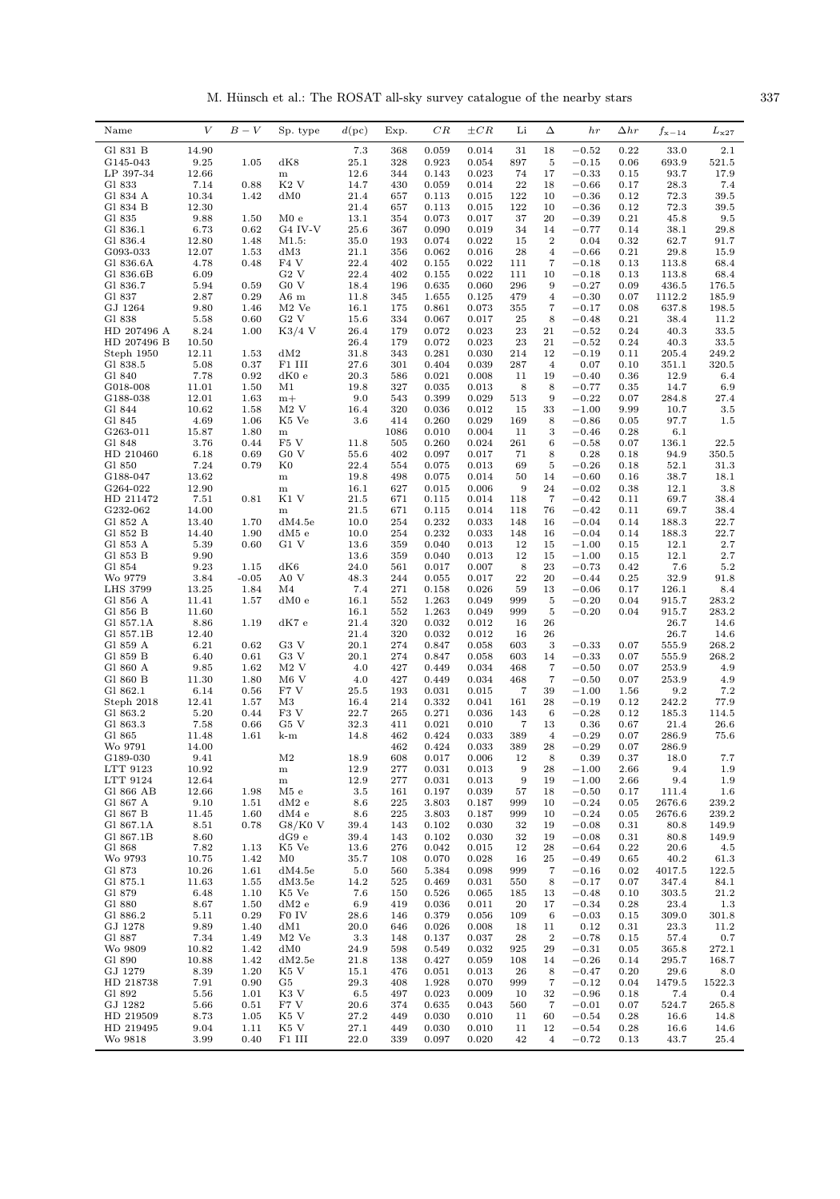M. Hünsch et al.: The ROSAT all-sky survey catalogue of the nearby stars  $337$ 

| Name                 | $\bar{V}$      | $B-V$        | Sp. type                             | d(pc)           | Exp.       | $_{CR}$        | $\pm CR$       | Li                     | Δ                                | hr                 | $\Delta hr$  | $f_{\rm x-14}$  | $L_{\rm x27}$   |
|----------------------|----------------|--------------|--------------------------------------|-----------------|------------|----------------|----------------|------------------------|----------------------------------|--------------------|--------------|-----------------|-----------------|
| Gl 831 B             | 14.90          |              |                                      | 7.3             | 368        | 0.059          | 0.014          | 31                     | 18                               | $-0.52$            | 0.22         | 33.0            | $2.1\,$         |
| G145-043             | 9.25           | 1.05         | dK8                                  | 25.1            | 328        | 0.923          | 0.054          | 897                    | 5                                | $-0.15$            | 0.06         | 693.9           | 521.5           |
| LP 397-34            | 12.66          |              | ${\bf m}$                            | 12.6            | 344        | 0.143          | 0.023          | 74                     | 17                               | $-0.33$            | 0.15         | 93.7            | 17.9            |
| Gl 833               | 7.14           | 0.88         | K <sub>2</sub> V                     | 14.7            | 430        | 0.059          | 0.014          | 22                     | 18                               | $-0.66$            | 0.17         | 28.3            | 7.4             |
| Gl 834 A<br>Gl 834 B | 10.34<br>12.30 | 1.42         | dM0                                  | 21.4<br>21.4    | 657<br>657 | 0.113<br>0.113 | 0.015<br>0.015 | 122<br>122             | 10<br>10                         | $-0.36$<br>$-0.36$ | 0.12<br>0.12 | 72.3<br>72.3    | 39.5<br>39.5    |
| Gl 835               | 9.88           | 1.50         | M0e                                  | 13.1            | 354        | 0.073          | 0.017          | 37                     | 20                               | $-0.39$            | 0.21         | 45.8            | 9.5             |
| Gl 836.1             | 6.73           | 0.62         | G4 IV-V                              | 25.6            | 367        | 0.090          | 0.019          | 34                     | 14                               | $-0.77$            | 0.14         | 38.1            | 29.8            |
| Gl 836.4             | 12.80          | 1.48         | M1.5:                                | 35.0            | 193        | 0.074          | 0.022          | 15                     | $\boldsymbol{2}$                 | 0.04               | 0.32         | 62.7            | 91.7            |
| G093-033             | 12.07          | 1.53         | dM3                                  | 21.1            | 356        | 0.062          | 0.016          | 28                     | $\overline{4}$                   | $-0.66$            | 0.21         | 29.8            | 15.9            |
| Gl 836.6A            | 4.78           | 0.48         | F <sub>4</sub> V                     | 22.4            | 402        | 0.155          | 0.022          | 111                    | $\overline{7}$                   | $-0.18$            | 0.13         | 113.8           | 68.4            |
| Gl 836.6B            | 6.09           |              | G2V                                  | 22.4            | 402        | 0.155          | 0.022          | 111                    | 10                               | $-0.18$            | 0.13         | 113.8           | 68.4            |
| Gl 836.7<br>Gl 837   | 5.94           | 0.59         | G <sub>0</sub> V                     | 18.4            | 196        | 0.635          | 0.060          | 296                    | 9                                | $-0.27$            | 0.09         | 436.5           | 176.5           |
| GJ 1264              | 2.87<br>9.80   | 0.29<br>1.46 | A6 <sub>m</sub><br>M <sub>2</sub> Ve | 11.8<br>16.1    | 345<br>175 | 1.655<br>0.861 | 0.125<br>0.073 | 479<br>355             | $\overline{4}$<br>$\overline{7}$ | $-0.30$<br>$-0.17$ | 0.07<br>0.08 | 1112.2<br>637.8 | 185.9<br>198.5  |
| Gl 838               | 5.58           | 0.60         | G2V                                  | 15.6            | 334        | 0.067          | 0.017          | 25                     | 8                                | $-0.48$            | 0.21         | 38.4            | 11.2            |
| HD 207496 A          | 8.24           | 1.00         | $K3/4$ V                             | 26.4            | 179        | 0.072          | 0.023          | 23                     | 21                               | $-0.52$            | 0.24         | 40.3            | 33.5            |
| HD 207496 B          | 10.50          |              |                                      | 26.4            | 179        | 0.072          | 0.023          | 23                     | 21                               | $-0.52$            | 0.24         | 40.3            | 33.5            |
| Steph 1950           | 12.11          | 1.53         | dM2                                  | 31.8            | 343        | 0.281          | 0.030          | 214                    | 12                               | $-0.19$            | 0.11         | 205.4           | 249.2           |
| Gl 838.5             | 5.08           | 0.37         | F1 III                               | 27.6            | 301        | 0.404          | 0.039          | 287                    | $\overline{4}$                   | 0.07               | 0.10         | 351.1           | 320.5           |
| Gl 840               | 7.78           | 0.92         | dK0e                                 | 20.3            | 586        | 0.021          | 0.008          | 11                     | 19                               | $-0.40$            | 0.36         | 12.9            | 6.4             |
| G018-008             | 11.01          | 1.50         | M1                                   | 19.8            | 327        | 0.035          | 0.013          | 8                      | 8                                | $-0.77$            | 0.35         | 14.7            | 6.9             |
| G188-038<br>Gl 844   | 12.01<br>10.62 | 1.63<br>1.58 | $m+$<br>$M2$ V                       | 9.0<br>16.4     | 543<br>320 | 0.399<br>0.036 | 0.029<br>0.012 | 513<br>15              | 9<br>33                          | $-0.22$<br>$-1.00$ | 0.07<br>9.99 | 284.8<br>10.7   | 27.4<br>$3.5\,$ |
| Gl 845               | 4.69           | 1.06         | K5 Ve                                | 3.6             | 414        | 0.260          | 0.029          | 169                    | 8                                | $-0.86$            | 0.05         | 97.7            | 1.5             |
| G263-011             | 15.87          | 1.80         | ${\bf m}$                            |                 | 1086       | 0.010          | 0.004          | 11                     | $\,3$                            | $-0.46$            | 0.28         | 6.1             |                 |
| Gl 848               | 3.76           | 0.44         | F <sub>5</sub> V                     | 11.8            | 505        | 0.260          | 0.024          | 261                    | 6                                | $-0.58$            | 0.07         | 136.1           | 22.5            |
| HD 210460            | 6.18           | 0.69         | G <sub>0</sub> V                     | 55.6            | 402        | 0.097          | 0.017          | 71                     | 8                                | 0.28               | 0.18         | 94.9            | 350.5           |
| G1 850               | 7.24           | 0.79         | $_{\rm K0}$                          | 22.4            | 554        | 0.075          | 0.013          | 69                     | $\overline{5}$                   | $-0.26$            | 0.18         | 52.1            | 31.3            |
| G188-047             | 13.62          |              | ${\bf m}$                            | 19.8            | 498        | 0.075          | 0.014          | 50                     | 14                               | $-0.60$            | 0.16         | 38.7            | 18.1            |
| G264-022             | 12.90          |              | ${\bf m}$                            | 16.1            | 627        | 0.015          | 0.006          | 9                      | 24                               | $-0.02$            | 0.38         | 12.1            | 3.8             |
| HD 211472            | 7.51           | 0.81         | K1 V                                 | 21.5            | 671        | 0.115          | 0.014          | 118                    | $\overline{7}$                   | $-0.42$            | 0.11         | 69.7            | 38.4            |
| G232-062             | 14.00          |              | ${\bf m}$                            | 21.5            | 671        | 0.115          | 0.014          | 118                    | 76                               | $-0.42$            | 0.11         | 69.7            | 38.4            |
| Gl 852 A<br>Gl 852 B | 13.40<br>14.40 | 1.70<br>1.90 | dM4.5e<br>$dM5$ e                    | 10.0<br>10.0    | 254<br>254 | 0.232<br>0.232 | 0.033<br>0.033 | 148<br>148             | 16<br>16                         | $-0.04$<br>$-0.04$ | 0.14<br>0.14 | 188.3<br>188.3  | 22.7<br>22.7    |
| Gl 853 A             | 5.39           | 0.60         | G1 V                                 | 13.6            | 359        | 0.040          | 0.013          | 12                     | 15                               | $-1.00$            | 0.15         | 12.1            | 2.7             |
| Gl 853 B             | 9.90           |              |                                      | 13.6            | 359        | 0.040          | 0.013          | 12                     | 15                               | $-1.00$            | 0.15         | 12.1            | 2.7             |
| Gl 854               | 9.23           | 1.15         | dK6                                  | 24.0            | 561        | 0.017          | 0.007          | 8                      | 23                               | $-0.73$            | 0.42         | 7.6             | 5.2             |
| Wo 9779              | 3.84           | $-0.05$      | A0 V                                 | 48.3            | 244        | 0.055          | 0.017          | 22                     | 20                               | $-0.44$            | 0.25         | 32.9            | 91.8            |
| <b>LHS 3799</b>      | 13.25          | 1.84         | M <sub>4</sub>                       | 7.4             | 271        | 0.158          | 0.026          | 59                     | 13                               | $-0.06$            | 0.17         | 126.1           | 8.4             |
| Gl 856 A             | 11.41          | 1.57         | dM0e                                 | 16.1            | 552        | 1.263          | 0.049          | 999                    | 5                                | $-0.20$            | 0.04         | 915.7           | 283.2           |
| Gl 856 B             | 11.60          |              |                                      | 16.1            | 552        | 1.263          | 0.049          | 999                    | $\overline{5}$                   | $-0.20$            | 0.04         | 915.7           | 283.2           |
| Gl 857.1A            | 8.86           | 1.19         | $dK7$ e                              | 21.4            | 320        | 0.032          | 0.012          | 16                     | 26                               |                    |              | 26.7            | 14.6            |
| Gl 857.1B            | 12.40          |              |                                      | 21.4            | 320        | 0.032          | 0.012          | 16                     | 26                               |                    |              | 26.7            | 14.6            |
| Gl 859 A<br>Gl 859 B | 6.21<br>6.40   | 0.62<br>0.61 | G3 V<br>G <sub>3</sub> V             | 20.1<br>20.1    | 274<br>274 | 0.847<br>0.847 | 0.058<br>0.058 | 603<br>603             | 3<br>14                          | $-0.33$<br>$-0.33$ | 0.07<br>0.07 | 555.9<br>555.9  | 268.2<br>268.2  |
| Gl 860 A             | 9.85           | 1.62         | $M2$ V                               | 4.0             | 427        | 0.449          | 0.034          | 468                    | $\overline{7}$                   | $-0.50$            | 0.07         | 253.9           | 4.9             |
| Gl 860 B             | 11.30          | 1.80         | $M6$ V                               | 4.0             | 427        | 0.449          | 0.034          | 468                    | $\overline{7}$                   | $-0.50$            | 0.07         | 253.9           | 4.9             |
| Gl 862.1             | 6.14           | 0.56         | F7 V                                 | 25.5            | 193        | 0.031          | 0.015          | 7                      | 39                               | $-1.00$            | 1.56         | 9.2             | 7.2             |
| Steph 2018           | 12.41          | 1.57         | M3                                   | 16.4            | 214        | 0.332          | 0.041          | 161                    | 28                               | $-0.19$            | 0.12         | 242.2           | 77.9            |
| Gl 863.2             | 5.20           | 0.44         | F <sub>3</sub> V                     | 22.7            | 265        | 0.271          | 0.036          | 143                    | 6                                | $-0.28$            | 0.12         | 185.3           | 114.5           |
| Gl 863.3             | 7.58           | 0.66         | G5 V                                 | 32.3            | 411        | 0.021          | 0.010          | $\overline{7}$         | 13                               | 0.36               | 0.67         | 21.4            | 26.6            |
| Gl 865               | 11.48          | 1.61         | k-m                                  | 14.8            | 462        | 0.424          | 0.033          | 389                    | $\overline{4}$                   | $-0.29$            | 0.07         | 286.9           | 75.6            |
| Wo 9791              | 14.00<br>9.41  |              |                                      |                 | 462        | 0.424<br>0.017 | 0.033          | 389                    | $\bf 28$                         | $-0.29$            | 0.07         | 286.9           |                 |
| G189-030<br>LTT 9123 | 10.92          |              | M <sub>2</sub><br>$\, {\rm m}$       | 18.9<br>12.9    | 608<br>277 | 0.031          | 0.006<br>0.013 | 12<br>$\boldsymbol{9}$ | 8<br>28                          | 0.39<br>$-1.00$    | 0.37<br>2.66 | 18.0<br>9.4     | 7.7<br>1.9      |
| LTT 9124             | 12.64          |              | ${\bf m}$                            | 12.9            | 277        | 0.031          | 0.013          | 9                      | 19                               | $-1.00$            | 2.66         | 9.4             | 1.9             |
| Gl 866 AB            | 12.66          | 1.98         | M5e                                  | 3.5             | 161        | 0.197          | 0.039          | 57                     | 18                               | $-0.50$            | 0.17         | 111.4           | 1.6             |
| Gl 867 A             | 9.10           | 1.51         | $dM2$ e                              | 8.6             | 225        | 3.803          | 0.187          | 999                    | 10                               | $-0.24$            | 0.05         | 2676.6          | 239.2           |
| Gl 867 B             | 11.45          | 1.60         | dM4e                                 | 8.6             | $\bf 225$  | 3.803          | 0.187          | 999                    | 10                               | $-0.24$            | 0.05         | 2676.6          | 239.2           |
| Gl 867.1A            | 8.51           | 0.78         | G8/K0V                               | 39.4            | 143        | 0.102          | 0.030          | 32                     | 19                               | $-0.08$            | 0.31         | 80.8            | 149.9           |
| Gl 867.1B            | 8.60           |              | dG9e                                 | 39.4            | 143        | 0.102          | 0.030          | 32                     | 19                               | $-0.08$            | 0.31         | 80.8            | 149.9           |
| Gl 868               | 7.82           | 1.13         | K5 Ve                                | 13.6            | 276        | 0.042          | 0.015          | 12                     | 28                               | $-0.64$            | 0.22         | 20.6            | 4.5             |
| Wo 9793<br>Gl 873    | 10.75<br>10.26 | 1.42<br>1.61 | M0<br>dM4.5e                         | 35.7<br>5.0     | 108<br>560 | 0.070<br>5.384 | 0.028<br>0.098 | 16<br>999              | 25<br>$\overline{7}$             | $-0.49$<br>$-0.16$ | 0.65<br>0.02 | 40.2<br>4017.5  | 61.3            |
| Gl 875.1             | 11.63          | 1.55         | dM3.5e                               | 14.2            | 525        | 0.469          | 0.031          | 550                    | 8                                | $-0.17$            | 0.07         | 347.4           | 122.5<br>84.1   |
| Gl 879               | 6.48           | 1.10         | K5 Ve                                | 7.6             | 150        | 0.526          | 0.065          | 185                    | 13                               | $-0.48$            | 0.10         | 303.5           | 21.2            |
| Gl 880               | 8.67           | 1.50         | $dM2$ e                              | 6.9             | 419        | 0.036          | 0.011          | 20                     | 17                               | $-0.34$            | 0.28         | 23.4            | 1.3             |
| Gl 886.2             | 5.11           | 0.29         | F0 IV                                | 28.6            | 146        | 0.379          | 0.056          | 109                    | 6                                | $-0.03$            | 0.15         | 309.0           | 301.8           |
| GJ 1278              | 9.89           | 1.40         | dM1                                  | 20.0            | 646        | 0.026          | 0.008          | 18                     | 11                               | 0.12               | 0.31         | 23.3            | 11.2            |
| Gl 887               | 7.34           | 1.49         | $M2$ Ve                              | 3.3             | 148        | 0.137          | 0.037          | 28                     | $\,2$                            | $-0.78$            | 0.15         | 57.4            | 0.7             |
| Wo 9809              | 10.82          | 1.42         | dM0                                  | 24.9            | 598        | 0.549          | 0.032          | 925                    | 29                               | $-0.31$            | 0.05         | 365.8           | 272.1           |
| Gl 890               | 10.88          | 1.42         | dM2.5e                               | 21.8            | 138        | 0.427          | 0.059          | 108                    | 14                               | $-0.26$            | 0.14         | 295.7           | 168.7           |
| GJ 1279              | 8.39           | 1.20         | K5 V<br>G5                           | 15.1            | 476        | 0.051          | 0.013          | 26                     | 8                                | $-0.47$            | 0.20         | 29.6            | 8.0             |
| HD 218738<br>Gl 892  | 7.91<br>5.56   | 0.90<br>1.01 | K3 V                                 | 29.3<br>$6.5\,$ | 408<br>497 | 1.928<br>0.023 | 0.070<br>0.009 | 999<br>10              | $\overline{7}$<br>32             | $-0.12$<br>$-0.96$ | 0.04<br>0.18 | 1479.5<br>7.4   | 1522.3<br>0.4   |
| GJ 1282              | 5.66           | 0.51         | F7 V                                 | 20.6            | 374        | 0.635          | 0.043          | 560                    | $\overline{7}$                   | $-0.01$            | 0.07         | 524.7           | 265.8           |
| HD 219509            | 8.73           | 1.05         | K5 V                                 | 27.2            | 449        | 0.030          | 0.010          | 11                     | 60                               | $-0.54$            | 0.28         | 16.6            | 14.8            |
| HD 219495            | 9.04           | 1.11         | K5 V                                 | 27.1            | 449        | 0.030          | 0.010          | 11                     | 12                               | $-0.54$            | 0.28         | 16.6            | 14.6            |
| Wo 9818              | 3.99           | 0.40         | F1 III                               | 22.0            | 339        | 0.097          | 0.020          | 42                     | $\overline{4}$                   | $-0.72$            | 0.13         | 43.7            | 25.4            |